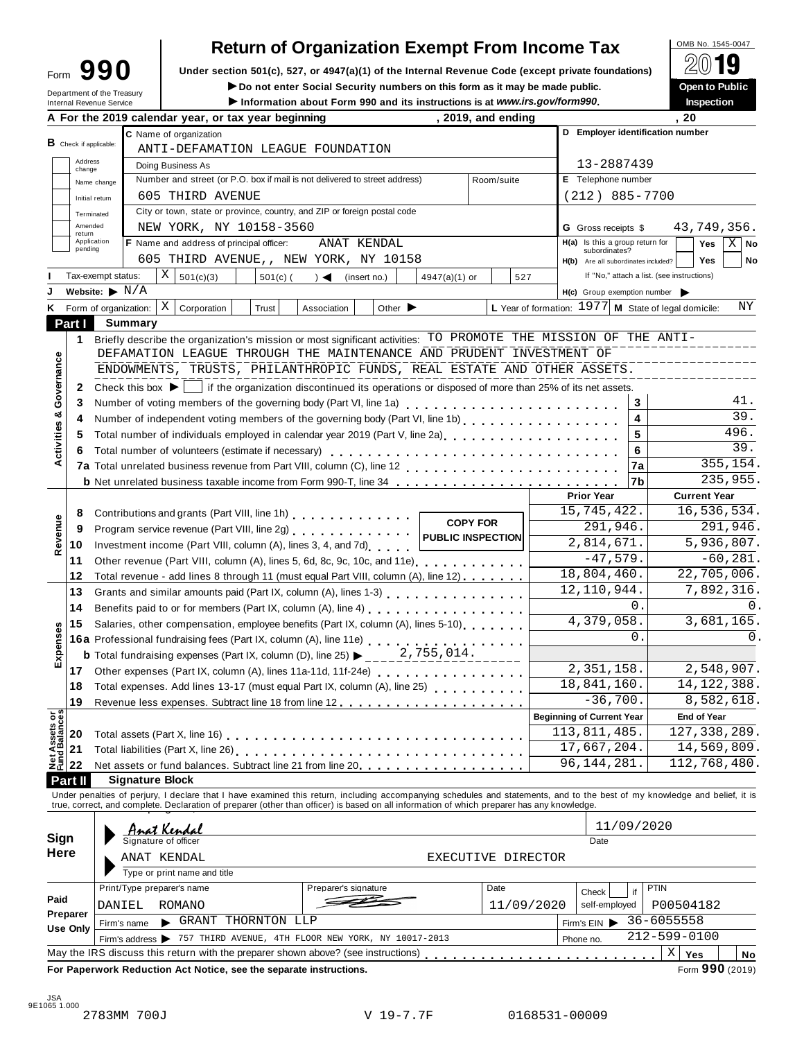| Form                       |  | 990 |
|----------------------------|--|-----|
| Department of the Treasury |  |     |

## **Return of Organization Exempt From Income Tax**  $\bigcap_{n=0}^{\infty}$

**Example 1990** Under section 501(c), 527, or 4947(a)(1) of the Internal Revenue Code (except private foundations) <u>A</u>∪ ■ <br>Do not enter Social Security numbers on this form as it may be made public. Open to Public

 $\blacktriangleright$  Do not enter Social Security numbers on this form as it may be made public.

Information about Form 990 and its instructions is at www.irs.gov/form990.

|                                                                            | intenial Revenue Service<br>$\blacktriangleright$ implificulti about I officially and its instructions is at www.irs.gov/formaso.<br>A For the 2019 calendar year, or tax year beginning                                                  |                                            |               | , 2019, and ending |                                  |                                                      | . 20                                                         |
|----------------------------------------------------------------------------|-------------------------------------------------------------------------------------------------------------------------------------------------------------------------------------------------------------------------------------------|--------------------------------------------|---------------|--------------------|----------------------------------|------------------------------------------------------|--------------------------------------------------------------|
|                                                                            | C Name of organization                                                                                                                                                                                                                    |                                            |               |                    |                                  |                                                      | D Employer identification number                             |
| <b>B</b> Check if applicable:                                              | ANTI-DEFAMATION LEAGUE FOUNDATION                                                                                                                                                                                                         |                                            |               |                    |                                  |                                                      |                                                              |
| Address                                                                    | Doing Business As                                                                                                                                                                                                                         |                                            |               |                    |                                  | 13-2887439                                           |                                                              |
| change                                                                     | Number and street (or P.O. box if mail is not delivered to street address)<br>Name change                                                                                                                                                 |                                            |               | Room/suite         |                                  | E Telephone number                                   |                                                              |
|                                                                            | 605 THIRD AVENUE<br>Initial return                                                                                                                                                                                                        |                                            |               |                    |                                  | $(212) 885 - 7700$                                   |                                                              |
|                                                                            | City or town, state or province, country, and ZIP or foreign postal code<br>Terminated                                                                                                                                                    |                                            |               |                    |                                  |                                                      |                                                              |
|                                                                            | Amended<br>NEW YORK, NY 10158-3560                                                                                                                                                                                                        |                                            |               |                    |                                  | <b>G</b> Gross receipts \$                           | 43,749,356.                                                  |
| return                                                                     | Application<br>F Name and address of principal officer:                                                                                                                                                                                   | ANAT KENDAL                                |               |                    |                                  | H(a) Is this a group return for                      | $X \mid$ No<br>Yes                                           |
| pending                                                                    | 605 THIRD AVENUE,, NEW YORK, NY 10158                                                                                                                                                                                                     |                                            |               |                    |                                  | subordinates?<br>H(b) Are all subordinates included? | <b>Yes</b>                                                   |
|                                                                            | X<br>Tax-exempt status:<br>501(c)(3)<br>$501(c)$ (                                                                                                                                                                                        | $\rightarrow$<br>(insert no.)              | 4947(a)(1) or | 527                |                                  |                                                      | If "No," attach a list. (see instructions)                   |
|                                                                            | Website: $\blacktriangleright$ N/A                                                                                                                                                                                                        |                                            |               |                    |                                  |                                                      | $H(c)$ Group exemption number $\triangleright$               |
| ĸ                                                                          | X <sub>1</sub><br>Form of organization:<br>Corporation<br>Trust                                                                                                                                                                           | Association<br>Other $\blacktriangleright$ |               |                    |                                  |                                                      | ΝY<br>L Year of formation: $1977$ M State of legal domicile: |
| Part I                                                                     | <b>Summary</b>                                                                                                                                                                                                                            |                                            |               |                    |                                  |                                                      |                                                              |
| 1                                                                          | Briefly describe the organization's mission or most significant activities: TO PROMOTE THE MISSION OF THE ANTI-                                                                                                                           |                                            |               |                    |                                  |                                                      |                                                              |
|                                                                            | DEFAMATION LEAGUE THROUGH THE MAINTENANCE AND PRUDENT INVESTMENT OF                                                                                                                                                                       |                                            |               |                    |                                  |                                                      |                                                              |
| Governance                                                                 | ENDOWMENTS, TRUSTS, PHILANTHROPIC FUNDS, REAL ESTATE AND OTHER ASSETS.                                                                                                                                                                    |                                            |               |                    |                                  |                                                      |                                                              |
| 2                                                                          | Check this box $\blacktriangleright$   if the organization discontinued its operations or disposed of more than 25% of its net assets.                                                                                                    |                                            |               |                    |                                  |                                                      |                                                              |
| 3                                                                          |                                                                                                                                                                                                                                           |                                            |               |                    |                                  |                                                      | 41.<br>3                                                     |
| 4                                                                          | Number of independent voting members of the governing body (Part VI, line 1b)                                                                                                                                                             |                                            |               |                    |                                  |                                                      | 39.<br>4                                                     |
| Activities &<br>5                                                          | Total number of individuals employed in calendar year 2019 (Part V, line 2a)<br>The 2a)                                                                                                                                                   |                                            |               |                    |                                  |                                                      | 496.<br>5                                                    |
| 6                                                                          | Total number of volunteers (estimate if necessary)                                                                                                                                                                                        |                                            |               |                    |                                  |                                                      | 39.<br>6                                                     |
|                                                                            |                                                                                                                                                                                                                                           |                                            |               |                    |                                  |                                                      | 355,154.<br>7a                                               |
|                                                                            | <b>b</b> Net unrelated business taxable income from Form 990-T, line 34 <b>and in the set of the set of the set of the set of the set of the set of the set of the set of the set of the set of the set of the set of the set of the </b> |                                            |               |                    |                                  |                                                      | 235,955.<br>7b                                               |
|                                                                            |                                                                                                                                                                                                                                           |                                            |               |                    |                                  | <b>Prior Year</b>                                    | <b>Current Year</b>                                          |
| 8                                                                          |                                                                                                                                                                                                                                           |                                            |               |                    |                                  | 15,745,422.                                          | 16,536,534.                                                  |
| Revenue<br>9                                                               |                                                                                                                                                                                                                                           |                                            |               | <b>COPY FOR</b>    |                                  | 291,946.                                             | 291,946.                                                     |
| 10                                                                         | Investment income (Part VIII, column (A), lines 3, 4, and 7d)                                                                                                                                                                             |                                            |               |                    |                                  | $\overline{2,814}$ , 671.                            | 5,936,807.                                                   |
| 11                                                                         | Other revenue (Part VIII, column (A), lines 5, 6d, 8c, 9c, 10c, and 11e)                                                                                                                                                                  |                                            |               |                    |                                  | $-47,579.$                                           | $-60, 281.$                                                  |
| 12                                                                         | Total revenue - add lines 8 through 11 (must equal Part VIII, column (A), line 12)                                                                                                                                                        |                                            |               |                    |                                  | 18,804,460.                                          | 22,705,006.                                                  |
| 13                                                                         |                                                                                                                                                                                                                                           |                                            |               |                    |                                  | 12, 110, 944.                                        | 7,892,316.                                                   |
| 14                                                                         | Benefits paid to or for members (Part IX, column (A), line 4)                                                                                                                                                                             |                                            |               |                    |                                  |                                                      | 0.                                                           |
| 15                                                                         | Salaries, other compensation, employee benefits (Part IX, column (A), lines 5-10)                                                                                                                                                         |                                            |               |                    |                                  | 4,379,058.                                           | 3,681,165.                                                   |
| Expenses                                                                   | <b>16a</b> Professional fundraising fees (Part IX, column (A), line 11e)<br><b>h</b> Total fundraising expenses (Part IX, column (D), line 25) $\triangleright$ 2, 755, 014.                                                              |                                            |               |                    |                                  |                                                      | $\Omega$ .                                                   |
|                                                                            |                                                                                                                                                                                                                                           |                                            |               |                    |                                  |                                                      |                                                              |
| 17                                                                         |                                                                                                                                                                                                                                           |                                            |               |                    |                                  | 2,351,158.                                           | 2,548,907.                                                   |
| 18                                                                         | Total expenses. Add lines 13-17 (must equal Part IX, column (A), line 25)                                                                                                                                                                 |                                            | .             |                    |                                  | 18,841,160.                                          | 14, 122, 388.                                                |
| 19                                                                         |                                                                                                                                                                                                                                           |                                            |               |                    |                                  | $-36,700.$                                           | 8,582,618.                                                   |
|                                                                            |                                                                                                                                                                                                                                           |                                            |               |                    | <b>Beginning of Current Year</b> |                                                      | <b>End of Year</b>                                           |
| <b>Example 15</b><br><b>Example 15</b><br><b>PERE 21</b><br><b>PERE 22</b> |                                                                                                                                                                                                                                           |                                            |               |                    |                                  | 113,811,485.                                         | 127, 338, 289.                                               |
|                                                                            | Total liabilities (Part X, line 26)                                                                                                                                                                                                       |                                            |               |                    |                                  | 17,667,204.                                          | 14,569,809.                                                  |
|                                                                            | Net assets or fund balances. Subtract line 21 from line 20.                                                                                                                                                                               |                                            |               |                    |                                  | 96, 144, 281.                                        | 112,768,480.                                                 |
|                                                                            | <b>Signature Block</b>                                                                                                                                                                                                                    |                                            |               |                    |                                  |                                                      |                                                              |
|                                                                            |                                                                                                                                                                                                                                           |                                            |               |                    |                                  |                                                      |                                                              |
|                                                                            | Under penalties of perjury, I declare that I have examined this return, including accompanying schedules and statements, and to the best of my knowledge and belief, it is                                                                |                                            |               |                    |                                  |                                                      |                                                              |
|                                                                            | true, correct, and complete. Declaration of preparer (other than officer) is based on all information of which preparer has any knowledge.                                                                                                |                                            |               |                    |                                  |                                                      |                                                              |
|                                                                            |                                                                                                                                                                                                                                           |                                            |               |                    |                                  |                                                      | 11/09/2020                                                   |
|                                                                            | <b>Anat Kendal</b><br>Signature of officer                                                                                                                                                                                                |                                            |               |                    |                                  | Date                                                 |                                                              |
|                                                                            | ANAT KENDAL                                                                                                                                                                                                                               |                                            |               | EXECUTIVE DIRECTOR |                                  |                                                      |                                                              |
|                                                                            | Type or print name and title                                                                                                                                                                                                              |                                            |               |                    |                                  |                                                      |                                                              |
|                                                                            | Print/Type preparer's name                                                                                                                                                                                                                | Preparer's signature                       |               | Date               |                                  | Check                                                | PTIN<br>if                                                   |
| Part II<br>Sign<br><b>Here</b><br>Paid                                     | DANIEL<br>ROMANO                                                                                                                                                                                                                          | E                                          |               | 11/09/2020         |                                  | self-employed                                        | P00504182                                                    |
| Preparer                                                                   | GRANT THORNTON LLP<br>Firm's name                                                                                                                                                                                                         |                                            |               |                    |                                  | Firm's $EIN$                                         | 36-6055558                                                   |
| Use Only                                                                   | Firm's address > 757 THIRD AVENUE, 4TH FLOOR NEW YORK, NY 10017-2013                                                                                                                                                                      |                                            |               |                    | Phone no.                        |                                                      | $212 - 599 - 0100$                                           |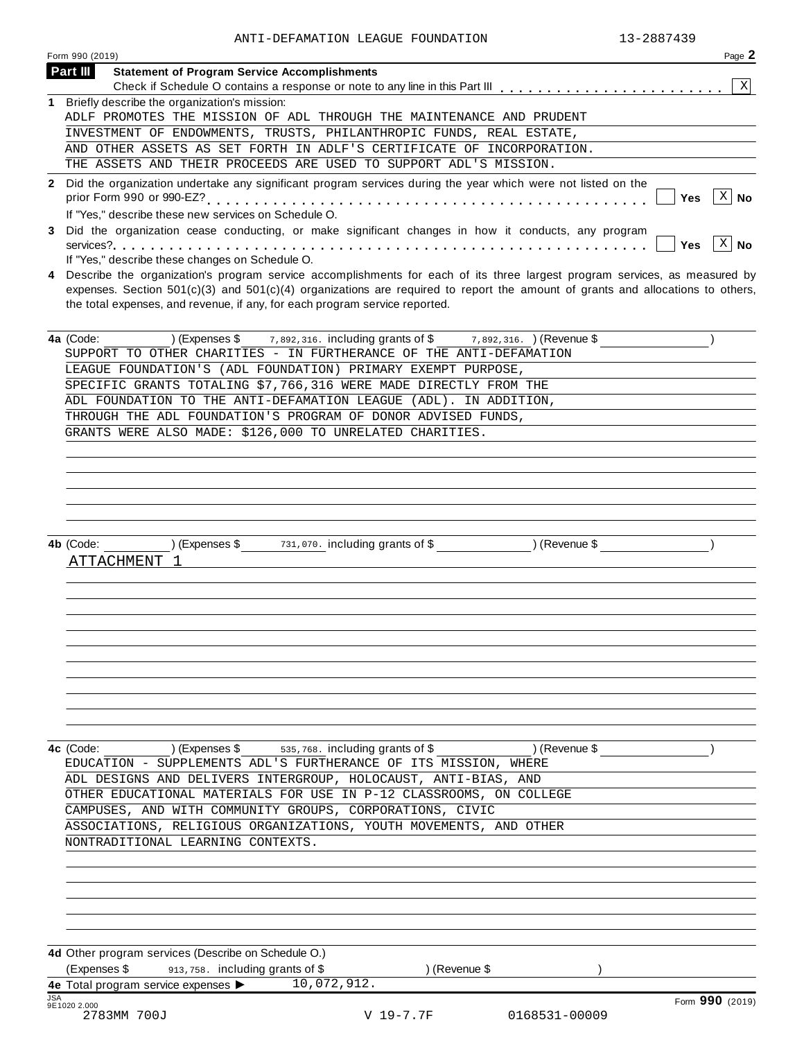|            | Form 990 (2019)                                                                                                                                                                                                                                                                                                                                                                                    | Page 2          |
|------------|----------------------------------------------------------------------------------------------------------------------------------------------------------------------------------------------------------------------------------------------------------------------------------------------------------------------------------------------------------------------------------------------------|-----------------|
|            | Part III<br><b>Statement of Program Service Accomplishments</b>                                                                                                                                                                                                                                                                                                                                    |                 |
|            | 1 Briefly describe the organization's mission:                                                                                                                                                                                                                                                                                                                                                     | X               |
|            | ADLF PROMOTES THE MISSION OF ADL THROUGH THE MAINTENANCE AND PRUDENT                                                                                                                                                                                                                                                                                                                               |                 |
|            | INVESTMENT OF ENDOWMENTS, TRUSTS, PHILANTHROPIC FUNDS, REAL ESTATE,                                                                                                                                                                                                                                                                                                                                |                 |
|            | AND OTHER ASSETS AS SET FORTH IN ADLF'S CERTIFICATE OF INCORPORATION.                                                                                                                                                                                                                                                                                                                              |                 |
|            | THE ASSETS AND THEIR PROCEEDS ARE USED TO SUPPORT ADL'S MISSION.                                                                                                                                                                                                                                                                                                                                   |                 |
|            | 2 Did the organization undertake any significant program services during the year which were not listed on the<br>Yes<br>If "Yes," describe these new services on Schedule O.                                                                                                                                                                                                                      | $ X $ No        |
|            | Did the organization cease conducting, or make significant changes in how it conducts, any program<br><b>Yes</b>                                                                                                                                                                                                                                                                                   | $ X $ No        |
|            | If "Yes," describe these changes on Schedule O.<br>Describe the organization's program service accomplishments for each of its three largest program services, as measured by<br>expenses. Section $501(c)(3)$ and $501(c)(4)$ organizations are required to report the amount of grants and allocations to others,<br>the total expenses, and revenue, if any, for each program service reported. |                 |
|            | 4a (Code:<br>) (Expenses \$<br>7,892,316. including grants of \$<br>7,892,316. ) (Revenue \$<br>SUPPORT TO OTHER CHARITIES - IN FURTHERANCE OF THE ANTI-DEFAMATION                                                                                                                                                                                                                                 |                 |
|            | LEAGUE FOUNDATION'S (ADL FOUNDATION) PRIMARY EXEMPT PURPOSE,                                                                                                                                                                                                                                                                                                                                       |                 |
|            | SPECIFIC GRANTS TOTALING \$7,766,316 WERE MADE DIRECTLY FROM THE                                                                                                                                                                                                                                                                                                                                   |                 |
|            | ADL FOUNDATION TO THE ANTI-DEFAMATION LEAGUE (ADL). IN ADDITION,                                                                                                                                                                                                                                                                                                                                   |                 |
|            | THROUGH THE ADL FOUNDATION'S PROGRAM OF DONOR ADVISED FUNDS,<br>GRANTS WERE ALSO MADE: \$126,000 TO UNRELATED CHARITIES.                                                                                                                                                                                                                                                                           |                 |
|            |                                                                                                                                                                                                                                                                                                                                                                                                    |                 |
|            |                                                                                                                                                                                                                                                                                                                                                                                                    |                 |
|            | 731,070. including grants of \$ (Revenue \$)<br>) (Expenses \$<br>4b (Code:<br>ATTACHMENT 1                                                                                                                                                                                                                                                                                                        |                 |
|            |                                                                                                                                                                                                                                                                                                                                                                                                    |                 |
|            | ) (Revenue \$<br>4c (Code:<br>) (Expenses \$<br>535, 768. including grants of \$<br>EDUCATION - SUPPLEMENTS ADL'S FURTHERANCE OF ITS MISSION, WHERE                                                                                                                                                                                                                                                |                 |
|            | ADL DESIGNS AND DELIVERS INTERGROUP, HOLOCAUST, ANTI-BIAS, AND<br>OTHER EDUCATIONAL MATERIALS FOR USE IN P-12 CLASSROOMS, ON COLLEGE<br>CAMPUSES, AND WITH COMMUNITY GROUPS, CORPORATIONS, CIVIC<br>ASSOCIATIONS, RELIGIOUS ORGANIZATIONS, YOUTH MOVEMENTS, AND OTHER                                                                                                                              |                 |
|            | NONTRADITIONAL LEARNING CONTEXTS.                                                                                                                                                                                                                                                                                                                                                                  |                 |
|            | 4d Other program services (Describe on Schedule O.)                                                                                                                                                                                                                                                                                                                                                |                 |
|            | (Expenses \$<br>913,758. including grants of \$<br>) (Revenue \$                                                                                                                                                                                                                                                                                                                                   |                 |
|            | 4e Total program service expenses > 10, 072, 912.                                                                                                                                                                                                                                                                                                                                                  |                 |
| <b>JSA</b> | 9E1020 2.000<br>2783MM 700J<br>V 19-7.7F<br>0168531-00009                                                                                                                                                                                                                                                                                                                                          | Form 990 (2019) |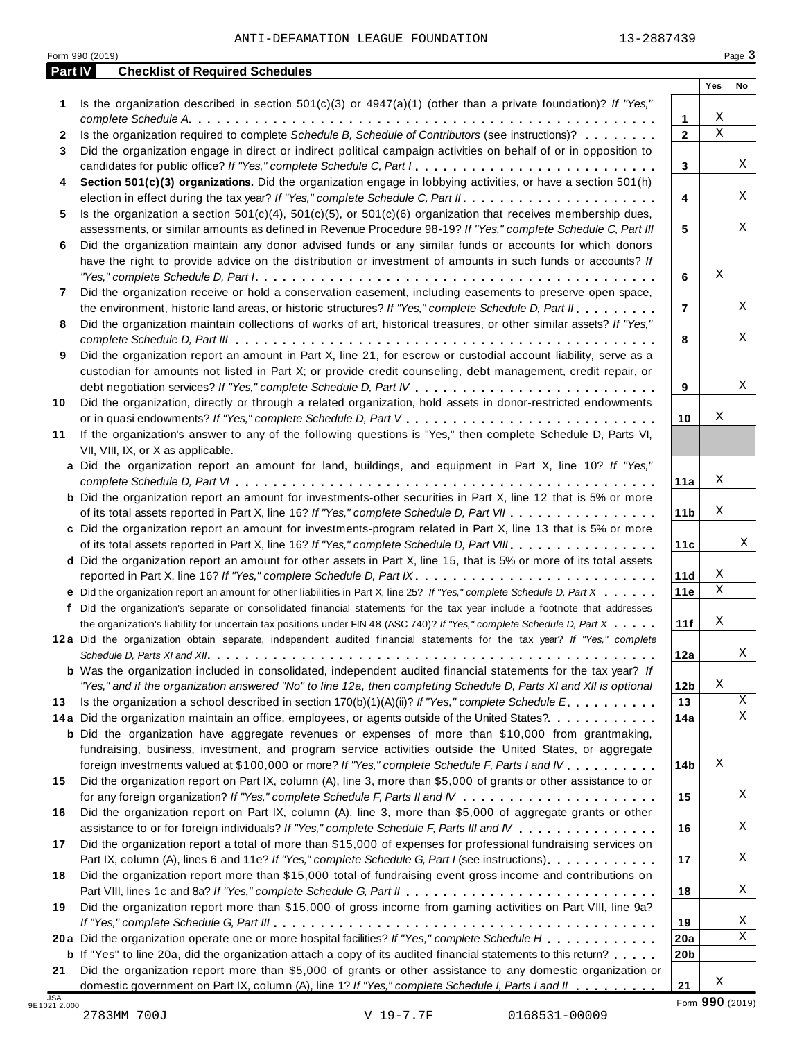|              | <b>Part IV</b><br><b>Checklist of Required Schedules</b>                                                                                                                                                      |                 |             |    |
|--------------|---------------------------------------------------------------------------------------------------------------------------------------------------------------------------------------------------------------|-----------------|-------------|----|
|              |                                                                                                                                                                                                               |                 | Yes         | No |
| 1            | Is the organization described in section $501(c)(3)$ or $4947(a)(1)$ (other than a private foundation)? If "Yes,"                                                                                             |                 |             |    |
|              |                                                                                                                                                                                                               | 1               | Χ           |    |
| $\mathbf{2}$ | Is the organization required to complete Schedule B, Schedule of Contributors (see instructions)?                                                                                                             | $\mathbf{2}$    | $\mathbf X$ |    |
| 3            | Did the organization engage in direct or indirect political campaign activities on behalf of or in opposition to                                                                                              |                 |             |    |
|              | candidates for public office? If "Yes," complete Schedule C, Part I.                                                                                                                                          | 3               |             | Χ  |
| 4            | Section 501(c)(3) organizations. Did the organization engage in lobbying activities, or have a section 501(h)                                                                                                 |                 |             | X  |
|              |                                                                                                                                                                                                               | 4               |             |    |
| 5            | Is the organization a section $501(c)(4)$ , $501(c)(5)$ , or $501(c)(6)$ organization that receives membership dues,                                                                                          |                 |             | Χ  |
|              | assessments, or similar amounts as defined in Revenue Procedure 98-19? If "Yes," complete Schedule C, Part III                                                                                                | 5               |             |    |
| 6            | Did the organization maintain any donor advised funds or any similar funds or accounts for which donors                                                                                                       |                 |             |    |
|              | have the right to provide advice on the distribution or investment of amounts in such funds or accounts? If                                                                                                   | 6               | Χ           |    |
| 7            | Did the organization receive or hold a conservation easement, including easements to preserve open space,                                                                                                     |                 |             |    |
|              | the environment, historic land areas, or historic structures? If "Yes," complete Schedule D, Part II.                                                                                                         | $\overline{7}$  |             | X  |
| 8            | Did the organization maintain collections of works of art, historical treasures, or other similar assets? If "Yes,"                                                                                           |                 |             |    |
|              |                                                                                                                                                                                                               | 8               |             | Χ  |
| 9            | Did the organization report an amount in Part X, line 21, for escrow or custodial account liability, serve as a                                                                                               |                 |             |    |
|              | custodian for amounts not listed in Part X; or provide credit counseling, debt management, credit repair, or                                                                                                  |                 |             |    |
|              |                                                                                                                                                                                                               | 9               |             | X  |
| 10           | Did the organization, directly or through a related organization, hold assets in donor-restricted endowments                                                                                                  |                 |             |    |
|              |                                                                                                                                                                                                               | 10              | Χ           |    |
| 11           | If the organization's answer to any of the following questions is "Yes," then complete Schedule D, Parts VI,                                                                                                  |                 |             |    |
|              | VII, VIII, IX, or X as applicable.                                                                                                                                                                            |                 |             |    |
|              | a Did the organization report an amount for land, buildings, and equipment in Part X, line 10? If "Yes,"                                                                                                      |                 |             |    |
|              |                                                                                                                                                                                                               | 11a             | Χ           |    |
|              | <b>b</b> Did the organization report an amount for investments-other securities in Part X, line 12 that is 5% or more                                                                                         |                 |             |    |
|              | of its total assets reported in Part X, line 16? If "Yes," complete Schedule D, Part VII                                                                                                                      | 11 <sub>b</sub> | Χ           |    |
|              | c Did the organization report an amount for investments-program related in Part X, line 13 that is 5% or more                                                                                                 |                 |             |    |
|              | of its total assets reported in Part X, line 16? If "Yes," complete Schedule D, Part VIII                                                                                                                     | 11c             |             | Χ  |
|              | d Did the organization report an amount for other assets in Part X, line 15, that is 5% or more of its total assets                                                                                           |                 |             |    |
|              | reported in Part X, line 16? If "Yes," complete Schedule D, Part IX.                                                                                                                                          | 11d             | Χ           |    |
|              | e Did the organization report an amount for other liabilities in Part X, line 25? If "Yes," complete Schedule D, Part X                                                                                       | 11e             | Χ           |    |
| f            | Did the organization's separate or consolidated financial statements for the tax year include a footnote that addresses                                                                                       |                 |             |    |
|              | the organization's liability for uncertain tax positions under FIN 48 (ASC 740)? If "Yes," complete Schedule D, Part X                                                                                        | 11f             | Χ           |    |
|              | 12a Did the organization obtain separate, independent audited financial statements for the tax year? If "Yes," complete                                                                                       |                 |             |    |
|              |                                                                                                                                                                                                               | 12a             |             | Χ  |
|              | <b>b</b> Was the organization included in consolidated, independent audited financial statements for the tax year? If                                                                                         |                 |             |    |
|              | "Yes," and if the organization answered "No" to line 12a, then completing Schedule D, Parts XI and XII is optional                                                                                            | 12 <sub>b</sub> | Χ           |    |
| 13           | Is the organization a school described in section $170(b)(1)(A)(ii)$ ? If "Yes," complete Schedule E.                                                                                                         | 13              |             | X  |
|              | 14a Did the organization maintain an office, employees, or agents outside of the United States?.                                                                                                              | 14a             |             | Χ  |
|              | <b>b</b> Did the organization have aggregate revenues or expenses of more than \$10,000 from grantmaking,                                                                                                     |                 |             |    |
|              | fundraising, business, investment, and program service activities outside the United States, or aggregate                                                                                                     |                 | Χ           |    |
|              | foreign investments valued at \$100,000 or more? If "Yes," complete Schedule F, Parts I and IV                                                                                                                | 14b             |             |    |
| 15           | Did the organization report on Part IX, column (A), line 3, more than \$5,000 of grants or other assistance to or                                                                                             |                 |             | Χ  |
|              |                                                                                                                                                                                                               | 15              |             |    |
| 16           | Did the organization report on Part IX, column (A), line 3, more than \$5,000 of aggregate grants or other                                                                                                    |                 |             | Χ  |
|              | assistance to or for foreign individuals? If "Yes," complete Schedule F, Parts III and IV                                                                                                                     | 16              |             |    |
| 17           | Did the organization report a total of more than \$15,000 of expenses for professional fundraising services on                                                                                                |                 |             | Χ  |
|              | Part IX, column (A), lines 6 and 11e? If "Yes," complete Schedule G, Part I (see instructions)<br>Did the organization report more than \$15,000 total of fundraising event gross income and contributions on | 17              |             |    |
| 18           |                                                                                                                                                                                                               |                 |             | Χ  |
|              |                                                                                                                                                                                                               | 18              |             |    |
| 19           | Did the organization report more than \$15,000 of gross income from gaming activities on Part VIII, line 9a?                                                                                                  |                 |             | Χ  |
|              | 20a Did the organization operate one or more hospital facilities? If "Yes," complete Schedule H                                                                                                               | 19<br>20a       |             | Χ  |
|              | <b>b</b> If "Yes" to line 20a, did the organization attach a copy of its audited financial statements to this return?                                                                                         | 20 <sub>b</sub> |             |    |
|              |                                                                                                                                                                                                               |                 |             |    |
| 21           | Did the organization report more than \$5,000 of grants or other assistance to any domestic organization or                                                                                                   |                 |             |    |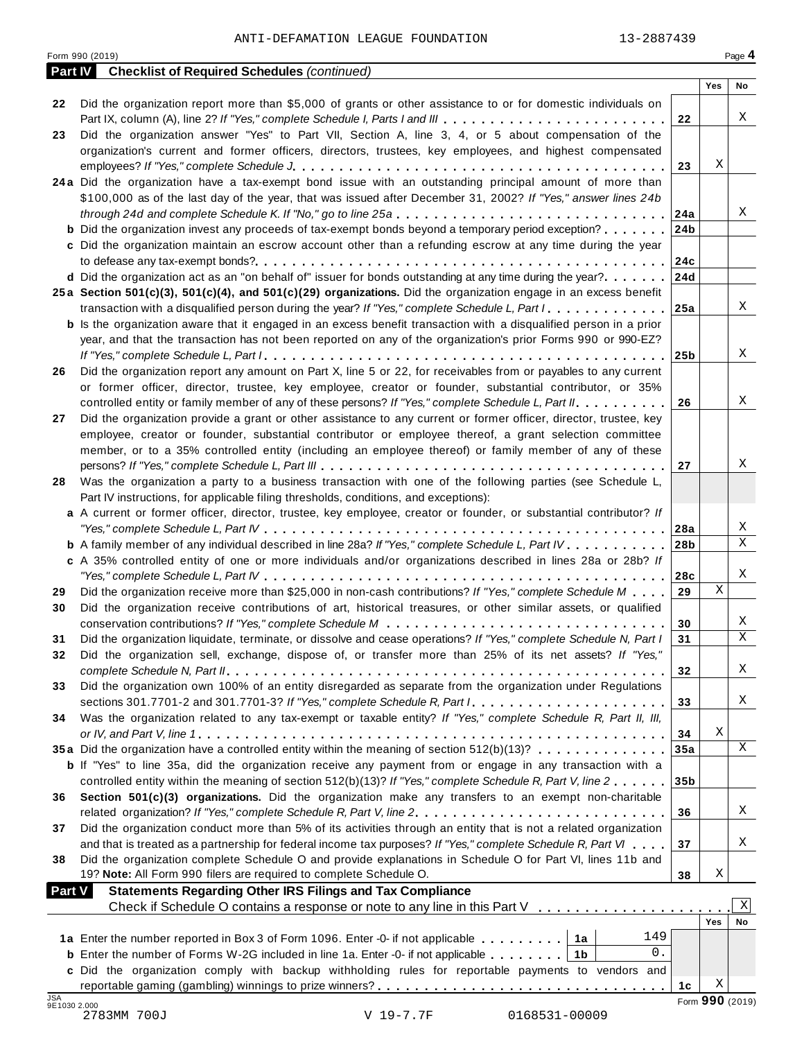|            | Form 990 (2019)                                                                                                                                                                                                               |                 |                      | Page 4      |
|------------|-------------------------------------------------------------------------------------------------------------------------------------------------------------------------------------------------------------------------------|-----------------|----------------------|-------------|
|            | <b>Part IV</b><br><b>Checklist of Required Schedules (continued)</b>                                                                                                                                                          |                 | Yes                  | No          |
| 22         | Did the organization report more than \$5,000 of grants or other assistance to or for domestic individuals on                                                                                                                 |                 |                      |             |
|            |                                                                                                                                                                                                                               | 22              |                      | Χ           |
| 23         | Did the organization answer "Yes" to Part VII, Section A, line 3, 4, or 5 about compensation of the                                                                                                                           |                 |                      |             |
|            | organization's current and former officers, directors, trustees, key employees, and highest compensated                                                                                                                       |                 |                      |             |
|            |                                                                                                                                                                                                                               | 23              | Χ                    |             |
|            | 24a Did the organization have a tax-exempt bond issue with an outstanding principal amount of more than                                                                                                                       |                 |                      |             |
|            | \$100,000 as of the last day of the year, that was issued after December 31, 2002? If "Yes," answer lines 24b                                                                                                                 |                 |                      |             |
|            | through 24d and complete Schedule K. If "No," go to line 25a                                                                                                                                                                  | 24a             |                      | Χ           |
|            | <b>b</b> Did the organization invest any proceeds of tax-exempt bonds beyond a temporary period exception?                                                                                                                    | 24 <sub>b</sub> |                      |             |
|            | c Did the organization maintain an escrow account other than a refunding escrow at any time during the year                                                                                                                   |                 |                      |             |
|            |                                                                                                                                                                                                                               | 24c             |                      |             |
|            | <b>d</b> Did the organization act as an "on behalf of" issuer for bonds outstanding at any time during the year?                                                                                                              | 24d             |                      |             |
|            | 25a Section 501(c)(3), 501(c)(4), and 501(c)(29) organizations. Did the organization engage in an excess benefit                                                                                                              |                 |                      |             |
|            | transaction with a disqualified person during the year? If "Yes," complete Schedule L, Part I.                                                                                                                                | 25a             |                      | Χ           |
|            | <b>b</b> Is the organization aware that it engaged in an excess benefit transaction with a disqualified person in a prior                                                                                                     |                 |                      |             |
|            | year, and that the transaction has not been reported on any of the organization's prior Forms 990 or 990-EZ?                                                                                                                  |                 |                      |             |
|            |                                                                                                                                                                                                                               | 25 <sub>b</sub> |                      | Χ           |
| 26         | Did the organization report any amount on Part X, line 5 or 22, for receivables from or payables to any current                                                                                                               |                 |                      |             |
|            | or former officer, director, trustee, key employee, creator or founder, substantial contributor, or 35%                                                                                                                       |                 |                      |             |
|            | controlled entity or family member of any of these persons? If "Yes," complete Schedule L, Part II.                                                                                                                           | 26              |                      | Χ           |
| 27         | Did the organization provide a grant or other assistance to any current or former officer, director, trustee, key                                                                                                             |                 |                      |             |
|            | employee, creator or founder, substantial contributor or employee thereof, a grant selection committee                                                                                                                        |                 |                      |             |
|            | member, or to a 35% controlled entity (including an employee thereof) or family member of any of these                                                                                                                        |                 |                      |             |
|            |                                                                                                                                                                                                                               | 27              |                      | Χ           |
| 28         | Was the organization a party to a business transaction with one of the following parties (see Schedule L,                                                                                                                     |                 |                      |             |
|            | Part IV instructions, for applicable filing thresholds, conditions, and exceptions):                                                                                                                                          |                 |                      |             |
|            | a A current or former officer, director, trustee, key employee, creator or founder, or substantial contributor? If                                                                                                            |                 |                      |             |
|            |                                                                                                                                                                                                                               | 28a             |                      | Χ           |
|            | <b>b</b> A family member of any individual described in line 28a? If "Yes," complete Schedule L, Part IV.                                                                                                                     | 28b             |                      | X           |
|            | c A 35% controlled entity of one or more individuals and/or organizations described in lines 28a or 28b? If                                                                                                                   |                 |                      |             |
|            |                                                                                                                                                                                                                               | 28c             | $\mathbf X$          | X           |
| 29         | Did the organization receive more than \$25,000 in non-cash contributions? If "Yes," complete Schedule M                                                                                                                      | 29              |                      |             |
| 30         | Did the organization receive contributions of art, historical treasures, or other similar assets, or qualified                                                                                                                |                 |                      | Χ           |
|            |                                                                                                                                                                                                                               | 30              |                      | Χ           |
| 31         | Did the organization liquidate, terminate, or dissolve and cease operations? If "Yes," complete Schedule N, Part I                                                                                                            | 31              |                      |             |
| 32         | Did the organization sell, exchange, dispose of, or transfer more than 25% of its net assets? If "Yes,"                                                                                                                       |                 |                      | Χ           |
|            |                                                                                                                                                                                                                               | 32              |                      |             |
| 33         | Did the organization own 100% of an entity disregarded as separate from the organization under Regulations                                                                                                                    |                 |                      | Χ           |
|            |                                                                                                                                                                                                                               | 33              |                      |             |
| 34         | Was the organization related to any tax-exempt or taxable entity? If "Yes," complete Schedule R, Part II, III,                                                                                                                | 34              | Χ                    |             |
|            | 35a Did the organization have a controlled entity within the meaning of section $512(b)(13)? \ldots \ldots \ldots \ldots$                                                                                                     | 35a             |                      | X           |
|            |                                                                                                                                                                                                                               |                 |                      |             |
|            | <b>b</b> If "Yes" to line 35a, did the organization receive any payment from or engage in any transaction with a<br>controlled entity within the meaning of section 512(b)(13)? If "Yes," complete Schedule R, Part V, line 2 | 35 <sub>b</sub> |                      |             |
| 36         | Section 501(c)(3) organizations. Did the organization make any transfers to an exempt non-charitable                                                                                                                          |                 |                      |             |
|            | related organization? If "Yes," complete Schedule R, Part V, line 2.                                                                                                                                                          | 36              |                      | Χ           |
| 37         | Did the organization conduct more than 5% of its activities through an entity that is not a related organization                                                                                                              |                 |                      |             |
|            | and that is treated as a partnership for federal income tax purposes? If "Yes," complete Schedule R, Part VI                                                                                                                  | 37              |                      | Χ           |
| 38         | Did the organization complete Schedule O and provide explanations in Schedule O for Part VI, lines 11b and                                                                                                                    |                 |                      |             |
|            | 19? Note: All Form 990 filers are required to complete Schedule O.                                                                                                                                                            | 38              | Χ                    |             |
|            | <b>Statements Regarding Other IRS Filings and Tax Compliance</b><br><b>Part V</b>                                                                                                                                             |                 |                      |             |
|            | Check if Schedule O contains a response or note to any line in this Part V                                                                                                                                                    |                 |                      | $\mathbf X$ |
|            |                                                                                                                                                                                                                               |                 | Yes                  | No          |
|            | 149<br>1a Enter the number reported in Box 3 of Form 1096. Enter -0- if not applicable   1a                                                                                                                                   |                 |                      |             |
|            | 0.<br><b>b</b> Enter the number of Forms W-2G included in line 1a. Enter -0- if not applicable $\ldots \ldots$   1b                                                                                                           |                 |                      |             |
|            | c Did the organization comply with backup withholding rules for reportable payments to vendors and                                                                                                                            |                 |                      |             |
|            |                                                                                                                                                                                                                               |                 |                      |             |
| <b>JSA</b> |                                                                                                                                                                                                                               | 1c              | Χ<br>Form 990 (2019) |             |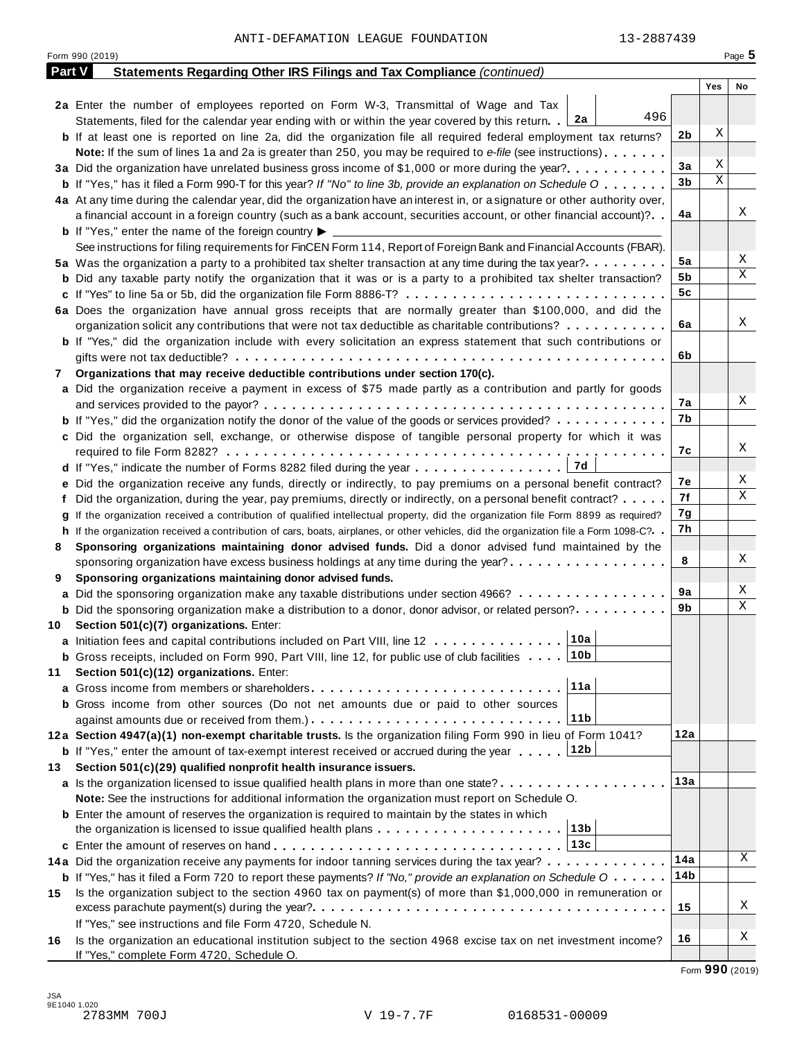|        | Form 990 (2019)                                                                                                                                              |         | Page 5 |
|--------|--------------------------------------------------------------------------------------------------------------------------------------------------------------|---------|--------|
| Part V | Statements Regarding Other IRS Filings and Tax Compliance (continued)                                                                                        |         |        |
|        |                                                                                                                                                              | Yes     | No     |
|        | 2a Enter the number of employees reported on Form W-3, Transmittal of Wage and Tax                                                                           |         |        |
|        | 496<br>  2a<br>Statements, filed for the calendar year ending with or within the year covered by this return.                                                |         |        |
|        | <b>b</b> If at least one is reported on line 2a, did the organization file all required federal employment tax returns?                                      | Χ<br>2b |        |
|        | <b>Note:</b> If the sum of lines 1a and 2a is greater than 250, you may be required to e-file (see instructions).                                            |         |        |
|        | 3a Did the organization have unrelated business gross income of \$1,000 or more during the year?                                                             | Χ<br>3a |        |
|        | <b>b</b> If "Yes," has it filed a Form 990-T for this year? If "No" to line 3b, provide an explanation on Schedule O                                         | Χ<br>3b |        |
|        | 4a At any time during the calendar year, did the organization have an interest in, or a signature or other authority over,                                   |         |        |
|        | a financial account in a foreign country (such as a bank account, securities account, or other financial account)?                                           | 4a      | Χ      |
|        | <b>b</b> If "Yes," enter the name of the foreign country $\blacktriangleright$                                                                               |         |        |
|        | See instructions for filing requirements for FinCEN Form 114, Report of Foreign Bank and Financial Accounts (FBAR).                                          |         |        |
|        | 5a Was the organization a party to a prohibited tax shelter transaction at any time during the tax year?                                                     | 5a      | Χ<br>Χ |
|        | <b>b</b> Did any taxable party notify the organization that it was or is a party to a prohibited tax shelter transaction?                                    | 5b      |        |
|        |                                                                                                                                                              | 5c      |        |
|        | 6a Does the organization have annual gross receipts that are normally greater than \$100,000, and did the                                                    |         |        |
|        | organization solicit any contributions that were not tax deductible as charitable contributions?                                                             | 6a      | Χ      |
|        | <b>b</b> If "Yes," did the organization include with every solicitation an express statement that such contributions or                                      |         |        |
|        |                                                                                                                                                              | 6b      |        |
| 7      | Organizations that may receive deductible contributions under section 170(c).                                                                                |         |        |
|        | a Did the organization receive a payment in excess of \$75 made partly as a contribution and partly for goods                                                |         | Χ      |
|        |                                                                                                                                                              | 7а      |        |
|        | <b>b</b> If "Yes," did the organization notify the donor of the value of the goods or services provided?                                                     | 7b      |        |
|        | c Did the organization sell, exchange, or otherwise dispose of tangible personal property for which it was                                                   |         | Χ      |
|        |                                                                                                                                                              | 7с      |        |
|        | 7d                                                                                                                                                           |         | Χ      |
|        | e Did the organization receive any funds, directly or indirectly, to pay premiums on a personal benefit contract?                                            | 7е      | Χ      |
|        | f Did the organization, during the year, pay premiums, directly or indirectly, on a personal benefit contract?                                               | 7f      |        |
|        | If the organization received a contribution of qualified intellectual property, did the organization file Form 8899 as required?                             | 7g      |        |
|        | h If the organization received a contribution of cars, boats, airplanes, or other vehicles, did the organization file a Form 1098-C?                         | 7h      |        |
| 8      | Sponsoring organizations maintaining donor advised funds. Did a donor advised fund maintained by the                                                         |         | Χ      |
|        | sponsoring organization have excess business holdings at any time during the year?                                                                           | 8       |        |
| 9      | Sponsoring organizations maintaining donor advised funds.                                                                                                    |         | Χ      |
|        | <b>a</b> Did the sponsoring organization make any taxable distributions under section 4966?                                                                  | 9а      | X      |
|        | <b>b</b> Did the sponsoring organization make a distribution to a donor, donor advisor, or related person?                                                   | 9b      |        |
|        | 10 Section 501(c)(7) organizations. Enter:                                                                                                                   |         |        |
|        | 10a <br>a Initiation fees and capital contributions included on Part VIII, line 12                                                                           |         |        |
|        | 10b<br><b>b</b> Gross receipts, included on Form 990, Part VIII, line 12, for public use of club facilities                                                  |         |        |
| 11     | Section 501(c)(12) organizations. Enter:                                                                                                                     |         |        |
|        | 11a<br><b>a</b> Gross income from members or shareholders                                                                                                    |         |        |
|        | <b>b</b> Gross income from other sources (Do not net amounts due or paid to other sources                                                                    |         |        |
|        | 11b                                                                                                                                                          |         |        |
|        | 12a Section 4947(a)(1) non-exempt charitable trusts. Is the organization filing Form 990 in lieu of Form 1041?                                               | 12a     |        |
|        | 12b<br><b>b</b> If "Yes," enter the amount of tax-exempt interest received or accrued during the year                                                        |         |        |
| 13.    | Section 501(c)(29) qualified nonprofit health insurance issuers.                                                                                             |         |        |
|        | a Is the organization licensed to issue qualified health plans in more than one state?                                                                       | 13а     |        |
|        | Note: See the instructions for additional information the organization must report on Schedule O.                                                            |         |        |
|        | <b>b</b> Enter the amount of reserves the organization is required to maintain by the states in which                                                        |         |        |
|        | 13b<br>the organization is licensed to issue qualified health plans $\dots \dots \dots \dots \dots \dots \dots$                                              |         |        |
|        | 13c                                                                                                                                                          |         | Χ      |
|        | 14a Did the organization receive any payments for indoor tanning services during the tax year?                                                               | 14a     |        |
|        | <b>b</b> If "Yes," has it filed a Form 720 to report these payments? If "No," provide an explanation on Schedule $0 \cdot \cdot \cdot \cdot$                 | 14b     |        |
| 15     | Is the organization subject to the section 4960 tax on payment(s) of more than \$1,000,000 in remuneration or                                                |         | Χ      |
|        |                                                                                                                                                              | 15      |        |
|        | If "Yes," see instructions and file Form 4720, Schedule N.                                                                                                   |         | Χ      |
| 16     | Is the organization an educational institution subject to the section 4968 excise tax on net investment income?<br>If "Yes," complete Form 4720, Schedule O. | 16      |        |

Form **990** (2019)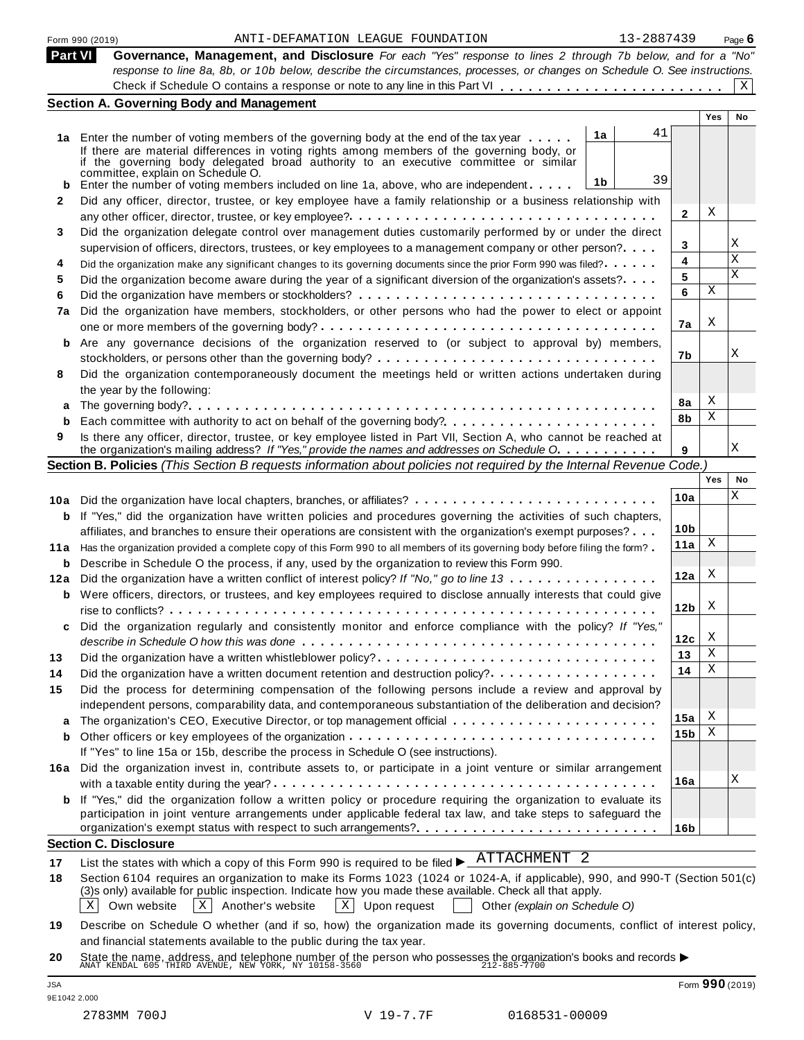|                | Form 990 (2019) | ANTI-DEFAMATION LEAGUE FOUNDATION                                                                                                                                                    | 13-2887439 |                 |            | Page $6$ |
|----------------|-----------------|--------------------------------------------------------------------------------------------------------------------------------------------------------------------------------------|------------|-----------------|------------|----------|
| <b>Part VI</b> |                 | Governance, Management, and Disclosure For each "Yes" response to lines 2 through 7b below, and for a "No"                                                                           |            |                 |            |          |
|                |                 | response to line 8a, 8b, or 10b below, describe the circumstances, processes, or changes on Schedule O. See instructions.                                                            |            |                 |            |          |
|                |                 |                                                                                                                                                                                      |            |                 |            | X        |
|                |                 | <b>Section A. Governing Body and Management</b>                                                                                                                                      |            |                 | <b>Yes</b> | No       |
|                |                 |                                                                                                                                                                                      | 41<br>1a   |                 |            |          |
|                |                 | 1a Enter the number of voting members of the governing body at the end of the tax year<br>If there are material differences in voting rights among members of the governing body, or |            |                 |            |          |
|                |                 | if the governing body delegated broad authority to an executive committee or similar                                                                                                 |            |                 |            |          |
|                |                 | committee, explain on Schedule O.                                                                                                                                                    | 39         |                 |            |          |
|                |                 | Enter the number of voting members included on line 1a, above, who are independent                                                                                                   | 1b         |                 |            |          |
| 2              |                 | Did any officer, director, trustee, or key employee have a family relationship or a business relationship with                                                                       |            |                 |            |          |
|                |                 |                                                                                                                                                                                      |            | 2               | Χ          |          |
| 3              |                 | Did the organization delegate control over management duties customarily performed by or under the direct                                                                            |            |                 |            |          |
|                |                 | supervision of officers, directors, trustees, or key employees to a management company or other person?                                                                              |            | 3               |            | Χ        |
| 4              |                 | Did the organization make any significant changes to its governing documents since the prior Form 990 was filed?                                                                     |            | 4               |            | X        |
| 5              |                 | Did the organization become aware during the year of a significant diversion of the organization's assets?                                                                           |            | 5               |            | X        |
| 6              |                 |                                                                                                                                                                                      |            | 6               | Χ          |          |
| 7a             |                 | Did the organization have members, stockholders, or other persons who had the power to elect or appoint                                                                              |            |                 |            |          |
|                |                 |                                                                                                                                                                                      |            | 7a              | Χ          |          |
|                |                 | b Are any governance decisions of the organization reserved to (or subject to approval by) members,                                                                                  |            |                 |            |          |
|                |                 | stockholders, or persons other than the governing body? $\dots \dots \dots \dots \dots \dots \dots \dots \dots \dots \dots \dots$                                                    |            | 7b              |            | Χ        |
| 8              |                 | Did the organization contemporaneously document the meetings held or written actions undertaken during                                                                               |            |                 |            |          |
|                |                 | the year by the following:                                                                                                                                                           |            |                 |            |          |
| а              |                 |                                                                                                                                                                                      |            | 8a              | Χ          |          |
|                |                 |                                                                                                                                                                                      |            | 8b              | Χ          |          |
| 9              |                 | Is there any officer, director, trustee, or key employee listed in Part VII, Section A, who cannot be reached at                                                                     |            |                 |            |          |
|                |                 | the organization's mailing address? If "Yes," provide the names and addresses on Schedule O.                                                                                         |            | 9               |            | Χ        |
|                |                 | Section B. Policies (This Section B requests information about policies not required by the Internal Revenue Code.)                                                                  |            |                 |            |          |
|                |                 |                                                                                                                                                                                      |            |                 | Yes        | No       |
|                |                 | 10a Did the organization have local chapters, branches, or affiliates?                                                                                                               |            | 10a             |            | Χ        |
|                |                 | <b>b</b> If "Yes," did the organization have written policies and procedures governing the activities of such chapters,                                                              |            |                 |            |          |
|                |                 | affiliates, and branches to ensure their operations are consistent with the organization's exempt purposes?                                                                          |            | 10 <sub>b</sub> |            |          |
|                |                 | 11a Has the organization provided a complete copy of this Form 990 to all members of its governing body before filing the form?                                                      |            | 11a             | Χ          |          |
|                |                 | Describe in Schedule O the process, if any, used by the organization to review this Form 990.                                                                                        |            |                 |            |          |
| b              |                 |                                                                                                                                                                                      |            | 12a             | X          |          |
| 12a            |                 | Did the organization have a written conflict of interest policy? If "No," go to line 13                                                                                              |            |                 |            |          |
|                |                 | <b>b</b> Were officers, directors, or trustees, and key employees required to disclose annually interests that could give                                                            |            | 12 <sub>b</sub> | X          |          |
|                |                 |                                                                                                                                                                                      |            |                 |            |          |
|                |                 | Did the organization regularly and consistently monitor and enforce compliance with the policy? If "Yes,"                                                                            |            |                 | X          |          |
|                |                 |                                                                                                                                                                                      |            | 12c             | Χ          |          |
| 13             |                 | Did the organization have a written whistleblower policy?                                                                                                                            |            | 13              |            |          |
| 14             |                 | Did the organization have a written document retention and destruction policy?                                                                                                       |            | 14              | Χ          |          |
| 15             |                 | Did the process for determining compensation of the following persons include a review and approval by                                                                               |            |                 |            |          |
|                |                 | independent persons, comparability data, and contemporaneous substantiation of the deliberation and decision?                                                                        |            |                 |            |          |
| a              |                 |                                                                                                                                                                                      |            | 15a             | Χ          |          |
| b              |                 |                                                                                                                                                                                      |            | 15 <sub>b</sub> | Χ          |          |
|                |                 | If "Yes" to line 15a or 15b, describe the process in Schedule O (see instructions).                                                                                                  |            |                 |            |          |
|                |                 | 16a Did the organization invest in, contribute assets to, or participate in a joint venture or similar arrangement                                                                   |            |                 |            |          |
|                |                 |                                                                                                                                                                                      |            | 16a             |            | Χ        |
|                |                 | <b>b</b> If "Yes," did the organization follow a written policy or procedure requiring the organization to evaluate its                                                              |            |                 |            |          |
|                |                 | participation in joint venture arrangements under applicable federal tax law, and take steps to safeguard the                                                                        |            |                 |            |          |
|                |                 |                                                                                                                                                                                      |            | 16 <sub>b</sub> |            |          |
|                |                 | <b>Section C. Disclosure</b>                                                                                                                                                         |            |                 |            |          |
| 17             |                 | ATTACHMENT <sub>2</sub><br>List the states with which a copy of this Form 990 is required to be filed $\blacktriangleright$                                                          |            |                 |            |          |
| 18             |                 | Section 6104 requires an organization to make its Forms 1023 (1024 or 1024-A, if applicable), 990, and 990-T (Section 501(c)                                                         |            |                 |            |          |
|                |                 | (3)s only) available for public inspection. Indicate how you made these available. Check all that apply.                                                                             |            |                 |            |          |
|                | X               | $\mathbf{X}$<br>Upon request<br>Own website<br>Another's website<br>$X \mid$<br>Other (explain on Schedule O)                                                                        |            |                 |            |          |
| 19             |                 | Describe on Schedule O whether (and if so, how) the organization made its governing documents, conflict of interest policy,                                                          |            |                 |            |          |
|                |                 | and financial statements available to the public during the tax year.                                                                                                                |            |                 |            |          |
| 20             |                 |                                                                                                                                                                                      |            |                 |            |          |
|                |                 | State the name, address, and telephone number of the person who possesses the organization's books and records<br>ANAT KENDAL 605 THIRD AVENUE, NEW YORK, NY 10158-3560              |            |                 |            |          |

JSA Form **990** (2019)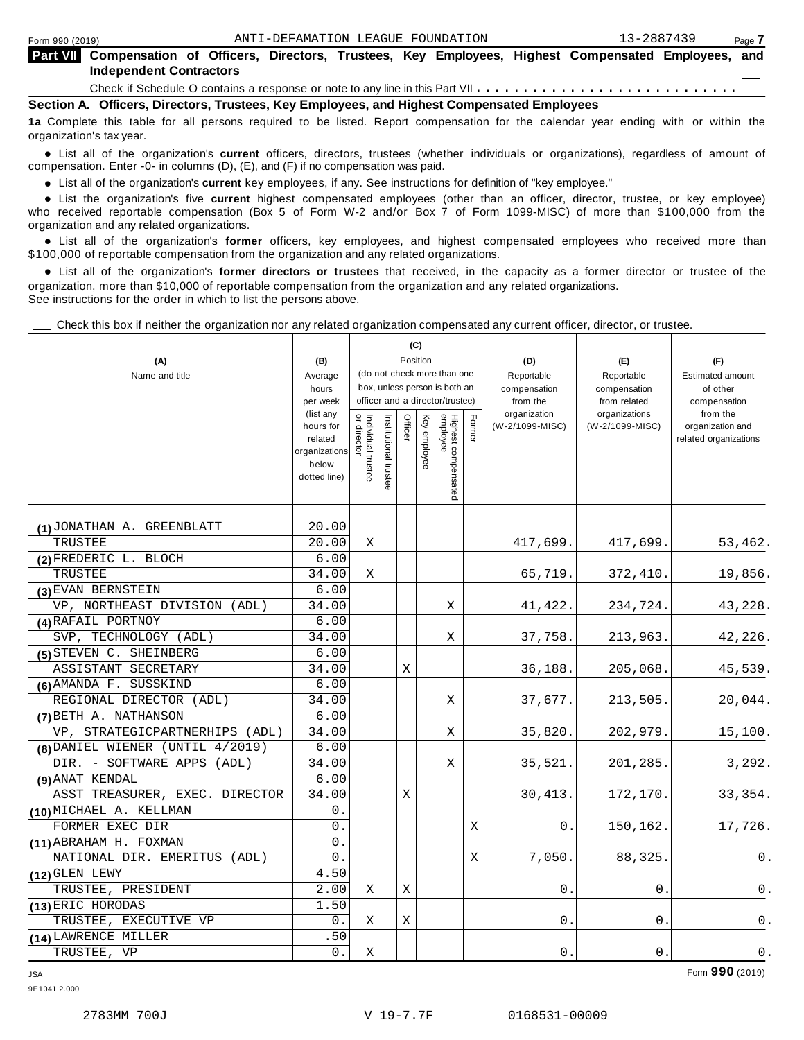**Compensation of Officers, Directors, Trustees, Key Employees, Highest Compensated Employees, and Part VII Independent Contractors**

Check if Schedule O contains a response or note to any line in this Part VII  $\ldots \ldots \ldots \ldots \ldots \ldots \ldots \ldots \ldots$ 

**Section A. Officers, Directors, Trustees, Key Employees, and Highest Compensated Employees**

**1a** Complete this table for all persons required to be listed. Report compensation for the calendar year ending with or within the organization's tax year.

anization's lax year.<br>● List all of the organization's **current** officers, directors, trustees (whether individuals or organizations), regardless of amount of<br>nnensation Enter -0- in columns (D) (E) and (E) if no compensa compensation. Enter -0- in columns (D), (E), and (F) if no compensation was paid.

• List all of the organization's **current** key employees, if any. See instructions for definition of "key employee."<br>● List the experientials five expect highest expressed explores (other than an efficer director of

**Example in the organization's current** key employees, if any. See instructions for definition of key employee.<br>• List the organization's five **current** highest compensated employees (other than an officer, director, trust who received reportable compensation (Box 5 of Form W-2 and/or Box 7 of Form 1099-MISC) of more than \$100,000 from the

organization and any related organizations.<br>• List all of the organization's **former** officers, key employees, and highest compensated employees who received more than<br>\$1.00.000 of reportable componention from the erganiza \$100,000 of reportable compensation from the organization and any related organizations.

% List all of the organization's **former directors or trustees** that received, in the capacity as a former director or trustee of the organization, more than \$10,000 of reportable compensation from the organization and any related organizations. See instructions for the order in which to list the persons above.

 $\mathbf{C}$ 

Check this box if neither the organization nor any related organization compensated any current officer, director, or trustee.

| (A)<br>Name and title                 | (B)<br>Average<br>hours<br>per week<br>(list any<br>hours for<br>related<br>organizations<br>below<br>dotted line) | Individual trustee<br>or director | Institutional trustee | Officer     | (G)<br>Position<br>Key employee | (do not check more than one<br>box, unless person is both an<br>officer and a director/trustee)<br>Highest compensated<br>employee | Former | (D)<br>Reportable<br>compensation<br>from the<br>organization<br>(W-2/1099-MISC) | (E)<br>Reportable<br>compensation<br>from related<br>organizations<br>(W-2/1099-MISC) | (F)<br><b>Estimated amount</b><br>of other<br>compensation<br>from the<br>organization and<br>related organizations |
|---------------------------------------|--------------------------------------------------------------------------------------------------------------------|-----------------------------------|-----------------------|-------------|---------------------------------|------------------------------------------------------------------------------------------------------------------------------------|--------|----------------------------------------------------------------------------------|---------------------------------------------------------------------------------------|---------------------------------------------------------------------------------------------------------------------|
| (1) JONATHAN A. GREENBLATT            | 20.00                                                                                                              |                                   |                       |             |                                 |                                                                                                                                    |        |                                                                                  |                                                                                       |                                                                                                                     |
| TRUSTEE                               | 20.00                                                                                                              | X                                 |                       |             |                                 |                                                                                                                                    |        | 417,699.                                                                         | 417,699.                                                                              | 53,462.                                                                                                             |
| (2) FREDERIC L. BLOCH                 | 6.00                                                                                                               |                                   |                       |             |                                 |                                                                                                                                    |        |                                                                                  |                                                                                       |                                                                                                                     |
| TRUSTEE                               | 34.00                                                                                                              | Χ                                 |                       |             |                                 |                                                                                                                                    |        | 65,719.                                                                          | 372,410.                                                                              | 19,856.                                                                                                             |
| (3) EVAN BERNSTEIN                    | 6.00                                                                                                               |                                   |                       |             |                                 |                                                                                                                                    |        |                                                                                  |                                                                                       |                                                                                                                     |
| VP, NORTHEAST DIVISION<br>(ADL)       | 34.00                                                                                                              |                                   |                       |             |                                 | Χ                                                                                                                                  |        | 41,422.                                                                          | 234,724.                                                                              | 43,228.                                                                                                             |
| (4) RAFAIL PORTNOY                    | 6.00                                                                                                               |                                   |                       |             |                                 |                                                                                                                                    |        |                                                                                  |                                                                                       |                                                                                                                     |
| SVP, TECHNOLOGY (ADL)                 | 34.00                                                                                                              |                                   |                       |             |                                 | Χ                                                                                                                                  |        | 37,758.                                                                          | 213,963.                                                                              | 42,226.                                                                                                             |
| (5) STEVEN C. SHEINBERG               | 6.00                                                                                                               |                                   |                       |             |                                 |                                                                                                                                    |        |                                                                                  |                                                                                       |                                                                                                                     |
| ASSISTANT SECRETARY                   | 34.00                                                                                                              |                                   |                       | Χ           |                                 |                                                                                                                                    |        | 36,188.                                                                          | 205,068.                                                                              | 45,539.                                                                                                             |
| (6) AMANDA F. SUSSKIND                | 6.00                                                                                                               |                                   |                       |             |                                 |                                                                                                                                    |        |                                                                                  |                                                                                       |                                                                                                                     |
| REGIONAL DIRECTOR (ADL)               | 34.00                                                                                                              |                                   |                       |             |                                 | X                                                                                                                                  |        | 37,677.                                                                          | 213,505.                                                                              | 20,044.                                                                                                             |
| (7) BETH A. NATHANSON                 | 6.00                                                                                                               |                                   |                       |             |                                 |                                                                                                                                    |        |                                                                                  |                                                                                       |                                                                                                                     |
| VP, STRATEGICPARTNERHIPS (ADL)        | 34.00                                                                                                              |                                   |                       |             |                                 | Χ                                                                                                                                  |        | 35,820.                                                                          | 202,979.                                                                              | 15,100.                                                                                                             |
| $(8)$ DANIEL WIENER (UNTIL $4/2019$ ) | 6.00                                                                                                               |                                   |                       |             |                                 |                                                                                                                                    |        |                                                                                  |                                                                                       |                                                                                                                     |
| DIR. - SOFTWARE APPS (ADL)            | 34.00                                                                                                              |                                   |                       |             |                                 | X                                                                                                                                  |        | 35,521.                                                                          | 201,285.                                                                              | 3,292.                                                                                                              |
| (9) ANAT KENDAL                       | 6.00                                                                                                               |                                   |                       |             |                                 |                                                                                                                                    |        |                                                                                  |                                                                                       |                                                                                                                     |
| ASST TREASURER, EXEC. DIRECTOR        | 34.00                                                                                                              |                                   |                       | X           |                                 |                                                                                                                                    |        | 30, 413.                                                                         | 172,170.                                                                              | 33, 354.                                                                                                            |
| (10) MICHAEL A. KELLMAN               | 0.                                                                                                                 |                                   |                       |             |                                 |                                                                                                                                    |        |                                                                                  |                                                                                       |                                                                                                                     |
| FORMER EXEC DIR                       | 0.                                                                                                                 |                                   |                       |             |                                 |                                                                                                                                    | Χ      | 0.                                                                               | 150,162.                                                                              | 17,726.                                                                                                             |
| (11) ABRAHAM H. FOXMAN                | 0.                                                                                                                 |                                   |                       |             |                                 |                                                                                                                                    |        |                                                                                  |                                                                                       |                                                                                                                     |
| NATIONAL DIR. EMERITUS (ADL)          | 0.                                                                                                                 |                                   |                       |             |                                 |                                                                                                                                    | Χ      | 7,050.                                                                           | 88,325                                                                                | 0.                                                                                                                  |
| (12) GLEN LEWY                        | 4.50                                                                                                               |                                   |                       |             |                                 |                                                                                                                                    |        |                                                                                  |                                                                                       |                                                                                                                     |
| TRUSTEE, PRESIDENT                    | 2.00                                                                                                               | Χ                                 |                       | Χ           |                                 |                                                                                                                                    |        | 0.                                                                               | 0                                                                                     | 0.                                                                                                                  |
| (13) ERIC HORODAS                     | 1.50                                                                                                               |                                   |                       |             |                                 |                                                                                                                                    |        |                                                                                  |                                                                                       |                                                                                                                     |
| TRUSTEE, EXECUTIVE VP                 | 0.                                                                                                                 | X                                 |                       | $\mathbf X$ |                                 |                                                                                                                                    |        | 0                                                                                | 0                                                                                     | 0.                                                                                                                  |
| (14) LAWRENCE MILLER                  | .50                                                                                                                |                                   |                       |             |                                 |                                                                                                                                    |        |                                                                                  |                                                                                       |                                                                                                                     |
| TRUSTEE, VP                           | 0.                                                                                                                 | Χ                                 |                       |             |                                 |                                                                                                                                    |        | 0.                                                                               | $\mathsf{0}$ .                                                                        | 0.                                                                                                                  |

JSA Form **990** (2019)

9E1041 2.000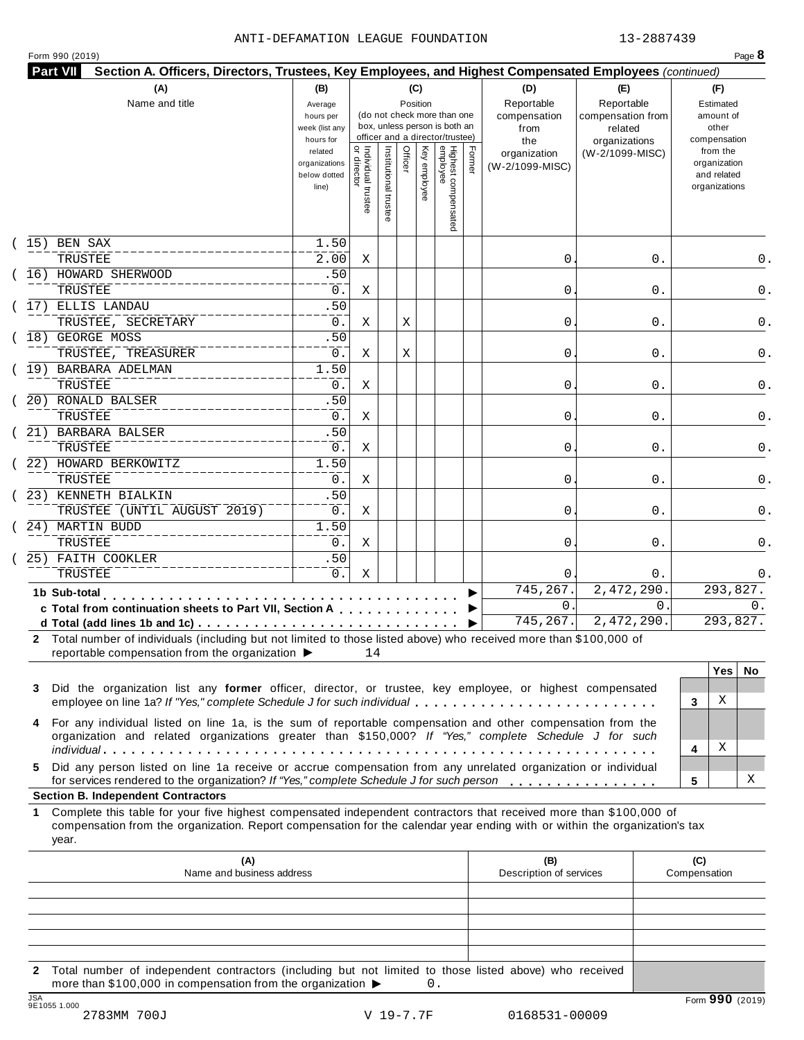| Form 990 (2019)                                                                                                                                                                                                                                                 |                                                                                                                 |                                           |                       |         |                                 |                                                                                                                                    |        |                                                                                     |                                                                                       | Page 8                                                                                                             |
|-----------------------------------------------------------------------------------------------------------------------------------------------------------------------------------------------------------------------------------------------------------------|-----------------------------------------------------------------------------------------------------------------|-------------------------------------------|-----------------------|---------|---------------------------------|------------------------------------------------------------------------------------------------------------------------------------|--------|-------------------------------------------------------------------------------------|---------------------------------------------------------------------------------------|--------------------------------------------------------------------------------------------------------------------|
| <b>Part VII</b><br>Section A. Officers, Directors, Trustees, Key Employees, and Highest Compensated Employees (continued)                                                                                                                                       |                                                                                                                 |                                           |                       |         |                                 |                                                                                                                                    |        |                                                                                     |                                                                                       |                                                                                                                    |
| (A)<br>Name and title                                                                                                                                                                                                                                           | (B)<br>Average<br>hours per<br>week (list any<br>hours for<br>related<br>organizations<br>below dotted<br>line) | <br>  Individual trustee<br>  or director | Institutional trustee | Officer | (C)<br>Position<br>Key employee | (do not check more than one<br>box, unless person is both an<br>officer and a director/trustee)<br>Highest compensated<br>employee | Former | (D)<br>Reportable<br>compensation<br>from<br>the<br>organization<br>(W-2/1099-MISC) | (E)<br>Reportable<br>compensation from<br>related<br>organizations<br>(W-2/1099-MISC) | (F)<br>Estimated<br>amount of<br>other<br>compensation<br>from the<br>organization<br>and related<br>organizations |
| 15) BEN SAX                                                                                                                                                                                                                                                     | 1.50                                                                                                            |                                           |                       |         |                                 |                                                                                                                                    |        |                                                                                     |                                                                                       |                                                                                                                    |
| TRUSTEE                                                                                                                                                                                                                                                         | 2.00                                                                                                            | Χ                                         |                       |         |                                 |                                                                                                                                    |        | 0                                                                                   | 0.                                                                                    | 0.                                                                                                                 |
| (16) HOWARD SHERWOOD                                                                                                                                                                                                                                            | .50                                                                                                             |                                           |                       |         |                                 |                                                                                                                                    |        |                                                                                     |                                                                                       |                                                                                                                    |
| TRUSTEE                                                                                                                                                                                                                                                         | 0.                                                                                                              | Χ                                         |                       |         |                                 |                                                                                                                                    |        | 0                                                                                   | 0.                                                                                    | 0.                                                                                                                 |
| (17) ELLIS LANDAU                                                                                                                                                                                                                                               | .50                                                                                                             |                                           |                       |         |                                 |                                                                                                                                    |        |                                                                                     |                                                                                       |                                                                                                                    |
| TRUSTEE, SECRETARY                                                                                                                                                                                                                                              | 0.                                                                                                              | Χ                                         |                       | Χ       |                                 |                                                                                                                                    |        | 0                                                                                   | 0.                                                                                    | 0.                                                                                                                 |
| (18) GEORGE MOSS                                                                                                                                                                                                                                                | .50                                                                                                             |                                           |                       |         |                                 |                                                                                                                                    |        |                                                                                     |                                                                                       |                                                                                                                    |
| TRUSTEE, TREASURER                                                                                                                                                                                                                                              | 0.                                                                                                              | Χ                                         |                       | Χ       |                                 |                                                                                                                                    |        | 0                                                                                   | 0.                                                                                    | 0.                                                                                                                 |
| (19) BARBARA ADELMAN                                                                                                                                                                                                                                            | 1.50                                                                                                            |                                           |                       |         |                                 |                                                                                                                                    |        |                                                                                     |                                                                                       |                                                                                                                    |
| TRUSTEE                                                                                                                                                                                                                                                         | $0$ .                                                                                                           | Χ                                         |                       |         |                                 |                                                                                                                                    |        | 0                                                                                   | 0.                                                                                    | 0.                                                                                                                 |
| 20) RONALD BALSER                                                                                                                                                                                                                                               | .50                                                                                                             |                                           |                       |         |                                 |                                                                                                                                    |        |                                                                                     |                                                                                       |                                                                                                                    |
| TRUSTEE                                                                                                                                                                                                                                                         | 0.                                                                                                              | Χ                                         |                       |         |                                 |                                                                                                                                    |        | 0                                                                                   | 0.                                                                                    | 0.                                                                                                                 |
| 21) BARBARA BALSER                                                                                                                                                                                                                                              | .50                                                                                                             |                                           |                       |         |                                 |                                                                                                                                    |        |                                                                                     |                                                                                       |                                                                                                                    |
| TRUSTEE                                                                                                                                                                                                                                                         | 0.                                                                                                              | X                                         |                       |         |                                 |                                                                                                                                    |        | 0                                                                                   | 0.                                                                                    | 0.                                                                                                                 |
| 22) HOWARD BERKOWITZ                                                                                                                                                                                                                                            | 1.50                                                                                                            |                                           |                       |         |                                 |                                                                                                                                    |        |                                                                                     |                                                                                       |                                                                                                                    |
| <b>TRUSTEE</b>                                                                                                                                                                                                                                                  | $0$ .                                                                                                           | Χ                                         |                       |         |                                 |                                                                                                                                    |        | 0                                                                                   | 0.                                                                                    | 0.                                                                                                                 |
| 23) KENNETH BIALKIN                                                                                                                                                                                                                                             | .50                                                                                                             |                                           |                       |         |                                 |                                                                                                                                    |        |                                                                                     |                                                                                       |                                                                                                                    |
| TRUSTEE (UNTIL AUGUST 2019)                                                                                                                                                                                                                                     | $0$ .                                                                                                           | Χ                                         |                       |         |                                 |                                                                                                                                    |        | 0                                                                                   | 0.                                                                                    | 0.                                                                                                                 |
| 24) MARTIN BUDD                                                                                                                                                                                                                                                 | 1.50                                                                                                            |                                           |                       |         |                                 |                                                                                                                                    |        |                                                                                     |                                                                                       |                                                                                                                    |
| TRUSTEE                                                                                                                                                                                                                                                         | $0$ .                                                                                                           | Χ                                         |                       |         |                                 |                                                                                                                                    |        | 0                                                                                   | 0.                                                                                    | 0.                                                                                                                 |
| 25) FAITH COOKLER                                                                                                                                                                                                                                               | .50                                                                                                             |                                           |                       |         |                                 |                                                                                                                                    |        |                                                                                     |                                                                                       |                                                                                                                    |
| TRUSTEE                                                                                                                                                                                                                                                         | 0.                                                                                                              | Χ                                         |                       |         |                                 |                                                                                                                                    |        | 0                                                                                   | 0.                                                                                    | 0.                                                                                                                 |
| 1b Sub-total                                                                                                                                                                                                                                                    |                                                                                                                 |                                           |                       |         |                                 |                                                                                                                                    |        | 745, 267.                                                                           | 2,472,290.                                                                            | 293,827.                                                                                                           |
| c Total from continuation sheets to Part VII, Section A                                                                                                                                                                                                         |                                                                                                                 |                                           |                       |         |                                 |                                                                                                                                    |        | $\Omega$ .                                                                          | $\Omega$                                                                              | 0.                                                                                                                 |
|                                                                                                                                                                                                                                                                 |                                                                                                                 |                                           |                       |         |                                 |                                                                                                                                    |        | 745,267.                                                                            | 2,472,290.                                                                            | 293,827.                                                                                                           |
| 2 Total number of individuals (including but not limited to those listed above) who received more than \$100,000 of                                                                                                                                             |                                                                                                                 |                                           |                       |         |                                 |                                                                                                                                    |        |                                                                                     |                                                                                       |                                                                                                                    |
| reportable compensation from the organization $\blacktriangleright$                                                                                                                                                                                             |                                                                                                                 | 14                                        |                       |         |                                 |                                                                                                                                    |        |                                                                                     |                                                                                       |                                                                                                                    |
| Did the organization list any former officer, director, or trustee, key employee, or highest compensated<br>3<br>employee on line 1a? If "Yes," complete Schedule J for such individual                                                                         |                                                                                                                 |                                           |                       |         |                                 |                                                                                                                                    |        |                                                                                     |                                                                                       | <b>Yes</b><br>No.<br>Χ<br>3                                                                                        |
| For any individual listed on line 1a, is the sum of reportable compensation and other compensation from the<br>4<br>organization and related organizations greater than \$150,000? If "Yes," complete Schedule J for such                                       |                                                                                                                 |                                           |                       |         |                                 |                                                                                                                                    |        |                                                                                     |                                                                                       | Χ<br>4                                                                                                             |
| Did any person listed on line 1a receive or accrue compensation from any unrelated organization or individual<br>5.<br>for services rendered to the organization? If "Yes," complete Schedule J for such person                                                 |                                                                                                                 |                                           |                       |         |                                 |                                                                                                                                    |        |                                                                                     |                                                                                       | Χ<br>5                                                                                                             |
| <b>Section B. Independent Contractors</b>                                                                                                                                                                                                                       |                                                                                                                 |                                           |                       |         |                                 |                                                                                                                                    |        |                                                                                     |                                                                                       |                                                                                                                    |
| Complete this table for your five highest compensated independent contractors that received more than \$100,000 of<br>1.<br>compensation from the organization. Report compensation for the calendar year ending with or within the organization's tax<br>year. |                                                                                                                 |                                           |                       |         |                                 |                                                                                                                                    |        |                                                                                     |                                                                                       |                                                                                                                    |
| $(\Delta)$                                                                                                                                                                                                                                                      |                                                                                                                 |                                           |                       |         |                                 |                                                                                                                                    |        | (R)                                                                                 |                                                                                       | (C)                                                                                                                |

|     | (A)<br>Name and business address                                                                                                                                                            | (B)<br>Description of services | (C)<br>Compensation                                                      |
|-----|---------------------------------------------------------------------------------------------------------------------------------------------------------------------------------------------|--------------------------------|--------------------------------------------------------------------------|
|     |                                                                                                                                                                                             |                                |                                                                          |
|     |                                                                                                                                                                                             |                                |                                                                          |
|     |                                                                                                                                                                                             |                                |                                                                          |
|     |                                                                                                                                                                                             |                                |                                                                          |
|     |                                                                                                                                                                                             |                                |                                                                          |
|     | 2 Total number of independent contractors (including but not limited to those listed above) who received<br>more than \$100,000 in compensation from the organization $\blacktriangleright$ |                                |                                                                          |
| 10A |                                                                                                                                                                                             |                                | $\begin{array}{ccc}\n\bullet & \bullet & \bullet & \bullet\n\end{array}$ |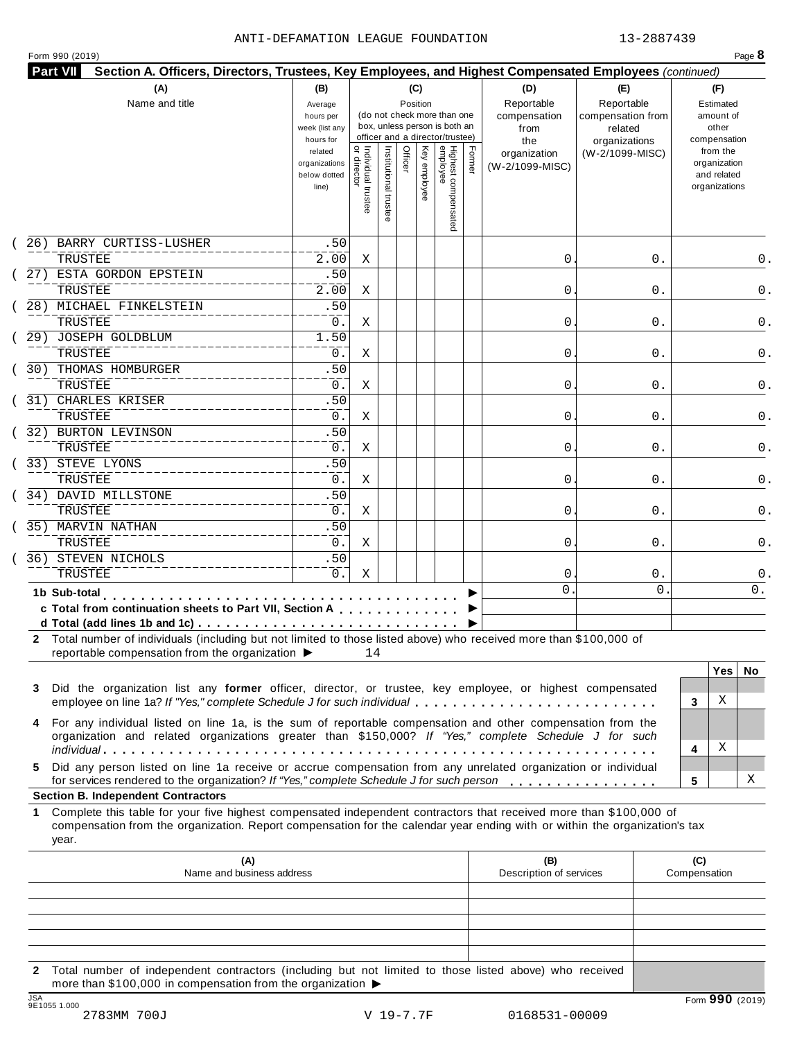|     | (A)<br>Name and title                                                                                                                                                                                                                                     | (B)<br>Average<br>hours per<br>week (list any<br>hours for |                                           |                       | (C)<br>Position |              | (do not check more than one<br>box, unless person is both an<br>officer and a director/trustee) |        | (D)<br>Reportable<br>compensation<br>from<br>the | (E)<br>Reportable<br>compensation from<br>related<br>organizations | (F)<br>Estimated<br>amount of<br>other<br>compensation   |
|-----|-----------------------------------------------------------------------------------------------------------------------------------------------------------------------------------------------------------------------------------------------------------|------------------------------------------------------------|-------------------------------------------|-----------------------|-----------------|--------------|-------------------------------------------------------------------------------------------------|--------|--------------------------------------------------|--------------------------------------------------------------------|----------------------------------------------------------|
|     |                                                                                                                                                                                                                                                           | related<br>organizations<br>below dotted<br>line)          | <br>  Individual trustee<br>  or director | Institutional trustee | Officer         | Key employee | Highest compensated<br>employee                                                                 | Former | organization<br>(W-2/1099-MISC)                  | (W-2/1099-MISC)                                                    | from the<br>organization<br>and related<br>organizations |
|     | 26) BARRY CURTISS-LUSHER<br>TRUSTEE                                                                                                                                                                                                                       | .50<br>2.00                                                | Χ                                         |                       |                 |              |                                                                                                 |        | 0                                                | 0.                                                                 | 0.                                                       |
|     | 27) ESTA GORDON EPSTEIN<br>TRUSTEE                                                                                                                                                                                                                        | .50<br>2.00                                                | X                                         |                       |                 |              |                                                                                                 |        | 0                                                | 0.                                                                 | 0.                                                       |
|     | 28) MICHAEL FINKELSTEIN<br>TRUSTEE                                                                                                                                                                                                                        | .50<br>0.                                                  | Χ                                         |                       |                 |              |                                                                                                 |        | 0                                                | 0.                                                                 | 0.                                                       |
| 29) | JOSEPH GOLDBLUM<br>TRUSTEE                                                                                                                                                                                                                                | 1.50<br>0.                                                 | Χ                                         |                       |                 |              |                                                                                                 |        | 0                                                | 0.                                                                 | 0.                                                       |
| 30) | THOMAS HOMBURGER<br>TRUSTEE                                                                                                                                                                                                                               | .50<br>0.                                                  | Χ                                         |                       |                 |              |                                                                                                 |        | 0                                                | 0.                                                                 | 0.                                                       |
|     | 31) CHARLES KRISER<br>TRUSTEE                                                                                                                                                                                                                             | .50<br>0.                                                  | X                                         |                       |                 |              |                                                                                                 |        | 0                                                | 0.                                                                 | 0.                                                       |
|     | 32) BURTON LEVINSON<br>TRUSTEE                                                                                                                                                                                                                            | .50<br>0.                                                  | X                                         |                       |                 |              |                                                                                                 |        | 0                                                | 0.                                                                 | 0.                                                       |
|     | 33) STEVE LYONS<br>TRUSTEE                                                                                                                                                                                                                                | .50<br>0.                                                  | Χ                                         |                       |                 |              |                                                                                                 |        | 0                                                | 0.                                                                 | 0.                                                       |
|     | 34) DAVID MILLSTONE<br>TRUSTEE                                                                                                                                                                                                                            | .50<br>0.                                                  | Χ                                         |                       |                 |              |                                                                                                 |        | 0                                                | 0.                                                                 | 0.                                                       |
|     | 35) MARVIN NATHAN<br>TRUSTEE                                                                                                                                                                                                                              | .50<br>$0$ .                                               | X                                         |                       |                 |              |                                                                                                 |        | 0                                                | 0.                                                                 | 0.                                                       |
|     | 36) STEVEN NICHOLS<br>TRUSTEE                                                                                                                                                                                                                             | .50<br>0.                                                  | Χ                                         |                       |                 |              |                                                                                                 |        | 0<br>$\Omega$                                    | 0.<br>0                                                            | 0.<br>0.                                                 |
|     | 1b Sub-total<br>.<br>c Total from continuation sheets to Part VII, Section A                                                                                                                                                                              |                                                            |                                           |                       |                 |              |                                                                                                 |        |                                                  |                                                                    |                                                          |
|     | 2 Total number of individuals (including but not limited to those listed above) who received more than \$100,000 of<br>reportable compensation from the organization ▶                                                                                    |                                                            | 14                                        |                       |                 |              |                                                                                                 |        |                                                  |                                                                    | Yes<br>No.                                               |
| 3   | Did the organization list any former officer, director, or trustee, key employee, or highest compensated<br>employee on line 1a? If "Yes," complete Schedule J for such individual                                                                        |                                                            |                                           |                       |                 |              |                                                                                                 |        |                                                  |                                                                    | Χ<br>3                                                   |
| 4   | For any individual listed on line 1a, is the sum of reportable compensation and other compensation from the<br>organization and related organizations greater than \$150,000? If "Yes," complete Schedule J for such                                      |                                                            |                                           |                       |                 |              |                                                                                                 |        |                                                  |                                                                    | Χ<br>4                                                   |
|     | Did any person listed on line 1a receive or accrue compensation from any unrelated organization or individual<br>for services rendered to the organization? If "Yes," complete Schedule J for such person<br><b>Section B. Independent Contractors</b>    |                                                            |                                           |                       |                 |              |                                                                                                 |        |                                                  |                                                                    | х<br>5                                                   |
| 5.  |                                                                                                                                                                                                                                                           |                                                            |                                           |                       |                 |              |                                                                                                 |        |                                                  |                                                                    |                                                          |
|     | Complete this table for your five highest compensated independent contractors that received more than \$100,000 of<br>compensation from the organization. Report compensation for the calendar year ending with or within the organization's tax<br>year. |                                                            |                                           |                       |                 |              |                                                                                                 |        |                                                  |                                                                    |                                                          |
|     | (A)<br>Name and business address                                                                                                                                                                                                                          |                                                            |                                           |                       |                 |              |                                                                                                 |        | (B)<br>Description of services                   |                                                                    | (C)<br>Compensation                                      |
| 1   |                                                                                                                                                                                                                                                           |                                                            |                                           |                       |                 |              |                                                                                                 |        |                                                  |                                                                    |                                                          |

JSA Form **990** (2019)<br>
9E1055 1.000<br>
2783MM 700J V 19-7.7F 0168531-00009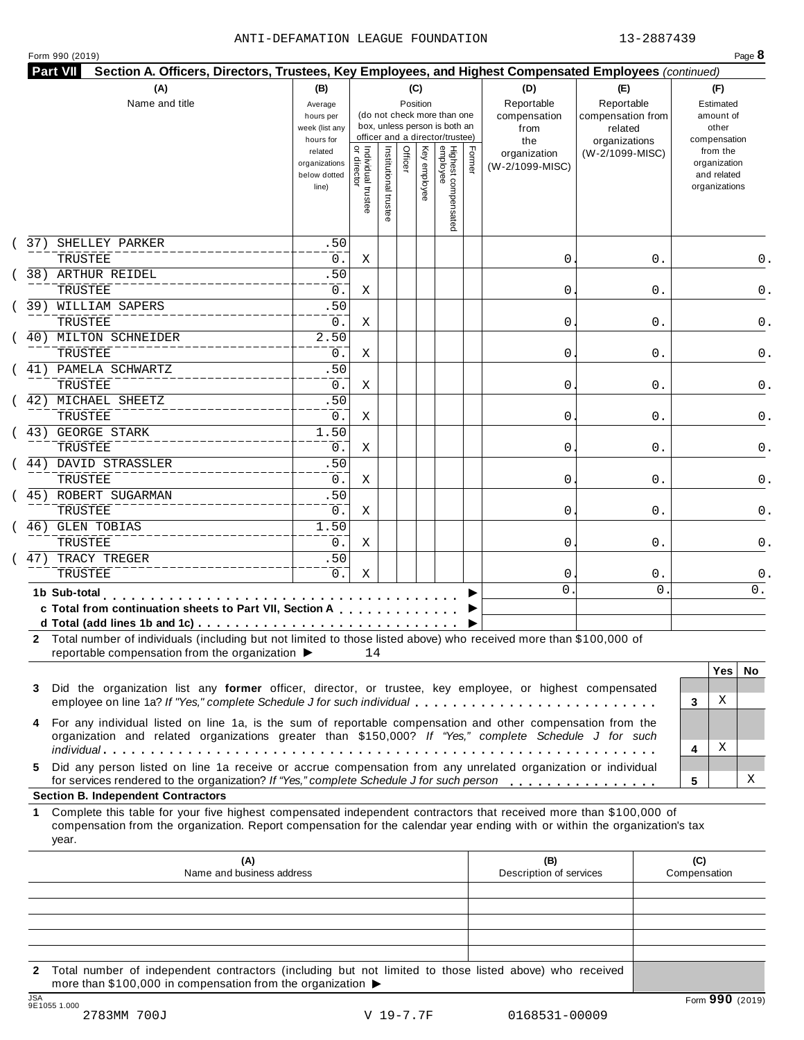|        | (A)<br>Name and title                                                                                                                                                                                                                                                                          | (B)<br>Average<br>hours per<br>week (list any<br>hours for |                                           |                       | (C)<br>Position |              | (do not check more than one<br>box, unless person is both an<br>officer and a director/trustee) |        | (D)<br>Reportable<br>compensation<br>from<br>the | (E)<br>Reportable<br>compensation from<br>related<br>organizations | (F)<br>Estimated<br>amount of<br>other<br>compensation   |
|--------|------------------------------------------------------------------------------------------------------------------------------------------------------------------------------------------------------------------------------------------------------------------------------------------------|------------------------------------------------------------|-------------------------------------------|-----------------------|-----------------|--------------|-------------------------------------------------------------------------------------------------|--------|--------------------------------------------------|--------------------------------------------------------------------|----------------------------------------------------------|
|        |                                                                                                                                                                                                                                                                                                | related<br>organizations<br>below dotted<br>line)          | <br>  Individual trustee<br>  or director | Institutional trustee | Officer         | Key employee | Highest compensated<br>employee                                                                 | Former | organization<br>(W-2/1099-MISC)                  | (W-2/1099-MISC)                                                    | from the<br>organization<br>and related<br>organizations |
| 37)    | SHELLEY PARKER<br>TRUSTEE                                                                                                                                                                                                                                                                      | .50<br>0.                                                  | Χ                                         |                       |                 |              |                                                                                                 |        | 0                                                | 0.                                                                 | 0.                                                       |
|        | 38) ARTHUR REIDEL                                                                                                                                                                                                                                                                              | .50                                                        |                                           |                       |                 |              |                                                                                                 |        |                                                  |                                                                    |                                                          |
|        | TRUSTEE                                                                                                                                                                                                                                                                                        | 0.                                                         | Χ                                         |                       |                 |              |                                                                                                 |        | 0                                                | 0.                                                                 | 0.                                                       |
| 39)    | WILLIAM SAPERS                                                                                                                                                                                                                                                                                 | .50                                                        |                                           |                       |                 |              |                                                                                                 |        |                                                  |                                                                    |                                                          |
|        | TRUSTEE                                                                                                                                                                                                                                                                                        | 0.                                                         | Χ                                         |                       |                 |              |                                                                                                 |        | 0                                                | 0.                                                                 | 0.                                                       |
|        | 40) MILTON SCHNEIDER                                                                                                                                                                                                                                                                           | 2.50                                                       |                                           |                       |                 |              |                                                                                                 |        |                                                  |                                                                    |                                                          |
|        | TRUSTEE                                                                                                                                                                                                                                                                                        | 0.                                                         | Χ                                         |                       |                 |              |                                                                                                 |        | 0                                                | 0.                                                                 | 0.                                                       |
|        | 41) PAMELA SCHWARTZ<br>TRUSTEE                                                                                                                                                                                                                                                                 | .50<br>0.                                                  | Χ                                         |                       |                 |              |                                                                                                 |        | 0                                                | 0.                                                                 | 0.                                                       |
|        | 42) MICHAEL SHEETZ                                                                                                                                                                                                                                                                             | .50                                                        |                                           |                       |                 |              |                                                                                                 |        |                                                  |                                                                    |                                                          |
|        | TRUSTEE                                                                                                                                                                                                                                                                                        | 0.                                                         | Χ                                         |                       |                 |              |                                                                                                 |        | 0                                                | 0.                                                                 | 0.                                                       |
|        | 43) GEORGE STARK                                                                                                                                                                                                                                                                               | 1.50                                                       |                                           |                       |                 |              |                                                                                                 |        |                                                  |                                                                    |                                                          |
|        | TRUSTEE                                                                                                                                                                                                                                                                                        | 0.                                                         | X                                         |                       |                 |              |                                                                                                 |        | 0                                                | 0.                                                                 | 0.                                                       |
|        | 44) DAVID STRASSLER                                                                                                                                                                                                                                                                            | .50                                                        |                                           |                       |                 |              |                                                                                                 |        |                                                  |                                                                    |                                                          |
|        | TRUSTEE                                                                                                                                                                                                                                                                                        | 0.                                                         | Χ                                         |                       |                 |              |                                                                                                 |        | 0                                                | 0.                                                                 | 0.                                                       |
|        | 45) ROBERT SUGARMAN<br>TRUSTEE                                                                                                                                                                                                                                                                 | .50<br>0.                                                  | Χ                                         |                       |                 |              |                                                                                                 |        | 0                                                | 0.                                                                 | 0.                                                       |
|        | 46) GLEN TOBIAS                                                                                                                                                                                                                                                                                | 1.50                                                       |                                           |                       |                 |              |                                                                                                 |        |                                                  |                                                                    |                                                          |
|        | TRUSTEE                                                                                                                                                                                                                                                                                        | $0$ .                                                      | X                                         |                       |                 |              |                                                                                                 |        | 0                                                | 0.                                                                 | 0.                                                       |
|        | 47) TRACY TREGER                                                                                                                                                                                                                                                                               | .50                                                        |                                           |                       |                 |              |                                                                                                 |        |                                                  |                                                                    |                                                          |
|        | TRUSTEE                                                                                                                                                                                                                                                                                        | 0.                                                         | Χ                                         |                       |                 |              |                                                                                                 |        | 0                                                | 0.                                                                 | 0.                                                       |
|        | 1b Sub-total<br>.<br>c Total from continuation sheets to Part VII, Section A                                                                                                                                                                                                                   |                                                            |                                           |                       |                 |              |                                                                                                 |        | $\Omega$                                         | 0                                                                  | 0.                                                       |
|        | 2 Total number of individuals (including but not limited to those listed above) who received more than \$100,000 of<br>reportable compensation from the organization ▶                                                                                                                         |                                                            | 14                                        |                       |                 |              |                                                                                                 |        |                                                  |                                                                    | Yes<br>No.                                               |
|        | Did the organization list any former officer, director, or trustee, key employee, or highest compensated                                                                                                                                                                                       |                                                            |                                           |                       |                 |              |                                                                                                 |        |                                                  |                                                                    |                                                          |
| 3<br>4 | employee on line 1a? If "Yes," complete Schedule J for such individual<br>For any individual listed on line 1a, is the sum of reportable compensation and other compensation from the<br>organization and related organizations greater than \$150,000? If "Yes," complete Schedule J for such |                                                            |                                           |                       |                 |              |                                                                                                 |        |                                                  |                                                                    | Χ<br>3<br>Χ<br>4                                         |
|        | Did any person listed on line 1a receive or accrue compensation from any unrelated organization or individual<br>for services rendered to the organization? If "Yes," complete Schedule J for such person                                                                                      |                                                            |                                           |                       |                 |              |                                                                                                 |        |                                                  |                                                                    | х<br>5                                                   |
| 5.     | <b>Section B. Independent Contractors</b>                                                                                                                                                                                                                                                      |                                                            |                                           |                       |                 |              |                                                                                                 |        |                                                  |                                                                    |                                                          |
| 1      | Complete this table for your five highest compensated independent contractors that received more than \$100,000 of<br>compensation from the organization. Report compensation for the calendar year ending with or within the organization's tax<br>year.                                      |                                                            |                                           |                       |                 |              |                                                                                                 |        |                                                  |                                                                    |                                                          |
|        | (A)<br>Name and business address                                                                                                                                                                                                                                                               |                                                            |                                           |                       |                 |              |                                                                                                 |        | (B)<br>Description of services                   |                                                                    | (C)<br>Compensation                                      |
|        |                                                                                                                                                                                                                                                                                                |                                                            |                                           |                       |                 |              |                                                                                                 |        |                                                  |                                                                    |                                                          |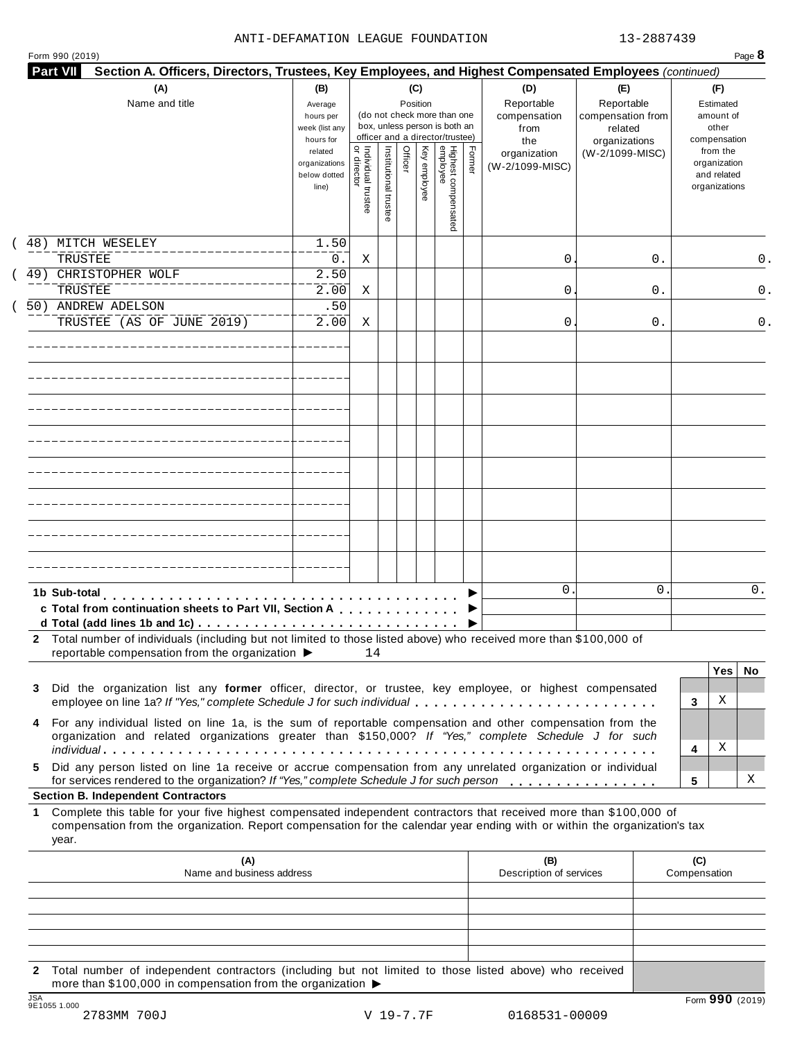|  |  |  | Form 990 (2019) |
|--|--|--|-----------------|
|--|--|--|-----------------|

| Highest compensated<br>employee<br>Institutional trustee<br>Key employee<br>Former<br>from the<br>related<br>(W-2/1099-MISC)<br>organization<br>organization<br>organizations<br>(W-2/1099-MISC)<br>and related<br>below dotted<br>organizations<br>line)<br>1.50<br>MITCH WESELEY<br>48)<br>TRUSTEE<br>$0$ .<br>0<br>0.<br>Χ<br>CHRISTOPHER WOLF<br>2.50<br>49)<br>2.00<br>TRUSTEE<br>0<br>0.<br>Χ<br>50) ANDREW ADELSON<br>.50<br>TRUSTEE (AS OF JUNE 2019)<br>2.00<br>0<br>0.<br>X<br>0<br>0<br>1b Sub-total<br>c Total from continuation sheets to Part VII, Section A<br>2 Total number of individuals (including but not limited to those listed above) who received more than \$100,000 of<br>reportable compensation from the organization ▶<br>14<br>Yes<br>Did the organization list any former officer, director, or trustee, key employee, or highest compensated<br>3<br>Χ<br>employee on line 1a? If "Yes," complete Schedule J for such individual<br>3<br>For any individual listed on line 1a, is the sum of reportable compensation and other compensation from the<br>4<br>organization and related organizations greater than \$150,000? If "Yes," complete Schedule J for such<br>Χ<br>4<br>Did any person listed on line 1a receive or accrue compensation from any unrelated organization or individual<br>5.<br>for services rendered to the organization? If "Yes," complete Schedule J for such person<br>5<br><b>Section B. Independent Contractors</b><br>Complete this table for your five highest compensated independent contractors that received more than \$100,000 of<br>1.<br>compensation from the organization. Report compensation for the calendar year ending with or within the organization's tax<br>year.<br>(A)<br>(B)<br>(C)<br>Description of services<br>Name and business address<br>Compensation | (A)<br>Name and title | (B)<br>Average<br>hours per<br>week (list any<br>hours for |                                     | (C)<br>Position | (do not check more than one<br>box, unless person is both an<br>officer and a director/trustee) |  | (D)<br>Reportable<br>compensation<br>from<br>the | (E)<br>Reportable<br>compensation from<br>related<br>organizations | (F)<br>Estimated<br>amount of<br>other<br>compensation |     |
|----------------------------------------------------------------------------------------------------------------------------------------------------------------------------------------------------------------------------------------------------------------------------------------------------------------------------------------------------------------------------------------------------------------------------------------------------------------------------------------------------------------------------------------------------------------------------------------------------------------------------------------------------------------------------------------------------------------------------------------------------------------------------------------------------------------------------------------------------------------------------------------------------------------------------------------------------------------------------------------------------------------------------------------------------------------------------------------------------------------------------------------------------------------------------------------------------------------------------------------------------------------------------------------------------------------------------------------------------------------------------------------------------------------------------------------------------------------------------------------------------------------------------------------------------------------------------------------------------------------------------------------------------------------------------------------------------------------------------------------------------------------------------------------------------------------------------------------------------|-----------------------|------------------------------------------------------------|-------------------------------------|-----------------|-------------------------------------------------------------------------------------------------|--|--------------------------------------------------|--------------------------------------------------------------------|--------------------------------------------------------|-----|
|                                                                                                                                                                                                                                                                                                                                                                                                                                                                                                                                                                                                                                                                                                                                                                                                                                                                                                                                                                                                                                                                                                                                                                                                                                                                                                                                                                                                                                                                                                                                                                                                                                                                                                                                                                                                                                                    |                       |                                                            | Individual trustee<br>  or director | Officer         |                                                                                                 |  |                                                  |                                                                    |                                                        |     |
|                                                                                                                                                                                                                                                                                                                                                                                                                                                                                                                                                                                                                                                                                                                                                                                                                                                                                                                                                                                                                                                                                                                                                                                                                                                                                                                                                                                                                                                                                                                                                                                                                                                                                                                                                                                                                                                    |                       |                                                            |                                     |                 |                                                                                                 |  |                                                  |                                                                    |                                                        | 0.  |
|                                                                                                                                                                                                                                                                                                                                                                                                                                                                                                                                                                                                                                                                                                                                                                                                                                                                                                                                                                                                                                                                                                                                                                                                                                                                                                                                                                                                                                                                                                                                                                                                                                                                                                                                                                                                                                                    |                       |                                                            |                                     |                 |                                                                                                 |  |                                                  |                                                                    |                                                        |     |
|                                                                                                                                                                                                                                                                                                                                                                                                                                                                                                                                                                                                                                                                                                                                                                                                                                                                                                                                                                                                                                                                                                                                                                                                                                                                                                                                                                                                                                                                                                                                                                                                                                                                                                                                                                                                                                                    |                       |                                                            |                                     |                 |                                                                                                 |  |                                                  |                                                                    |                                                        | 0.  |
|                                                                                                                                                                                                                                                                                                                                                                                                                                                                                                                                                                                                                                                                                                                                                                                                                                                                                                                                                                                                                                                                                                                                                                                                                                                                                                                                                                                                                                                                                                                                                                                                                                                                                                                                                                                                                                                    |                       |                                                            |                                     |                 |                                                                                                 |  |                                                  |                                                                    |                                                        | 0.  |
|                                                                                                                                                                                                                                                                                                                                                                                                                                                                                                                                                                                                                                                                                                                                                                                                                                                                                                                                                                                                                                                                                                                                                                                                                                                                                                                                                                                                                                                                                                                                                                                                                                                                                                                                                                                                                                                    |                       |                                                            |                                     |                 |                                                                                                 |  |                                                  |                                                                    |                                                        |     |
|                                                                                                                                                                                                                                                                                                                                                                                                                                                                                                                                                                                                                                                                                                                                                                                                                                                                                                                                                                                                                                                                                                                                                                                                                                                                                                                                                                                                                                                                                                                                                                                                                                                                                                                                                                                                                                                    |                       |                                                            |                                     |                 |                                                                                                 |  |                                                  |                                                                    |                                                        |     |
|                                                                                                                                                                                                                                                                                                                                                                                                                                                                                                                                                                                                                                                                                                                                                                                                                                                                                                                                                                                                                                                                                                                                                                                                                                                                                                                                                                                                                                                                                                                                                                                                                                                                                                                                                                                                                                                    |                       |                                                            |                                     |                 |                                                                                                 |  |                                                  |                                                                    |                                                        |     |
|                                                                                                                                                                                                                                                                                                                                                                                                                                                                                                                                                                                                                                                                                                                                                                                                                                                                                                                                                                                                                                                                                                                                                                                                                                                                                                                                                                                                                                                                                                                                                                                                                                                                                                                                                                                                                                                    |                       |                                                            |                                     |                 |                                                                                                 |  |                                                  |                                                                    |                                                        |     |
|                                                                                                                                                                                                                                                                                                                                                                                                                                                                                                                                                                                                                                                                                                                                                                                                                                                                                                                                                                                                                                                                                                                                                                                                                                                                                                                                                                                                                                                                                                                                                                                                                                                                                                                                                                                                                                                    |                       |                                                            |                                     |                 |                                                                                                 |  |                                                  |                                                                    |                                                        |     |
|                                                                                                                                                                                                                                                                                                                                                                                                                                                                                                                                                                                                                                                                                                                                                                                                                                                                                                                                                                                                                                                                                                                                                                                                                                                                                                                                                                                                                                                                                                                                                                                                                                                                                                                                                                                                                                                    |                       |                                                            |                                     |                 |                                                                                                 |  |                                                  |                                                                    |                                                        |     |
|                                                                                                                                                                                                                                                                                                                                                                                                                                                                                                                                                                                                                                                                                                                                                                                                                                                                                                                                                                                                                                                                                                                                                                                                                                                                                                                                                                                                                                                                                                                                                                                                                                                                                                                                                                                                                                                    |                       |                                                            |                                     |                 |                                                                                                 |  |                                                  |                                                                    |                                                        |     |
|                                                                                                                                                                                                                                                                                                                                                                                                                                                                                                                                                                                                                                                                                                                                                                                                                                                                                                                                                                                                                                                                                                                                                                                                                                                                                                                                                                                                                                                                                                                                                                                                                                                                                                                                                                                                                                                    |                       |                                                            |                                     |                 |                                                                                                 |  |                                                  |                                                                    |                                                        |     |
|                                                                                                                                                                                                                                                                                                                                                                                                                                                                                                                                                                                                                                                                                                                                                                                                                                                                                                                                                                                                                                                                                                                                                                                                                                                                                                                                                                                                                                                                                                                                                                                                                                                                                                                                                                                                                                                    |                       |                                                            |                                     |                 |                                                                                                 |  |                                                  |                                                                    |                                                        | 0.  |
|                                                                                                                                                                                                                                                                                                                                                                                                                                                                                                                                                                                                                                                                                                                                                                                                                                                                                                                                                                                                                                                                                                                                                                                                                                                                                                                                                                                                                                                                                                                                                                                                                                                                                                                                                                                                                                                    |                       |                                                            |                                     |                 |                                                                                                 |  |                                                  |                                                                    |                                                        |     |
|                                                                                                                                                                                                                                                                                                                                                                                                                                                                                                                                                                                                                                                                                                                                                                                                                                                                                                                                                                                                                                                                                                                                                                                                                                                                                                                                                                                                                                                                                                                                                                                                                                                                                                                                                                                                                                                    |                       |                                                            |                                     |                 |                                                                                                 |  |                                                  |                                                                    |                                                        | No. |
|                                                                                                                                                                                                                                                                                                                                                                                                                                                                                                                                                                                                                                                                                                                                                                                                                                                                                                                                                                                                                                                                                                                                                                                                                                                                                                                                                                                                                                                                                                                                                                                                                                                                                                                                                                                                                                                    |                       |                                                            |                                     |                 |                                                                                                 |  |                                                  |                                                                    |                                                        |     |
|                                                                                                                                                                                                                                                                                                                                                                                                                                                                                                                                                                                                                                                                                                                                                                                                                                                                                                                                                                                                                                                                                                                                                                                                                                                                                                                                                                                                                                                                                                                                                                                                                                                                                                                                                                                                                                                    |                       |                                                            |                                     |                 |                                                                                                 |  |                                                  |                                                                    |                                                        |     |
|                                                                                                                                                                                                                                                                                                                                                                                                                                                                                                                                                                                                                                                                                                                                                                                                                                                                                                                                                                                                                                                                                                                                                                                                                                                                                                                                                                                                                                                                                                                                                                                                                                                                                                                                                                                                                                                    |                       |                                                            |                                     |                 |                                                                                                 |  |                                                  |                                                                    |                                                        |     |
|                                                                                                                                                                                                                                                                                                                                                                                                                                                                                                                                                                                                                                                                                                                                                                                                                                                                                                                                                                                                                                                                                                                                                                                                                                                                                                                                                                                                                                                                                                                                                                                                                                                                                                                                                                                                                                                    |                       |                                                            |                                     |                 |                                                                                                 |  |                                                  |                                                                    |                                                        | х   |
|                                                                                                                                                                                                                                                                                                                                                                                                                                                                                                                                                                                                                                                                                                                                                                                                                                                                                                                                                                                                                                                                                                                                                                                                                                                                                                                                                                                                                                                                                                                                                                                                                                                                                                                                                                                                                                                    |                       |                                                            |                                     |                 |                                                                                                 |  |                                                  |                                                                    |                                                        |     |
|                                                                                                                                                                                                                                                                                                                                                                                                                                                                                                                                                                                                                                                                                                                                                                                                                                                                                                                                                                                                                                                                                                                                                                                                                                                                                                                                                                                                                                                                                                                                                                                                                                                                                                                                                                                                                                                    |                       |                                                            |                                     |                 |                                                                                                 |  |                                                  |                                                                    |                                                        |     |
|                                                                                                                                                                                                                                                                                                                                                                                                                                                                                                                                                                                                                                                                                                                                                                                                                                                                                                                                                                                                                                                                                                                                                                                                                                                                                                                                                                                                                                                                                                                                                                                                                                                                                                                                                                                                                                                    |                       |                                                            |                                     |                 |                                                                                                 |  |                                                  |                                                                    |                                                        |     |
|                                                                                                                                                                                                                                                                                                                                                                                                                                                                                                                                                                                                                                                                                                                                                                                                                                                                                                                                                                                                                                                                                                                                                                                                                                                                                                                                                                                                                                                                                                                                                                                                                                                                                                                                                                                                                                                    |                       |                                                            |                                     |                 |                                                                                                 |  |                                                  |                                                                    |                                                        |     |
|                                                                                                                                                                                                                                                                                                                                                                                                                                                                                                                                                                                                                                                                                                                                                                                                                                                                                                                                                                                                                                                                                                                                                                                                                                                                                                                                                                                                                                                                                                                                                                                                                                                                                                                                                                                                                                                    |                       |                                                            |                                     |                 |                                                                                                 |  |                                                  |                                                                    |                                                        |     |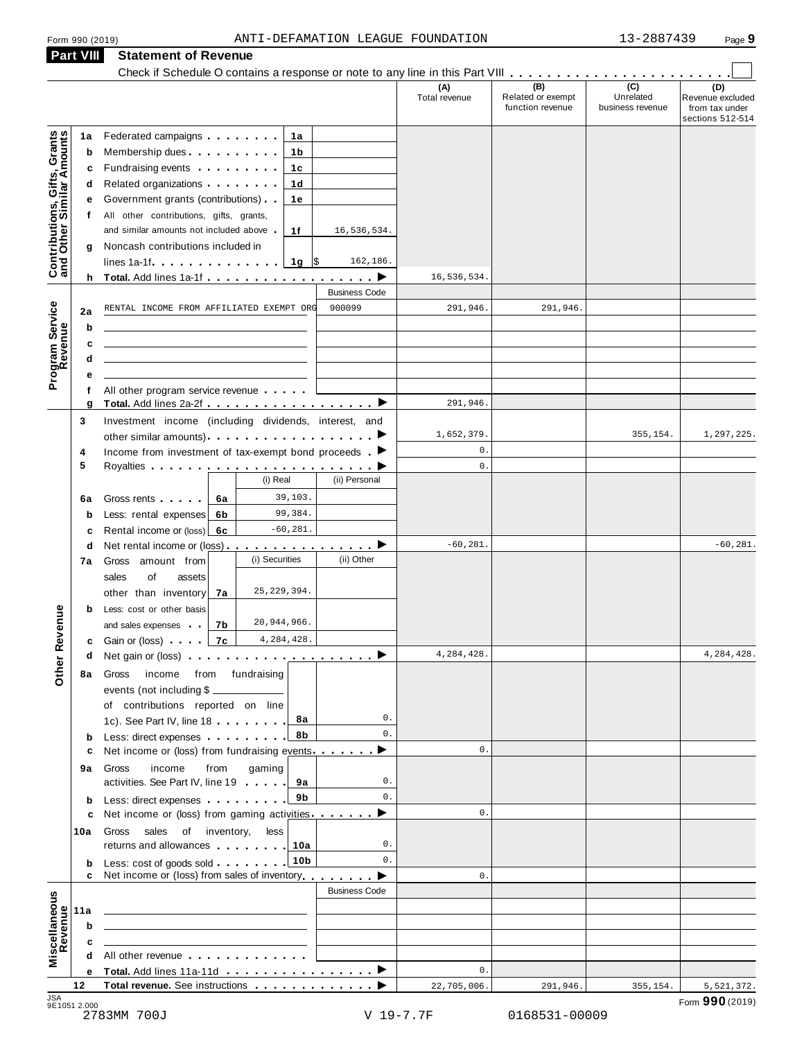**Part VIII Statement of Revenue**

|                                                           |              | Check if Schedule O contains a response or note to any line in this Part VIII                                                                                                                                                                            |                 |                      |                      |                                              |                                      |                                                               |
|-----------------------------------------------------------|--------------|----------------------------------------------------------------------------------------------------------------------------------------------------------------------------------------------------------------------------------------------------------|-----------------|----------------------|----------------------|----------------------------------------------|--------------------------------------|---------------------------------------------------------------|
|                                                           |              |                                                                                                                                                                                                                                                          |                 |                      | (A)<br>Total revenue | (B)<br>Related or exempt<br>function revenue | (C)<br>Unrelated<br>business revenue | (D)<br>Revenue excluded<br>from tax under<br>sections 512-514 |
| Contributions, Gifts, Grants<br>and Other Similar Amounts | 1a           | Federated campaigns <b>Federated</b>                                                                                                                                                                                                                     | 1a              |                      |                      |                                              |                                      |                                                               |
|                                                           | b            | Membership dues <b>All Accords</b> Membership dues                                                                                                                                                                                                       | 1b              |                      |                      |                                              |                                      |                                                               |
|                                                           | с            | Fundraising events <b>Fundraising</b>                                                                                                                                                                                                                    | 1c              |                      |                      |                                              |                                      |                                                               |
|                                                           | d            | Related organizations <b>contains</b> and <b>Related</b> organizations <b>contains</b>                                                                                                                                                                   | 1d              |                      |                      |                                              |                                      |                                                               |
|                                                           | е            | Government grants (contributions)                                                                                                                                                                                                                        | 1е              |                      |                      |                                              |                                      |                                                               |
|                                                           | $\mathbf{r}$ | All other contributions, gifts, grants,                                                                                                                                                                                                                  |                 |                      |                      |                                              |                                      |                                                               |
|                                                           |              | and similar amounts not included above                                                                                                                                                                                                                   | 1f              | 16,536,534.          |                      |                                              |                                      |                                                               |
|                                                           | g            | Noncash contributions included in                                                                                                                                                                                                                        |                 |                      |                      |                                              |                                      |                                                               |
|                                                           |              | $lines 1a-1f$                                                                                                                                                                                                                                            | $1g$ \$         | 162,186.             |                      |                                              |                                      |                                                               |
|                                                           |              | h Total. Add lines 1a-1f $\ldots$ , $\ldots$ , $\ldots$ , $\blacktriangleright$                                                                                                                                                                          |                 |                      | 16,536,534.          |                                              |                                      |                                                               |
|                                                           |              |                                                                                                                                                                                                                                                          |                 | <b>Business Code</b> |                      |                                              |                                      |                                                               |
|                                                           | 2a           | RENTAL INCOME FROM AFFILIATED EXEMPT ORG                                                                                                                                                                                                                 |                 | 900099               | 291,946.             | 291,946.                                     |                                      |                                                               |
|                                                           | b            |                                                                                                                                                                                                                                                          |                 |                      |                      |                                              |                                      |                                                               |
| Program Service<br>Revenue                                | c            |                                                                                                                                                                                                                                                          |                 |                      |                      |                                              |                                      |                                                               |
|                                                           | d            |                                                                                                                                                                                                                                                          |                 |                      |                      |                                              |                                      |                                                               |
|                                                           |              |                                                                                                                                                                                                                                                          |                 |                      |                      |                                              |                                      |                                                               |
|                                                           | f            | All other program service revenue                                                                                                                                                                                                                        |                 |                      |                      |                                              |                                      |                                                               |
|                                                           | g            |                                                                                                                                                                                                                                                          |                 |                      | 291,946.             |                                              |                                      |                                                               |
|                                                           | 3            | Investment income (including dividends, interest, and                                                                                                                                                                                                    |                 |                      |                      |                                              |                                      |                                                               |
|                                                           |              |                                                                                                                                                                                                                                                          |                 |                      | 1,652,379.           |                                              | 355,154.                             | 1,297,225.                                                    |
|                                                           | 4            | Income from investment of tax-exempt bond proceeds $\blacksquare$                                                                                                                                                                                        |                 |                      | 0.                   |                                              |                                      |                                                               |
|                                                           | 5            |                                                                                                                                                                                                                                                          |                 |                      | 0.                   |                                              |                                      |                                                               |
|                                                           |              |                                                                                                                                                                                                                                                          | (i) Real        | (ii) Personal        |                      |                                              |                                      |                                                               |
|                                                           | 6a           | Gross rents  <br>6а                                                                                                                                                                                                                                      | 39, 103.        |                      |                      |                                              |                                      |                                                               |
|                                                           | b            | Less: rental expenses<br>6b                                                                                                                                                                                                                              | 99,384.         |                      |                      |                                              |                                      |                                                               |
|                                                           | c            | Rental income or (loss) 6c                                                                                                                                                                                                                               | $-60, 281.$     |                      |                      |                                              |                                      |                                                               |
|                                                           |              |                                                                                                                                                                                                                                                          |                 |                      | $-60, 281.$          |                                              |                                      | $-60, 281.$                                                   |
|                                                           | d<br>7a      | Net rental income or (loss) <b>interest in the set of the set of the set of the set of the set of the set of the set of the set of the set of the set of the set of the set of the set of the set of the set of the set of the </b><br>Gross amount from | (i) Securities  | (ii) Other           |                      |                                              |                                      |                                                               |
|                                                           |              | sales<br>of<br>assets                                                                                                                                                                                                                                    |                 |                      |                      |                                              |                                      |                                                               |
|                                                           |              | other than inventory                                                                                                                                                                                                                                     | 25, 229, 394.   |                      |                      |                                              |                                      |                                                               |
|                                                           |              | 7a                                                                                                                                                                                                                                                       |                 |                      |                      |                                              |                                      |                                                               |
| evenue                                                    | b            | Less: cost or other basis                                                                                                                                                                                                                                | 20,944,966.     |                      |                      |                                              |                                      |                                                               |
|                                                           |              | and sales expenses<br>7b                                                                                                                                                                                                                                 |                 |                      |                      |                                              |                                      |                                                               |
|                                                           |              | 7c<br><b>c</b> Gain or (loss)                                                                                                                                                                                                                            | 4,284,428.      |                      |                      |                                              |                                      |                                                               |
| Other <sub>R</sub>                                        | d            | Net gain or (loss) $\cdots$ $\cdots$ $\cdots$ $\cdots$ $\cdots$ $\cdots$ $\cdots$                                                                                                                                                                        |                 |                      | 4, 284, 428.         |                                              |                                      | 4,284,428.                                                    |
|                                                           | 8а           | income from fundraising<br>Gross                                                                                                                                                                                                                         |                 |                      |                      |                                              |                                      |                                                               |
|                                                           |              | events (not including \$                                                                                                                                                                                                                                 |                 |                      |                      |                                              |                                      |                                                               |
|                                                           |              | of contributions reported on line                                                                                                                                                                                                                        |                 |                      |                      |                                              |                                      |                                                               |
|                                                           |              | 1c). See Part IV, line 18                                                                                                                                                                                                                                | 8а              | 0.                   |                      |                                              |                                      |                                                               |
|                                                           | $\mathbf b$  | Less: direct expenses                                                                                                                                                                                                                                    | 8b              | $0$ .                |                      |                                              |                                      |                                                               |
|                                                           | с            | Net income or (loss) from fundraising events.                                                                                                                                                                                                            |                 | ▸                    | $\mathbf{0}$ .       |                                              |                                      |                                                               |
|                                                           | 9а           | Gross<br>income<br>from                                                                                                                                                                                                                                  | gaming          |                      |                      |                                              |                                      |                                                               |
|                                                           |              | activities. See Part IV, line 19                                                                                                                                                                                                                         | 9а              | 0.                   |                      |                                              |                                      |                                                               |
|                                                           | b            | Less: direct expenses                                                                                                                                                                                                                                    | 9b              | $0$ .                |                      |                                              |                                      |                                                               |
|                                                           | c            | Net income or (loss) from gaming activities.                                                                                                                                                                                                             |                 | ▸                    | $\mathbf{0}$ .       |                                              |                                      |                                                               |
|                                                           | 10a          | Gross sales of inventory,                                                                                                                                                                                                                                | less            |                      |                      |                                              |                                      |                                                               |
|                                                           |              | returns and allowances 10a                                                                                                                                                                                                                               |                 | 0.                   |                      |                                              |                                      |                                                               |
|                                                           | b            | Less: cost of goods sold                                                                                                                                                                                                                                 | 10 <sub>b</sub> | $0$ .                |                      |                                              |                                      |                                                               |
|                                                           |              | Net income or (loss) from sales of inventory                                                                                                                                                                                                             |                 | ▸                    | $\mathbf{0}$ .       |                                              |                                      |                                                               |
|                                                           |              |                                                                                                                                                                                                                                                          |                 | <b>Business Code</b> |                      |                                              |                                      |                                                               |
|                                                           | 11a          |                                                                                                                                                                                                                                                          |                 |                      |                      |                                              |                                      |                                                               |
|                                                           | b            |                                                                                                                                                                                                                                                          |                 |                      |                      |                                              |                                      |                                                               |
|                                                           | c            |                                                                                                                                                                                                                                                          |                 |                      |                      |                                              |                                      |                                                               |
|                                                           |              |                                                                                                                                                                                                                                                          |                 |                      |                      |                                              |                                      |                                                               |
|                                                           |              | All other revenue example and the state of the state of the state of the state of the state of the state of the state of the state of the state of the state of the state of the state of the state of the state of the state                            |                 |                      |                      |                                              |                                      |                                                               |
| Miscellaneous<br>Revenue                                  | е            |                                                                                                                                                                                                                                                          |                 |                      | 0.                   |                                              |                                      |                                                               |

38A<br>
9E1051 2.000<br>
2783MM 700J<br>
2783MM 700J<br>
2783MM 700J<br>
2783MM 700J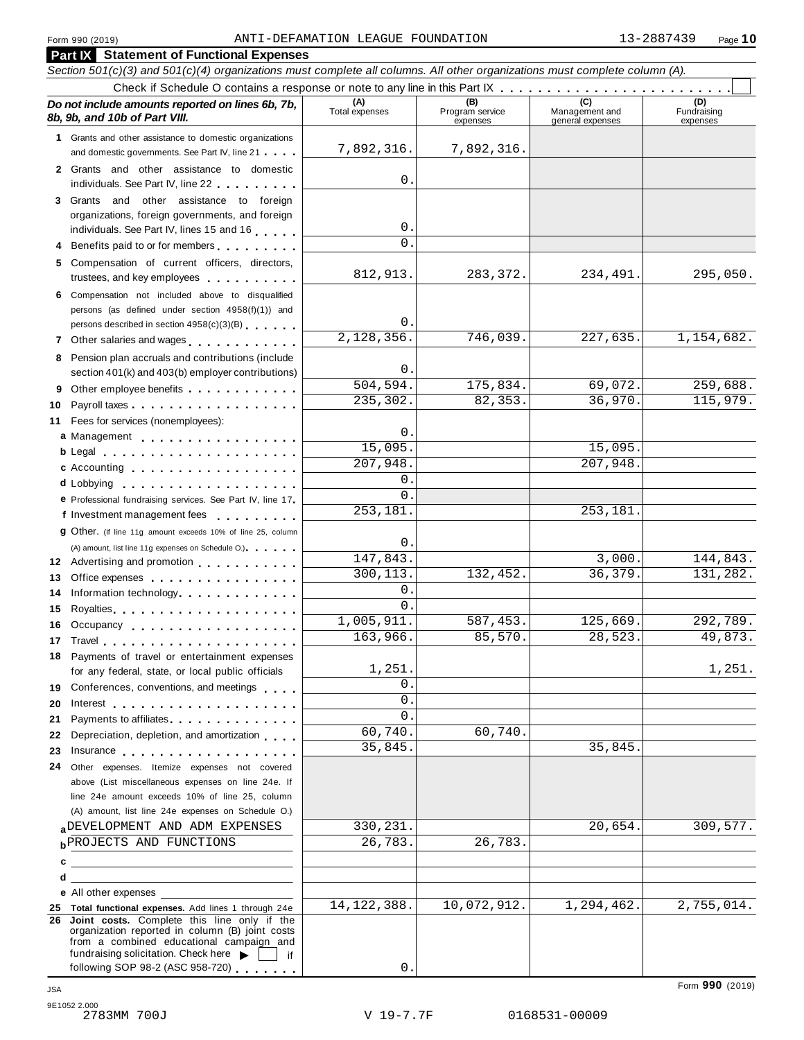|    | <b>Part IX</b> Statement of Functional Expenses                                                                                                                                                                                |                       |                                    |                                    |                                |
|----|--------------------------------------------------------------------------------------------------------------------------------------------------------------------------------------------------------------------------------|-----------------------|------------------------------------|------------------------------------|--------------------------------|
|    | Section 501(c)(3) and 501(c)(4) organizations must complete all columns. All other organizations must complete column (A).                                                                                                     |                       |                                    |                                    |                                |
|    | Check if Schedule O contains a response or note to any line in this Part IX                                                                                                                                                    |                       |                                    |                                    |                                |
|    | Do not include amounts reported on lines 6b, 7b,<br>8b, 9b, and 10b of Part VIII.                                                                                                                                              | (A)<br>Total expenses | (B)<br>Program service<br>expenses | Management and<br>general expenses | (D)<br>Fundraising<br>expenses |
|    | 1 Grants and other assistance to domestic organizations                                                                                                                                                                        |                       |                                    |                                    |                                |
|    | and domestic governments. See Part IV, line 21                                                                                                                                                                                 | 7,892,316.            | 7,892,316.                         |                                    |                                |
|    | 2 Grants and other assistance to domestic                                                                                                                                                                                      |                       |                                    |                                    |                                |
|    | individuals. See Part IV, line 22 <b>Canadia</b>                                                                                                                                                                               | 0                     |                                    |                                    |                                |
|    | 3 Grants and other assistance to foreign                                                                                                                                                                                       |                       |                                    |                                    |                                |
|    | organizations, foreign governments, and foreign                                                                                                                                                                                | 0                     |                                    |                                    |                                |
|    | individuals. See Part IV, lines 15 and 16                                                                                                                                                                                      | $\Omega$              |                                    |                                    |                                |
|    | 4 Benefits paid to or for members                                                                                                                                                                                              |                       |                                    |                                    |                                |
|    | 5 Compensation of current officers, directors,<br>trustees, and key employees                                                                                                                                                  | 812, 913.             | 283,372.                           | 234,491.                           | 295,050.                       |
|    | 6 Compensation not included above to disqualified                                                                                                                                                                              |                       |                                    |                                    |                                |
|    | persons (as defined under section 4958(f)(1)) and                                                                                                                                                                              |                       |                                    |                                    |                                |
|    | persons described in section 4958(c)(3)(B)                                                                                                                                                                                     | 0                     |                                    |                                    |                                |
|    | 7 Other salaries and wages <b>container and all the salaries</b>                                                                                                                                                               | 2, 128, 356.          | 746,039.                           | 227,635.                           | 1,154,682.                     |
|    | 8 Pension plan accruals and contributions (include                                                                                                                                                                             | 0                     |                                    |                                    |                                |
|    | section 401(k) and 403(b) employer contributions)                                                                                                                                                                              | 504,594.              | 175,834.                           | 69,072.                            | 259,688.                       |
|    |                                                                                                                                                                                                                                | 235,302.              | 82,353.                            | 36,970.                            | 115,979.                       |
| 10 |                                                                                                                                                                                                                                |                       |                                    |                                    |                                |
| 11 | Fees for services (nonemployees):                                                                                                                                                                                              | 0                     |                                    |                                    |                                |
|    | a Management                                                                                                                                                                                                                   | 15,095.               |                                    | 15,095.                            |                                |
|    |                                                                                                                                                                                                                                | 207,948               |                                    | $\overline{207}$ , 948.            |                                |
|    | c Accounting                                                                                                                                                                                                                   | 0                     |                                    |                                    |                                |
|    | e Professional fundraising services. See Part IV, line 17                                                                                                                                                                      | $\Omega$              |                                    |                                    |                                |
|    | f Investment management fees                                                                                                                                                                                                   | 253,181               |                                    | 253,181.                           |                                |
|    | <b>g</b> Other. (If line 11g amount exceeds 10% of line 25, column                                                                                                                                                             |                       |                                    |                                    |                                |
|    | (A) amount, list line 11g expenses on Schedule O.)                                                                                                                                                                             | 0                     |                                    |                                    |                                |
|    | 12 Advertising and promotion                                                                                                                                                                                                   | 147,843.              |                                    | 3,000.                             | 144,843.                       |
| 13 | Office expenses example and the set of the set of the set of the set of the set of the set of the set of the set of the set of the set of the set of the set of the set of the set of the set of the set of the set of the set | 300,113               | 132,452.                           | 36, 379.                           | 131,282.                       |
| 14 | Information technology.                                                                                                                                                                                                        | 0                     |                                    |                                    |                                |
| 15 | Royalties                                                                                                                                                                                                                      | $\Omega$              |                                    |                                    |                                |
| 16 | Occupancy experience and the contract of the contract of the contract of the contract of the contract of the contract of the contract of the contract of the contract of the contract of the contract of the contract of the c | 1,005,911.            | 587,453.                           | 125,669.                           | 292,789.                       |
|    | 17 Iravel <b>17 Iravel</b>                                                                                                                                                                                                     | 163,966.              | 85,570.                            | 28,523.                            | 49,873.                        |
|    | 18 Payments of travel or entertainment expenses                                                                                                                                                                                |                       |                                    |                                    |                                |
|    | for any federal, state, or local public officials                                                                                                                                                                              | 1,251.                |                                    |                                    | 1,251.                         |
|    | 19 Conferences, conventions, and meetings                                                                                                                                                                                      | 0                     |                                    |                                    |                                |
| 20 | Interest experience and the contract of the contract of the contract of the contract of the contract of the contract of the contract of the contract of the contract of the contract of the contract of the contract of the co | 0                     |                                    |                                    |                                |
| 21 | Payments to affiliates expansion of the set of the set of the set of the set of the set of the set of the set o                                                                                                                | $\Omega$              |                                    |                                    |                                |
| 22 | Depreciation, depletion, and amortization                                                                                                                                                                                      | 60,740.               | 60,740.                            |                                    |                                |
| 23 | Insurance                                                                                                                                                                                                                      | 35,845.               |                                    | 35,845.                            |                                |
| 24 | Other expenses. Itemize expenses not covered                                                                                                                                                                                   |                       |                                    |                                    |                                |
|    | above (List miscellaneous expenses on line 24e. If<br>line 24e amount exceeds 10% of line 25, column                                                                                                                           |                       |                                    |                                    |                                |
|    | (A) amount, list line 24e expenses on Schedule O.)                                                                                                                                                                             |                       |                                    |                                    |                                |
|    | a DEVELOPMENT AND ADM EXPENSES                                                                                                                                                                                                 | 330,231.              |                                    | 20,654.                            | 309,577.                       |
|    | <b>b</b> PROJECTS AND FUNCTIONS                                                                                                                                                                                                | 26,783.               | 26,783.                            |                                    |                                |
|    |                                                                                                                                                                                                                                |                       |                                    |                                    |                                |
| d  | c<br>the control of the control of the control of the control of the control of the control of                                                                                                                                 |                       |                                    |                                    |                                |
|    | e All other expenses                                                                                                                                                                                                           |                       |                                    |                                    |                                |
|    | 25 Total functional expenses. Add lines 1 through 24e                                                                                                                                                                          | 14, 122, 388.         | 10,072,912.                        | 1,294,462.                         | 2,755,014.                     |
|    | 26 Joint costs. Complete this line only if the                                                                                                                                                                                 |                       |                                    |                                    |                                |
|    | organization reported in column (B) joint costs<br>from a combined educational campaign and                                                                                                                                    |                       |                                    |                                    |                                |
|    | fundraising solicitation. Check here $\blacktriangleright$<br>if<br>following SOP 08-2 (ASC 058-720)                                                                                                                           |                       |                                    |                                    |                                |

following SOP 98-2 (ASC 958-720)

 $\overline{0}$  .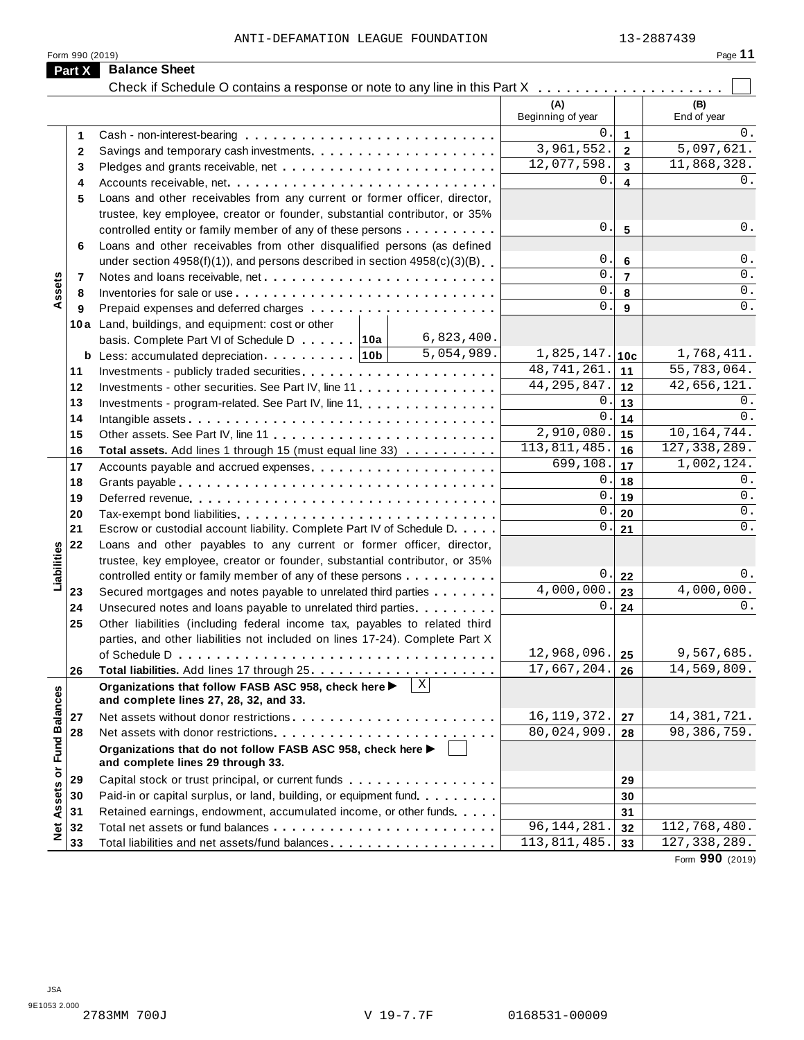|                      |                 | ANTI-DEFAMATION LEAGUE FOUNDATION                                                                                              |                           |                | 13-2887439                  |
|----------------------|-----------------|--------------------------------------------------------------------------------------------------------------------------------|---------------------------|----------------|-----------------------------|
|                      | Form 990 (2019) |                                                                                                                                |                           |                | Page 11                     |
|                      | Part X          | <b>Balance Sheet</b>                                                                                                           |                           |                |                             |
|                      |                 |                                                                                                                                |                           |                |                             |
|                      |                 |                                                                                                                                | (A)<br>Beginning of year  |                | (B)<br>End of year          |
|                      | 1               |                                                                                                                                | $\mathbf{0}$              | 1              | 0.                          |
|                      | $\mathbf{2}$    |                                                                                                                                | 3,961,552.                | $\overline{2}$ | 5,097,621.                  |
|                      | 3               |                                                                                                                                | 12,077,598.               | 3              | 11,868,328.                 |
|                      | 4               | Accounts receivable, net                                                                                                       | 0.                        | 4              | 0.                          |
|                      | 5               | Loans and other receivables from any current or former officer, director,                                                      |                           |                |                             |
|                      |                 | trustee, key employee, creator or founder, substantial contributor, or 35%                                                     |                           |                |                             |
|                      |                 | controlled entity or family member of any of these persons                                                                     | 0.                        | $5\phantom{1}$ | 0.                          |
|                      | 6               | Loans and other receivables from other disqualified persons (as defined                                                        |                           |                |                             |
|                      |                 | under section $4958(f)(1)$ , and persons described in section $4958(c)(3)(B)$                                                  | 0.                        | $6\phantom{1}$ | 0.                          |
|                      | 7               |                                                                                                                                | $\mathbf 0$ .             | $\overline{7}$ | 0.                          |
| Assets               | 8               |                                                                                                                                | $\mathbf 0$ .             | 8              | 0.                          |
|                      | 9               |                                                                                                                                | 0.                        | 9              | 0.                          |
|                      |                 | 10a Land, buildings, and equipment: cost or other                                                                              |                           |                |                             |
|                      |                 | 6,823,400.<br>basis. Complete Part VI of Schedule D 10a                                                                        |                           |                |                             |
|                      |                 | 5,054,989.                                                                                                                     | $1,825,147.$ 10c          |                | 1,768,411.                  |
|                      | 11              |                                                                                                                                | $\overline{48,741,261}$ . | 11             | $\overline{55,783,064}$ .   |
|                      | 12              | Investments - other securities. See Part IV, line 11                                                                           | 44, 295, 847.             | 12             | $\overline{42,656,121}.$    |
|                      | 13              | Investments - program-related. See Part IV, line 11                                                                            | 0.                        | 13             | 0.                          |
|                      | 14              |                                                                                                                                | 0                         | 14             | $0$ .                       |
|                      | 15              |                                                                                                                                | 2,910,080.                | 15             | 10, 164, 744.               |
|                      | 16              | Total assets. Add lines 1 through 15 (must equal line 33)                                                                      | 113,811,485.              | 16             | 127, 338, 289.              |
|                      | 17              | Accounts payable and accrued expenses                                                                                          | 699,108.                  | 17             | 1,002,124.                  |
|                      | 18              |                                                                                                                                | 0.                        | 18             | 0.<br>0.                    |
|                      | 19              |                                                                                                                                | 0.<br>$\mathsf{O}$ .      | 19             | 0.                          |
|                      | 20              | Tax-exempt bond liabilities                                                                                                    | 0.                        | 20             | 0.                          |
|                      | 21              | Escrow or custodial account liability. Complete Part IV of Schedule D.                                                         |                           | 21             |                             |
|                      | 22              | Loans and other payables to any current or former officer, director,                                                           |                           |                |                             |
| Liabilities          |                 | trustee, key employee, creator or founder, substantial contributor, or 35%                                                     | 0.                        |                | 0.                          |
|                      |                 | controlled entity or family member of any of these persons                                                                     | 4,000,000.                | 22<br>23       | 4,000,000.                  |
|                      | 23<br>24        | Secured mortgages and notes payable to unrelated third parties<br>Unsecured notes and loans payable to unrelated third parties | $\vert 0. \vert$          | 24             | $\overline{\phantom{a}}$ 0. |
|                      | 25              | Other liabilities (including federal income tax, payables to related third                                                     |                           |                |                             |
|                      |                 | parties, and other liabilities not included on lines 17-24). Complete Part X                                                   |                           |                |                             |
|                      |                 |                                                                                                                                | 12,968,096.               | 25             | 9,567,685.                  |
|                      | 26              |                                                                                                                                | 17,667,204.               | 26             | 14,569,809.                 |
|                      |                 | X <br>Organizations that follow FASB ASC 958, check here ▶<br>and complete lines 27, 28, 32, and 33.                           |                           |                |                             |
|                      | 27              |                                                                                                                                | 16, 119, 372.             | 27             | 14, 381, 721.               |
|                      | 28              |                                                                                                                                | 80,024,909.               | 28             | 98,386,759.                 |
| <b>Fund Balances</b> |                 | Organizations that do not follow FASB ASC 958, check here ▶                                                                    |                           |                |                             |
| ŏ                    |                 | and complete lines 29 through 33.                                                                                              |                           |                |                             |
|                      | 29              | Capital stock or trust principal, or current funds                                                                             |                           | 29             |                             |
| Assets               | 30              | Paid-in or capital surplus, or land, building, or equipment fund.                                                              |                           | 30             |                             |
|                      | 31              | Retained earnings, endowment, accumulated income, or other funds                                                               |                           | 31             |                             |
| <b>Net</b>           | 32              |                                                                                                                                | 96, 144, 281              | 32             | 112,768,480.                |
|                      | 33              |                                                                                                                                | 113,811,485.              | 33             | 127, 338, 289.              |

Form **990** (2019)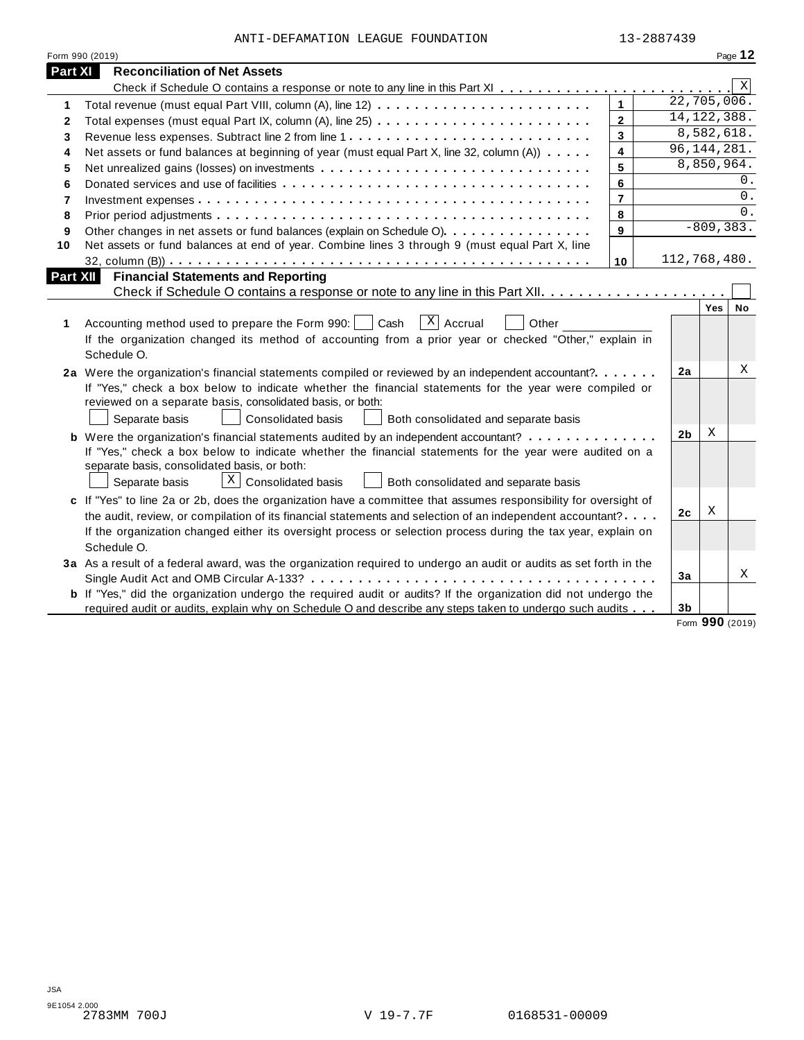|  | ANTI-DEFAMATION LEAGUE FOUNDATION |  |  | 13-2887439 |
|--|-----------------------------------|--|--|------------|
|--|-----------------------------------|--|--|------------|

|          | Form 990 (2019)                                                                                                                                                                                                                                                                                                                                                   |                |                |              | Page 12 |
|----------|-------------------------------------------------------------------------------------------------------------------------------------------------------------------------------------------------------------------------------------------------------------------------------------------------------------------------------------------------------------------|----------------|----------------|--------------|---------|
| Part XI  | <b>Reconciliation of Net Assets</b>                                                                                                                                                                                                                                                                                                                               |                |                |              |         |
|          |                                                                                                                                                                                                                                                                                                                                                                   |                |                |              | X       |
| 1        |                                                                                                                                                                                                                                                                                                                                                                   | $\mathbf{1}$   | 22,705,006.    |              |         |
| 2        | Total expenses (must equal Part IX, column (A), line 25)                                                                                                                                                                                                                                                                                                          | $\overline{2}$ | 14, 122, 388.  |              |         |
| 3        |                                                                                                                                                                                                                                                                                                                                                                   | $\mathbf{3}$   |                | 8,582,618.   |         |
| 4        | Net assets or fund balances at beginning of year (must equal Part X, line 32, column (A))                                                                                                                                                                                                                                                                         | 4              | 96, 144, 281.  |              |         |
| 5        |                                                                                                                                                                                                                                                                                                                                                                   | 5              |                | 8,850,964.   |         |
| 6        |                                                                                                                                                                                                                                                                                                                                                                   | 6              |                |              | 0.      |
| 7        |                                                                                                                                                                                                                                                                                                                                                                   | $\overline{7}$ |                |              | 0.      |
| 8        |                                                                                                                                                                                                                                                                                                                                                                   | 8              |                |              | 0.      |
| 9        | Other changes in net assets or fund balances (explain on Schedule O)                                                                                                                                                                                                                                                                                              | 9              |                | $-809, 383.$ |         |
| 10       | Net assets or fund balances at end of year. Combine lines 3 through 9 (must equal Part X, line                                                                                                                                                                                                                                                                    |                |                |              |         |
|          |                                                                                                                                                                                                                                                                                                                                                                   | 10             | 112,768,480.   |              |         |
| Part XII | <b>Financial Statements and Reporting</b>                                                                                                                                                                                                                                                                                                                         |                |                |              |         |
|          |                                                                                                                                                                                                                                                                                                                                                                   |                |                |              |         |
| 1        | $x \mid$ Accrual<br>Accounting method used to prepare the Form 990:  <br>Cash<br>Other<br>If the organization changed its method of accounting from a prior year or checked "Other," explain in<br>Schedule O.                                                                                                                                                    |                |                | Yes          | No      |
|          | 2a Were the organization's financial statements compiled or reviewed by an independent accountant?<br>If "Yes," check a box below to indicate whether the financial statements for the year were compiled or<br>reviewed on a separate basis, consolidated basis, or both:<br>Separate basis<br><b>Consolidated basis</b><br>Both consolidated and separate basis |                | 2a             |              | Χ       |
|          | <b>b</b> Were the organization's financial statements audited by an independent accountant?                                                                                                                                                                                                                                                                       |                | 2 <sub>b</sub> | Χ            |         |
|          | If "Yes," check a box below to indicate whether the financial statements for the year were audited on a<br>separate basis, consolidated basis, or both:<br>$X$ Consolidated basis<br>Separate basis<br>Both consolidated and separate basis                                                                                                                       |                |                |              |         |
|          | c If "Yes" to line 2a or 2b, does the organization have a committee that assumes responsibility for oversight of                                                                                                                                                                                                                                                  |                |                |              |         |
|          | the audit, review, or compilation of its financial statements and selection of an independent accountant?                                                                                                                                                                                                                                                         |                | 2c             | X            |         |
|          | If the organization changed either its oversight process or selection process during the tax year, explain on<br>Schedule O.                                                                                                                                                                                                                                      |                |                |              |         |
|          | 3a As a result of a federal award, was the organization required to undergo an audit or audits as set forth in the                                                                                                                                                                                                                                                |                | 3a             |              | Χ       |
|          | <b>b</b> If "Yes," did the organization undergo the required audit or audits? If the organization did not undergo the                                                                                                                                                                                                                                             |                |                |              |         |
|          | required audit or audits, explain why on Schedule O and describe any steps taken to undergo such audits                                                                                                                                                                                                                                                           |                | 3 <sub>b</sub> |              |         |
|          |                                                                                                                                                                                                                                                                                                                                                                   |                |                | 000          |         |

Form **990** (2019)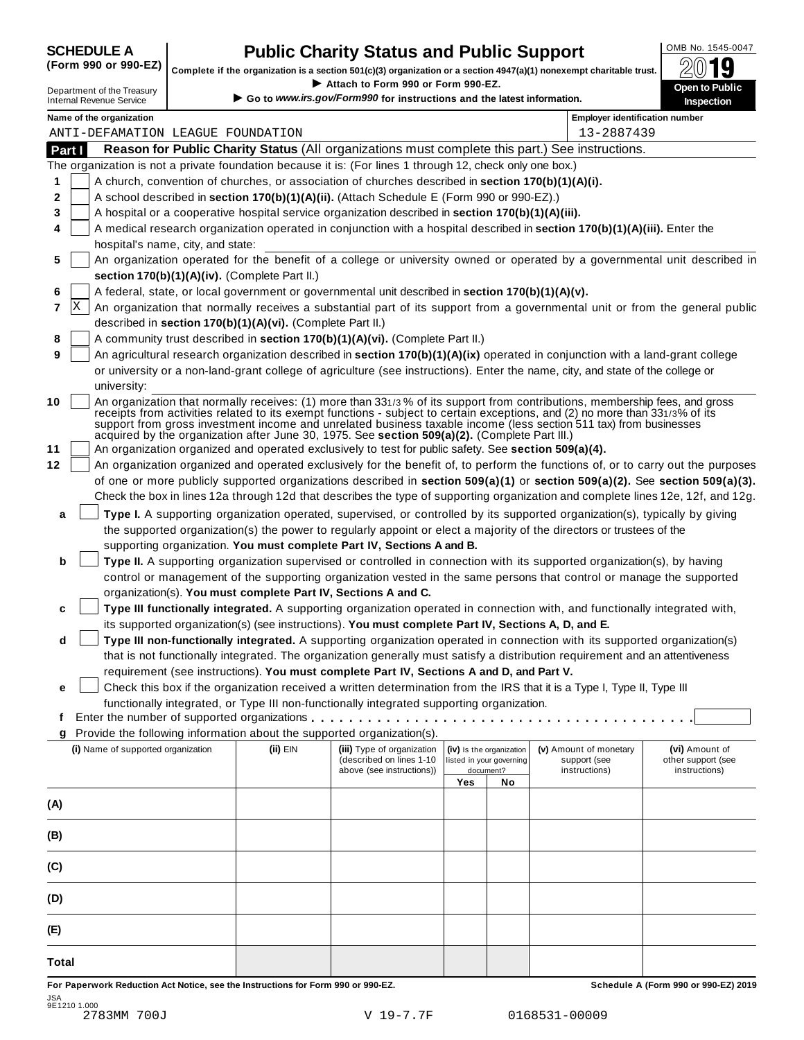## **CHEDULE A Public Charity Status and Public Support**  $\frac{100\text{dB No. }1545-0047}{000\text{dB}}$

(Form 990 or 990-EZ) complete if the organization is a section 501(c)(3) organization or a section 4947(a)(1) nonexempt charitable trust.  $2019$ 

|        |                                                               |                                                            | Complete if the organization is a section 501(c)(3) organization or a section 4947(a)(1) nonexempt charitable trust. |                          |                          |                                                                                                                                                                                                                                                                                                                                                                                 | ZW IJ                                                                                                                            |
|--------|---------------------------------------------------------------|------------------------------------------------------------|----------------------------------------------------------------------------------------------------------------------|--------------------------|--------------------------|---------------------------------------------------------------------------------------------------------------------------------------------------------------------------------------------------------------------------------------------------------------------------------------------------------------------------------------------------------------------------------|----------------------------------------------------------------------------------------------------------------------------------|
|        | Department of the Treasury                                    |                                                            | Attach to Form 990 or Form 990-EZ.<br>Go to www.irs.gov/Form990 for instructions and the latest information.         |                          |                          |                                                                                                                                                                                                                                                                                                                                                                                 | Open to Public                                                                                                                   |
|        | <b>Internal Revenue Service</b>                               |                                                            |                                                                                                                      |                          |                          |                                                                                                                                                                                                                                                                                                                                                                                 | <b>Inspection</b>                                                                                                                |
|        | Name of the organization<br>ANTI-DEFAMATION LEAGUE FOUNDATION |                                                            |                                                                                                                      |                          |                          | <b>Employer identification number</b><br>13-2887439                                                                                                                                                                                                                                                                                                                             |                                                                                                                                  |
| Part I |                                                               |                                                            |                                                                                                                      |                          |                          | Reason for Public Charity Status (All organizations must complete this part.) See instructions.                                                                                                                                                                                                                                                                                 |                                                                                                                                  |
|        |                                                               |                                                            | The organization is not a private foundation because it is: (For lines 1 through 12, check only one box.)            |                          |                          |                                                                                                                                                                                                                                                                                                                                                                                 |                                                                                                                                  |
| 1      |                                                               |                                                            | A church, convention of churches, or association of churches described in section 170(b)(1)(A)(i).                   |                          |                          |                                                                                                                                                                                                                                                                                                                                                                                 |                                                                                                                                  |
| 2      |                                                               |                                                            | A school described in section 170(b)(1)(A)(ii). (Attach Schedule E (Form 990 or 990-EZ).)                            |                          |                          |                                                                                                                                                                                                                                                                                                                                                                                 |                                                                                                                                  |
| 3      |                                                               |                                                            | A hospital or a cooperative hospital service organization described in section 170(b)(1)(A)(iii).                    |                          |                          |                                                                                                                                                                                                                                                                                                                                                                                 |                                                                                                                                  |
| 4      |                                                               |                                                            |                                                                                                                      |                          |                          | A medical research organization operated in conjunction with a hospital described in section 170(b)(1)(A)(iii). Enter the                                                                                                                                                                                                                                                       |                                                                                                                                  |
|        | hospital's name, city, and state:                             |                                                            |                                                                                                                      |                          |                          |                                                                                                                                                                                                                                                                                                                                                                                 |                                                                                                                                  |
| 5      |                                                               |                                                            |                                                                                                                      |                          |                          |                                                                                                                                                                                                                                                                                                                                                                                 | An organization operated for the benefit of a college or university owned or operated by a governmental unit described in        |
|        |                                                               | section 170(b)(1)(A)(iv). (Complete Part II.)              |                                                                                                                      |                          |                          |                                                                                                                                                                                                                                                                                                                                                                                 |                                                                                                                                  |
| 6      |                                                               |                                                            | A federal, state, or local government or governmental unit described in section 170(b)(1)(A)(v).                     |                          |                          |                                                                                                                                                                                                                                                                                                                                                                                 |                                                                                                                                  |
| 7      | ΙX                                                            |                                                            |                                                                                                                      |                          |                          |                                                                                                                                                                                                                                                                                                                                                                                 | An organization that normally receives a substantial part of its support from a governmental unit or from the general public     |
|        |                                                               | described in section 170(b)(1)(A)(vi). (Complete Part II.) |                                                                                                                      |                          |                          |                                                                                                                                                                                                                                                                                                                                                                                 |                                                                                                                                  |
| 8      |                                                               |                                                            | A community trust described in section 170(b)(1)(A)(vi). (Complete Part II.)                                         |                          |                          |                                                                                                                                                                                                                                                                                                                                                                                 |                                                                                                                                  |
| 9      |                                                               |                                                            |                                                                                                                      |                          |                          | An agricultural research organization described in section 170(b)(1)(A)(ix) operated in conjunction with a land-grant college                                                                                                                                                                                                                                                   |                                                                                                                                  |
|        |                                                               |                                                            |                                                                                                                      |                          |                          | or university or a non-land-grant college of agriculture (see instructions). Enter the name, city, and state of the college or                                                                                                                                                                                                                                                  |                                                                                                                                  |
|        | university:                                                   |                                                            |                                                                                                                      |                          |                          |                                                                                                                                                                                                                                                                                                                                                                                 |                                                                                                                                  |
| 10     |                                                               |                                                            |                                                                                                                      |                          |                          | An organization that normally receives: (1) more than 331/3% of its support from contributions, membership fees, and gross<br>receipts from activities related to its exempt functions - subject to certain exceptions, and (2) no more than 331/3% of its<br>support from gross investment income and unrelated business taxable income (less section 511 tax) from businesses |                                                                                                                                  |
|        |                                                               |                                                            | acquired by the organization after June 30, 1975. See section 509(a)(2). (Complete Part III.)                        |                          |                          |                                                                                                                                                                                                                                                                                                                                                                                 |                                                                                                                                  |
| 11     |                                                               |                                                            | An organization organized and operated exclusively to test for public safety. See section 509(a)(4).                 |                          |                          |                                                                                                                                                                                                                                                                                                                                                                                 |                                                                                                                                  |
| 12     |                                                               |                                                            |                                                                                                                      |                          |                          |                                                                                                                                                                                                                                                                                                                                                                                 | An organization organized and operated exclusively for the benefit of, to perform the functions of, or to carry out the purposes |
|        |                                                               |                                                            |                                                                                                                      |                          |                          |                                                                                                                                                                                                                                                                                                                                                                                 | of one or more publicly supported organizations described in section 509(a)(1) or section 509(a)(2). See section 509(a)(3).      |
|        |                                                               |                                                            |                                                                                                                      |                          |                          | Check the box in lines 12a through 12d that describes the type of supporting organization and complete lines 12e, 12f, and 12g.                                                                                                                                                                                                                                                 |                                                                                                                                  |
| a      |                                                               |                                                            |                                                                                                                      |                          |                          | Type I. A supporting organization operated, supervised, or controlled by its supported organization(s), typically by giving                                                                                                                                                                                                                                                     |                                                                                                                                  |
|        |                                                               |                                                            |                                                                                                                      |                          |                          | the supported organization(s) the power to regularly appoint or elect a majority of the directors or trustees of the                                                                                                                                                                                                                                                            |                                                                                                                                  |
|        |                                                               |                                                            | supporting organization. You must complete Part IV, Sections A and B.                                                |                          |                          |                                                                                                                                                                                                                                                                                                                                                                                 |                                                                                                                                  |
| b      |                                                               |                                                            |                                                                                                                      |                          |                          | Type II. A supporting organization supervised or controlled in connection with its supported organization(s), by having<br>control or management of the supporting organization vested in the same persons that control or manage the supported                                                                                                                                 |                                                                                                                                  |
|        |                                                               |                                                            | organization(s). You must complete Part IV, Sections A and C.                                                        |                          |                          |                                                                                                                                                                                                                                                                                                                                                                                 |                                                                                                                                  |
| c      |                                                               |                                                            |                                                                                                                      |                          |                          | Type III functionally integrated. A supporting organization operated in connection with, and functionally integrated with,                                                                                                                                                                                                                                                      |                                                                                                                                  |
|        |                                                               |                                                            | its supported organization(s) (see instructions). You must complete Part IV, Sections A, D, and E.                   |                          |                          |                                                                                                                                                                                                                                                                                                                                                                                 |                                                                                                                                  |
| d      |                                                               |                                                            |                                                                                                                      |                          |                          | Type III non-functionally integrated. A supporting organization operated in connection with its supported organization(s)                                                                                                                                                                                                                                                       |                                                                                                                                  |
|        |                                                               |                                                            |                                                                                                                      |                          |                          | that is not functionally integrated. The organization generally must satisfy a distribution requirement and an attentiveness                                                                                                                                                                                                                                                    |                                                                                                                                  |
|        |                                                               |                                                            | requirement (see instructions). You must complete Part IV, Sections A and D, and Part V.                             |                          |                          |                                                                                                                                                                                                                                                                                                                                                                                 |                                                                                                                                  |
| е      |                                                               |                                                            |                                                                                                                      |                          |                          | Check this box if the organization received a written determination from the IRS that it is a Type I, Type II, Type III                                                                                                                                                                                                                                                         |                                                                                                                                  |
| f      |                                                               |                                                            | functionally integrated, or Type III non-functionally integrated supporting organization.                            |                          |                          |                                                                                                                                                                                                                                                                                                                                                                                 |                                                                                                                                  |
| g      |                                                               |                                                            | Provide the following information about the supported organization(s).                                               |                          |                          |                                                                                                                                                                                                                                                                                                                                                                                 |                                                                                                                                  |
|        | (i) Name of supported organization                            | (ii) EIN                                                   | (iii) Type of organization                                                                                           |                          | (iv) Is the organization | (v) Amount of monetary                                                                                                                                                                                                                                                                                                                                                          | (vi) Amount of                                                                                                                   |
|        |                                                               |                                                            | (described on lines 1-10                                                                                             | listed in your governing |                          | support (see                                                                                                                                                                                                                                                                                                                                                                    | other support (see                                                                                                               |
|        |                                                               |                                                            | above (see instructions))                                                                                            | Yes                      | document?                | instructions)                                                                                                                                                                                                                                                                                                                                                                   | instructions)                                                                                                                    |
|        |                                                               |                                                            |                                                                                                                      |                          | No                       |                                                                                                                                                                                                                                                                                                                                                                                 |                                                                                                                                  |
| (A)    |                                                               |                                                            |                                                                                                                      |                          |                          |                                                                                                                                                                                                                                                                                                                                                                                 |                                                                                                                                  |
| (B)    |                                                               |                                                            |                                                                                                                      |                          |                          |                                                                                                                                                                                                                                                                                                                                                                                 |                                                                                                                                  |
| (C)    |                                                               |                                                            |                                                                                                                      |                          |                          |                                                                                                                                                                                                                                                                                                                                                                                 |                                                                                                                                  |
| (D)    |                                                               |                                                            |                                                                                                                      |                          |                          |                                                                                                                                                                                                                                                                                                                                                                                 |                                                                                                                                  |
| (E)    |                                                               |                                                            |                                                                                                                      |                          |                          |                                                                                                                                                                                                                                                                                                                                                                                 |                                                                                                                                  |

For Paperwork Reduction Act Notice, see the Instructions for Form 990 or 990-EZ. Schedule A (Form 990 or 990-EZ) 2019

**Total**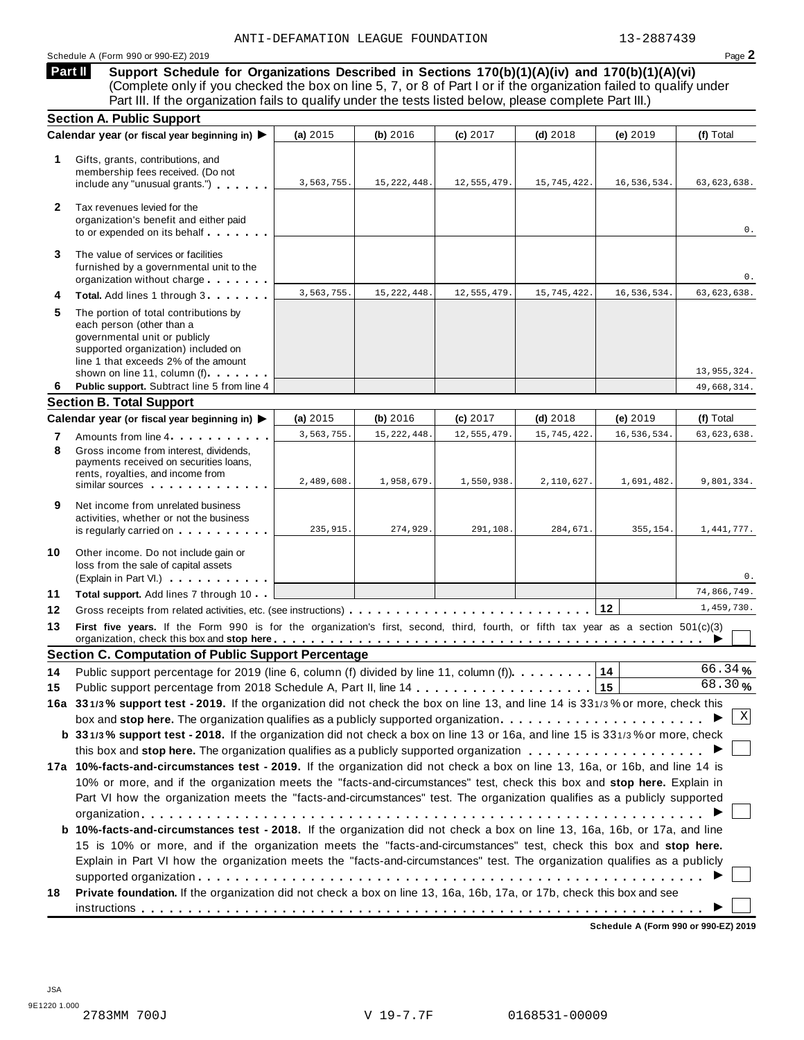#### Schedule <sup>A</sup> (Form <sup>990</sup> or 990-EZ) <sup>2019</sup> Page **2**

**Support Schedule for Organizations Described in Sections 170(b)(1)(A)(iv) and 170(b)(1)(A)(vi)** (Complete only if you checked the box on line 5, 7, or 8 of Part I or if the organization failed to qualify under Part III. If the organization fails to qualify under the tests listed below, please complete Part III.) **Part II**

|              | <b>Section A. Public Support</b>                                                                                                                                                                                   |            |               |             |               |             |                  |  |  |  |  |
|--------------|--------------------------------------------------------------------------------------------------------------------------------------------------------------------------------------------------------------------|------------|---------------|-------------|---------------|-------------|------------------|--|--|--|--|
|              | Calendar year (or fiscal year beginning in) ▶                                                                                                                                                                      | (a) 2015   | (b) 2016      | $(c)$ 2017  | $(d)$ 2018    | (e) 2019    | (f) Total        |  |  |  |  |
| 1            | Gifts, grants, contributions, and<br>membership fees received. (Do not<br>include any "unusual grants.")                                                                                                           | 3,563,755. | 15, 222, 448. | 12,555,479. | 15,745,422.   | 16,536,534. | 63, 623, 638.    |  |  |  |  |
| $\mathbf{2}$ | Tax revenues levied for the<br>organization's benefit and either paid<br>to or expended on its behalf                                                                                                              |            |               |             |               |             | 0.               |  |  |  |  |
| 3            | The value of services or facilities<br>furnished by a governmental unit to the<br>organization without charge                                                                                                      |            |               |             |               |             | 0.               |  |  |  |  |
| 4            | Total. Add lines 1 through 3                                                                                                                                                                                       | 3,563,755. | 15, 222, 448  | 12,555,479  | 15,745,422.   | 16,536,534. | 63, 623, 638.    |  |  |  |  |
| 5            | The portion of total contributions by<br>each person (other than a<br>governmental unit or publicly<br>supported organization) included on<br>line 1 that exceeds 2% of the amount<br>shown on line 11, column (f) |            |               |             |               |             | 13, 955, 324.    |  |  |  |  |
| 6            | Public support. Subtract line 5 from line 4                                                                                                                                                                        |            |               |             |               |             | 49,668,314.      |  |  |  |  |
|              | <b>Section B. Total Support</b>                                                                                                                                                                                    |            |               |             |               |             |                  |  |  |  |  |
|              | Calendar year (or fiscal year beginning in) ▶                                                                                                                                                                      | (a) 2015   | (b) 2016      | (c) 2017    | $(d)$ 2018    | (e) 2019    | (f) Total        |  |  |  |  |
| 7            | Amounts from line 4                                                                                                                                                                                                | 3,563,755. | 15, 222, 448. | 12,555,479  | 15, 745, 422. | 16,536,534. | 63, 623, 638.    |  |  |  |  |
| 8            | Gross income from interest, dividends,<br>payments received on securities loans,<br>rents, royalties, and income from<br>similar sources experiences                                                               | 2,489,608. | 1,958,679.    | 1,550,938.  | 2,110,627.    | 1,691,482.  | 9,801,334.       |  |  |  |  |
| 9            | Net income from unrelated business<br>activities, whether or not the business<br>is regularly carried on the control of the set of the set of the set of the set of the set of the set of the s                    | 235,915.   | 274,929.      | 291,108.    | 284,671.      | 355,154.    | 1,441,777.       |  |  |  |  |
| 10           | Other income. Do not include gain or<br>loss from the sale of capital assets<br>(Explain in Part VI.)                                                                                                              |            |               |             |               |             | 0.               |  |  |  |  |
| 11           | Total support. Add lines 7 through 10                                                                                                                                                                              |            |               |             |               |             | 74,866,749.      |  |  |  |  |
| 12           |                                                                                                                                                                                                                    |            |               |             |               |             | 1,459,730.       |  |  |  |  |
| 13           | First five years. If the Form 990 is for the organization's first, second, third, fourth, or fifth tax year as a section 501(c)(3)                                                                                 |            |               |             |               |             |                  |  |  |  |  |
|              | <b>Section C. Computation of Public Support Percentage</b>                                                                                                                                                         |            |               |             |               |             |                  |  |  |  |  |
| 14<br>15     | Public support percentage for 2019 (line 6, column (f) divided by line 11, column (f)).                                                                                                                            |            |               |             |               | 14<br>15    | 66.34%<br>68.30% |  |  |  |  |
|              | 16a 331/3% support test - 2019. If the organization did not check the box on line 13, and line 14 is 331/3% or more, check this                                                                                    |            |               |             |               |             |                  |  |  |  |  |
|              | box and stop here. The organization qualifies as a publicly supported organization                                                                                                                                 |            |               |             |               |             | Χ                |  |  |  |  |
|              | b 331/3% support test - 2018. If the organization did not check a box on line 13 or 16a, and line 15 is 331/3% or more, check                                                                                      |            |               |             |               |             |                  |  |  |  |  |
|              |                                                                                                                                                                                                                    |            |               |             |               |             |                  |  |  |  |  |
|              | 17a 10%-facts-and-circumstances test - 2019. If the organization did not check a box on line 13, 16a, or 16b, and line 14 is                                                                                       |            |               |             |               |             |                  |  |  |  |  |
|              | 10% or more, and if the organization meets the "facts-and-circumstances" test, check this box and stop here. Explain in                                                                                            |            |               |             |               |             |                  |  |  |  |  |
|              | Part VI how the organization meets the "facts-and-circumstances" test. The organization qualifies as a publicly supported                                                                                          |            |               |             |               |             |                  |  |  |  |  |
|              |                                                                                                                                                                                                                    |            |               |             |               |             |                  |  |  |  |  |
|              | b 10%-facts-and-circumstances test - 2018. If the organization did not check a box on line 13, 16a, 16b, or 17a, and line                                                                                          |            |               |             |               |             |                  |  |  |  |  |
|              | 15 is 10% or more, and if the organization meets the "facts-and-circumstances" test, check this box and stop here.                                                                                                 |            |               |             |               |             |                  |  |  |  |  |
|              | Explain in Part VI how the organization meets the "facts-and-circumstances" test. The organization qualifies as a publicly                                                                                         |            |               |             |               |             |                  |  |  |  |  |
|              | Private foundation. If the organization did not check a box on line 13, 16a, 16b, 17a, or 17b, check this box and see                                                                                              |            |               |             |               |             |                  |  |  |  |  |
| 18           |                                                                                                                                                                                                                    |            |               |             |               |             |                  |  |  |  |  |
|              |                                                                                                                                                                                                                    |            |               |             |               |             |                  |  |  |  |  |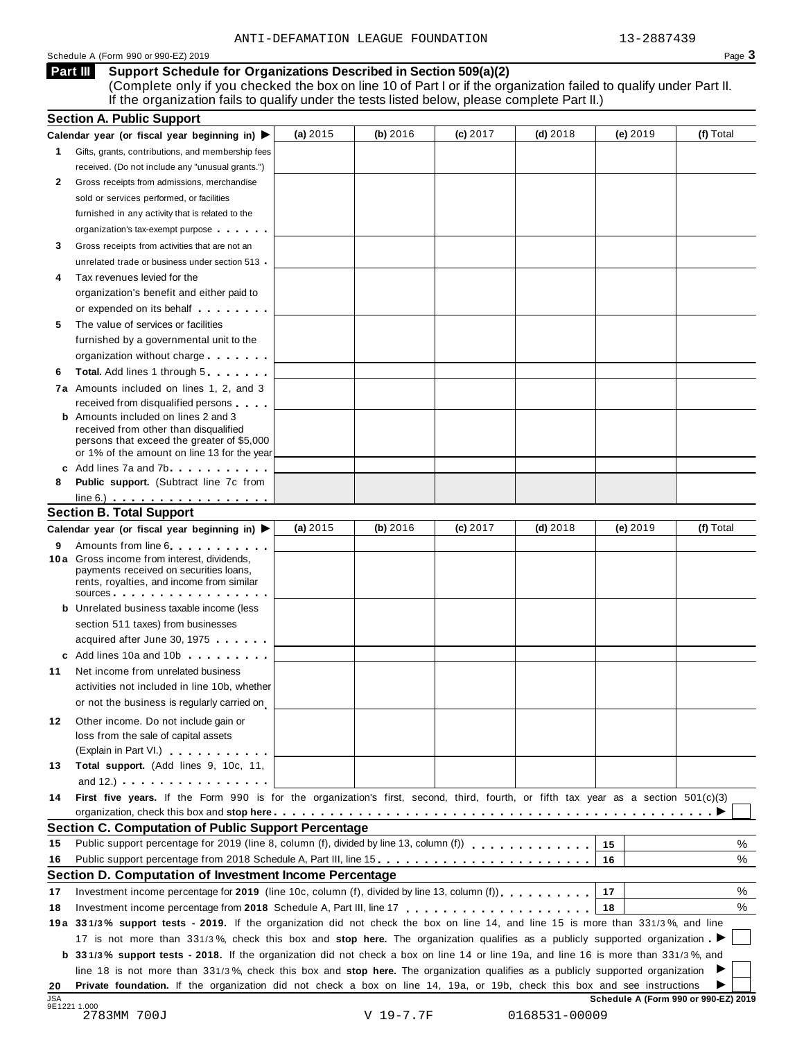#### Schedule A (Form 990 or 990-EZ) 2019 Page 3

## **Support Schedule for Organizations Described in Section 509(a)(2) Part III** (Complete only if you checked the box on line 10 of Part I or if the organization failed to qualify under Part II.

If the organization fails to qualify under the tests listed below, please complete Part II.) **Section A. Public Support**

|    | Section A. Public Support                                                                                                                                                                                                      |          |          |            |            |            |           |
|----|--------------------------------------------------------------------------------------------------------------------------------------------------------------------------------------------------------------------------------|----------|----------|------------|------------|------------|-----------|
|    | Calendar year (or fiscal year beginning in)                                                                                                                                                                                    | (a) 2015 | (b) 2016 | $(c)$ 2017 | $(d)$ 2018 | $(e)$ 2019 | (f) Total |
| 1. | Gifts, grants, contributions, and membership fees                                                                                                                                                                              |          |          |            |            |            |           |
|    | received. (Do not include any "unusual grants.")                                                                                                                                                                               |          |          |            |            |            |           |
| 2  | Gross receipts from admissions, merchandise                                                                                                                                                                                    |          |          |            |            |            |           |
|    | sold or services performed, or facilities                                                                                                                                                                                      |          |          |            |            |            |           |
|    | furnished in any activity that is related to the                                                                                                                                                                               |          |          |            |            |            |           |
|    | organization's tax-exempt purpose                                                                                                                                                                                              |          |          |            |            |            |           |
| 3  | Gross receipts from activities that are not an                                                                                                                                                                                 |          |          |            |            |            |           |
|    | unrelated trade or business under section 513                                                                                                                                                                                  |          |          |            |            |            |           |
| 4  | Tax revenues levied for the                                                                                                                                                                                                    |          |          |            |            |            |           |
|    | organization's benefit and either paid to                                                                                                                                                                                      |          |          |            |            |            |           |
|    | or expended on its behalf                                                                                                                                                                                                      |          |          |            |            |            |           |
| 5  | The value of services or facilities                                                                                                                                                                                            |          |          |            |            |            |           |
|    | furnished by a governmental unit to the                                                                                                                                                                                        |          |          |            |            |            |           |
|    |                                                                                                                                                                                                                                |          |          |            |            |            |           |
|    | organization without charge                                                                                                                                                                                                    |          |          |            |            |            |           |
| 6  | <b>Total.</b> Add lines 1 through 5                                                                                                                                                                                            |          |          |            |            |            |           |
|    | 7a Amounts included on lines 1, 2, and 3                                                                                                                                                                                       |          |          |            |            |            |           |
|    | received from disqualified persons                                                                                                                                                                                             |          |          |            |            |            |           |
|    | <b>b</b> Amounts included on lines 2 and 3<br>received from other than disqualified                                                                                                                                            |          |          |            |            |            |           |
|    | persons that exceed the greater of \$5,000                                                                                                                                                                                     |          |          |            |            |            |           |
|    | or 1% of the amount on line 13 for the year                                                                                                                                                                                    |          |          |            |            |            |           |
|    | c Add lines 7a and 7b                                                                                                                                                                                                          |          |          |            |            |            |           |
| 8  | Public support. (Subtract line 7c from                                                                                                                                                                                         |          |          |            |            |            |           |
|    | $line 6.)$ $\ldots$ $\ldots$ $\ldots$ $\ldots$ $\ldots$ $\ldots$ $\ldots$                                                                                                                                                      |          |          |            |            |            |           |
|    | <b>Section B. Total Support</b>                                                                                                                                                                                                |          |          |            |            |            |           |
|    | Calendar year (or fiscal year beginning in) ▶                                                                                                                                                                                  | (a) 2015 | (b) 2016 | (c) 2017   | $(d)$ 2018 | (e) 2019   | (f) Total |
| 9  | Amounts from line 6                                                                                                                                                                                                            |          |          |            |            |            |           |
|    | 10 a Gross income from interest, dividends,                                                                                                                                                                                    |          |          |            |            |            |           |
|    | payments received on securities loans,<br>rents, royalties, and income from similar                                                                                                                                            |          |          |            |            |            |           |
|    | sources and the set of the set of the set of the set of the set of the set of the set of the set of the set of the set of the set of the set of the set of the set of the set of the set of the set of the set of the set of t |          |          |            |            |            |           |
|    | <b>b</b> Unrelated business taxable income (less                                                                                                                                                                               |          |          |            |            |            |           |
|    | section 511 taxes) from businesses                                                                                                                                                                                             |          |          |            |            |            |           |
|    | acquired after June 30, 1975                                                                                                                                                                                                   |          |          |            |            |            |           |
|    | c Add lines 10a and 10b                                                                                                                                                                                                        |          |          |            |            |            |           |
| 11 | Net income from unrelated business                                                                                                                                                                                             |          |          |            |            |            |           |
|    | activities not included in line 10b, whether                                                                                                                                                                                   |          |          |            |            |            |           |
|    | or not the business is regularly carried on                                                                                                                                                                                    |          |          |            |            |            |           |
|    |                                                                                                                                                                                                                                |          |          |            |            |            |           |
| 12 | Other income. Do not include gain or                                                                                                                                                                                           |          |          |            |            |            |           |
|    | loss from the sale of capital assets                                                                                                                                                                                           |          |          |            |            |            |           |
|    | (Explain in Part VI.)                                                                                                                                                                                                          |          |          |            |            |            |           |
| 13 | Total support. (Add lines 9, 10c, 11,                                                                                                                                                                                          |          |          |            |            |            |           |
|    | and $12$ .) $\cdots$ $\cdots$ $\cdots$ $\cdots$                                                                                                                                                                                |          |          |            |            |            |           |
| 14 | First five years. If the Form 990 is for the organization's first, second, third, fourth, or fifth tax year as a section $501(c)(3)$                                                                                           |          |          |            |            |            |           |
|    |                                                                                                                                                                                                                                |          |          |            |            |            |           |
|    | <b>Section C. Computation of Public Support Percentage</b>                                                                                                                                                                     |          |          |            |            |            |           |
| 15 | Public support percentage for 2019 (line 8, column (f), divided by line 13, column (f))                                                                                                                                        |          |          |            |            | 15         | %         |
| 16 | Public support percentage from 2018 Schedule A, Part III, line 15                                                                                                                                                              |          |          |            |            | 16         | $\%$      |
|    | Section D. Computation of Investment Income Percentage                                                                                                                                                                         |          |          |            |            |            |           |
| 17 | Investment income percentage for 2019 (line 10c, column (f), divided by line 13, column (f)                                                                                                                                    |          |          |            |            | 17         | %         |
| 18 |                                                                                                                                                                                                                                |          |          |            |            | 18         | $\%$      |
|    | 19a 331/3% support tests - 2019. If the organization did not check the box on line 14, and line 15 is more than 331/3%, and line                                                                                               |          |          |            |            |            |           |
|    | 17 is not more than 331/3%, check this box and stop here. The organization qualifies as a publicly supported organization                                                                                                      |          |          |            |            |            |           |
|    | <b>b</b> 331/3% support tests - 2018. If the organization did not check a box on line 14 or line 19a, and line 16 is more than 331/3%, and                                                                                     |          |          |            |            |            |           |
|    | line 18 is not more than 331/3%, check this box and stop here. The organization qualifies as a publicly supported organization                                                                                                 |          |          |            |            |            |           |
|    | <b>Private foundation.</b> If the organization did not check a box on line 14, 19a, or 19b, check this box and see instructions                                                                                                |          |          |            |            |            |           |
| 20 |                                                                                                                                                                                                                                |          |          |            |            |            |           |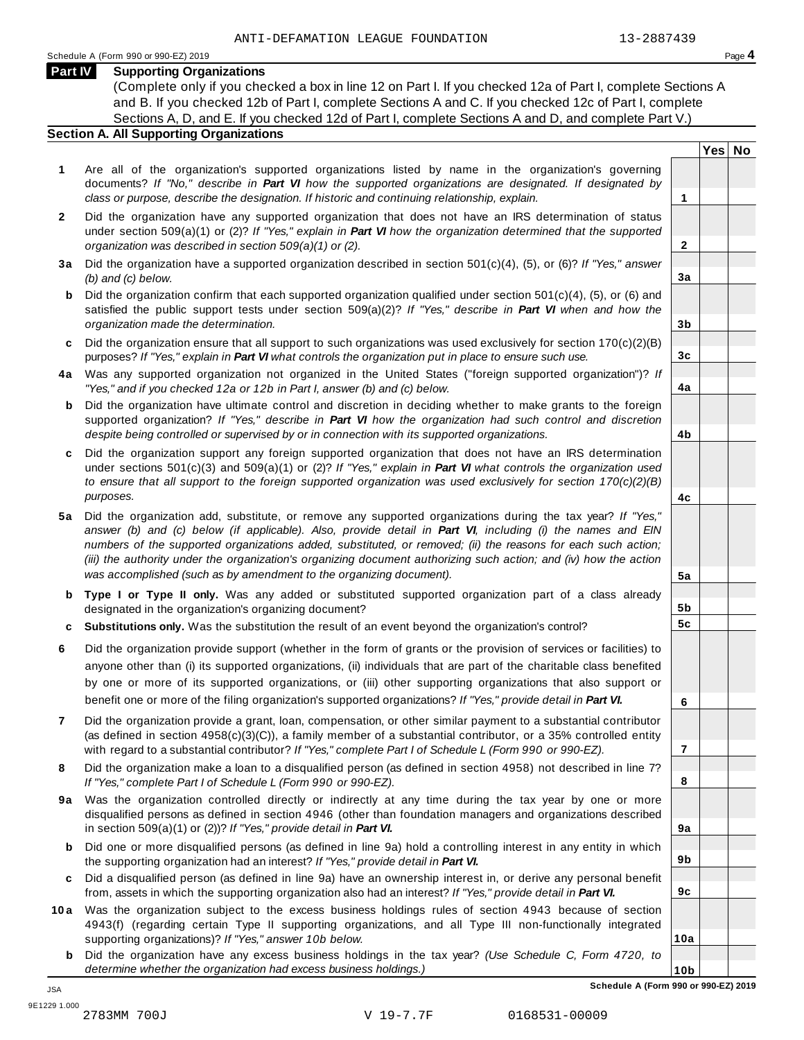**Yes No**

**2**

**3a**

**3b**

**3c**

**4a**

**4b**

**4c**

**5a**

**5b 5c**

**6**

**7**

**8**

**9a**

**9b**

**9c**

**10a**

#### **Part IV Supporting Organizations**

(Complete only if you checked a box in line 12 on Part I. If you checked 12a of Part I, complete Sections A and B. If you checked 12b of Part I, complete Sections A and C. If you checked 12c of Part I, complete Sections A, D, and E. If you checked 12d of Part I, complete Sections A and D, and complete Part V.)

#### **Section A. All Supporting Organizations**

- **1** Are all of the organization's supported organizations listed by name in the organization's governing documents? *If "No," describe in Part VI how the supported organizations are designated. If designated by class or purpose, describe the designation. If historic and continuing relationship, explain.* **1**
- **2** Did the organization have any supported organization that does not have an IRS determination of status under section 509(a)(1) or (2)? *If"Yes," explain in Part VI how the organization determined that the supported organization was described in section 509(a)(1) or (2).*
- **3 a** Did the organization have a supported organization described in section 501(c)(4), (5), or (6)? *If "Yes," answer (b) and (c) below.*
- **b** Did the organization confirm that each supported organization qualified under section 501(c)(4), (5), or (6) and | satisfied the public support tests under section 509(a)(2)? *If "Yes," describe in Part VI when and how the organization made the determination.*
- **c** Did the organization ensure that all support to such organizations was used exclusively for section 170(c)(2)(B) purposes? *If"Yes," explain in Part VI what controls the organization put in place to ensure such use.*
- **4 a** Was any supported organization not organized in the United States ("foreign supported organization")? *If "Yes," and if you checked 12a or 12b in Part I, answer (b) and (c) below.*
- **b** Did the organization have ultimate control and discretion in deciding whether to make grants to the foreign | supported organization? *If "Yes," describe in Part VI how the organization had such control and discretion despite being controlled or supervised by or in connection with its supported organizations.*
- **c** Did the organization support any foreign supported organization that does not have an IRS determination under sections 501(c)(3) and 509(a)(1) or (2)? *If "Yes," explain in Part VI what controls the organization used to ensure that all support to the foreign supported organization was used exclusively for section 170(c)(2)(B) purposes.*
- **5 a** Did the organization add, substitute, or remove any supported organizations during the tax year? *If "Yes,"* answer (b) and (c) below (if applicable). Also, provide detail in Part VI, including (i) the names and EIN *numbers of the supported organizations added, substituted, or removed; (ii) the reasons for each such action;* (iii) the authority under the organization's organizing document authorizing such action; and (iv) how the action *was accomplished (such as by amendment to the organizing document).*
- **b Type I or Type II only.** Was any added or substituted supported organization part of a class already designated in the organization's organizing document?
- **c Substitutions only.** Was the substitution the result of an event beyond the organization's control?
- **6** Did the organization provide support (whether in the form of grants or the provision of services or facilities) to anyone other than (i) its supported organizations, (ii) individuals that are part of the charitable class benefited by one or more of its supported organizations, or (iii) other supporting organizations that also support or benefit one or more of the filing organization's supported organizations? *If"Yes," provide detail in Part VI.*
- **7** Did the organization provide a grant, loan, compensation, or other similar payment to a substantial contributor (as defined in section 4958(c)(3)(C)), a family member of a substantial contributor, or a 35% controlled entity with regard to a substantial contributor? *If"Yes," complete Part I of Schedule L (Form 990 or 990-EZ).*
- **8** Did the organization make a loan to a disqualified person (as defined in section 4958) not described in line 7? *If "Yes," complete Part I of Schedule L (Form 990 or 990-EZ).*
- **9a** Was the organization controlled directly or indirectly at any time during the tax year by one or more | disqualified persons as defined in section 4946 (other than foundation managers and organizations described in section 509(a)(1) or (2))? *If"Yes," provide detail in Part VI.*
- **b** Did one or more disqualified persons (as defined in line 9a) hold a controlling interest in any entity in which | the supporting organization had an interest? *If"Yes," provide detail in Part VI.*
- **c** Did a disqualified person (as defined in line 9a) have an ownership interest in, or derive any personal benefit from, assets in which the supporting organization also had an interest? *If"Yes," provide detail in Part VI.*
- **10a** Was the organization subject to the excess business holdings rules of section 4943 because of section | 4943(f) (regarding certain Type II supporting organizations, and all Type III non-functionally integrated supporting organizations)? *If"Yes," answer 10b below.*
	- **b** Did the organization have any excess business holdings in the tax year? *(Use Schedule C, Form 4720, to determine whether the organization had excess business holdings.)*

JSA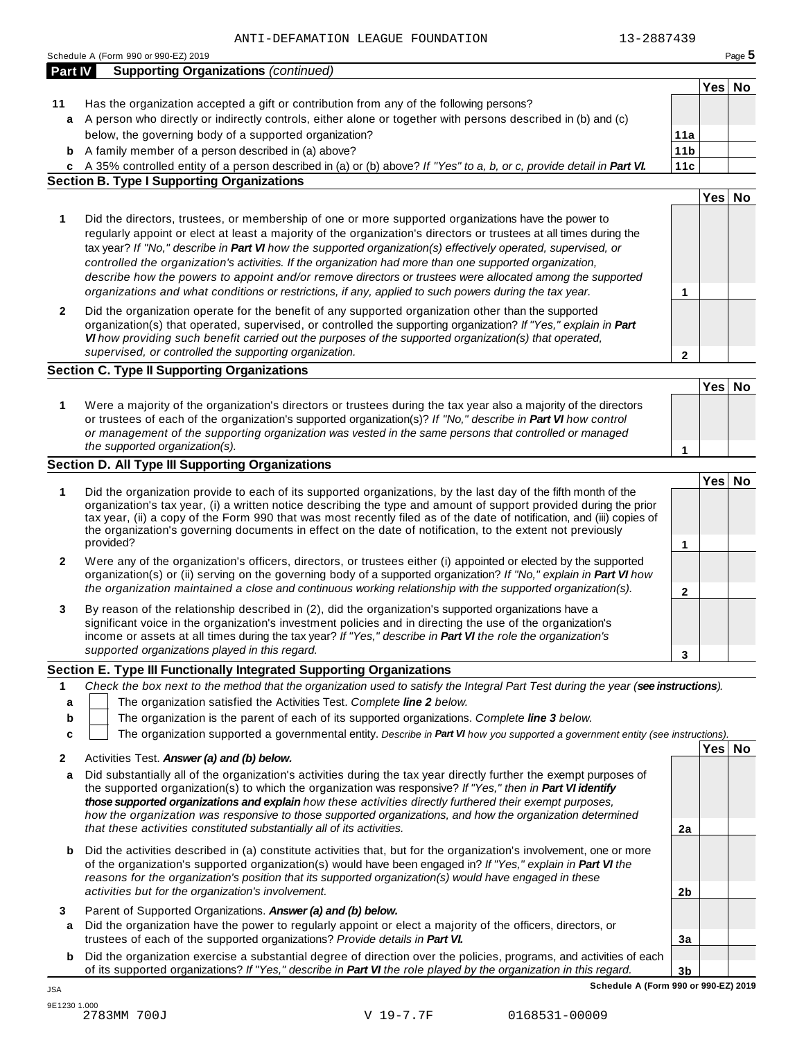|                | 13-2887439<br>ANTI-DEFAMATION LEAGUE FOUNDATION                                                                                                                                                                                                                                                                                                                                                                                                                                                                                                                    |                 |        |        |
|----------------|--------------------------------------------------------------------------------------------------------------------------------------------------------------------------------------------------------------------------------------------------------------------------------------------------------------------------------------------------------------------------------------------------------------------------------------------------------------------------------------------------------------------------------------------------------------------|-----------------|--------|--------|
|                | Schedule A (Form 990 or 990-EZ) 2019                                                                                                                                                                                                                                                                                                                                                                                                                                                                                                                               |                 |        | Page 5 |
| <b>Part IV</b> | <b>Supporting Organizations (continued)</b>                                                                                                                                                                                                                                                                                                                                                                                                                                                                                                                        |                 |        |        |
|                |                                                                                                                                                                                                                                                                                                                                                                                                                                                                                                                                                                    |                 | Yes No |        |
| 11             | Has the organization accepted a gift or contribution from any of the following persons?                                                                                                                                                                                                                                                                                                                                                                                                                                                                            |                 |        |        |
| a              | A person who directly or indirectly controls, either alone or together with persons described in (b) and (c)                                                                                                                                                                                                                                                                                                                                                                                                                                                       |                 |        |        |
|                | below, the governing body of a supported organization?                                                                                                                                                                                                                                                                                                                                                                                                                                                                                                             | 11a             |        |        |
| b              | A family member of a person described in (a) above?                                                                                                                                                                                                                                                                                                                                                                                                                                                                                                                | 11 <sub>b</sub> |        |        |
| C              | A 35% controlled entity of a person described in (a) or (b) above? If "Yes" to a, b, or c, provide detail in Part VI.<br><b>Section B. Type I Supporting Organizations</b>                                                                                                                                                                                                                                                                                                                                                                                         | 11c             |        |        |
|                |                                                                                                                                                                                                                                                                                                                                                                                                                                                                                                                                                                    |                 | Yes No |        |
|                |                                                                                                                                                                                                                                                                                                                                                                                                                                                                                                                                                                    |                 |        |        |
| 1              | Did the directors, trustees, or membership of one or more supported organizations have the power to<br>regularly appoint or elect at least a majority of the organization's directors or trustees at all times during the<br>tax year? If "No," describe in Part VI how the supported organization(s) effectively operated, supervised, or<br>controlled the organization's activities. If the organization had more than one supported organization,<br>describe how the powers to appoint and/or remove directors or trustees were allocated among the supported |                 |        |        |
|                | organizations and what conditions or restrictions, if any, applied to such powers during the tax year.                                                                                                                                                                                                                                                                                                                                                                                                                                                             | 1               |        |        |
| 2              | Did the organization operate for the benefit of any supported organization other than the supported<br>organization(s) that operated, supervised, or controlled the supporting organization? If "Yes," explain in Part<br>VI how providing such benefit carried out the purposes of the supported organization(s) that operated,<br>supervised, or controlled the supporting organization.                                                                                                                                                                         | $\mathbf{2}$    |        |        |
|                | <b>Section C. Type II Supporting Organizations</b>                                                                                                                                                                                                                                                                                                                                                                                                                                                                                                                 |                 |        |        |
|                |                                                                                                                                                                                                                                                                                                                                                                                                                                                                                                                                                                    |                 | Yes No |        |
| 1              | Were a majority of the organization's directors or trustees during the tax year also a majority of the directors<br>or trustees of each of the organization's supported organization(s)? If "No," describe in Part VI how control<br>or management of the supporting organization was vested in the same persons that controlled or managed                                                                                                                                                                                                                        |                 |        |        |
|                | the supported organization(s).                                                                                                                                                                                                                                                                                                                                                                                                                                                                                                                                     | 1               |        |        |
|                | <b>Section D. All Type III Supporting Organizations</b>                                                                                                                                                                                                                                                                                                                                                                                                                                                                                                            |                 |        |        |
|                |                                                                                                                                                                                                                                                                                                                                                                                                                                                                                                                                                                    |                 | Yes No |        |
| 1              | Did the organization provide to each of its supported organizations, by the last day of the fifth month of the<br>organization's tax year, (i) a written notice describing the type and amount of support provided during the prior<br>tax year, (ii) a copy of the Form 990 that was most recently filed as of the date of notification, and (iii) copies of<br>the organization's governing documents in effect on the date of notification, to the extent not previously<br>provided?                                                                           | 1               |        |        |
| $\mathbf{2}$   | Were any of the organization's officers, directors, or trustees either (i) appointed or elected by the supported<br>organization(s) or (ii) serving on the governing body of a supported organization? If "No," explain in Part VI how<br>the organization maintained a close and continuous working relationship with the supported organization(s).                                                                                                                                                                                                              | $\mathbf{2}$    |        |        |
| 3              | By reason of the relationship described in (2), did the organization's supported organizations have a<br>significant voice in the organization's investment policies and in directing the use of the organization's<br>income or assets at all times during the tax year? If "Yes," describe in Part VI the role the organization's                                                                                                                                                                                                                                |                 |        |        |
|                | supported organizations played in this regard.                                                                                                                                                                                                                                                                                                                                                                                                                                                                                                                     | 3               |        |        |
|                | Section E. Type III Functionally Integrated Supporting Organizations                                                                                                                                                                                                                                                                                                                                                                                                                                                                                               |                 |        |        |
| 1              | Check the box next to the method that the organization used to satisfy the Integral Part Test during the year (see instructions).                                                                                                                                                                                                                                                                                                                                                                                                                                  |                 |        |        |
| a              | The organization satisfied the Activities Test. Complete line 2 below.                                                                                                                                                                                                                                                                                                                                                                                                                                                                                             |                 |        |        |
| b              | The organization is the parent of each of its supported organizations. Complete line 3 below.                                                                                                                                                                                                                                                                                                                                                                                                                                                                      |                 |        |        |
| C              | The organization supported a governmental entity. Describe in Part VI how you supported a government entity (see instructions).                                                                                                                                                                                                                                                                                                                                                                                                                                    |                 |        |        |
|                |                                                                                                                                                                                                                                                                                                                                                                                                                                                                                                                                                                    |                 | Yes No |        |
| $\mathbf{2}$   | Activities Test. Answer (a) and (b) below.                                                                                                                                                                                                                                                                                                                                                                                                                                                                                                                         |                 |        |        |
| а              | Did substantially all of the organization's activities during the tax year directly further the exempt purposes of<br>the supported organization(s) to which the organization was responsive? If "Yes," then in Part VI identify<br>those supported organizations and explain how these activities directly furthered their exempt purposes,                                                                                                                                                                                                                       |                 |        |        |
|                | how the organization was responsive to those supported organizations, and how the organization determined<br>that these activities constituted substantially all of its activities.                                                                                                                                                                                                                                                                                                                                                                                | 2a              |        |        |
| b              | Did the activities described in (a) constitute activities that, but for the organization's involvement, one or more<br>of the organization's supported organization(s) would have been engaged in? If "Yes," explain in Part VI the<br>reasons for the organization's position that its supported organization(s) would have engaged in these<br>activities but for the organization's involvement.                                                                                                                                                                |                 |        |        |
|                |                                                                                                                                                                                                                                                                                                                                                                                                                                                                                                                                                                    | 2b              |        |        |
| 3<br>a         | Parent of Supported Organizations. Answer (a) and (b) below.<br>Did the organization have the power to regularly appoint or elect a majority of the officers, directors, or                                                                                                                                                                                                                                                                                                                                                                                        |                 |        |        |
| b              | trustees of each of the supported organizations? Provide details in Part VI.<br>Did the organization exercise a substantial degree of direction over the policies, programs, and activities of each                                                                                                                                                                                                                                                                                                                                                                | 3a              |        |        |
|                | of its supported organizations? If "Yes," describe in Part VI the role played by the organization in this regard.                                                                                                                                                                                                                                                                                                                                                                                                                                                  | 3 <sub>b</sub>  |        |        |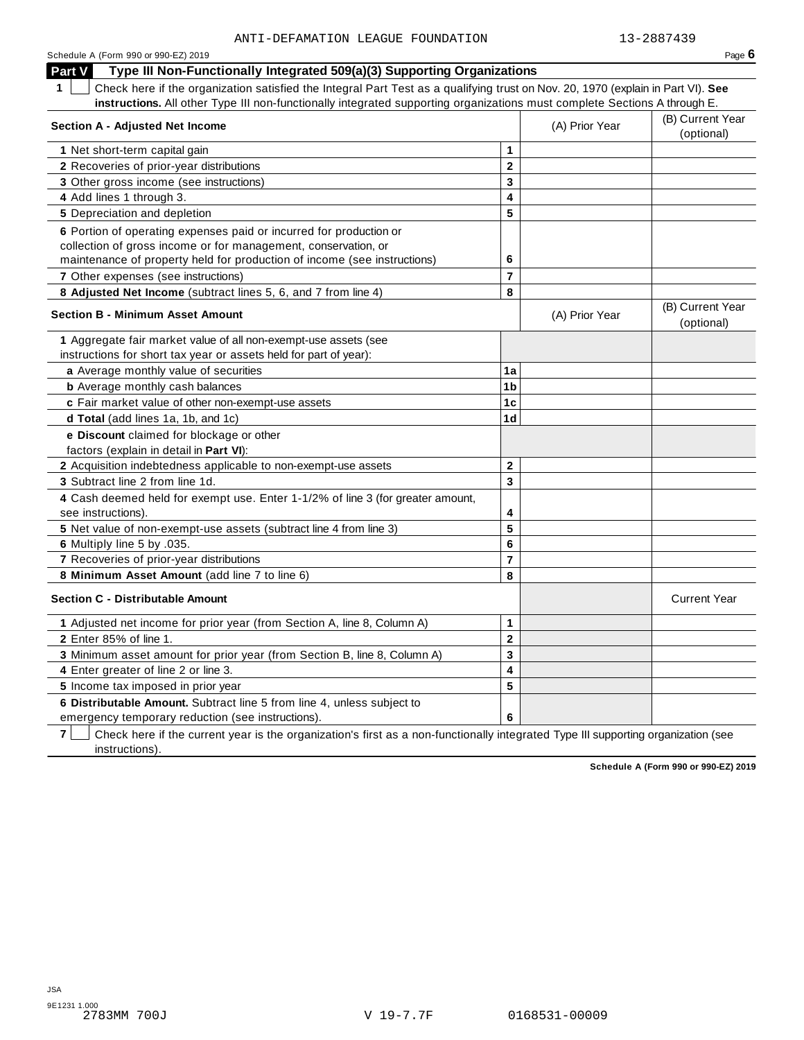| Schedule A (Form 990 or 990-EZ) 2019                                                                                                  |                         |                | Page 6                         |
|---------------------------------------------------------------------------------------------------------------------------------------|-------------------------|----------------|--------------------------------|
| Type III Non-Functionally Integrated 509(a)(3) Supporting Organizations<br><b>Part V</b>                                              |                         |                |                                |
| Check here if the organization satisfied the Integral Part Test as a qualifying trust on Nov. 20, 1970 (explain in Part VI). See<br>1 |                         |                |                                |
| instructions. All other Type III non-functionally integrated supporting organizations must complete Sections A through E.             |                         |                |                                |
| <b>Section A - Adjusted Net Income</b>                                                                                                |                         | (A) Prior Year | (B) Current Year<br>(optional) |
| 1 Net short-term capital gain                                                                                                         | $\mathbf{1}$            |                |                                |
| 2 Recoveries of prior-year distributions                                                                                              | $\mathbf 2$             |                |                                |
| 3 Other gross income (see instructions)                                                                                               | 3                       |                |                                |
| 4 Add lines 1 through 3.                                                                                                              | 4                       |                |                                |
| 5 Depreciation and depletion                                                                                                          | 5                       |                |                                |
| 6 Portion of operating expenses paid or incurred for production or                                                                    |                         |                |                                |
| collection of gross income or for management, conservation, or                                                                        |                         |                |                                |
| maintenance of property held for production of income (see instructions)                                                              | 6                       |                |                                |
| <b>7</b> Other expenses (see instructions)                                                                                            | $\overline{7}$          |                |                                |
| 8 Adjusted Net Income (subtract lines 5, 6, and 7 from line 4)                                                                        | 8                       |                |                                |
| <b>Section B - Minimum Asset Amount</b>                                                                                               |                         | (A) Prior Year | (B) Current Year<br>(optional) |
| 1 Aggregate fair market value of all non-exempt-use assets (see                                                                       |                         |                |                                |
| instructions for short tax year or assets held for part of year):                                                                     |                         |                |                                |
| a Average monthly value of securities                                                                                                 | 1a                      |                |                                |
| <b>b</b> Average monthly cash balances                                                                                                | 1 <sub>b</sub>          |                |                                |
| c Fair market value of other non-exempt-use assets                                                                                    | 1 <sub>c</sub>          |                |                                |
| d Total (add lines 1a, 1b, and 1c)                                                                                                    | 1 <sub>d</sub>          |                |                                |
| e Discount claimed for blockage or other                                                                                              |                         |                |                                |
| factors (explain in detail in Part VI):                                                                                               |                         |                |                                |
| 2 Acquisition indebtedness applicable to non-exempt-use assets                                                                        | $\overline{\mathbf{2}}$ |                |                                |
| 3 Subtract line 2 from line 1d.                                                                                                       | $\overline{\mathbf{3}}$ |                |                                |
| 4 Cash deemed held for exempt use. Enter 1-1/2% of line 3 (for greater amount,<br>see instructions).                                  | 4                       |                |                                |
| 5 Net value of non-exempt-use assets (subtract line 4 from line 3)                                                                    | 5                       |                |                                |
| 6 Multiply line 5 by .035.                                                                                                            | $6\phantom{1}$          |                |                                |
| 7 Recoveries of prior-year distributions                                                                                              | $\overline{7}$          |                |                                |
| 8 Minimum Asset Amount (add line 7 to line 6)                                                                                         | 8                       |                |                                |
| <b>Section C - Distributable Amount</b>                                                                                               |                         |                | <b>Current Year</b>            |
| 1 Adjusted net income for prior year (from Section A, line 8, Column A)                                                               | $\mathbf{1}$            |                |                                |
| 2 Enter 85% of line 1.                                                                                                                | $\mathbf 2$             |                |                                |
| 3 Minimum asset amount for prior year (from Section B, line 8, Column A)                                                              | 3                       |                |                                |
| 4 Enter greater of line 2 or line 3.                                                                                                  | 4                       |                |                                |
| 5 Income tax imposed in prior year                                                                                                    | 5                       |                |                                |
| 6 Distributable Amount. Subtract line 5 from line 4, unless subject to                                                                |                         |                |                                |
| emergency temporary reduction (see instructions).                                                                                     | 6                       |                |                                |

**7** | Check here if the current year is the organization's first as a non-functionally integrated Type III supporting organization (see instructions).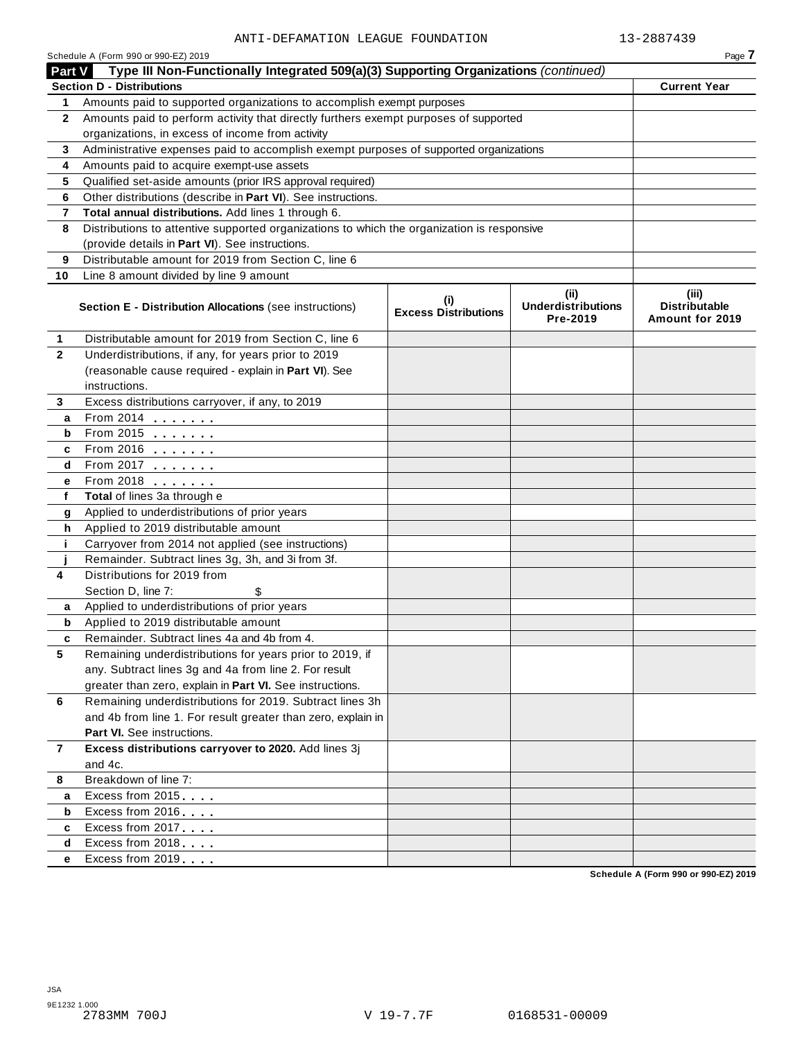|                | Schedule A (Form 990 or 990-EZ) 2019                                                       |                                    |                                               | Page 7                                           |
|----------------|--------------------------------------------------------------------------------------------|------------------------------------|-----------------------------------------------|--------------------------------------------------|
| Part V         | Type III Non-Functionally Integrated 509(a)(3) Supporting Organizations (continued)        |                                    |                                               |                                                  |
|                | <b>Section D - Distributions</b>                                                           |                                    |                                               | <b>Current Year</b>                              |
| 1              | Amounts paid to supported organizations to accomplish exempt purposes                      |                                    |                                               |                                                  |
| $\mathbf{2}$   | Amounts paid to perform activity that directly furthers exempt purposes of supported       |                                    |                                               |                                                  |
|                | organizations, in excess of income from activity                                           |                                    |                                               |                                                  |
| 3              | Administrative expenses paid to accomplish exempt purposes of supported organizations      |                                    |                                               |                                                  |
| 4              | Amounts paid to acquire exempt-use assets                                                  |                                    |                                               |                                                  |
| 5              | Qualified set-aside amounts (prior IRS approval required)                                  |                                    |                                               |                                                  |
| 6              | Other distributions (describe in Part VI). See instructions.                               |                                    |                                               |                                                  |
| 7              | Total annual distributions. Add lines 1 through 6.                                         |                                    |                                               |                                                  |
| 8              | Distributions to attentive supported organizations to which the organization is responsive |                                    |                                               |                                                  |
|                | (provide details in Part VI). See instructions.                                            |                                    |                                               |                                                  |
| 9              | Distributable amount for 2019 from Section C, line 6                                       |                                    |                                               |                                                  |
| 10             | Line 8 amount divided by line 9 amount                                                     |                                    |                                               |                                                  |
|                | Section E - Distribution Allocations (see instructions)                                    | (i)<br><b>Excess Distributions</b> | (ii)<br><b>Underdistributions</b><br>Pre-2019 | (iii)<br><b>Distributable</b><br>Amount for 2019 |
| 1              | Distributable amount for 2019 from Section C, line 6                                       |                                    |                                               |                                                  |
| $\mathbf{2}$   | Underdistributions, if any, for years prior to 2019                                        |                                    |                                               |                                                  |
|                | (reasonable cause required - explain in Part VI). See                                      |                                    |                                               |                                                  |
|                | instructions.                                                                              |                                    |                                               |                                                  |
| 3              | Excess distributions carryover, if any, to 2019                                            |                                    |                                               |                                                  |
| a              | From 2014 <b></b>                                                                          |                                    |                                               |                                                  |
| b              | From 2015                                                                                  |                                    |                                               |                                                  |
| c              | From 2016 <b></b>                                                                          |                                    |                                               |                                                  |
| d              | From 2017                                                                                  |                                    |                                               |                                                  |
| е              | From 2018                                                                                  |                                    |                                               |                                                  |
| f              | Total of lines 3a through e                                                                |                                    |                                               |                                                  |
| g              | Applied to underdistributions of prior years                                               |                                    |                                               |                                                  |
| h              | Applied to 2019 distributable amount                                                       |                                    |                                               |                                                  |
| j.             | Carryover from 2014 not applied (see instructions)                                         |                                    |                                               |                                                  |
|                | Remainder. Subtract lines 3g, 3h, and 3i from 3f.                                          |                                    |                                               |                                                  |
| 4              | Distributions for 2019 from                                                                |                                    |                                               |                                                  |
|                | Section D, line 7:<br>\$                                                                   |                                    |                                               |                                                  |
| a              | Applied to underdistributions of prior years                                               |                                    |                                               |                                                  |
| b              | Applied to 2019 distributable amount                                                       |                                    |                                               |                                                  |
|                | Remainder. Subtract lines 4a and 4b from 4                                                 |                                    |                                               |                                                  |
| 5              | Remaining underdistributions for years prior to 2019, if                                   |                                    |                                               |                                                  |
|                | any. Subtract lines 3g and 4a from line 2. For result                                      |                                    |                                               |                                                  |
|                | greater than zero, explain in Part VI. See instructions.                                   |                                    |                                               |                                                  |
| 6              | Remaining underdistributions for 2019. Subtract lines 3h                                   |                                    |                                               |                                                  |
|                | and 4b from line 1. For result greater than zero, explain in                               |                                    |                                               |                                                  |
|                | Part VI. See instructions.                                                                 |                                    |                                               |                                                  |
| $\overline{7}$ | Excess distributions carryover to 2020. Add lines 3j                                       |                                    |                                               |                                                  |
|                | and 4c.                                                                                    |                                    |                                               |                                                  |
| 8              | Breakdown of line 7:                                                                       |                                    |                                               |                                                  |
| a              | Excess from 2015                                                                           |                                    |                                               |                                                  |
| b              | Excess from 2016                                                                           |                                    |                                               |                                                  |
| c              | Excess from 2017                                                                           |                                    |                                               |                                                  |
| d              | Excess from 2018                                                                           |                                    |                                               |                                                  |
| е              | Excess from 2019                                                                           |                                    |                                               |                                                  |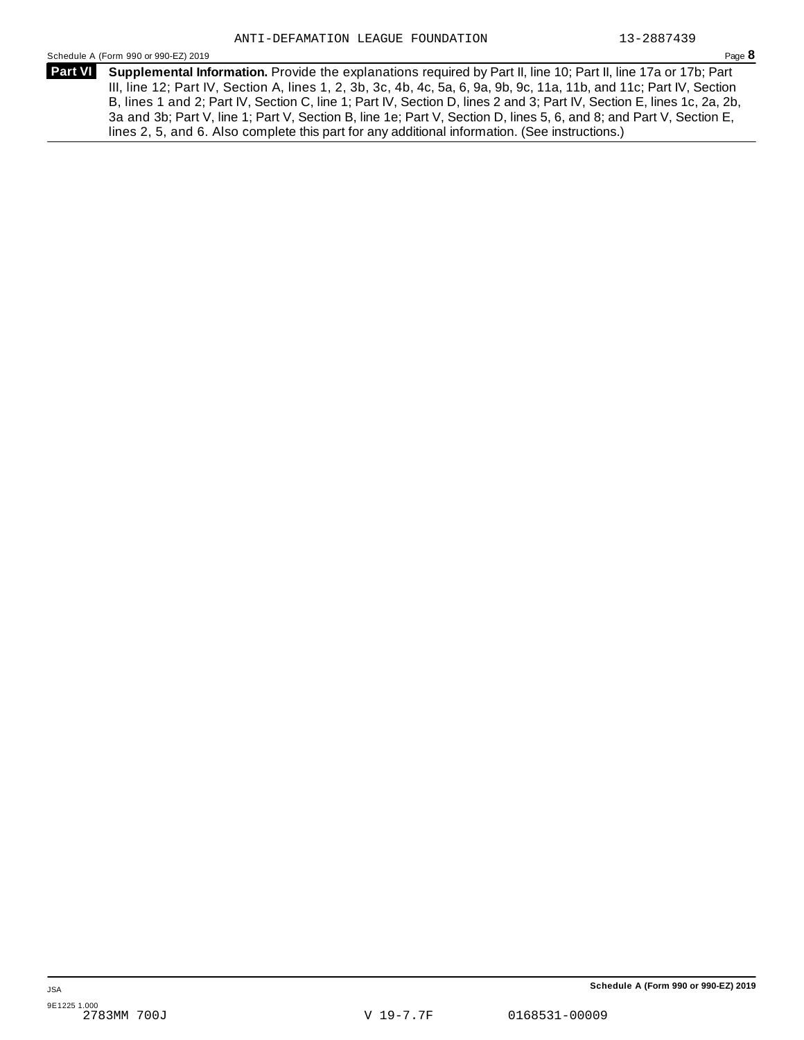Schedule <sup>A</sup> (Form <sup>990</sup> or 990-EZ) <sup>2019</sup> Page **8**

**Supplemental Information.** Provide the explanations required by Part II, line 10; Part II, line 17a or 17b; Part **Part VI** III, line 12; Part IV, Section A, lines 1, 2, 3b, 3c, 4b, 4c, 5a, 6, 9a, 9b, 9c, 11a, 11b, and 11c; Part IV, Section B, lines 1 and 2; Part IV, Section C, line 1; Part IV, Section D, lines 2 and 3; Part IV, Section E, lines 1c, 2a, 2b, 3a and 3b; Part V, line 1; Part V, Section B, line 1e; Part V, Section D, lines 5, 6, and 8; and Part V, Section E, lines 2, 5, and 6. Also complete this part for any additional information. (See instructions.)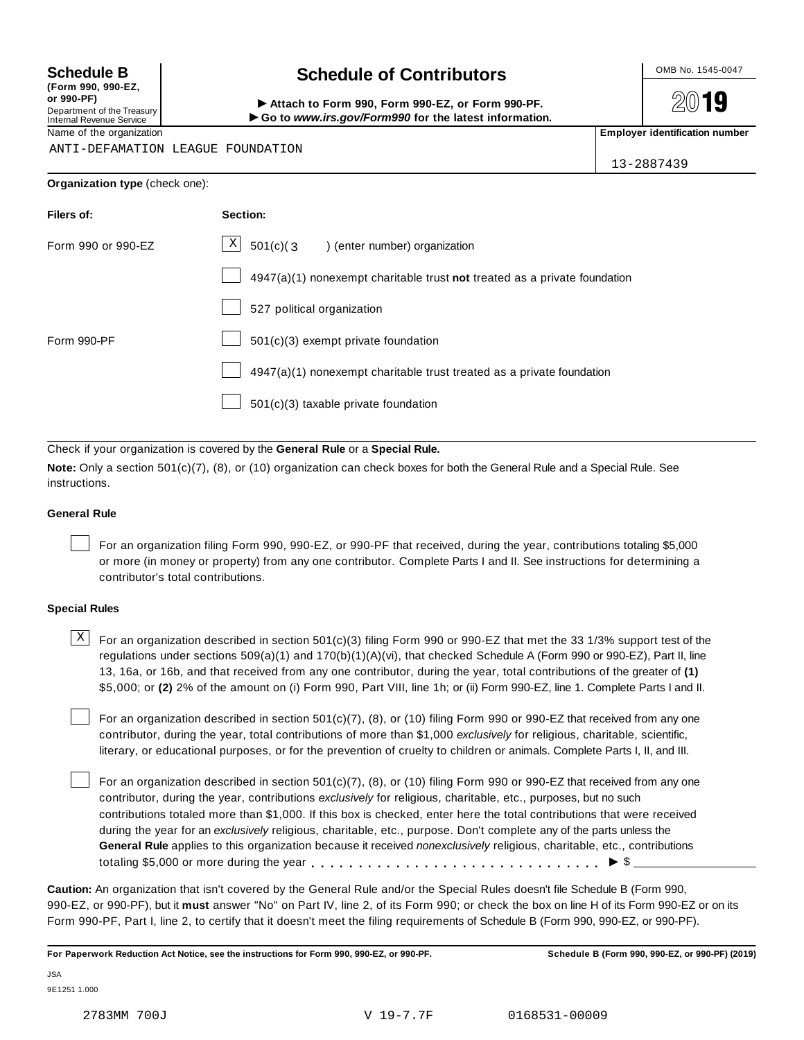**(Form 990, 990-EZ, or 990-PF)** Department of the Treasury<br>Internal Revenue Service

## **Schedule B chedule of Contributors**

(Porm 990, Form 990, Form 990-EZ, or Form 990-PF.<br>Department of the Treasury → Attach to Form 990, Form 990-EZ, or Form 990-PF.<br>Internal Revenue Service → → Go to www.irs.gov/Form990 for the latest information.<br>Name of th

2019

ANTI-DEFAMATION LEAGUE FOUNDATION

13-2887439

| Filers of:         | Section:                                                                    |
|--------------------|-----------------------------------------------------------------------------|
| Form 990 or 990-EZ | $\mathbf{X}$<br>$501(c)$ (3<br>) (enter number) organization                |
|                    | $4947(a)(1)$ nonexempt charitable trust not treated as a private foundation |
|                    | 527 political organization                                                  |
| Form 990-PF        | $501(c)(3)$ exempt private foundation                                       |
|                    | 4947(a)(1) nonexempt charitable trust treated as a private foundation       |
|                    | 501(c)(3) taxable private foundation                                        |

Check if your organization is covered by the **General Rule** or a **Special Rule.**

**Note:** Only a section 501(c)(7), (8), or (10) organization can check boxes for both the General Rule and a Special Rule. See instructions.

#### **General Rule**

For an organization filing Form 990, 990-EZ, or 990-PF that received, during the year, contributions totaling \$5,000 or more (in money or property) from any one contributor. Complete Parts I and II. See instructions for determining a contributor's total contributions.

#### **Special Rules**

 $\text{X}$  For an organization described in section 501(c)(3) filing Form 990 or 990-EZ that met the 33 1/3% support test of the regulations under sections 509(a)(1) and 170(b)(1)(A)(vi), that checked Schedule A (Form 990 or 990-EZ), Part II, line 13, 16a, or 16b, and that received from any one contributor, during the year, total contributions of the greater of **(1)** \$5,000; or **(2)** 2% of the amount on (i) Form 990, Part VIII, line 1h; or (ii) Form 990-EZ, line 1. Complete Parts I and II.

For an organization described in section 501(c)(7), (8), or (10) filing Form 990 or 990-EZ that received from any one contributor, during the year, total contributions of more than \$1,000 *exclusively* for religious, charitable, scientific, literary, or educational purposes, or for the prevention of cruelty to children or animals. Complete Parts I, II, and III.

For an organization described in section 501(c)(7), (8), or (10) filing Form 990 or 990-EZ that received from any one contributor, during the year, contributions *exclusively* for religious, charitable, etc., purposes, but no such contributions totaled more than \$1,000. If this box is checked, enter here the total contributions that were received during the year for an *exclusively* religious, charitable, etc., purpose. Don't complete any of the parts unless the **General Rule** applies to this organization because it received *nonexclusively* religious, charitable, etc., contributions totaling \$5,000 or more during the year m m m m m m m m m m m m m m m m m m m m m m m m m m m m m m m I \$

**Caution:** An organization that isn't covered by the General Rule and/or the Special Rules doesn't file Schedule B (Form 990, 990-EZ, or 990-PF), but it **must** answer "No" on Part IV, line 2, of its Form 990; or check the box on line H of its Form 990-EZ or on its Form 990-PF, Part I, line 2, to certify that it doesn't meet the filing requirements of Schedule B (Form 990, 990-EZ, or 990-PF).

For Paperwork Reduction Act Notice, see the instructions for Form 990, 990-EZ, or 990-PF. Schedule B (Form 990, 990-EZ, or 990-PF) (2019)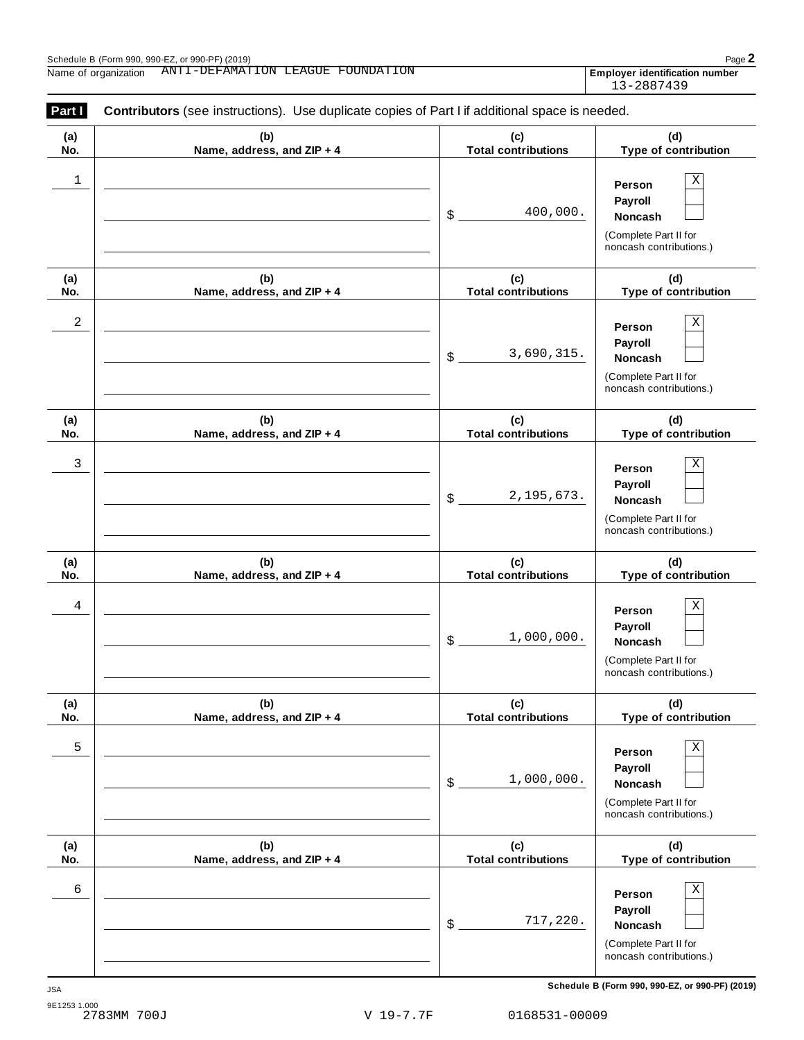| Part I     | <b>Contributors</b> (see instructions). Use duplicate copies of Part I if additional space is needed. |                                   |                                                                                       |
|------------|-------------------------------------------------------------------------------------------------------|-----------------------------------|---------------------------------------------------------------------------------------|
| (a)<br>No. | (b)<br>Name, address, and ZIP + 4                                                                     | (c)<br><b>Total contributions</b> | (d)<br>Type of contribution                                                           |
| 1          |                                                                                                       | 400,000.<br>\$                    | Х<br>Person<br>Payroll<br>Noncash<br>(Complete Part II for<br>noncash contributions.) |
| (a)<br>No. | (b)<br>Name, address, and ZIP + 4                                                                     | (c)<br><b>Total contributions</b> | (d)<br>Type of contribution                                                           |
| 2          |                                                                                                       | 3,690,315.<br>\$                  | Х<br>Person<br>Payroll<br>Noncash<br>(Complete Part II for<br>noncash contributions.) |
| (a)<br>No. | (b)<br>Name, address, and ZIP + 4                                                                     | (c)<br><b>Total contributions</b> | (d)<br>Type of contribution                                                           |
| 3          |                                                                                                       | 2,195,673.<br>\$                  | Х<br>Person<br>Payroll<br>Noncash<br>(Complete Part II for<br>noncash contributions.) |
| (a)<br>No. | (b)<br>Name, address, and ZIP + 4                                                                     | (c)<br><b>Total contributions</b> | (d)<br>Type of contribution                                                           |
| 4          |                                                                                                       | 1,000,000.<br>\$                  | Χ<br>Person<br>Payroll<br>Noncash<br>(Complete Part II for<br>noncash contributions.) |
| (a)<br>No. | (b)<br>Name, address, and ZIP + 4                                                                     | (c)<br><b>Total contributions</b> | (d)<br>Type of contribution                                                           |
| 5          |                                                                                                       | 1,000,000.<br>\$                  | Χ<br>Person<br>Payroll<br>Noncash<br>(Complete Part II for<br>noncash contributions.) |
| (a)<br>No. | (b)<br>Name, address, and ZIP + 4                                                                     | (c)<br><b>Total contributions</b> | (d)<br>Type of contribution                                                           |
| 6          |                                                                                                       | 717,220.<br>\$                    | Χ<br>Person<br>Payroll<br>Noncash<br>(Complete Part II for<br>noncash contributions.) |

**Schedule B (Form 990, 990-EZ, or 990-PF) (2019)** JSA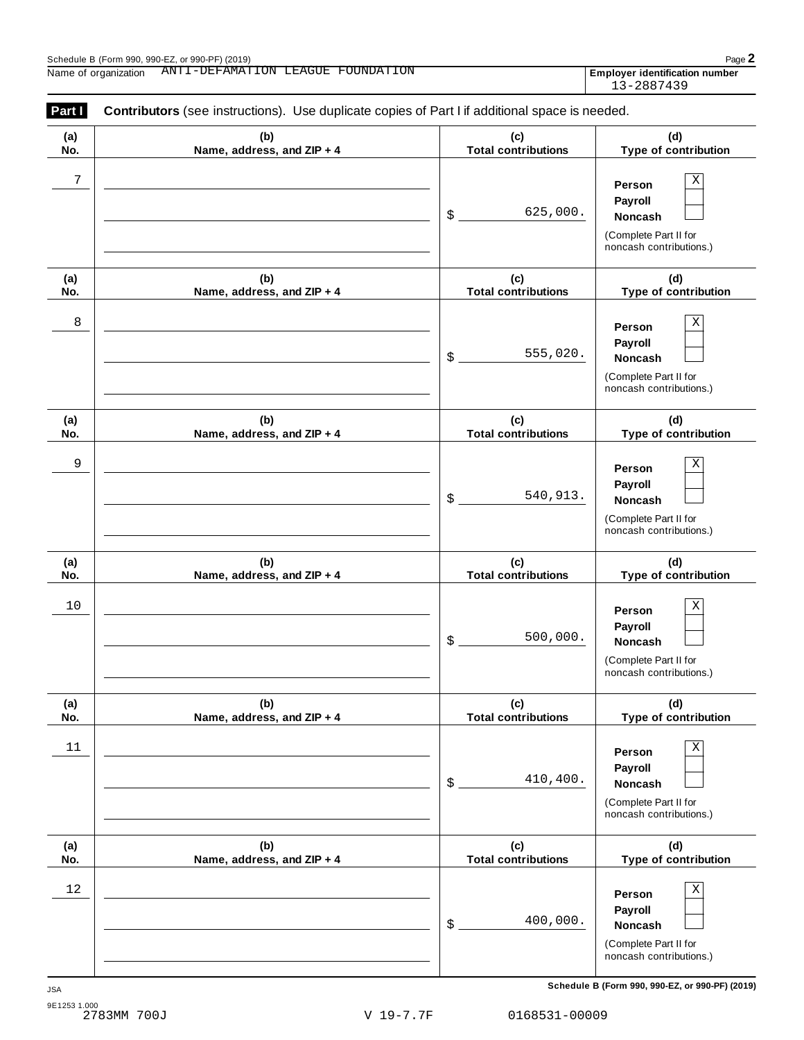| Part I     |                                   |                                   |                                                                                              |
|------------|-----------------------------------|-----------------------------------|----------------------------------------------------------------------------------------------|
| (a)<br>No. | (b)<br>Name, address, and ZIP + 4 | (c)<br><b>Total contributions</b> | (d)<br>Type of contribution                                                                  |
| 7          |                                   | 625,000.<br>\$                    | Х<br>Person<br>Payroll<br>Noncash<br>(Complete Part II for<br>noncash contributions.)        |
| (a)<br>No. | (b)<br>Name, address, and ZIP + 4 | (c)<br><b>Total contributions</b> | (d)<br>Type of contribution                                                                  |
| 8          |                                   | 555,020.<br>\$                    | Х<br>Person<br>Payroll<br>Noncash<br>(Complete Part II for<br>noncash contributions.)        |
| (a)<br>No. | (b)<br>Name, address, and ZIP + 4 | (c)<br><b>Total contributions</b> | (d)<br>Type of contribution                                                                  |
| 9          |                                   | 540,913.<br>\$                    | Х<br>Person<br>Payroll<br>Noncash<br>(Complete Part II for<br>noncash contributions.)        |
| (a)<br>No. | (b)<br>Name, address, and ZIP + 4 | (c)<br><b>Total contributions</b> | (d)<br>Type of contribution                                                                  |
| $10$       |                                   | 500,000.<br>\$                    | Χ<br>Person<br>Payroll<br><b>Noncash</b><br>(Complete Part II for<br>noncash contributions.) |
| (a)<br>No. | (b)<br>Name, address, and ZIP + 4 | (c)<br><b>Total contributions</b> | (d)<br>Type of contribution                                                                  |
| $11\,$     |                                   | 410,400.<br>\$                    | Χ<br>Person<br>Payroll<br><b>Noncash</b><br>(Complete Part II for<br>noncash contributions.) |
| (a)<br>No. | (b)<br>Name, address, and ZIP + 4 | (c)<br><b>Total contributions</b> | (d)<br>Type of contribution                                                                  |
| $1\,2$     |                                   | 400,000.<br>\$                    | Χ<br>Person<br>Payroll<br><b>Noncash</b><br>(Complete Part II for<br>noncash contributions.) |

**Schedule B (Form 990, 990-EZ, or 990-PF) (2019)** JSA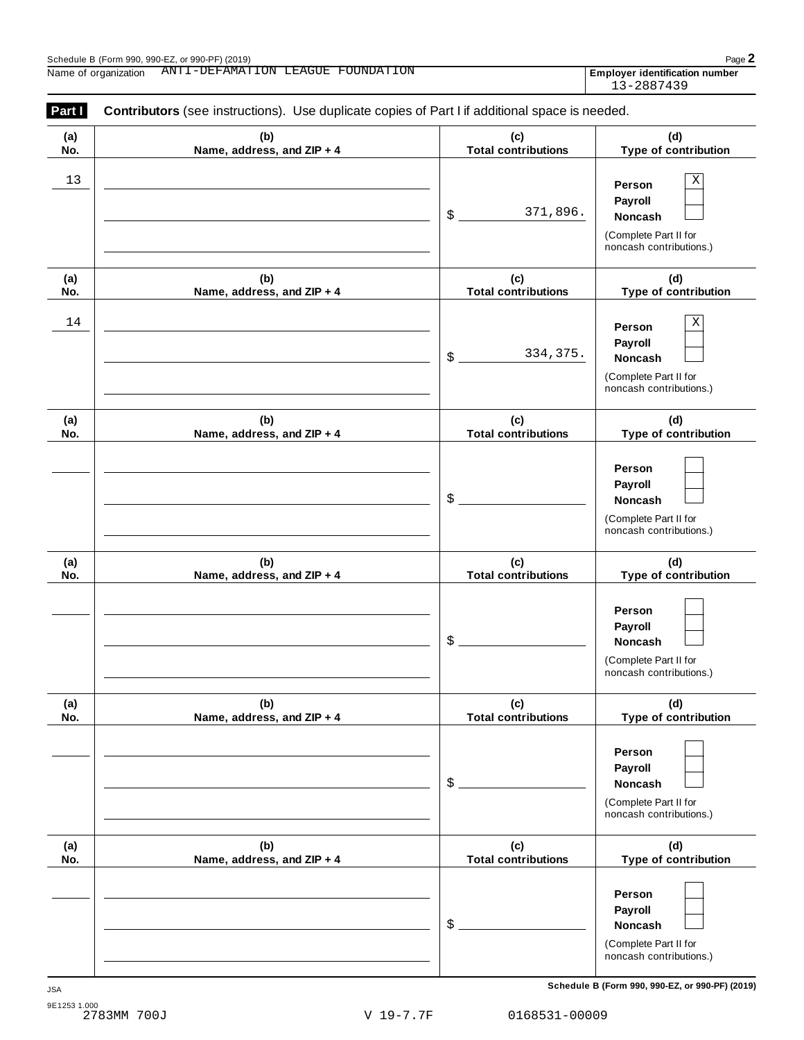**(b) Name, address, and ZIP + 4**

**(b) Name, address, and ZIP + 4**

**(b) Name, address, and ZIP + 4**

**(a) No.**

**(a) No.**

**(a) No.**

| (a)<br>No. | (b)<br>Name, address, and ZIP + 4 | (c)<br><b>Total contributions</b> | (d)<br>Type of contribution                                                                         |
|------------|-----------------------------------|-----------------------------------|-----------------------------------------------------------------------------------------------------|
| 13         |                                   | 371,896.<br>\$                    | X<br>Person<br><b>Payroll</b><br><b>Noncash</b><br>(Complete Part II for<br>noncash contributions.) |
| (a)<br>No. | (b)<br>Name, address, and ZIP + 4 | (c)<br><b>Total contributions</b> | (d)<br>Type of contribution                                                                         |
| 14         |                                   | 334,375.<br>\$                    | Х<br>Person<br><b>Payroll</b><br><b>Noncash</b><br>(Complete Part II for<br>noncash contributions.) |
| (a)        | (b)                               | (c)<br><b>Total contributions</b> | (d)<br><b>Type of contribution</b>                                                                  |

\$ **Noncash**

\$ **Noncash**

\$ **Noncash**

**(c) Total contributions**

**(c) Total contributions**

**(c) Total contributions** **Person Payroll**

**Person Payroll**

**Person Payroll**

**Person Payroll**

(Complete Part II for noncash contributions.)

(Complete Part II for noncash contributions.)

(Complete Part II for noncash contributions.)

> **(d) Type of contribution**

> **(d) Type of contribution**

> **(d) Type of contribution**

**Schedule B (Form 990, 990-EZ, or 990-PF) (2019)** JSA

(Complete Part II for noncash contributions.)

\$ **Noncash**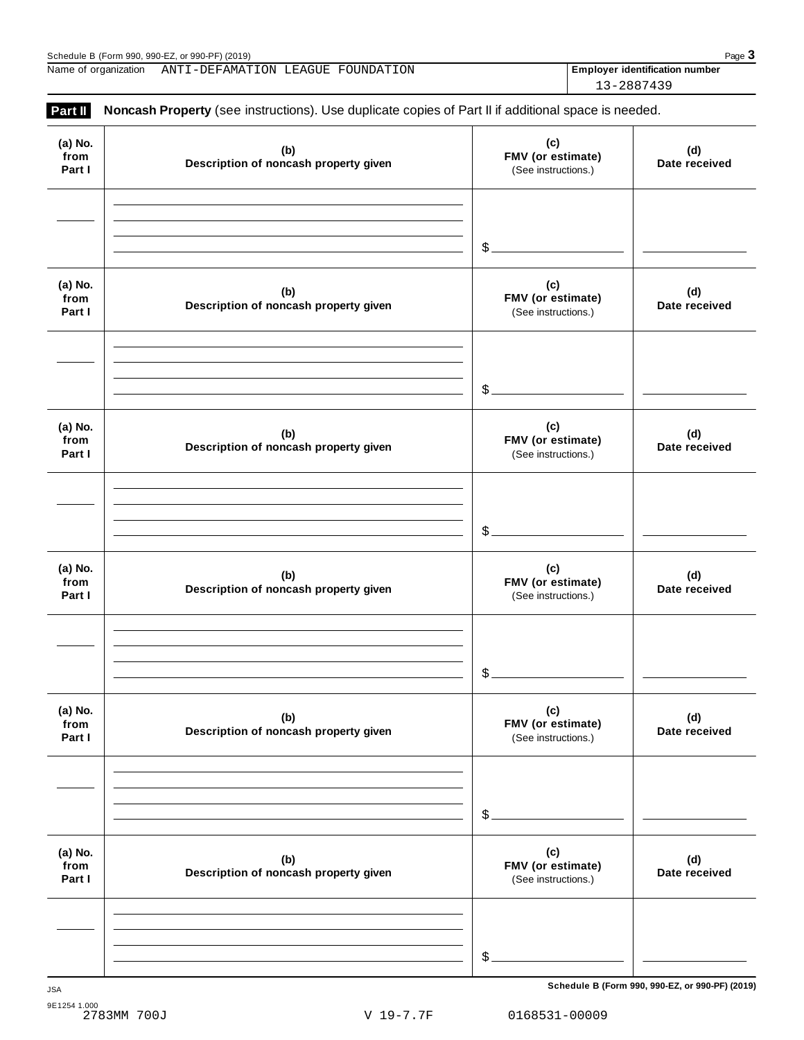Schedule B (Form 990, 990-EZ, or 990-PF) (2019)<br>Name of organization ANTI-DEFAMATION LEAGUE FOUNDATION **Page 3**<br>Name of organization ANTI-DEFAMATION LEAGUE FOUNDATION **Page 3** Name of organization **Employer identification number** ANTI-DEFAMATION LEAGUE FOUNDATION

13-2887439

| Part II                   | Noncash Property (see instructions). Use duplicate copies of Part II if additional space is needed. |                                                 |                      |
|---------------------------|-----------------------------------------------------------------------------------------------------|-------------------------------------------------|----------------------|
| (a) No.<br>from<br>Part I | (b)<br>Description of noncash property given                                                        | (c)<br>FMV (or estimate)<br>(See instructions.) | (d)<br>Date received |
|                           |                                                                                                     | $\frac{1}{2}$                                   |                      |
| (a) No.<br>from<br>Part I | (b)<br>Description of noncash property given                                                        | (c)<br>FMV (or estimate)<br>(See instructions.) | (d)<br>Date received |
|                           |                                                                                                     | $\frac{1}{2}$                                   |                      |
| (a) No.<br>from<br>Part I | (b)<br>Description of noncash property given                                                        | (c)<br>FMV (or estimate)<br>(See instructions.) | (d)<br>Date received |
|                           |                                                                                                     | $\frac{1}{2}$                                   |                      |
| (a) No.<br>from<br>Part I | (b)<br>Description of noncash property given                                                        | (c)<br>FMV (or estimate)<br>(See instructions.) | (d)<br>Date received |
|                           |                                                                                                     | \$.                                             |                      |
| (a) No.<br>from<br>Part I | (b)<br>Description of noncash property given                                                        | (c)<br>FMV (or estimate)<br>(See instructions.) | (d)<br>Date received |
|                           |                                                                                                     | \$                                              |                      |
| (a) No.<br>from<br>Part I | (b)<br>Description of noncash property given                                                        | (c)<br>FMV (or estimate)<br>(See instructions.) | (d)<br>Date received |
|                           |                                                                                                     |                                                 |                      |
|                           |                                                                                                     | \$.                                             |                      |

**Schedule B (Form 990, 990-EZ, or 990-PF) (2019)** JSA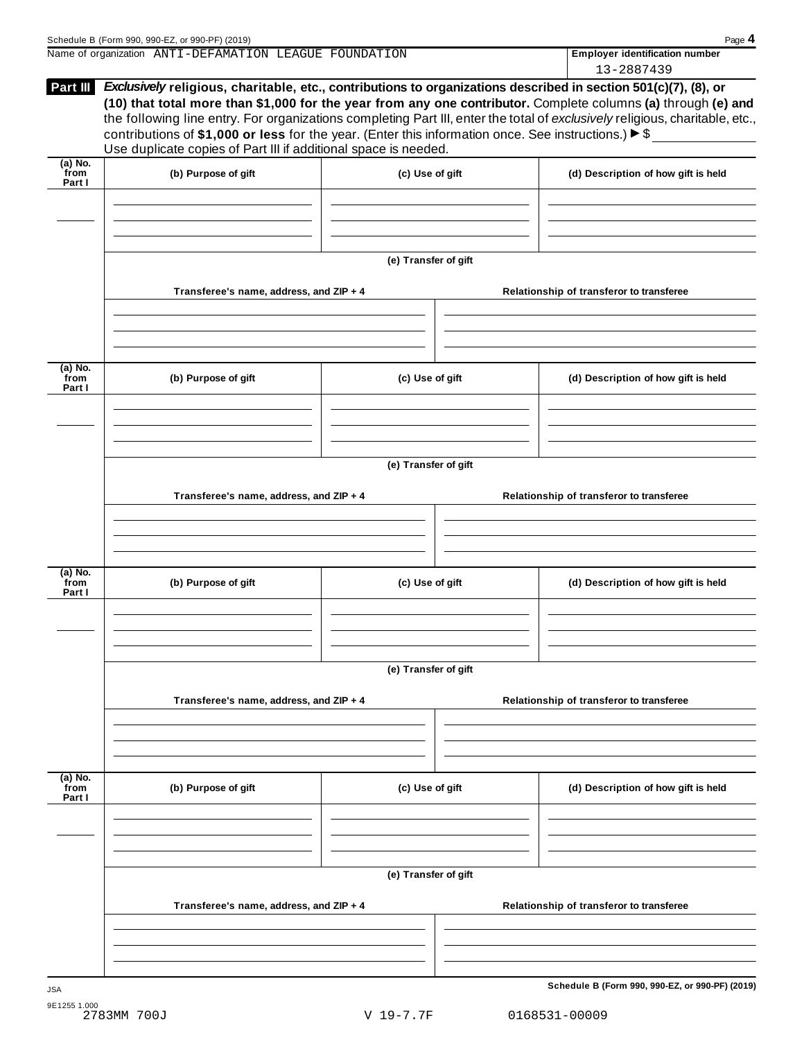| Schedule B (Form 990, 990-EZ, or 990-PF) (2019)                                                                             |                                       |  |  |  |  |  |
|-----------------------------------------------------------------------------------------------------------------------------|---------------------------------------|--|--|--|--|--|
| Name of organization ANTI-DEFAMATION LEAGUE FOUNDATION                                                                      | <b>Employer identification number</b> |  |  |  |  |  |
|                                                                                                                             | 13-2887439                            |  |  |  |  |  |
| <b>Part III</b> Evelugivaly religious charitable ate contributions to organizations described in section $501(c)(7)$ (8) or |                                       |  |  |  |  |  |

| Part III        | Exclusively religious, charitable, etc., contributions to organizations described in section 501(c)(7), (8), or              |                      |                                          |                                          |  |  |  |  |  |  |
|-----------------|------------------------------------------------------------------------------------------------------------------------------|----------------------|------------------------------------------|------------------------------------------|--|--|--|--|--|--|
|                 | (10) that total more than \$1,000 for the year from any one contributor. Complete columns (a) through (e) and                |                      |                                          |                                          |  |  |  |  |  |  |
|                 | the following line entry. For organizations completing Part III, enter the total of exclusively religious, charitable, etc., |                      |                                          |                                          |  |  |  |  |  |  |
|                 | contributions of \$1,000 or less for the year. (Enter this information once. See instructions.) ▶ \$                         |                      |                                          |                                          |  |  |  |  |  |  |
|                 | Use duplicate copies of Part III if additional space is needed.                                                              |                      |                                          |                                          |  |  |  |  |  |  |
| (a) No.<br>from |                                                                                                                              |                      |                                          |                                          |  |  |  |  |  |  |
| Part I          | (b) Purpose of gift                                                                                                          | (c) Use of gift      |                                          | (d) Description of how gift is held      |  |  |  |  |  |  |
|                 |                                                                                                                              |                      |                                          |                                          |  |  |  |  |  |  |
|                 |                                                                                                                              |                      |                                          |                                          |  |  |  |  |  |  |
|                 |                                                                                                                              |                      |                                          |                                          |  |  |  |  |  |  |
|                 |                                                                                                                              |                      |                                          |                                          |  |  |  |  |  |  |
|                 | (e) Transfer of gift                                                                                                         |                      |                                          |                                          |  |  |  |  |  |  |
|                 |                                                                                                                              |                      |                                          |                                          |  |  |  |  |  |  |
|                 | Transferee's name, address, and ZIP + 4                                                                                      |                      |                                          | Relationship of transferor to transferee |  |  |  |  |  |  |
|                 |                                                                                                                              |                      |                                          |                                          |  |  |  |  |  |  |
|                 |                                                                                                                              |                      |                                          |                                          |  |  |  |  |  |  |
|                 |                                                                                                                              |                      |                                          |                                          |  |  |  |  |  |  |
|                 |                                                                                                                              |                      |                                          |                                          |  |  |  |  |  |  |
| (a) No.         |                                                                                                                              |                      |                                          |                                          |  |  |  |  |  |  |
| from<br>Part I  | (b) Purpose of gift                                                                                                          | (c) Use of gift      |                                          | (d) Description of how gift is held      |  |  |  |  |  |  |
|                 |                                                                                                                              |                      |                                          |                                          |  |  |  |  |  |  |
|                 |                                                                                                                              |                      |                                          |                                          |  |  |  |  |  |  |
|                 |                                                                                                                              |                      |                                          |                                          |  |  |  |  |  |  |
|                 |                                                                                                                              |                      |                                          |                                          |  |  |  |  |  |  |
|                 |                                                                                                                              | (e) Transfer of gift |                                          |                                          |  |  |  |  |  |  |
|                 |                                                                                                                              |                      |                                          |                                          |  |  |  |  |  |  |
|                 | Transferee's name, address, and ZIP + 4                                                                                      |                      | Relationship of transferor to transferee |                                          |  |  |  |  |  |  |
|                 |                                                                                                                              |                      |                                          |                                          |  |  |  |  |  |  |
|                 |                                                                                                                              |                      |                                          |                                          |  |  |  |  |  |  |
|                 |                                                                                                                              |                      |                                          |                                          |  |  |  |  |  |  |
|                 |                                                                                                                              |                      |                                          |                                          |  |  |  |  |  |  |
| (a) No.         |                                                                                                                              |                      |                                          |                                          |  |  |  |  |  |  |
| from<br>Part I  | (b) Purpose of gift                                                                                                          | (c) Use of gift      |                                          | (d) Description of how gift is held      |  |  |  |  |  |  |
|                 |                                                                                                                              |                      |                                          |                                          |  |  |  |  |  |  |
|                 |                                                                                                                              |                      |                                          |                                          |  |  |  |  |  |  |
|                 |                                                                                                                              |                      |                                          |                                          |  |  |  |  |  |  |
|                 |                                                                                                                              |                      |                                          |                                          |  |  |  |  |  |  |
|                 |                                                                                                                              |                      |                                          |                                          |  |  |  |  |  |  |
|                 | (e) Transfer of gift                                                                                                         |                      |                                          |                                          |  |  |  |  |  |  |
|                 | Transferee's name, address, and ZIP + 4                                                                                      |                      | Relationship of transferor to transferee |                                          |  |  |  |  |  |  |
|                 |                                                                                                                              |                      |                                          |                                          |  |  |  |  |  |  |
|                 |                                                                                                                              |                      |                                          |                                          |  |  |  |  |  |  |
|                 |                                                                                                                              |                      |                                          |                                          |  |  |  |  |  |  |
|                 |                                                                                                                              |                      |                                          |                                          |  |  |  |  |  |  |
|                 |                                                                                                                              |                      |                                          |                                          |  |  |  |  |  |  |
| (a) No.<br>from | (b) Purpose of gift                                                                                                          | (c) Use of gift      |                                          | (d) Description of how gift is held      |  |  |  |  |  |  |
| Part I          |                                                                                                                              |                      |                                          |                                          |  |  |  |  |  |  |
|                 |                                                                                                                              |                      |                                          |                                          |  |  |  |  |  |  |
|                 |                                                                                                                              |                      |                                          |                                          |  |  |  |  |  |  |
|                 |                                                                                                                              |                      |                                          |                                          |  |  |  |  |  |  |
|                 | (e) Transfer of gift                                                                                                         |                      |                                          |                                          |  |  |  |  |  |  |
|                 |                                                                                                                              |                      |                                          |                                          |  |  |  |  |  |  |
|                 |                                                                                                                              |                      |                                          |                                          |  |  |  |  |  |  |
|                 | Transferee's name, address, and ZIP + 4                                                                                      |                      |                                          | Relationship of transferor to transferee |  |  |  |  |  |  |
|                 |                                                                                                                              |                      |                                          |                                          |  |  |  |  |  |  |
|                 |                                                                                                                              |                      |                                          |                                          |  |  |  |  |  |  |
|                 |                                                                                                                              |                      |                                          |                                          |  |  |  |  |  |  |
|                 |                                                                                                                              |                      |                                          |                                          |  |  |  |  |  |  |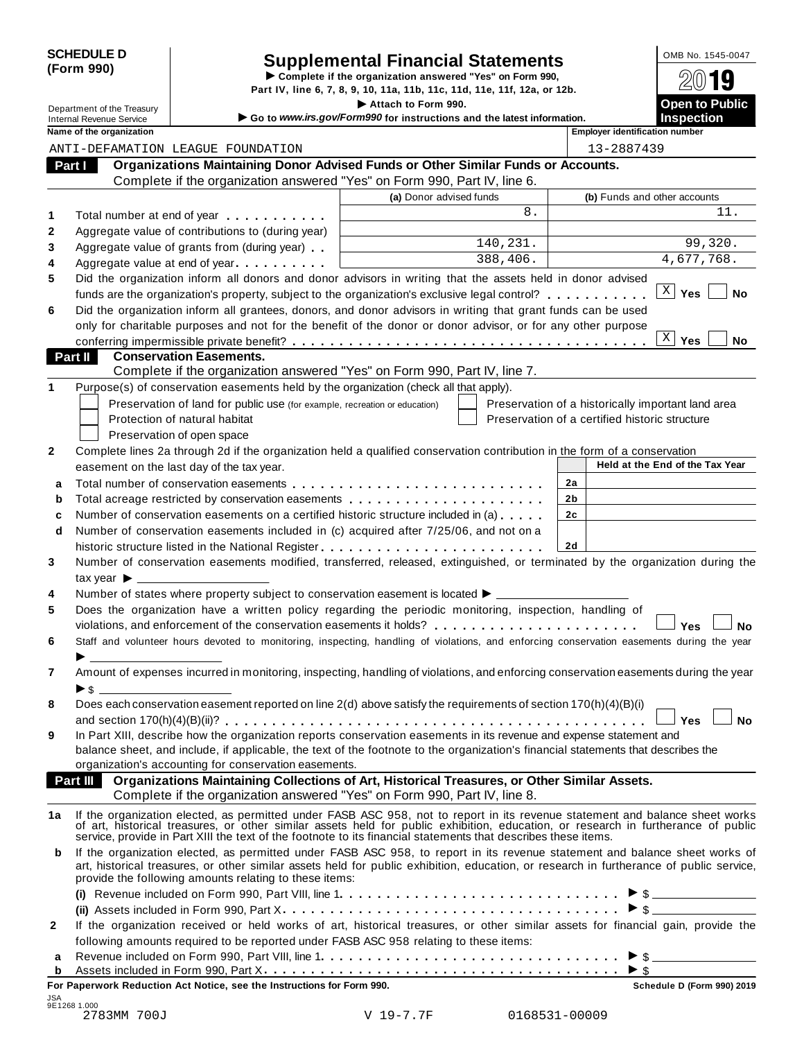|            | <b>SCHEDULE D</b> |
|------------|-------------------|
| (Form 990) |                   |

# HEDULE D<br>
Supplemental Financial Statements<br>  $\triangleright$  Complete if the organization answered "Yes" on Form 990,<br>
Part IV, line 6, 7, 8, 9, 10, 11a, 11b, 11c, 11d, 11e, 11f, 12a, or 12b.<br>
Attach to Form 990.

Department of the Treasury **I Attach 1990.** The S. 7, 8, 9, 10, 11a, 11b, 11c, 11d, 11e, 11f, 12a, or 12b.<br> **Department of the Treasury Inches Containery Containery Containery Containery Containery Containery** 

| Department of the Treasury                                  |                                       |                                                                            | Attach to Form 990.                                                                                                                                 | <b>Open to Public</b>                              |
|-------------------------------------------------------------|---------------------------------------|----------------------------------------------------------------------------|-----------------------------------------------------------------------------------------------------------------------------------------------------|----------------------------------------------------|
| <b>Internal Revenue Service</b><br>Name of the organization |                                       |                                                                            | Go to www.irs.gov/Form990 for instructions and the latest information.                                                                              | <b>Inspection</b>                                  |
|                                                             |                                       |                                                                            |                                                                                                                                                     | <b>Employer identification number</b>              |
|                                                             |                                       | ANTI-DEFAMATION LEAGUE FOUNDATION                                          |                                                                                                                                                     | 13-2887439                                         |
|                                                             | Part I                                |                                                                            | Organizations Maintaining Donor Advised Funds or Other Similar Funds or Accounts.                                                                   |                                                    |
|                                                             |                                       |                                                                            | Complete if the organization answered "Yes" on Form 990, Part IV, line 6.                                                                           |                                                    |
|                                                             |                                       |                                                                            | (a) Donor advised funds                                                                                                                             | (b) Funds and other accounts                       |
| 1                                                           |                                       | Total number at end of year manufacturers and the Total number             | 8.                                                                                                                                                  | 11.                                                |
| 2                                                           |                                       | Aggregate value of contributions to (during year)                          |                                                                                                                                                     |                                                    |
| 3                                                           |                                       | Aggregate value of grants from (during year)                               | 140, 231.                                                                                                                                           | 99,320.                                            |
| 4                                                           |                                       | Aggregate value at end of year                                             | 388,406.                                                                                                                                            | 4,677,768.                                         |
| 5                                                           |                                       |                                                                            | Did the organization inform all donors and donor advisors in writing that the assets held in donor advised                                          |                                                    |
|                                                             |                                       |                                                                            | funds are the organization's property, subject to the organization's exclusive legal control?                                                       | $\mathbf{x}$<br>Yes<br>No                          |
| 6                                                           |                                       |                                                                            | Did the organization inform all grantees, donors, and donor advisors in writing that grant funds can be used                                        |                                                    |
|                                                             |                                       |                                                                            | only for charitable purposes and not for the benefit of the donor or donor advisor, or for any other purpose                                        |                                                    |
|                                                             |                                       |                                                                            |                                                                                                                                                     | $\mathbf X$<br>Yes<br>No                           |
|                                                             | <b>Part II</b>                        | <b>Conservation Easements.</b>                                             |                                                                                                                                                     |                                                    |
|                                                             |                                       |                                                                            | Complete if the organization answered "Yes" on Form 990, Part IV, line 7.                                                                           |                                                    |
| 1                                                           |                                       |                                                                            | Purpose(s) of conservation easements held by the organization (check all that apply).                                                               |                                                    |
|                                                             |                                       | Preservation of land for public use (for example, recreation or education) |                                                                                                                                                     | Preservation of a historically important land area |
|                                                             |                                       | Protection of natural habitat                                              |                                                                                                                                                     | Preservation of a certified historic structure     |
|                                                             |                                       | Preservation of open space                                                 |                                                                                                                                                     |                                                    |
| 2                                                           |                                       |                                                                            | Complete lines 2a through 2d if the organization held a qualified conservation contribution in the form of a conservation                           |                                                    |
|                                                             |                                       | easement on the last day of the tax year.                                  |                                                                                                                                                     | Held at the End of the Tax Year                    |
| a                                                           |                                       |                                                                            |                                                                                                                                                     | 2a                                                 |
| b                                                           |                                       |                                                                            | Total acreage restricted by conservation easements                                                                                                  | 2b                                                 |
| c                                                           |                                       |                                                                            | Number of conservation easements on a certified historic structure included in (a)                                                                  | 2c                                                 |
| d                                                           |                                       |                                                                            | Number of conservation easements included in (c) acquired after 7/25/06, and not on a                                                               |                                                    |
|                                                             |                                       |                                                                            |                                                                                                                                                     | 2d                                                 |
| 3                                                           |                                       |                                                                            | Number of conservation easements modified, transferred, released, extinguished, or terminated by the organization during the                        |                                                    |
|                                                             | tax year $\blacktriangleright$ $\_\_$ |                                                                            |                                                                                                                                                     |                                                    |
| 4                                                           |                                       |                                                                            | Number of states where property subject to conservation easement is located $\blacktriangleright$ _____                                             |                                                    |
| 5                                                           |                                       |                                                                            | Does the organization have a written policy regarding the periodic monitoring, inspection, handling of                                              |                                                    |
|                                                             |                                       |                                                                            |                                                                                                                                                     | <b>Yes</b><br>No                                   |
| 6                                                           |                                       |                                                                            | Staff and volunteer hours devoted to monitoring, inspecting, handling of violations, and enforcing conservation easements during the year           |                                                    |
|                                                             |                                       |                                                                            |                                                                                                                                                     |                                                    |
| 7                                                           |                                       |                                                                            | Amount of expenses incurred in monitoring, inspecting, handling of violations, and enforcing conservation easements during the year                 |                                                    |
|                                                             | ▶\$                                   |                                                                            |                                                                                                                                                     |                                                    |
| 8                                                           |                                       |                                                                            | Does each conservation easement reported on line 2(d) above satisfy the requirements of section 170(h)(4)(B)(i)                                     |                                                    |
|                                                             |                                       |                                                                            |                                                                                                                                                     | <b>No</b><br>Yes                                   |
| 9                                                           |                                       |                                                                            | In Part XIII, describe how the organization reports conservation easements in its revenue and expense statement and                                 |                                                    |
|                                                             |                                       |                                                                            | balance sheet, and include, if applicable, the text of the footnote to the organization's financial statements that describes the                   |                                                    |
|                                                             |                                       | organization's accounting for conservation easements.                      |                                                                                                                                                     |                                                    |
|                                                             | Part III                              |                                                                            | Organizations Maintaining Collections of Art, Historical Treasures, or Other Similar Assets.                                                        |                                                    |
|                                                             |                                       |                                                                            | Complete if the organization answered "Yes" on Form 990, Part IV, line 8.                                                                           |                                                    |
| 1a                                                          |                                       |                                                                            | If the organization elected, as permitted under FASB ASC 958, not to report in its revenue statement and balance sheet works                        |                                                    |
|                                                             |                                       |                                                                            | of art, historical treasures, or other similar assets held for public exhibition, education, or research in furtherance of public                   |                                                    |
|                                                             |                                       |                                                                            | service, provide in Part XIII the text of the footnote to its financial statements that describes these items.                                      |                                                    |
| b                                                           |                                       |                                                                            | If the organization elected, as permitted under FASB ASC 958, to report in its revenue statement and balance sheet works of                         |                                                    |
|                                                             |                                       |                                                                            | art, historical treasures, or other similar assets held for public exhibition, education, or research in furtherance of public service,             |                                                    |
|                                                             |                                       | provide the following amounts relating to these items:                     |                                                                                                                                                     |                                                    |
|                                                             |                                       |                                                                            | (i) Revenue included on Form 990, Part VIII, line $1, \ldots, \ldots, \ldots, \ldots, \ldots, \ldots, \ldots, \ldots, \ldots$                       | $\triangleright$ \$                                |
|                                                             |                                       |                                                                            |                                                                                                                                                     | $\triangleright$ \$                                |
| 2                                                           |                                       |                                                                            | If the organization received or held works of art, historical treasures, or other similar assets for financial gain, provide the                    |                                                    |
|                                                             |                                       |                                                                            | following amounts required to be reported under FASB ASC 958 relating to these items:                                                               |                                                    |
| а                                                           |                                       |                                                                            |                                                                                                                                                     | $\triangleright$ \$                                |
| b                                                           |                                       |                                                                            | Assets included in Form 990, Part $X_1, \ldots, X_n, \ldots, X_n, \ldots, X_n, \ldots, X_n, \ldots, \ldots, \ldots, \ldots, \blacktriangleright \$$ |                                                    |

**For Paperwork Reduction Act Notice, see the Instructions for Form 990. Schedule D (Form 990) 2019**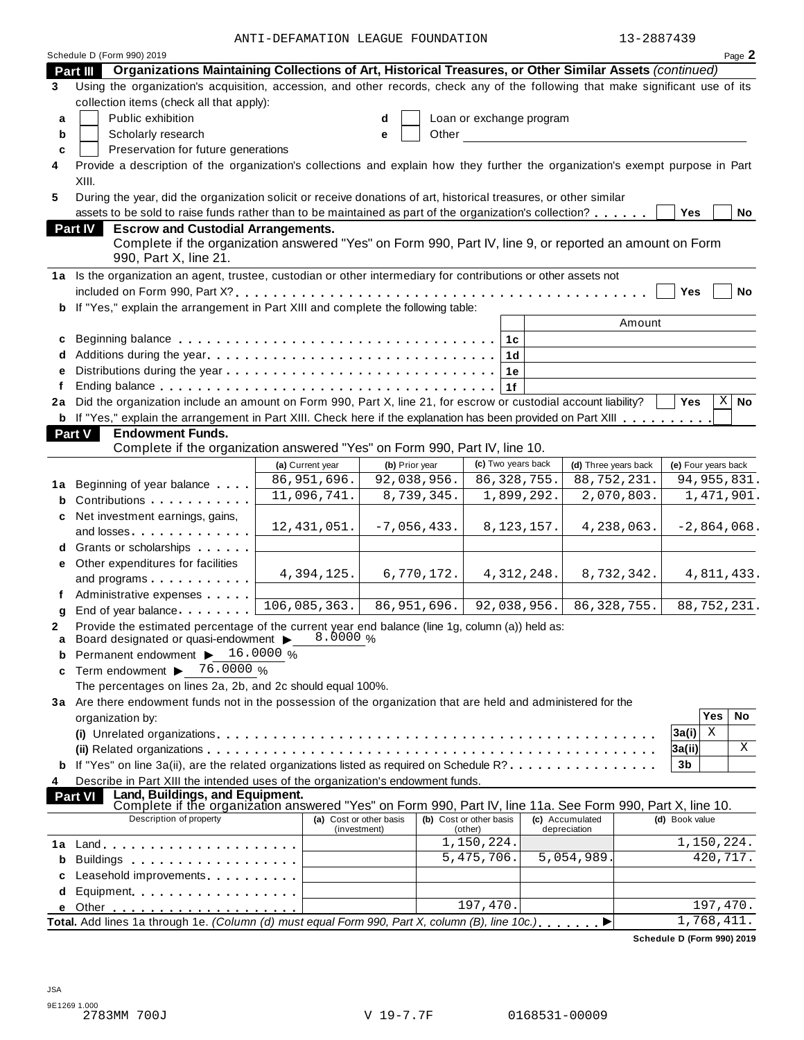|      | Schedule D (Form 990) 2019                                                                                                                                                                                                         |                         |   |                |                          |    |                    |                      |        |                     |          | Page 2                   |
|------|------------------------------------------------------------------------------------------------------------------------------------------------------------------------------------------------------------------------------------|-------------------------|---|----------------|--------------------------|----|--------------------|----------------------|--------|---------------------|----------|--------------------------|
|      | Organizations Maintaining Collections of Art, Historical Treasures, or Other Similar Assets (continued)<br><b>Part III</b>                                                                                                         |                         |   |                |                          |    |                    |                      |        |                     |          |                          |
| 3    | Using the organization's acquisition, accession, and other records, check any of the following that make significant use of its<br>collection items (check all that apply):                                                        |                         |   |                |                          |    |                    |                      |        |                     |          |                          |
| a    | Public exhibition                                                                                                                                                                                                                  |                         | d |                | Loan or exchange program |    |                    |                      |        |                     |          |                          |
| b    | Scholarly research                                                                                                                                                                                                                 |                         | e | Other          |                          |    |                    |                      |        |                     |          |                          |
| c    | Preservation for future generations                                                                                                                                                                                                |                         |   |                |                          |    |                    |                      |        |                     |          |                          |
| 4    | Provide a description of the organization's collections and explain how they further the organization's exempt purpose in Part                                                                                                     |                         |   |                |                          |    |                    |                      |        |                     |          |                          |
|      | XIII.                                                                                                                                                                                                                              |                         |   |                |                          |    |                    |                      |        |                     |          |                          |
| 5    |                                                                                                                                                                                                                                    |                         |   |                |                          |    |                    |                      |        |                     |          |                          |
|      | During the year, did the organization solicit or receive donations of art, historical treasures, or other similar<br>Yes<br>No                                                                                                     |                         |   |                |                          |    |                    |                      |        |                     |          |                          |
|      | assets to be sold to raise funds rather than to be maintained as part of the organization's collection?<br><b>Escrow and Custodial Arrangements.</b>                                                                               |                         |   |                |                          |    |                    |                      |        |                     |          |                          |
|      | <b>Part IV</b><br>Complete if the organization answered "Yes" on Form 990, Part IV, line 9, or reported an amount on Form                                                                                                          |                         |   |                |                          |    |                    |                      |        |                     |          |                          |
|      | 990, Part X, line 21.                                                                                                                                                                                                              |                         |   |                |                          |    |                    |                      |        |                     |          |                          |
|      | 1a Is the organization an agent, trustee, custodian or other intermediary for contributions or other assets not                                                                                                                    |                         |   |                |                          |    |                    |                      |        |                     |          |                          |
|      |                                                                                                                                                                                                                                    |                         |   |                |                          |    |                    |                      |        | Yes                 |          | <b>No</b>                |
|      | b If "Yes," explain the arrangement in Part XIII and complete the following table:                                                                                                                                                 |                         |   |                |                          |    |                    |                      |        |                     |          |                          |
|      |                                                                                                                                                                                                                                    |                         |   |                |                          |    |                    |                      | Amount |                     |          |                          |
| c    |                                                                                                                                                                                                                                    |                         |   |                |                          | 1c |                    |                      |        |                     |          |                          |
|      |                                                                                                                                                                                                                                    |                         |   |                |                          | 1d |                    |                      |        |                     |          |                          |
| е    |                                                                                                                                                                                                                                    |                         |   |                |                          | 1e |                    |                      |        |                     |          |                          |
| f    |                                                                                                                                                                                                                                    |                         |   |                |                          | 1f |                    |                      |        |                     |          |                          |
| 2a l | Did the organization include an amount on Form 990, Part X, line 21, for escrow or custodial account liability?                                                                                                                    |                         |   |                |                          |    |                    |                      |        | Yes                 | Χ        | <b>No</b>                |
|      | <b>b</b> If "Yes," explain the arrangement in Part XIII. Check here if the explanation has been provided on Part XIII                                                                                                              |                         |   |                |                          |    |                    |                      |        |                     |          |                          |
|      | <b>Endowment Funds.</b><br><b>Part V</b>                                                                                                                                                                                           |                         |   |                |                          |    |                    |                      |        |                     |          |                          |
|      | Complete if the organization answered "Yes" on Form 990, Part IV, line 10.                                                                                                                                                         |                         |   |                |                          |    |                    |                      |        |                     |          |                          |
|      |                                                                                                                                                                                                                                    | (a) Current year        |   | (b) Prior year |                          |    | (c) Two years back | (d) Three years back |        | (e) Four years back |          |                          |
| 1a   | Beginning of year balance                                                                                                                                                                                                          | 86, 951, 696.           |   | 92,038,956.    |                          |    | 86, 328, 755.      | 88,752,231.          |        | 94, 955, 831.       |          |                          |
| b    | Contributions                                                                                                                                                                                                                      | 11,096,741.             |   | 8,739,345.     |                          |    | 1,899,292.         | 2,070,803.           |        |                     |          | $\overline{1,471,901}$ . |
| c    | Net investment earnings, gains,                                                                                                                                                                                                    |                         |   |                |                          |    |                    |                      |        |                     |          |                          |
|      | and losses                                                                                                                                                                                                                         | 12, 431, 051.           |   | $-7,056,433.$  |                          |    | 8, 123, 157.       | 4,238,063.           |        | $-2,864,068.$       |          |                          |
|      | Grants or scholarships <b>State of State State</b>                                                                                                                                                                                 |                         |   |                |                          |    |                    |                      |        |                     |          |                          |
| е    | Other expenditures for facilities                                                                                                                                                                                                  |                         |   |                |                          |    |                    |                      |        |                     |          |                          |
|      | and programs                                                                                                                                                                                                                       | 4,394,125.              |   | 6,770,172.     |                          |    | 4, 312, 248.       | 8,732,342.           |        |                     |          | 4,811,433.               |
|      | Administrative expenses                                                                                                                                                                                                            |                         |   |                |                          |    |                    |                      |        |                     |          |                          |
| g    | End of year balance                                                                                                                                                                                                                | 106,085,363.            |   | 86,951,696.    |                          |    | 92,038,956.        | 86, 328, 755.        |        | 88, 752, 231.       |          |                          |
| 2    | Provide the estimated percentage of the current year end balance (line 1g, column (a)) held as:                                                                                                                                    |                         |   |                |                          |    |                    |                      |        |                     |          |                          |
| a    | Board designated or quasi-endowment >                                                                                                                                                                                              | 8.0000%                 |   |                |                          |    |                    |                      |        |                     |          |                          |
|      | Permanent endowment ▶ 16.0000 %                                                                                                                                                                                                    |                         |   |                |                          |    |                    |                      |        |                     |          |                          |
| c    | Term endowment $\triangleright$ 76.0000 %                                                                                                                                                                                          |                         |   |                |                          |    |                    |                      |        |                     |          |                          |
|      | The percentages on lines 2a, 2b, and 2c should equal 100%.                                                                                                                                                                         |                         |   |                |                          |    |                    |                      |        |                     |          |                          |
|      | 3a Are there endowment funds not in the possession of the organization that are held and administered for the                                                                                                                      |                         |   |                |                          |    |                    |                      |        |                     |          |                          |
|      | organization by:                                                                                                                                                                                                                   |                         |   |                |                          |    |                    |                      |        |                     | Yes      | No                       |
|      |                                                                                                                                                                                                                                    |                         |   |                |                          |    |                    |                      |        | 3a(i)               | Χ        |                          |
|      |                                                                                                                                                                                                                                    |                         |   |                |                          |    |                    |                      |        | 3a(ii)              |          | Χ                        |
|      | If "Yes" on line 3a(ii), are the related organizations listed as required on Schedule R?                                                                                                                                           |                         |   |                |                          |    |                    |                      |        | 3b                  |          |                          |
| 4    | Describe in Part XIII the intended uses of the organization's endowment funds.                                                                                                                                                     |                         |   |                |                          |    |                    |                      |        |                     |          |                          |
|      | Land, Buildings, and Equipment.<br><b>Part VI</b><br>Complete if the organization answered "Yes" on Form 990, Part IV, line 11a. See Form 990, Part X, line 10.                                                                    |                         |   |                |                          |    |                    |                      |        |                     |          |                          |
|      | Description of property                                                                                                                                                                                                            | (a) Cost or other basis |   |                | (b) Cost or other basis  |    |                    | (c) Accumulated      |        | (d) Book value      |          |                          |
|      |                                                                                                                                                                                                                                    | (investment)            |   |                | (other)                  |    |                    | depreciation         |        |                     |          |                          |
| 1a   | $Land.$                                                                                                                                                                                                                            |                         |   |                | 1,150,224.               |    |                    |                      |        | 1,150,224.          |          |                          |
| b    | Buildings <b>Example 20</b> and the set of the set of the set of the set of the set of the set of the set of the set of the set of the set of the set of the set of the set of the set of the set of the set of the set of the set |                         |   |                | 5,475,706.               |    |                    | 5,054,989            |        |                     | 420,717. |                          |
| c    | Leasehold improvements entitled and the set of the set of the set of the set of the set of the set of the set o                                                                                                                    |                         |   |                |                          |    |                    |                      |        |                     |          |                          |
| d    | Equipment experience and the set of the set of the set of the set of the set of the set of the set of the set of the set of the set of the set of the set of the set of the set of the set of the set of the set of the set of     |                         |   |                |                          |    |                    |                      |        |                     |          |                          |
| е    |                                                                                                                                                                                                                                    |                         |   |                | 197,470.                 |    |                    |                      |        |                     | 197,470. |                          |
|      | Total. Add lines 1a through 1e. (Column (d) must equal Form 990, Part X, column (B), line 10c.).                                                                                                                                   |                         |   |                |                          |    |                    | ▶                    |        | 1,768,411.          |          |                          |

**Schedule D (Form 990) 2019**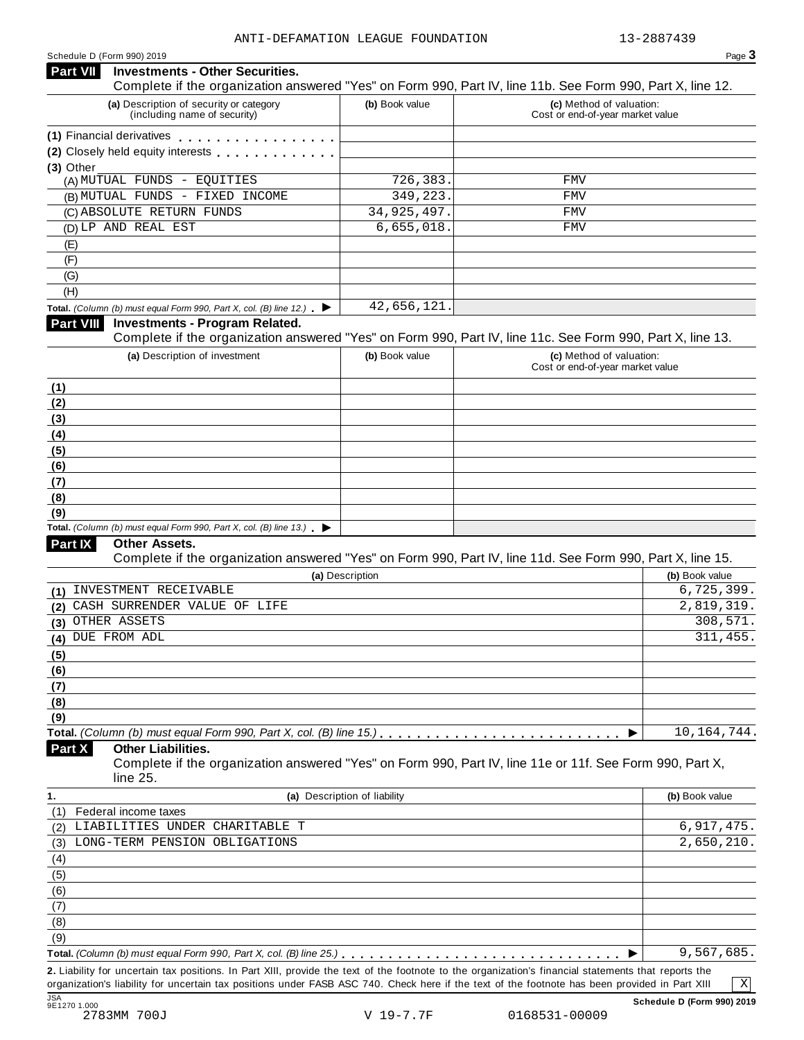#### Schedule <sup>D</sup> (Form 990) <sup>2019</sup> Page **3 Investments - Other Securities. Part VII** Investments - Other Securities.<br>Complete if the organization answered "Yes" on Form 990, Part IV, line 11b. See Form 990, Part X, line 12. **(a)** Description of security or category (including name of security) **(b)** Book value **(c)** Method of valuation: Cost or end-of-year market value **(1)** Financial derivatives **manual (2)** Closely held equity interests **(3)** Other (A) MUTUAL FUNDS - EQUITIES 726,383. FMV (B) MUTUAL FUNDS - FIXED INCOME 349,223. FMV (C) ABSOLUTE RETURN FUNDS 34,925,497. FMV (D) LP AND REAL EST 6,655,018. FMV (E) (F) (G) (H) **Total.** *(Column (b) must equal Form 990, Part X, col. (B) line 12.)* **Part VIII Investments - Program Related. Investments - Program Related.** Complete if the organization answered "Yes" on Form 990, Part IV, line 11c. See Form 990, Part X, line 13. **(a)** Description of investment **(b)** Book value **(c)** Method of valuation: Cost or end-of-year market value **(1) (2) (3) (4) (5) (6) (7) (8) (9) Total.** *(Column (b) must equal Form* 990, *Part X*, *col. (B) line* 13.) **■**<br> **Part IX** Other Assets. **Other Assets.** Complete if the organization answered "Yes" on Form 990, Part IV, line 11d. See Form 990, Part X, line 15. **(a)** Description **(b)** Book value **(1) (2) (3) (4) (5) (6) (7) (8) (9) Total.** (Column (b) must equal Form 990, Part  $X$ , col. (B) line 15.)  $\ldots$   $\ldots$   $\ldots$   $\ldots$   $\ldots$   $\ldots$   $\ldots$   $\ldots$   $\ldots$   $\ldots$ **Other Liabilities.** Complete if the organization answered "Yes" on Form 990, Part IV, line 11e or 11f. See Form 990, Part X, line 25. **Part X 1. (a)** Description of liability **(b)** Book value (1) Federal income taxes (2) (3) (4) (5) (6) (7) (8) (9)  $\overline{\text{Total. } (Column (b) \text{ must equal Form 990, Part X, col. (B) line 25.)}$   $\ldots$   $\ldots$   $\ldots$   $\ldots$   $\ldots$   $\ldots$   $\ldots$   $\ldots$   $\ldots$   $\ldots$   $\ldots$ 42,656,121. INVESTMENT RECEIVABLE 6,725,399. CASH SURRENDER VALUE OF LIFE 2,819,319. OTHER ASSETS 308,571. DUE FROM ADL 311,455. 10,164,744. LIABILITIES UNDER CHARITABLE T 6,917,475. LONG-TERM PENSION OBLIGATIONS 2,650,210. 9,567,685.

**2.** Liability for uncertain tax positions. In Part XIII, provide the text of the footnote to the organization's financial statements that reports the organization's liability for uncertain tax positions under FASB ASC 740. Check here if the text of the footnote has been provided in Part XIII

X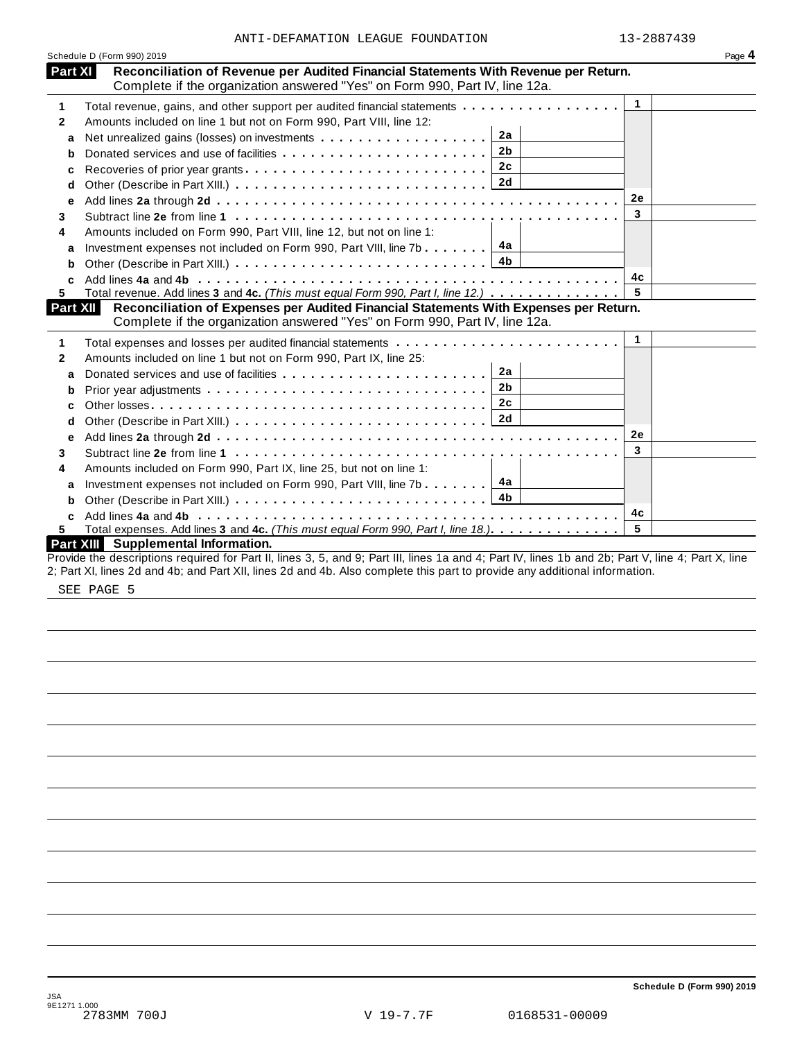| ANTI-DEFAMATION LEAGUE FOUNDATION |  | 13-2887439 |
|-----------------------------------|--|------------|
|                                   |  |            |

|              | Schedule D (Form 990) 2019                                                                                                                                         |              | Page 4 |
|--------------|--------------------------------------------------------------------------------------------------------------------------------------------------------------------|--------------|--------|
| Part XI      | Reconciliation of Revenue per Audited Financial Statements With Revenue per Return.<br>Complete if the organization answered "Yes" on Form 990, Part IV, line 12a. |              |        |
| 1            | Total revenue, gains, and other support per audited financial statements                                                                                           | $\mathbf{1}$ |        |
| $\mathbf{2}$ | Amounts included on line 1 but not on Form 990, Part VIII, line 12:                                                                                                |              |        |
| a            | 2a                                                                                                                                                                 |              |        |
| b            | 2 <sub>b</sub><br>Donated services and use of facilities $\ldots \ldots \ldots \ldots \ldots \ldots$                                                               |              |        |
| c            |                                                                                                                                                                    |              |        |
| d            |                                                                                                                                                                    |              |        |
| e            |                                                                                                                                                                    | 2e           |        |
| 3            |                                                                                                                                                                    | 3            |        |
| 4            | Amounts included on Form 990, Part VIII, line 12, but not on line 1:                                                                                               |              |        |
| a            | Investment expenses not included on Form 990, Part VIII, line 7b. $\ldots \ldots$ $4a$                                                                             |              |        |
| b            |                                                                                                                                                                    |              |        |
|              |                                                                                                                                                                    | 4c           |        |
| 5            | Total revenue. Add lines 3 and 4c. (This must equal Form 990, Part I, line 12.)                                                                                    | 5            |        |
| Part XII     | Reconciliation of Expenses per Audited Financial Statements With Expenses per Return.                                                                              |              |        |
|              | Complete if the organization answered "Yes" on Form 990, Part IV, line 12a.                                                                                        |              |        |
| 1            |                                                                                                                                                                    | $\mathbf{1}$ |        |
| $\mathbf{2}$ | Amounts included on line 1 but not on Form 990, Part IX, line 25:                                                                                                  |              |        |
| a            | 2a                                                                                                                                                                 |              |        |
| b            | 2 <sub>b</sub>                                                                                                                                                     |              |        |
| c            | 2c                                                                                                                                                                 |              |        |
| d            |                                                                                                                                                                    |              |        |
| e            |                                                                                                                                                                    | <b>2e</b>    |        |
| 3            |                                                                                                                                                                    | 3            |        |
| 4            | Amounts included on Form 990, Part IX, line 25, but not on line 1:                                                                                                 |              |        |
| a            | Investment expenses not included on Form 990, Part VIII, line 7b $\boxed{4a}$                                                                                      |              |        |
| b            |                                                                                                                                                                    |              |        |
| c            |                                                                                                                                                                    | 4c           |        |
| 5.           | Total expenses. Add lines 3 and 4c. (This must equal Form 990, Part I, line 18.).                                                                                  | 5            |        |
|              | Part XIII Supplemental Information.                                                                                                                                |              |        |
|              | Provide the descriptions required for Part II, lines 3, 5, and 9; Part III, lines 1a and 4; Part IV, lines 1b and 2b; Part V, line 4; Part X, line                 |              |        |

2; Part XI, lines 2d and 4b; and Part XII, lines 2d and 4b. Also complete this part to provide any additional information.

SEE PAGE 5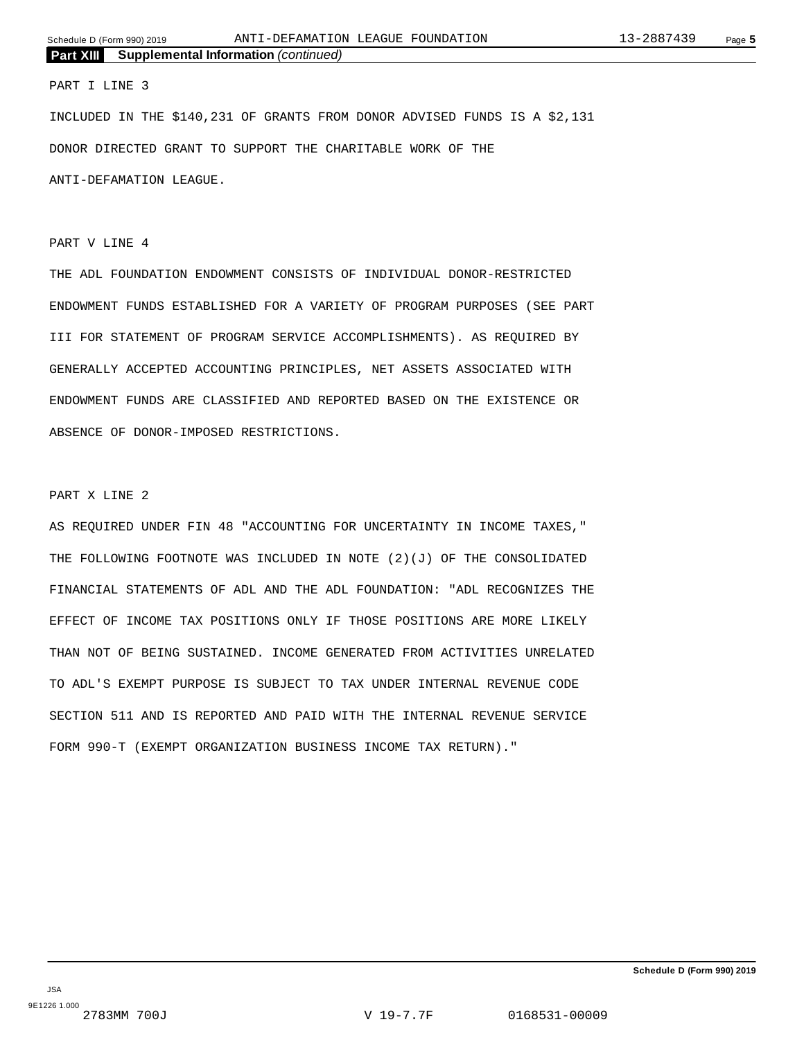#### PART I LINE 3

INCLUDED IN THE \$140,231 OF GRANTS FROM DONOR ADVISED FUNDS IS A \$2,131 DONOR DIRECTED GRANT TO SUPPORT THE CHARITABLE WORK OF THE ANTI-DEFAMATION LEAGUE.

#### PART V LINE 4

THE ADL FOUNDATION ENDOWMENT CONSISTS OF INDIVIDUAL DONOR-RESTRICTED ENDOWMENT FUNDS ESTABLISHED FOR A VARIETY OF PROGRAM PURPOSES (SEE PART III FOR STATEMENT OF PROGRAM SERVICE ACCOMPLISHMENTS). AS REQUIRED BY GENERALLY ACCEPTED ACCOUNTING PRINCIPLES, NET ASSETS ASSOCIATED WITH ENDOWMENT FUNDS ARE CLASSIFIED AND REPORTED BASED ON THE EXISTENCE OR ABSENCE OF DONOR-IMPOSED RESTRICTIONS.

#### PART X LINE 2

AS REQUIRED UNDER FIN 48 "ACCOUNTING FOR UNCERTAINTY IN INCOME TAXES," THE FOLLOWING FOOTNOTE WAS INCLUDED IN NOTE (2)(J) OF THE CONSOLIDATED FINANCIAL STATEMENTS OF ADL AND THE ADL FOUNDATION: "ADL RECOGNIZES THE EFFECT OF INCOME TAX POSITIONS ONLY IF THOSE POSITIONS ARE MORE LIKELY THAN NOT OF BEING SUSTAINED. INCOME GENERATED FROM ACTIVITIES UNRELATED TO ADL'S EXEMPT PURPOSE IS SUBJECT TO TAX UNDER INTERNAL REVENUE CODE SECTION 511 AND IS REPORTED AND PAID WITH THE INTERNAL REVENUE SERVICE FORM 990-T (EXEMPT ORGANIZATION BUSINESS INCOME TAX RETURN)."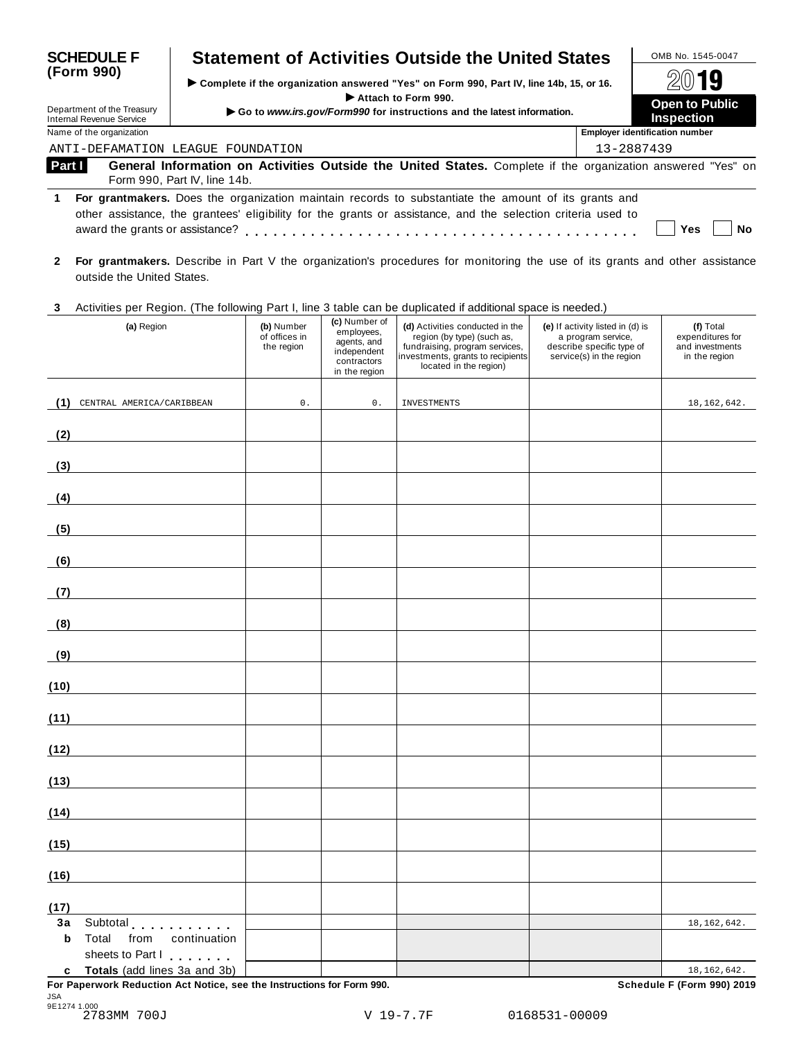| <b>SCHEDULE F</b>                                      | <b>Statement of Activities Outside the United States</b>                                                                                                                                                             | OMB No. 1545-0047                          |  |  |  |  |
|--------------------------------------------------------|----------------------------------------------------------------------------------------------------------------------------------------------------------------------------------------------------------------------|--------------------------------------------|--|--|--|--|
| (Form 990)                                             | ► Complete if the organization answered "Yes" on Form 990, Part IV, line 14b, 15, or 16.                                                                                                                             | 2019                                       |  |  |  |  |
| Department of the Treasury<br>Internal Revenue Service | Attach to Form 990.<br>Go to www.irs.gov/Form990 for instructions and the latest information.                                                                                                                        | <b>Open to Public</b><br><b>Inspection</b> |  |  |  |  |
| Name of the organization                               |                                                                                                                                                                                                                      | <b>Employer identification number</b>      |  |  |  |  |
|                                                        | ANTI-DEFAMATION LEAGUE FOUNDATION                                                                                                                                                                                    | 13-2887439                                 |  |  |  |  |
| Part I                                                 | General Information on Activities Outside the United States. Complete if the organization answered "Yes" on<br>Form 990, Part IV, line 14b.                                                                          |                                            |  |  |  |  |
| 1.<br>award the grants or assistance?                  | For grantmakers. Does the organization maintain records to substantiate the amount of its grants and<br>other assistance, the grantees' eligibility for the grants or assistance, and the selection criteria used to | Yes<br>Nο                                  |  |  |  |  |

**2 For grantmakers.** Describe in Part V the organization's procedures for monitoring the use of its grants and other assistance outside the United States.

### **3** Activities per Region. (The following Part I, line 3 table can be duplicated if additional space is needed.)

| (a) Region                                                                                                            | (b) Number<br>of offices in<br>the region | (c) Number of<br>employees,<br>agents, and<br>independent<br>contractors<br>in the region | (d) Activities conducted in the<br>region (by type) (such as,<br>fundraising, program services,<br>investments, grants to recipients<br>located in the region) | $ - - - - -$<br>(e) If activity listed in (d) is<br>a program service,<br>describe specific type of<br>service(s) in the region | (f) Total<br>expenditures for<br>and investments<br>in the region |
|-----------------------------------------------------------------------------------------------------------------------|-------------------------------------------|-------------------------------------------------------------------------------------------|----------------------------------------------------------------------------------------------------------------------------------------------------------------|---------------------------------------------------------------------------------------------------------------------------------|-------------------------------------------------------------------|
| (1)<br>CENTRAL AMERICA/CARIBBEAN                                                                                      | $\mathsf{0}$ .                            | $\mathsf{0}$ .                                                                            | INVESTMENTS                                                                                                                                                    |                                                                                                                                 | 18, 162, 642.                                                     |
| (2)                                                                                                                   |                                           |                                                                                           |                                                                                                                                                                |                                                                                                                                 |                                                                   |
| (3)<br><u> 1999 - Jan Barnett, fransk politiker</u>                                                                   |                                           |                                                                                           |                                                                                                                                                                |                                                                                                                                 |                                                                   |
| (4)<br><u> 1980 - Johann Barbara, martxa a</u>                                                                        |                                           |                                                                                           |                                                                                                                                                                |                                                                                                                                 |                                                                   |
| (5)                                                                                                                   |                                           |                                                                                           |                                                                                                                                                                |                                                                                                                                 |                                                                   |
| (6)<br><u> 1990 - Johann Barbara, martxa a</u>                                                                        |                                           |                                                                                           |                                                                                                                                                                |                                                                                                                                 |                                                                   |
| (7)<br><u> 1989 - Johann Barnett, fransk politik (</u>                                                                |                                           |                                                                                           |                                                                                                                                                                |                                                                                                                                 |                                                                   |
| (8)                                                                                                                   |                                           |                                                                                           |                                                                                                                                                                |                                                                                                                                 |                                                                   |
| (9)                                                                                                                   |                                           |                                                                                           |                                                                                                                                                                |                                                                                                                                 |                                                                   |
| (10)                                                                                                                  |                                           |                                                                                           |                                                                                                                                                                |                                                                                                                                 |                                                                   |
| (11)                                                                                                                  |                                           |                                                                                           |                                                                                                                                                                |                                                                                                                                 |                                                                   |
| (12)                                                                                                                  |                                           |                                                                                           |                                                                                                                                                                |                                                                                                                                 |                                                                   |
| (13)                                                                                                                  |                                           |                                                                                           |                                                                                                                                                                |                                                                                                                                 |                                                                   |
| (14)                                                                                                                  |                                           |                                                                                           |                                                                                                                                                                |                                                                                                                                 |                                                                   |
| (15)                                                                                                                  |                                           |                                                                                           |                                                                                                                                                                |                                                                                                                                 |                                                                   |
| (16)                                                                                                                  |                                           |                                                                                           |                                                                                                                                                                |                                                                                                                                 |                                                                   |
| (17)                                                                                                                  |                                           |                                                                                           |                                                                                                                                                                |                                                                                                                                 |                                                                   |
| 3a<br>Subtotal<br>$\mathbf b$<br>Total<br>from<br>continuation<br>sheets to Part I                                    |                                           |                                                                                           |                                                                                                                                                                |                                                                                                                                 | 18, 162, 642.                                                     |
| Totals (add lines 3a and 3b)<br>$\mathbf c$<br>For Paperwork Reduction Act Notice, see the Instructions for Form 990. |                                           |                                                                                           |                                                                                                                                                                |                                                                                                                                 | 18, 162, 642.<br>Schedule F (Form 990) 2019                       |

JSA 9E1274 1.000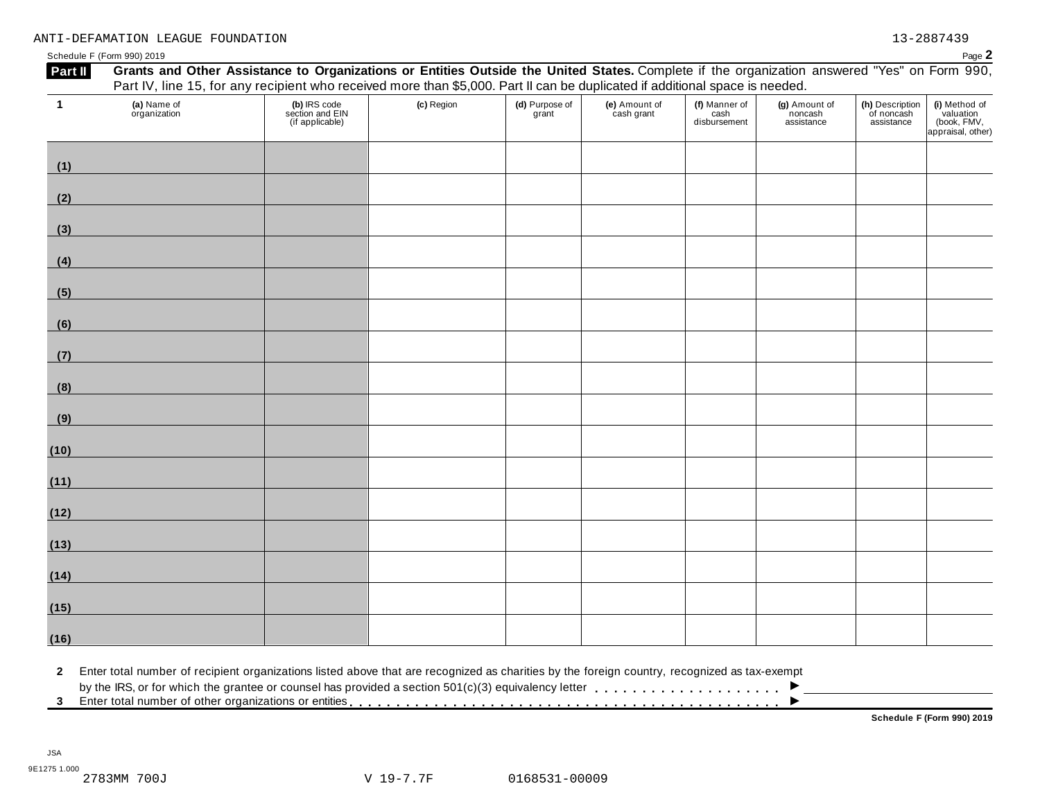|              | Schedule F (Form 990) 2019                                                                                                                                                                                                                                                   |                                                    |            |                         |                             |                                       |                                        |                                             | Page 2                                                         |
|--------------|------------------------------------------------------------------------------------------------------------------------------------------------------------------------------------------------------------------------------------------------------------------------------|----------------------------------------------------|------------|-------------------------|-----------------------------|---------------------------------------|----------------------------------------|---------------------------------------------|----------------------------------------------------------------|
| Part II      | Grants and Other Assistance to Organizations or Entities Outside the United States. Complete if the organization answered "Yes" on Form 990,<br>Part IV, line 15, for any recipient who received more than \$5,000. Part II can be duplicated if additional space is needed. |                                                    |            |                         |                             |                                       |                                        |                                             |                                                                |
| $\mathbf{1}$ | (a) Name of<br>organization                                                                                                                                                                                                                                                  | (b) IRS code<br>section and EIN<br>(if applicable) | (c) Region | (d) Purpose of<br>grant | (e) Amount of<br>cash grant | (f) Manner of<br>cash<br>disbursement | (g) Amount of<br>noncash<br>assistance | (h) Description<br>of noncash<br>assistance | (i) Method of<br>valuation<br>(book, FMV,<br>appraisal, other) |
| (1)          |                                                                                                                                                                                                                                                                              |                                                    |            |                         |                             |                                       |                                        |                                             |                                                                |
| (2)          |                                                                                                                                                                                                                                                                              |                                                    |            |                         |                             |                                       |                                        |                                             |                                                                |
| (3)          |                                                                                                                                                                                                                                                                              |                                                    |            |                         |                             |                                       |                                        |                                             |                                                                |
| (4)          |                                                                                                                                                                                                                                                                              |                                                    |            |                         |                             |                                       |                                        |                                             |                                                                |
| (5)          |                                                                                                                                                                                                                                                                              |                                                    |            |                         |                             |                                       |                                        |                                             |                                                                |
| (6)          |                                                                                                                                                                                                                                                                              |                                                    |            |                         |                             |                                       |                                        |                                             |                                                                |
| (7)          |                                                                                                                                                                                                                                                                              |                                                    |            |                         |                             |                                       |                                        |                                             |                                                                |
| (8)          |                                                                                                                                                                                                                                                                              |                                                    |            |                         |                             |                                       |                                        |                                             |                                                                |
| (9)          |                                                                                                                                                                                                                                                                              |                                                    |            |                         |                             |                                       |                                        |                                             |                                                                |
| (10)         |                                                                                                                                                                                                                                                                              |                                                    |            |                         |                             |                                       |                                        |                                             |                                                                |
| (11)         |                                                                                                                                                                                                                                                                              |                                                    |            |                         |                             |                                       |                                        |                                             |                                                                |
| (12)         |                                                                                                                                                                                                                                                                              |                                                    |            |                         |                             |                                       |                                        |                                             |                                                                |
| (13)         |                                                                                                                                                                                                                                                                              |                                                    |            |                         |                             |                                       |                                        |                                             |                                                                |
| (14)         |                                                                                                                                                                                                                                                                              |                                                    |            |                         |                             |                                       |                                        |                                             |                                                                |
| (15)         |                                                                                                                                                                                                                                                                              |                                                    |            |                         |                             |                                       |                                        |                                             |                                                                |
| (16)         |                                                                                                                                                                                                                                                                              |                                                    |            |                         |                             |                                       |                                        |                                             |                                                                |

**2** Enter total number of recipient organizations listed above that are recognized as charities by the foreign country, recognized as tax-exempt

2 Enter total number of recipient organizations listed above that are recognized as charities by the foreign country, recognized as tax-exempt<br>by the IRS, or for which the grantee or counsel has provided a section 501(c)(

**Schedule F (Form 990) 2019**

 $\overline{\phantom{a}}$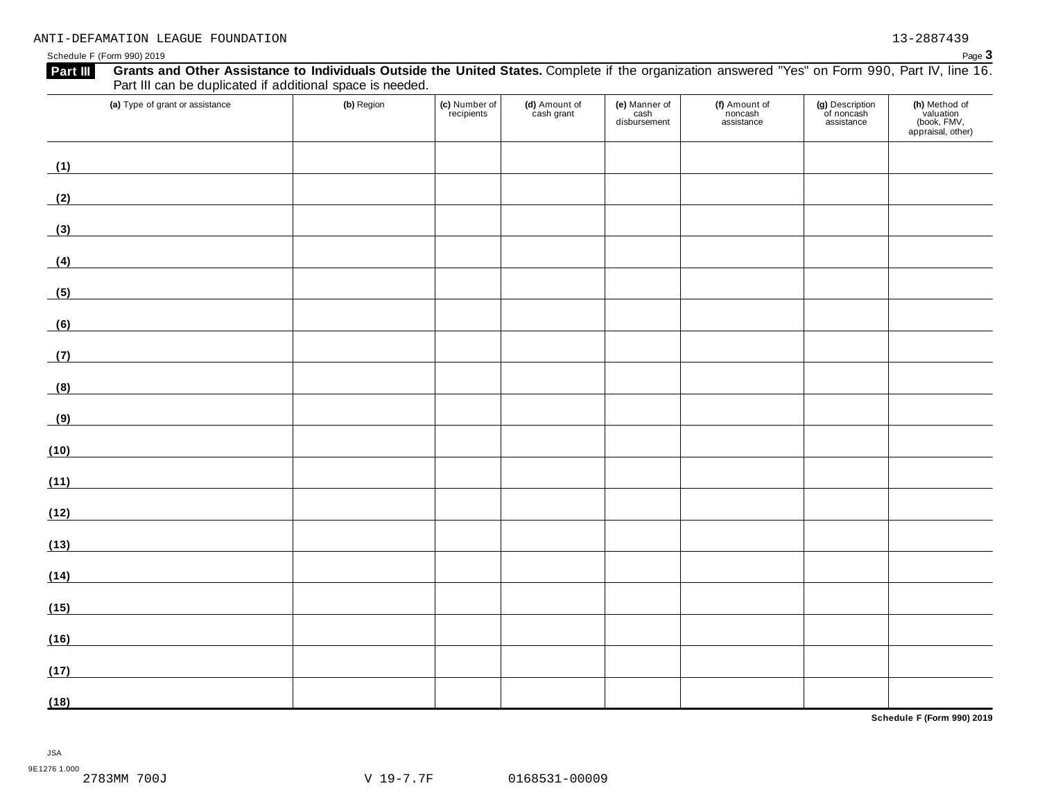Schedule <sup>F</sup> (Form 990) <sup>2019</sup> Page **3**

| Grants and Other Assistance to Individuals Outside the United States. Complete if the organization answered "Yes" on Form 990, Part IV, line 16.<br>Part III<br>Part III can be duplicated if additional space is needed. |            |                             |                             |                                       |                                        |                                             |                                                                |
|---------------------------------------------------------------------------------------------------------------------------------------------------------------------------------------------------------------------------|------------|-----------------------------|-----------------------------|---------------------------------------|----------------------------------------|---------------------------------------------|----------------------------------------------------------------|
| (a) Type of grant or assistance                                                                                                                                                                                           | (b) Region | (c) Number of<br>recipients | (d) Amount of<br>cash grant | (e) Manner of<br>cash<br>disbursement | (f) Amount of<br>noncash<br>assistance | (g) Description<br>of noncash<br>assistance | (h) Method of<br>valuation<br>(book, FMV,<br>appraisal, other) |
| (1)                                                                                                                                                                                                                       |            |                             |                             |                                       |                                        |                                             |                                                                |
| (2)                                                                                                                                                                                                                       |            |                             |                             |                                       |                                        |                                             |                                                                |
| (3)<br><u> 1980 - Johann Barbara, martxa al</u>                                                                                                                                                                           |            |                             |                             |                                       |                                        |                                             |                                                                |
| (4)<br><u> 1980 - Johann Barbara, martxa a</u>                                                                                                                                                                            |            |                             |                             |                                       |                                        |                                             |                                                                |
| (5)                                                                                                                                                                                                                       |            |                             |                             |                                       |                                        |                                             |                                                                |
| (6)                                                                                                                                                                                                                       |            |                             |                             |                                       |                                        |                                             |                                                                |
| (7)                                                                                                                                                                                                                       |            |                             |                             |                                       |                                        |                                             |                                                                |
| (8)                                                                                                                                                                                                                       |            |                             |                             |                                       |                                        |                                             |                                                                |
| (9)<br><u> 1980 - Johann Barbara, martxa a</u>                                                                                                                                                                            |            |                             |                             |                                       |                                        |                                             |                                                                |
| (10)                                                                                                                                                                                                                      |            |                             |                             |                                       |                                        |                                             |                                                                |
| (11)                                                                                                                                                                                                                      |            |                             |                             |                                       |                                        |                                             |                                                                |
| (12)                                                                                                                                                                                                                      |            |                             |                             |                                       |                                        |                                             |                                                                |
| (13)<br><u> 1980 - Johann Barbara, martxa a</u>                                                                                                                                                                           |            |                             |                             |                                       |                                        |                                             |                                                                |
| (14)                                                                                                                                                                                                                      |            |                             |                             |                                       |                                        |                                             |                                                                |
| (15)                                                                                                                                                                                                                      |            |                             |                             |                                       |                                        |                                             |                                                                |
| (16)<br><u> 1980 - Johann Barbara, martxa</u>                                                                                                                                                                             |            |                             |                             |                                       |                                        |                                             |                                                                |
| (17)                                                                                                                                                                                                                      |            |                             |                             |                                       |                                        |                                             |                                                                |
| (18)                                                                                                                                                                                                                      |            |                             |                             |                                       |                                        |                                             |                                                                |

**Schedule F (Form 990) 2019**

JSA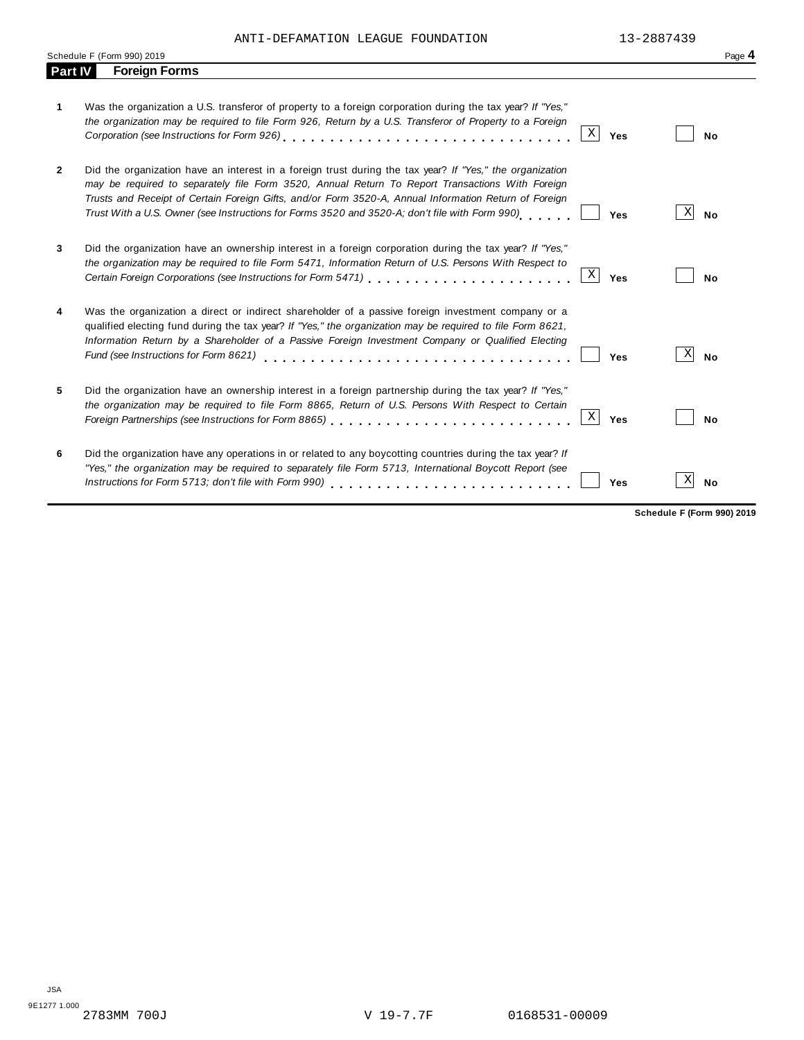|                | Schedule F (Form 990) 2019                                                                                                                                                                                                                                                                                                                                                                                                    | Page 4         |
|----------------|-------------------------------------------------------------------------------------------------------------------------------------------------------------------------------------------------------------------------------------------------------------------------------------------------------------------------------------------------------------------------------------------------------------------------------|----------------|
| <b>Part IV</b> | <b>Foreign Forms</b>                                                                                                                                                                                                                                                                                                                                                                                                          |                |
| 1              | Was the organization a U.S. transferor of property to a foreign corporation during the tax year? If "Yes,"<br>the organization may be required to file Form 926, Return by a U.S. Transferor of Property to a Foreign<br>Χ<br>Yes                                                                                                                                                                                             | No             |
| 2              | Did the organization have an interest in a foreign trust during the tax year? If "Yes," the organization<br>may be required to separately file Form 3520, Annual Return To Report Transactions With Foreign<br>Trusts and Receipt of Certain Foreign Gifts, and/or Form 3520-A, Annual Information Return of Foreign<br>Trust With a U.S. Owner (see Instructions for Forms 3520 and 3520-A; don't file with Form 990)<br>Yes | X<br><b>No</b> |
| 3              | Did the organization have an ownership interest in a foreign corporation during the tax year? If "Yes,"<br>the organization may be required to file Form 5471, Information Return of U.S. Persons With Respect to<br>Χ<br>Yes                                                                                                                                                                                                 | <b>No</b>      |
| 4              | Was the organization a direct or indirect shareholder of a passive foreign investment company or a<br>qualified electing fund during the tax year? If "Yes," the organization may be required to file Form 8621,<br>Information Return by a Shareholder of a Passive Foreign Investment Company or Qualified Electing<br>Fund (see Instructions for Form 8621)<br>Yes                                                         | X<br><b>No</b> |
| 5              | Did the organization have an ownership interest in a foreign partnership during the tax year? If "Yes,"<br>the organization may be required to file Form 8865, Return of U.S. Persons With Respect to Certain<br>Χ<br>Foreign Partnerships (see Instructions for Form 8865)<br>Yes                                                                                                                                            | No             |
| 6              | Did the organization have any operations in or related to any boycotting countries during the tax year? If<br>"Yes," the organization may be required to separately file Form 5713, International Boycott Report (see<br>Instructions for Form 5713; don't file with Form 990)<br>Yes                                                                                                                                         | Χ<br><b>No</b> |

**Schedule F (Form 990) 2019**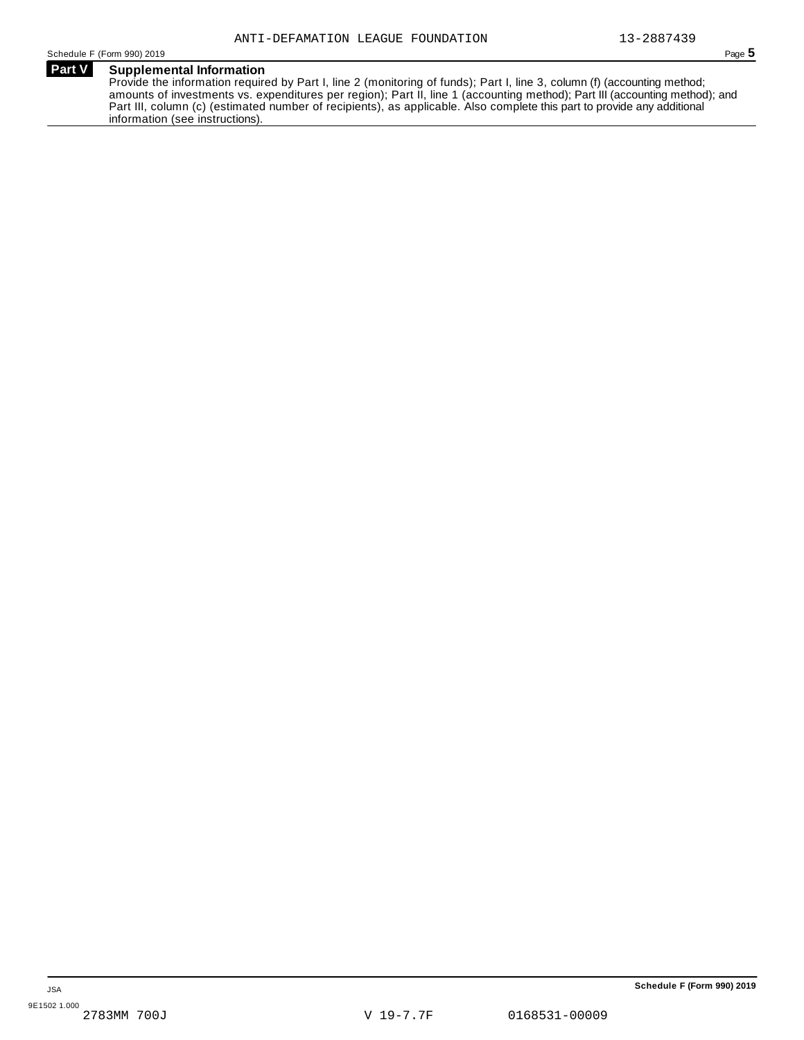Schedule <sup>F</sup> (Form 990) <sup>2019</sup> Page **5**

#### **Part V Supplemental Information**

Provide the information required by Part I, line 2 (monitoring of funds); Part I, line 3, column (f) (accounting method; amounts of investments vs. expenditures per region); Part II, line 1 (accounting method); Part III (accounting method); and Part III, column (c) (estimated number of recipients), as applicable. Also complete this part to provide any additional information (see instructions).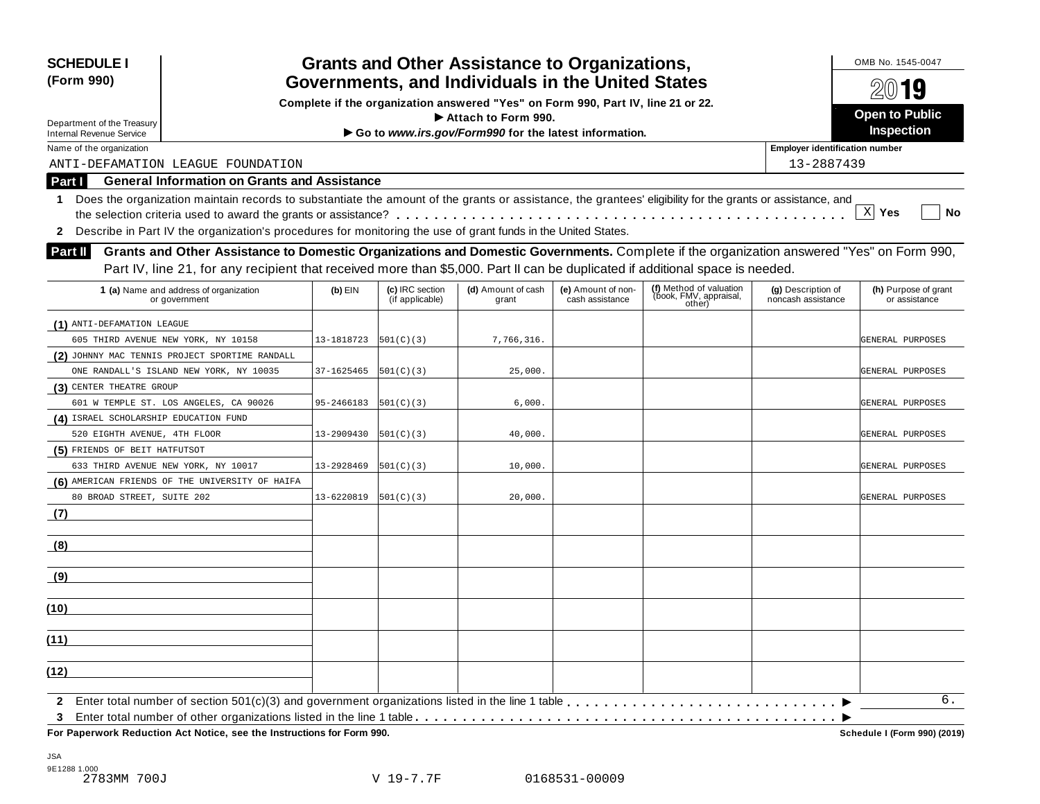| <b>SCHEDULE I</b><br>(Form 990)       |                                                                                                                                                            |                                                                                                                                       |                                    | <b>Grants and Other Assistance to Organizations,</b>  |                                       |                                                             |                                          | OMB No. 1545-0047                     |
|---------------------------------------|------------------------------------------------------------------------------------------------------------------------------------------------------------|---------------------------------------------------------------------------------------------------------------------------------------|------------------------------------|-------------------------------------------------------|---------------------------------------|-------------------------------------------------------------|------------------------------------------|---------------------------------------|
|                                       |                                                                                                                                                            | Governments, and Individuals in the United States<br>Complete if the organization answered "Yes" on Form 990, Part IV, line 21 or 22. |                                    |                                                       |                                       |                                                             |                                          | $20$ 19                               |
|                                       |                                                                                                                                                            |                                                                                                                                       |                                    |                                                       |                                       |                                                             |                                          | <b>Open to Public</b>                 |
| Department of the Treasury            |                                                                                                                                                            |                                                                                                                                       |                                    | Attach to Form 990.                                   |                                       |                                                             |                                          | Inspection                            |
| <b>Internal Revenue Service</b>       |                                                                                                                                                            |                                                                                                                                       |                                    | Go to www.irs.gov/Form990 for the latest information. |                                       |                                                             |                                          |                                       |
| Name of the organization              |                                                                                                                                                            |                                                                                                                                       |                                    |                                                       |                                       |                                                             | <b>Employer identification number</b>    |                                       |
|                                       | ANTI-DEFAMATION LEAGUE FOUNDATION                                                                                                                          |                                                                                                                                       |                                    |                                                       |                                       |                                                             | 13-2887439                               |                                       |
| <b>Part I</b>                         | <b>General Information on Grants and Assistance</b>                                                                                                        |                                                                                                                                       |                                    |                                                       |                                       |                                                             |                                          |                                       |
| 1.                                    | Does the organization maintain records to substantiate the amount of the grants or assistance, the grantees' eligibility for the grants or assistance, and |                                                                                                                                       |                                    |                                                       |                                       |                                                             |                                          |                                       |
|                                       |                                                                                                                                                            |                                                                                                                                       |                                    |                                                       |                                       |                                                             |                                          | $X$ Yes<br>No                         |
| $\mathbf{2}$                          | Describe in Part IV the organization's procedures for monitoring the use of grant funds in the United States.                                              |                                                                                                                                       |                                    |                                                       |                                       |                                                             |                                          |                                       |
| <b>Part II</b>                        | Grants and Other Assistance to Domestic Organizations and Domestic Governments. Complete if the organization answered "Yes" on Form 990,                   |                                                                                                                                       |                                    |                                                       |                                       |                                                             |                                          |                                       |
|                                       | Part IV, line 21, for any recipient that received more than \$5,000. Part II can be duplicated if additional space is needed.                              |                                                                                                                                       |                                    |                                                       |                                       |                                                             |                                          |                                       |
|                                       | 1 (a) Name and address of organization<br>or government                                                                                                    | $(b)$ EIN                                                                                                                             | (c) IRC section<br>(if applicable) | (d) Amount of cash<br>grant                           | (e) Amount of non-<br>cash assistance | (f) Method of valuation<br>(book, FMV, appraisal,<br>other) | (g) Description of<br>noncash assistance | (h) Purpose of grant<br>or assistance |
|                                       |                                                                                                                                                            |                                                                                                                                       |                                    |                                                       |                                       |                                                             |                                          |                                       |
| (1) ANTI-DEFAMATION LEAGUE            |                                                                                                                                                            |                                                                                                                                       |                                    |                                                       |                                       |                                                             |                                          |                                       |
|                                       | 605 THIRD AVENUE NEW YORK, NY 10158                                                                                                                        | 13-1818723                                                                                                                            | 501(C)(3)                          | 7,766,316.                                            |                                       |                                                             |                                          | GENERAL PURPOSES                      |
|                                       | (2) JOHNNY MAC TENNIS PROJECT SPORTIME RANDALL<br>ONE RANDALL'S ISLAND NEW YORK, NY 10035                                                                  |                                                                                                                                       |                                    |                                                       |                                       |                                                             |                                          | <b>GENERAL PURPOSES</b>               |
|                                       |                                                                                                                                                            | 37-1625465                                                                                                                            | 501(C)(3)                          | 25,000.                                               |                                       |                                                             |                                          |                                       |
| (3) CENTER THEATRE GROUP              |                                                                                                                                                            |                                                                                                                                       |                                    |                                                       |                                       |                                                             |                                          |                                       |
|                                       | 601 W TEMPLE ST. LOS ANGELES, CA 90026                                                                                                                     | 95-2466183                                                                                                                            | 501(C)(3)                          | 6,000.                                                |                                       |                                                             |                                          | GENERAL PURPOSES                      |
| (4) ISRAEL SCHOLARSHIP EDUCATION FUND |                                                                                                                                                            |                                                                                                                                       |                                    |                                                       |                                       |                                                             |                                          |                                       |
| 520 EIGHTH AVENUE, 4TH FLOOR          |                                                                                                                                                            | 13-2909430                                                                                                                            | 501(C)(3)                          | 40,000.                                               |                                       |                                                             |                                          | GENERAL PURPOSES                      |
| (5) FRIENDS OF BEIT HATFUTSOT         |                                                                                                                                                            | 13-2928469                                                                                                                            |                                    |                                                       |                                       |                                                             |                                          | GENERAL PURPOSES                      |
|                                       | 633 THIRD AVENUE NEW YORK, NY 10017                                                                                                                        |                                                                                                                                       | 501(C)(3)                          | 10,000.                                               |                                       |                                                             |                                          |                                       |
| 80 BROAD STREET, SUITE 202            | (6) AMERICAN FRIENDS OF THE UNIVERSITY OF HAIFA                                                                                                            | 13-6220819                                                                                                                            |                                    | 20,000.                                               |                                       |                                                             |                                          | GENERAL PURPOSES                      |
|                                       |                                                                                                                                                            |                                                                                                                                       | 501(C)(3)                          |                                                       |                                       |                                                             |                                          |                                       |
| (7)                                   |                                                                                                                                                            |                                                                                                                                       |                                    |                                                       |                                       |                                                             |                                          |                                       |
| (8)                                   |                                                                                                                                                            |                                                                                                                                       |                                    |                                                       |                                       |                                                             |                                          |                                       |
| (9)                                   |                                                                                                                                                            |                                                                                                                                       |                                    |                                                       |                                       |                                                             |                                          |                                       |
| (10)                                  |                                                                                                                                                            |                                                                                                                                       |                                    |                                                       |                                       |                                                             |                                          |                                       |
|                                       |                                                                                                                                                            |                                                                                                                                       |                                    |                                                       |                                       |                                                             |                                          |                                       |
| (11)                                  |                                                                                                                                                            |                                                                                                                                       |                                    |                                                       |                                       |                                                             |                                          |                                       |
| (12)                                  |                                                                                                                                                            |                                                                                                                                       |                                    |                                                       |                                       |                                                             |                                          |                                       |
| $\mathbf{2}$                          |                                                                                                                                                            |                                                                                                                                       |                                    |                                                       |                                       |                                                             |                                          | б.                                    |
| 3                                     |                                                                                                                                                            |                                                                                                                                       |                                    |                                                       |                                       |                                                             |                                          |                                       |
|                                       | For Paperwork Reduction Act Notice, see the Instructions for Form 990.                                                                                     |                                                                                                                                       |                                    |                                                       |                                       |                                                             |                                          | Schedule I (Form 990) (2019)          |

JSA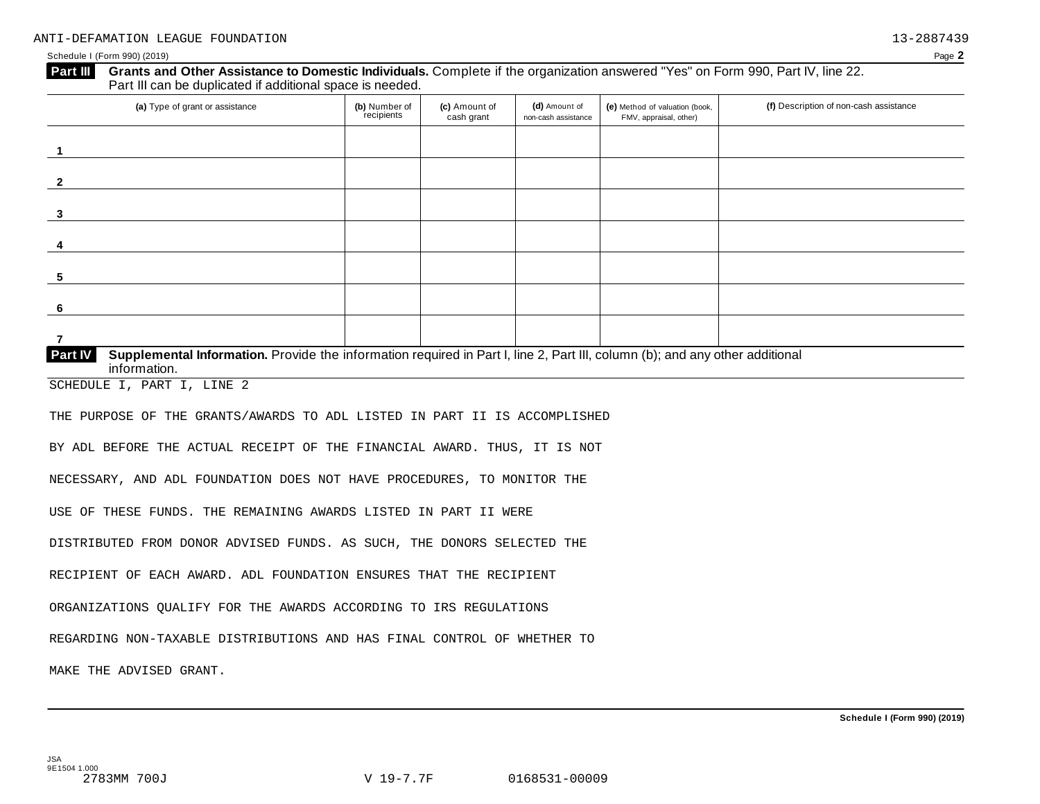Schedule I (Form 990) (2019) Page **2**

### **Grants and Other Assistance to Domestic Individuals.** Complete ifthe organization answered "Yes" on Form 990, Part IV, line 22. **Part III** Grants and Other Assistance to Domestic Individuals<br>Part III can be duplicated if additional space is needed.

| (a) Type of grant or assistance                                                                                                                         | (b) Number of<br>recipients | (c) Amount of<br>cash grant | (d) Amount of<br>non-cash assistance | (e) Method of valuation (book,<br>FMV, appraisal, other) | (f) Description of non-cash assistance |
|---------------------------------------------------------------------------------------------------------------------------------------------------------|-----------------------------|-----------------------------|--------------------------------------|----------------------------------------------------------|----------------------------------------|
|                                                                                                                                                         |                             |                             |                                      |                                                          |                                        |
|                                                                                                                                                         |                             |                             |                                      |                                                          |                                        |
| 3                                                                                                                                                       |                             |                             |                                      |                                                          |                                        |
| 4                                                                                                                                                       |                             |                             |                                      |                                                          |                                        |
| 5                                                                                                                                                       |                             |                             |                                      |                                                          |                                        |
| 6                                                                                                                                                       |                             |                             |                                      |                                                          |                                        |
|                                                                                                                                                         |                             |                             |                                      |                                                          |                                        |
| Part IV<br>Supplemental Information. Provide the information required in Part I, line 2, Part III, column (b); and any other additional<br>information. |                             |                             |                                      |                                                          |                                        |

SCHEDULE I, PART I, LINE 2

THE PURPOSE OF THE GRANTS/AWARDS TO ADL LISTED IN PART II IS ACCOMPLISHED

BY ADL BEFORE THE ACTUAL RECEIPT OF THE FINANCIAL AWARD. THUS, IT IS NOT

NECESSARY, AND ADL FOUNDATION DOES NOT HAVE PROCEDURES, TO MONITOR THE

USE OF THESE FUNDS. THE REMAINING AWARDS LISTED IN PART II WERE

DISTRIBUTED FROM DONOR ADVISED FUNDS. AS SUCH, THE DONORS SELECTED THE

RECIPIENT OF EACH AWARD. ADL FOUNDATION ENSURES THAT THE RECIPIENT

ORGANIZATIONS QUALIFY FOR THE AWARDS ACCORDING TO IRS REGULATIONS

REGARDING NON-TAXABLE DISTRIBUTIONS AND HAS FINAL CONTROL OF WHETHER TO

MAKE THE ADVISED GRANT.

**Schedule I (Form 990) (2019)**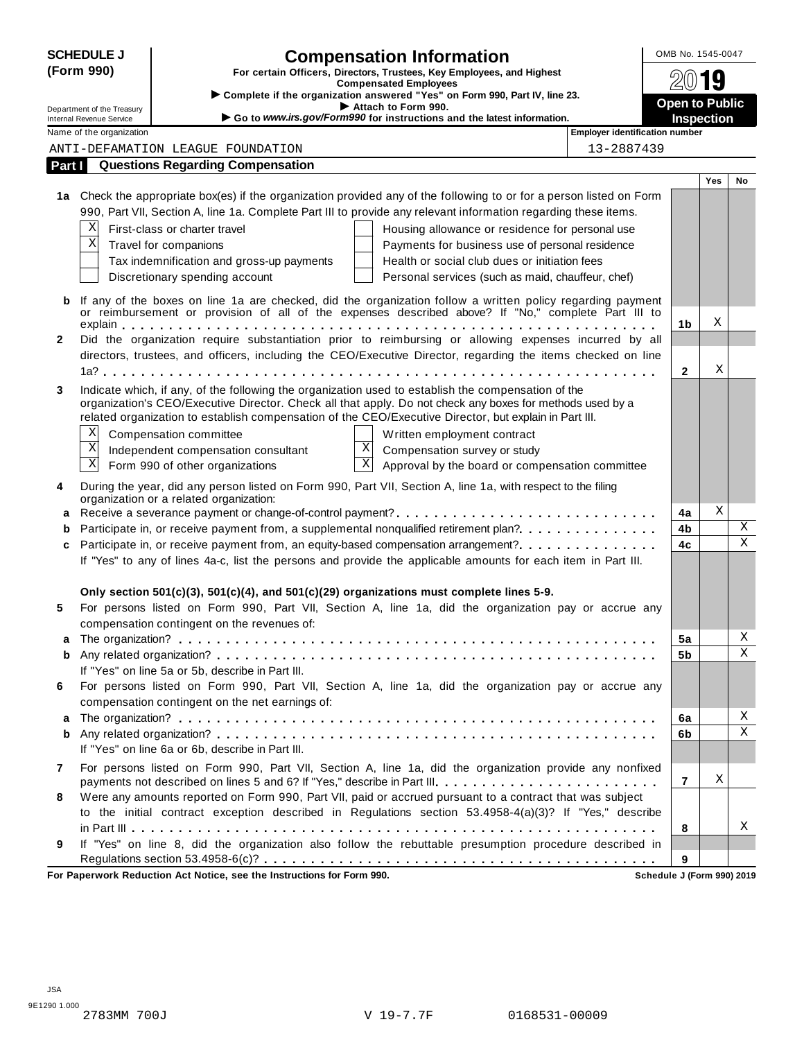|              | <b>SCHEDULE J</b>                                           | <b>Compensation Information</b>                                                                                                                                                                                  |                                | OMB No. 1545-0047     |                   |             |
|--------------|-------------------------------------------------------------|------------------------------------------------------------------------------------------------------------------------------------------------------------------------------------------------------------------|--------------------------------|-----------------------|-------------------|-------------|
|              | (Form 990)                                                  | For certain Officers, Directors, Trustees, Key Employees, and Highest                                                                                                                                            |                                |                       | 19                |             |
|              |                                                             | <b>Compensated Employees</b><br>Complete if the organization answered "Yes" on Form 990, Part IV, line 23.                                                                                                       |                                |                       |                   |             |
|              | Department of the Treasury                                  | Attach to Form 990.                                                                                                                                                                                              |                                | <b>Open to Public</b> |                   |             |
|              | <b>Internal Revenue Service</b><br>Name of the organization | Go to www.irs.gov/Form990 for instructions and the latest information.                                                                                                                                           | Employer identification number |                       | <b>Inspection</b> |             |
|              |                                                             | ANTI-DEFAMATION LEAGUE FOUNDATION                                                                                                                                                                                | 13-2887439                     |                       |                   |             |
| Part I       |                                                             | <b>Questions Regarding Compensation</b>                                                                                                                                                                          |                                |                       |                   |             |
|              |                                                             |                                                                                                                                                                                                                  |                                |                       | <b>Yes</b>        | No          |
|              |                                                             | 1a Check the appropriate box(es) if the organization provided any of the following to or for a person listed on Form                                                                                             |                                |                       |                   |             |
|              |                                                             | 990, Part VII, Section A, line 1a. Complete Part III to provide any relevant information regarding these items.                                                                                                  |                                |                       |                   |             |
|              | Χ                                                           | First-class or charter travel<br>Housing allowance or residence for personal use                                                                                                                                 |                                |                       |                   |             |
|              | X                                                           | Travel for companions<br>Payments for business use of personal residence                                                                                                                                         |                                |                       |                   |             |
|              |                                                             | Tax indemnification and gross-up payments<br>Health or social club dues or initiation fees                                                                                                                       |                                |                       |                   |             |
|              |                                                             | Discretionary spending account<br>Personal services (such as maid, chauffeur, chef)                                                                                                                              |                                |                       |                   |             |
| b            |                                                             | If any of the boxes on line 1a are checked, did the organization follow a written policy regarding payment                                                                                                       |                                |                       |                   |             |
|              |                                                             | or reimbursement or provision of all of the expenses described above? If "No," complete Part III to                                                                                                              |                                |                       |                   |             |
|              |                                                             |                                                                                                                                                                                                                  |                                | 1 <sub>b</sub>        | Χ                 |             |
| $\mathbf{2}$ |                                                             | Did the organization require substantiation prior to reimbursing or allowing expenses incurred by all                                                                                                            |                                |                       |                   |             |
|              |                                                             | directors, trustees, and officers, including the CEO/Executive Director, regarding the items checked on line                                                                                                     |                                |                       | Χ                 |             |
|              |                                                             |                                                                                                                                                                                                                  |                                | $\mathbf{2}$          |                   |             |
| 3            |                                                             | Indicate which, if any, of the following the organization used to establish the compensation of the<br>organization's CEO/Executive Director. Check all that apply. Do not check any boxes for methods used by a |                                |                       |                   |             |
|              |                                                             | related organization to establish compensation of the CEO/Executive Director, but explain in Part III.                                                                                                           |                                |                       |                   |             |
|              | Χ                                                           | Compensation committee<br>Written employment contract                                                                                                                                                            |                                |                       |                   |             |
|              | $\mathbf X$                                                 | $\mathbf X$<br>Independent compensation consultant<br>Compensation survey or study                                                                                                                               |                                |                       |                   |             |
|              | $\overline{\text{X}}$                                       | $\overline{\textbf{x}}$<br>Form 990 of other organizations<br>Approval by the board or compensation committee                                                                                                    |                                |                       |                   |             |
| 4            |                                                             | During the year, did any person listed on Form 990, Part VII, Section A, line 1a, with respect to the filing                                                                                                     |                                |                       |                   |             |
|              |                                                             | organization or a related organization:                                                                                                                                                                          |                                |                       |                   |             |
| a            |                                                             |                                                                                                                                                                                                                  |                                | 4a                    | Χ                 |             |
| b            |                                                             | Participate in, or receive payment from, a supplemental nonqualified retirement plan?                                                                                                                            |                                | 4b                    |                   | Χ           |
| c            |                                                             |                                                                                                                                                                                                                  |                                | 4c                    |                   | $\mathbf X$ |
|              |                                                             | If "Yes" to any of lines 4a-c, list the persons and provide the applicable amounts for each item in Part III.                                                                                                    |                                |                       |                   |             |
|              |                                                             |                                                                                                                                                                                                                  |                                |                       |                   |             |
|              |                                                             | Only section 501(c)(3), 501(c)(4), and 501(c)(29) organizations must complete lines 5-9.                                                                                                                         |                                |                       |                   |             |
| 5            |                                                             | For persons listed on Form 990, Part VII, Section A, line 1a, did the organization pay or accrue any<br>compensation contingent on the revenues of:                                                              |                                |                       |                   |             |
|              |                                                             |                                                                                                                                                                                                                  |                                | 5a                    |                   | Χ           |
| b            |                                                             |                                                                                                                                                                                                                  |                                | 5b                    |                   | Χ           |
|              |                                                             | If "Yes" on line 5a or 5b, describe in Part III.                                                                                                                                                                 |                                |                       |                   |             |
| 6            |                                                             | For persons listed on Form 990, Part VII, Section A, line 1a, did the organization pay or accrue any                                                                                                             |                                |                       |                   |             |
|              |                                                             | compensation contingent on the net earnings of:                                                                                                                                                                  |                                |                       |                   |             |
| a            |                                                             |                                                                                                                                                                                                                  |                                | 6a                    |                   | Χ           |
| b            |                                                             |                                                                                                                                                                                                                  |                                | 6b                    |                   | Χ           |
|              |                                                             | If "Yes" on line 6a or 6b, describe in Part III.                                                                                                                                                                 |                                |                       |                   |             |
| 7            |                                                             | For persons listed on Form 990, Part VII, Section A, line 1a, did the organization provide any nonfixed                                                                                                          |                                |                       |                   |             |
|              |                                                             | payments not described on lines 5 and 6? If "Yes," describe in Part III.                                                                                                                                         |                                | 7                     | Χ                 |             |
| 8            |                                                             | Were any amounts reported on Form 990, Part VII, paid or accrued pursuant to a contract that was subject                                                                                                         |                                |                       |                   |             |
|              |                                                             | to the initial contract exception described in Regulations section 53.4958-4(a)(3)? If "Yes," describe                                                                                                           |                                |                       |                   |             |
|              |                                                             |                                                                                                                                                                                                                  |                                | 8                     |                   | Χ           |
| 9            |                                                             | If "Yes" on line 8, did the organization also follow the rebuttable presumption procedure described in                                                                                                           |                                |                       |                   |             |
|              |                                                             |                                                                                                                                                                                                                  |                                | 9                     |                   |             |

**For Paperwork Reduction Act Notice, see the Instructions for Form 990. Schedule J (Form 990) 2019**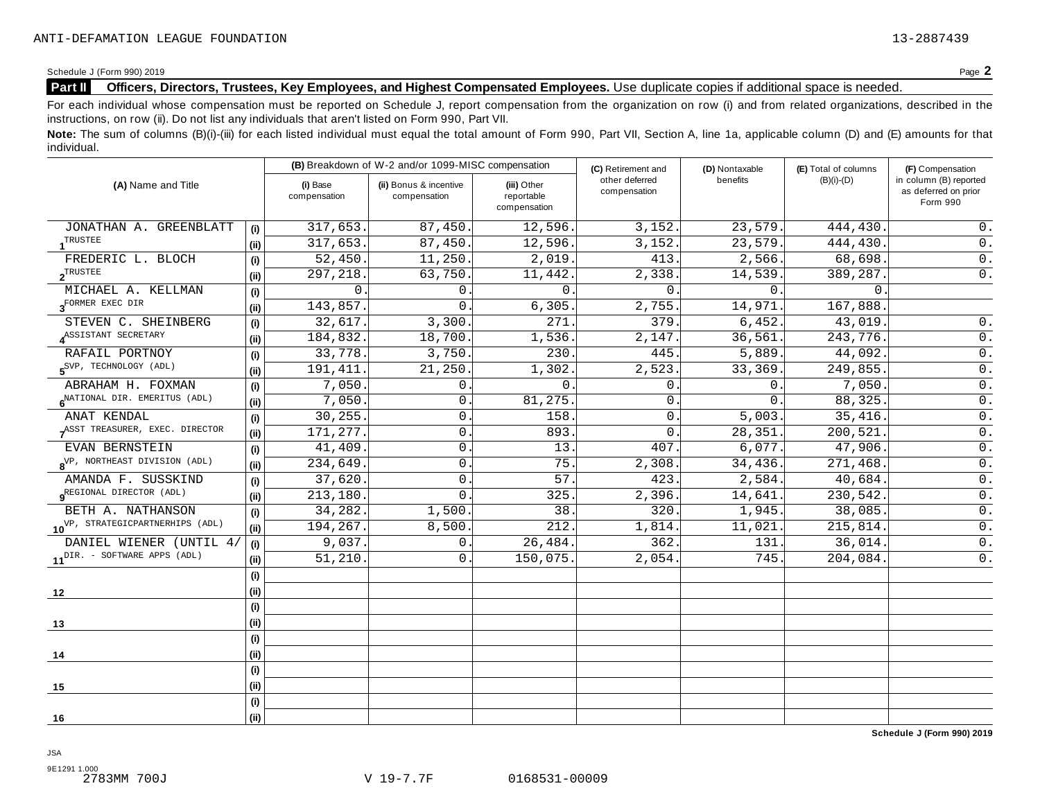#### Schedule J (Form 990) 2019<br>**Page 2 Page 2 Page 2 Page 2 Page 2 Page 2 Page 2 Page 2 Page 2 Page 2 Page 2 Page 2 Page 2 Page 2 Page 2 Page 2 Page 2 Page 2 Page 2 Page 2 Page 2 Page Part II Officers, Directors, Trustees, Key Employees, and Highest Compensated Employees.** Use duplicate copies ifadditional space is needed.

For each individual whose compensation must be reported on Schedule J, report compensation from the organization on row (i) and from related organizations, described in the instructions, on row (ii). Do not list any individuals that aren't listed on Form 990, Part VII.

Note: The sum of columns (B)(i)-(iii) for each listed individual must equal the total amount of Form 990, Part VII, Section A, line 1a, applicable column (D) and (E) amounts for that individual.

|                                                                                                                                                                                                                                                                                                              |      |                          | (B) Breakdown of W-2 and/or 1099-MISC compensation |                                           | (C) Retirement and             | (D) Nontaxable | (E) Total of columns | (F) Compensation                                           |
|--------------------------------------------------------------------------------------------------------------------------------------------------------------------------------------------------------------------------------------------------------------------------------------------------------------|------|--------------------------|----------------------------------------------------|-------------------------------------------|--------------------------------|----------------|----------------------|------------------------------------------------------------|
| (A) Name and Title                                                                                                                                                                                                                                                                                           |      | (i) Base<br>compensation | (ii) Bonus & incentive<br>compensation             | (iii) Other<br>reportable<br>compensation | other deferred<br>compensation | benefits       | $(B)(i)-(D)$         | in column (B) reported<br>as deferred on prior<br>Form 990 |
| JONATHAN A. GREENBLATT                                                                                                                                                                                                                                                                                       | (i)  | 317,653.                 | 87,450.                                            | 12,596.                                   | 3,152.                         | 23,579.        | 444,430.             | $0$ .                                                      |
| TRUSTEE                                                                                                                                                                                                                                                                                                      | (ii) | 317,653.                 | 87,450.                                            | 12,596.                                   | 3,152.                         | 23,579.        | 444,430.             | $0$ .                                                      |
| FREDERIC L. BLOCH                                                                                                                                                                                                                                                                                            | (i)  | 52,450.                  | 11,250.                                            | 2,019.                                    | 413.                           | 2,566.         | 68,698.              | $0$ .                                                      |
|                                                                                                                                                                                                                                                                                                              | (i)  | 297,218.                 | 63,750.                                            | 11,442.                                   | 2,338.                         | 14,539.        | 389,287.             | $0$ .                                                      |
| MICHAEL A. KELLMAN                                                                                                                                                                                                                                                                                           | (i)  | $\overline{0}$ .         | $\overline{0}$ .                                   | $\Omega$ .                                | $0$ .                          | 0.             | $\overline{0}$ .     |                                                            |
|                                                                                                                                                                                                                                                                                                              | (i)  | 143,857.                 | $\overline{0}$ .                                   | 6,305.                                    | 2,755.                         | 14,971.        | 167,888.             |                                                            |
| STEVEN C. SHEINBERG                                                                                                                                                                                                                                                                                          | (i)  | 32,617.                  | 3,300.                                             | 271                                       | 379.                           | 6,452.         | 43,019               | $0$ .                                                      |
|                                                                                                                                                                                                                                                                                                              | (i)  | 184,832.                 | 18,700.                                            | 1,536.                                    | 2,147.                         | 36, 561.       | 243,776.             | $0$ .                                                      |
| RAFAIL PORTNOY                                                                                                                                                                                                                                                                                               | (i)  | 33,778.                  | 3,750.                                             | 230                                       | 445.                           | 5,889.         | 44,092.              | $0$ .                                                      |
|                                                                                                                                                                                                                                                                                                              | (ii) | 191,411                  | 21,250.                                            | 1,302.                                    | 2,523.                         | 33,369.        | 249,855.             | $\overline{0}$ .                                           |
| ABRAHAM H. FOXMAN                                                                                                                                                                                                                                                                                            | (i)  | 7,050.                   | $0$ .                                              | 0                                         | 0                              | 0.             | 7,050.               | $\overline{0}$ .                                           |
|                                                                                                                                                                                                                                                                                                              | (i)  | 7,050                    | $\overline{0}$ .                                   | 81,275.                                   | 0                              | $0$ .          | 88, 325.             | $\overline{0}$ .                                           |
| ANAT KENDAL                                                                                                                                                                                                                                                                                                  | (i)  | 30, 255.                 | $\overline{0}$ .                                   | 158.                                      | $\Omega$                       | 5,003.         | 35, 416.             | $\overline{0}$ .                                           |
|                                                                                                                                                                                                                                                                                                              | (i)  | 171,277.                 | $\mathsf{O}$ .                                     | 893                                       | $\Omega$ .                     | 28,351.        | 200, 521.            | $0$ .                                                      |
| EVAN BERNSTEIN                                                                                                                                                                                                                                                                                               | (i)  | 41,409                   | $\mathsf{O}$ .                                     | 13                                        | 407.                           | 6,077.         | 47,906.              | $\overline{0}$ .                                           |
|                                                                                                                                                                                                                                                                                                              | (i)  | 234,649                  | $\mathbf{0}$ .                                     | 75                                        | 2,308.                         | 34,436.        | 271,468.             | $\overline{0}$ .                                           |
| AMANDA F. SUSSKIND                                                                                                                                                                                                                                                                                           | (i)  | 37,620                   | $\mathbf{0}$ .                                     | 57.                                       | 423.                           | 2,584.         | 40,684.              | $0$ .                                                      |
|                                                                                                                                                                                                                                                                                                              | (i)  | 213,180                  | $\overline{0}$ .                                   | 325                                       | 2,396.                         | 14,641.        | 230,542.             | $\overline{0}$ .                                           |
| $2^{T RUSTEE}$<br>3 <sup>FORMER</sup> EXEC DIR<br>ASSISTANT SECRETARY<br>$5^{\text{SVP}}$ , TECHNOLOGY (ADL)<br>NATIONAL DIR. EMERITUS (ADL)<br>ASST TREASURER, EXEC. DIRECTOR<br>8 <sup>VP,</sup> NORTHEAST DIVISION (ADL)<br><b>g</b> REGIONAL DIRECTOR (ADL)<br>BETH A. NATHANSON<br>12<br>13<br>14<br>16 | (i)  | 34,282.                  | 1,500.                                             | 38                                        | 320.                           | 1,945.         | 38,085.              | $\overline{0}$ .                                           |
|                                                                                                                                                                                                                                                                                                              | (i)  | 194,267.                 | 8,500.                                             | 212                                       | 1,814.                         | 11,021.        | 215,814.             | $0$ .                                                      |
| DANIEL WIENER (UNTIL 4/                                                                                                                                                                                                                                                                                      | (i)  | 9,037.                   | 0.                                                 | 26,484.                                   | 362.                           | 131.           | 36,014.              | $0$ .                                                      |
| 10 <sup>VP,</sup> STRATEGICPARTNERHIPS (ADL)<br>$11^{\text{DIR.}}$ - SOFTWARE APPS (ADL)                                                                                                                                                                                                                     |      | 51,210                   | 0                                                  | 150,075.                                  | 2,054.                         | 745.           | 204,084.             | $\overline{0}$ .                                           |
|                                                                                                                                                                                                                                                                                                              | (i)  |                          |                                                    |                                           |                                |                |                      |                                                            |
|                                                                                                                                                                                                                                                                                                              | (ii) |                          |                                                    |                                           |                                |                |                      |                                                            |
|                                                                                                                                                                                                                                                                                                              | (i)  |                          |                                                    |                                           |                                |                |                      |                                                            |
|                                                                                                                                                                                                                                                                                                              | (ii) |                          |                                                    |                                           |                                |                |                      |                                                            |
|                                                                                                                                                                                                                                                                                                              | (i)  |                          |                                                    |                                           |                                |                |                      |                                                            |
|                                                                                                                                                                                                                                                                                                              | (ii) |                          |                                                    |                                           |                                |                |                      |                                                            |
|                                                                                                                                                                                                                                                                                                              | (i)  |                          |                                                    |                                           |                                |                |                      |                                                            |
| 15                                                                                                                                                                                                                                                                                                           | (ii) |                          |                                                    |                                           |                                |                |                      |                                                            |
|                                                                                                                                                                                                                                                                                                              | (i)  |                          |                                                    |                                           |                                |                |                      |                                                            |
|                                                                                                                                                                                                                                                                                                              | (i)  |                          |                                                    |                                           |                                |                |                      |                                                            |

**Schedule J (Form 990) 2019**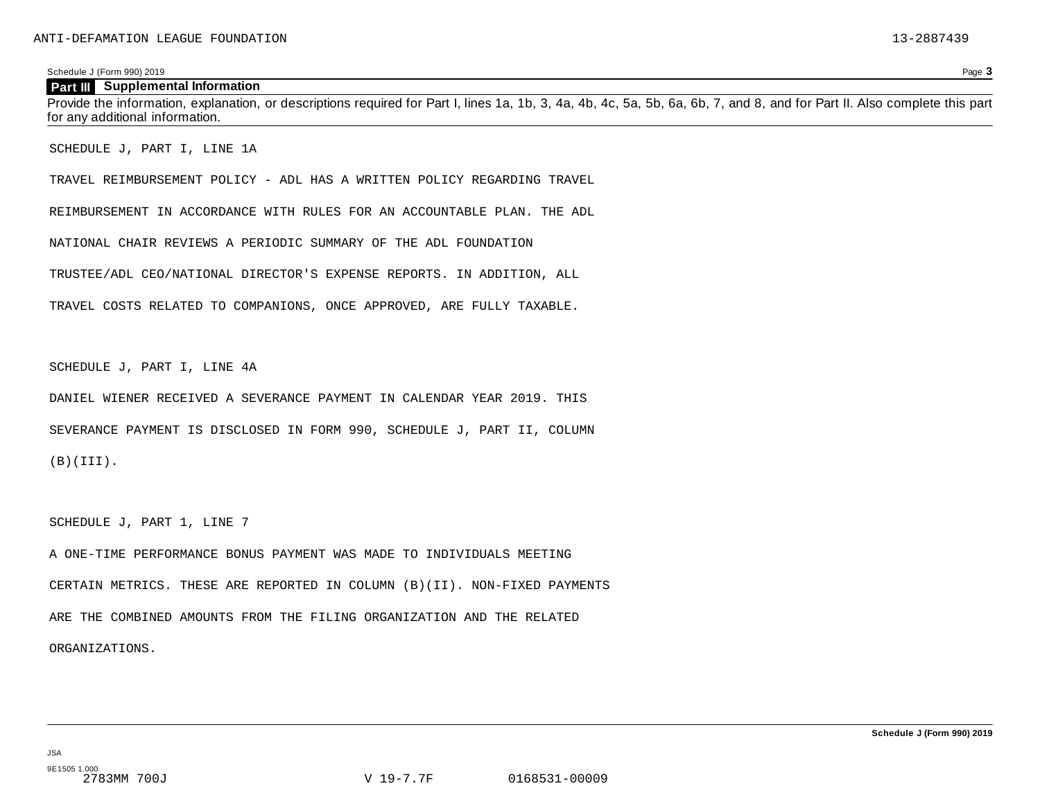Schedule J (Form 990) 2019 Page **3**

#### **Part III Supplemental Information**

Provide the information, explanation, or descriptions required for Part I, lines 1a, 1b, 3, 4a, 4b, 4c, 5a, 5b, 6a, 6b, 7, and 8, and for Part II. Also complete this part for any additional information.

SCHEDULE J, PART I, LINE 1A

TRAVEL REIMBURSEMENT POLICY - ADL HAS A WRITTEN POLICY REGARDING TRAVEL

REIMBURSEMENT IN ACCORDANCE WITH RULES FOR AN ACCOUNTABLE PLAN. THE ADL

NATIONAL CHAIR REVIEWS A PERIODIC SUMMARY OF THE ADL FOUNDATION

TRUSTEE/ADL CEO/NATIONAL DIRECTOR'S EXPENSE REPORTS. IN ADDITION, ALL

TRAVEL COSTS RELATED TO COMPANIONS, ONCE APPROVED, ARE FULLY TAXABLE.

SCHEDULE J, PART I, LINE 4A

DANIEL WIENER RECEIVED A SEVERANCE PAYMENT IN CALENDAR YEAR 2019. THIS

SEVERANCE PAYMENT IS DISCLOSED IN FORM 990, SCHEDULE J, PART II, COLUMN

 $(B)(III)$ .

SCHEDULE J, PART 1, LINE 7

A ONE-TIME PERFORMANCE BONUS PAYMENT WAS MADE TO INDIVIDUALS MEETING CERTAIN METRICS. THESE ARE REPORTED IN COLUMN (B)(II). NON-FIXED PAYMENTS ARE THE COMBINED AMOUNTS FROM THE FILING ORGANIZATION AND THE RELATED ORGANIZATIONS.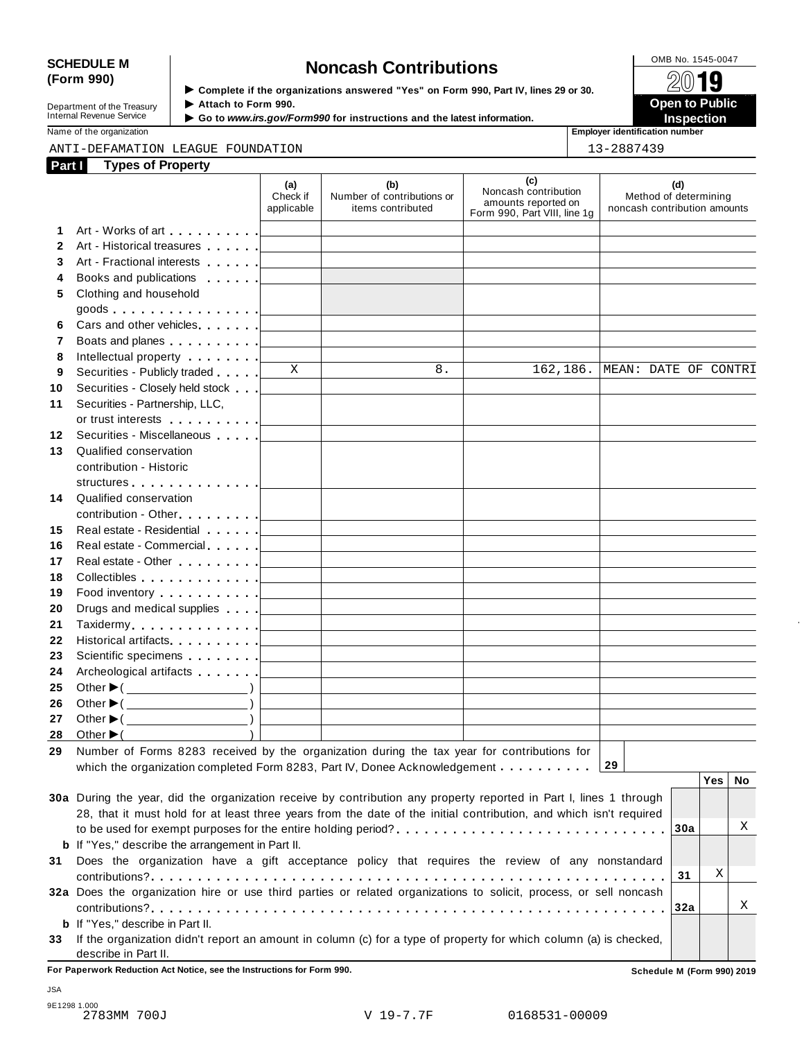## SCHEDULE M<br>
(Form 990) **Supplementary of the organizations answered** "Yes" on Form 990 Part IV lines 29 or 30

**Department of the Treasury<br>Internal Revenue Service** 

**Examplete** if the organizations answered "Yes" on Form 990, Part Ⅳ, lines 29 or 30. 
<br>■ **Open to Public Department of the Treasury ▶ Attach to Form 990.**<br>Internal Revenue Service ▶ Go to *www.irs.gov/Form990* for instructions and the latest information.<br>Nome of the organization aumhor

Name of the organization **intervalse of the organization intervalse of the organization intervalse of the organization intervalse of the organization intervalse of the organization intervalse of the organization** 

#### ANTI-DEFAMATION LEAGUE FOUNDATION 13-2887439

| Part I       | <b>Types of Property</b>                                                                                                                                                                                                       |                               |                                                                                                                      |                                                                                                                     |                                                              |     |    |
|--------------|--------------------------------------------------------------------------------------------------------------------------------------------------------------------------------------------------------------------------------|-------------------------------|----------------------------------------------------------------------------------------------------------------------|---------------------------------------------------------------------------------------------------------------------|--------------------------------------------------------------|-----|----|
|              |                                                                                                                                                                                                                                | (a)<br>Check if<br>applicable | (b)<br>Number of contributions or<br>items contributed                                                               | (c)<br>Noncash contribution<br>amounts reported on<br>Form 990, Part VIII, line 1g                                  | (d)<br>Method of determining<br>noncash contribution amounts |     |    |
| 1.           |                                                                                                                                                                                                                                |                               |                                                                                                                      |                                                                                                                     |                                                              |     |    |
| $\mathbf{2}$ |                                                                                                                                                                                                                                |                               |                                                                                                                      |                                                                                                                     |                                                              |     |    |
| 3            |                                                                                                                                                                                                                                |                               |                                                                                                                      |                                                                                                                     |                                                              |     |    |
| 4            | Books and publications entering the state of the state of the state of the state of the state of the state of the state of the state of the state of the state of the state of the state of the state of the state of the stat |                               |                                                                                                                      |                                                                                                                     |                                                              |     |    |
| 5            | Clothing and household                                                                                                                                                                                                         |                               |                                                                                                                      |                                                                                                                     |                                                              |     |    |
|              |                                                                                                                                                                                                                                |                               |                                                                                                                      |                                                                                                                     |                                                              |     |    |
| 6            |                                                                                                                                                                                                                                |                               |                                                                                                                      |                                                                                                                     |                                                              |     |    |
| 7            |                                                                                                                                                                                                                                |                               |                                                                                                                      |                                                                                                                     |                                                              |     |    |
| 8            | Intellectual property   _ _ _ _ _ _                                                                                                                                                                                            |                               |                                                                                                                      |                                                                                                                     |                                                              |     |    |
| 9            | Securities - Publicly traded                                                                                                                                                                                                   | $\mathbf{X}$                  | 8.                                                                                                                   | 162,186.                                                                                                            | MEAN: DATE OF CONTRI                                         |     |    |
| 10           |                                                                                                                                                                                                                                |                               |                                                                                                                      |                                                                                                                     |                                                              |     |    |
| 11           | Securities - Partnership, LLC,                                                                                                                                                                                                 |                               |                                                                                                                      |                                                                                                                     |                                                              |     |    |
|              |                                                                                                                                                                                                                                |                               |                                                                                                                      |                                                                                                                     |                                                              |     |    |
| 12           | Securities - Miscellaneous                                                                                                                                                                                                     |                               |                                                                                                                      |                                                                                                                     |                                                              |     |    |
| 13           | Qualified conservation                                                                                                                                                                                                         |                               |                                                                                                                      |                                                                                                                     |                                                              |     |    |
|              | contribution - Historic                                                                                                                                                                                                        |                               |                                                                                                                      |                                                                                                                     |                                                              |     |    |
|              |                                                                                                                                                                                                                                |                               |                                                                                                                      |                                                                                                                     |                                                              |     |    |
| 14           | Qualified conservation                                                                                                                                                                                                         |                               |                                                                                                                      |                                                                                                                     |                                                              |     |    |
|              |                                                                                                                                                                                                                                |                               |                                                                                                                      |                                                                                                                     |                                                              |     |    |
| 15           |                                                                                                                                                                                                                                |                               |                                                                                                                      | the control of the control of the control of the control of the control of                                          |                                                              |     |    |
| 16           | Real estate - Commercial example and the commercial and the commercial and the commercial and the commercial and the commercial and the commercial and the commercial and the commercial and the commercial and commercial and |                               |                                                                                                                      | <u> 1989 - Johann Barn, mars ann an t-Amhain an t-Amhain an t-Amhain an t-Amhain an t-Amhain an t-Amhain an t-A</u> |                                                              |     |    |
| 17           |                                                                                                                                                                                                                                |                               |                                                                                                                      | the control of the control of the control of the control of the control of                                          |                                                              |     |    |
| 18           |                                                                                                                                                                                                                                |                               |                                                                                                                      | the control of the control of the control of the control of the control of                                          |                                                              |     |    |
| 19           | Food inventory $\ldots \ldots \ldots$ . $\qquad \qquad$                                                                                                                                                                        |                               |                                                                                                                      | the control of the control of the control of the control of the control of                                          |                                                              |     |    |
| 20           |                                                                                                                                                                                                                                |                               |                                                                                                                      | the control of the control of the control of the control of the control of                                          |                                                              |     |    |
| 21           |                                                                                                                                                                                                                                |                               |                                                                                                                      |                                                                                                                     |                                                              |     |    |
| 22           |                                                                                                                                                                                                                                |                               |                                                                                                                      |                                                                                                                     |                                                              |     |    |
| 23           |                                                                                                                                                                                                                                |                               |                                                                                                                      |                                                                                                                     |                                                              |     |    |
| 24           |                                                                                                                                                                                                                                |                               |                                                                                                                      |                                                                                                                     |                                                              |     |    |
| 25           | Other $\blacktriangleright$ ( $\_\_\_\_\_\_\_\_\$ ) $\downarrow$                                                                                                                                                               |                               | <u> 1989 - Johann John Stone, markin film yn y brenin y brenin y brenin y brenin y brenin y brenin y brenin y br</u> |                                                                                                                     |                                                              |     |    |
| 26           |                                                                                                                                                                                                                                |                               |                                                                                                                      |                                                                                                                     |                                                              |     |    |
| 27           | Other $\blacktriangleright$ ( $\qquad \qquad$ )                                                                                                                                                                                |                               |                                                                                                                      |                                                                                                                     |                                                              |     |    |
|              | 28 Other $\blacktriangleright$ (                                                                                                                                                                                               |                               |                                                                                                                      |                                                                                                                     |                                                              |     |    |
|              | 29 Number of Forms 8283 received by the organization during the tax year for contributions for                                                                                                                                 |                               |                                                                                                                      |                                                                                                                     |                                                              |     |    |
|              | which the organization completed Form 8283, Part IV, Donee Acknowledgement                                                                                                                                                     |                               |                                                                                                                      |                                                                                                                     | 29                                                           |     |    |
|              |                                                                                                                                                                                                                                |                               |                                                                                                                      |                                                                                                                     |                                                              | Yes | No |
|              | 30a During the year, did the organization receive by contribution any property reported in Part I, lines 1 through                                                                                                             |                               |                                                                                                                      |                                                                                                                     |                                                              |     |    |
|              | 28, that it must hold for at least three years from the date of the initial contribution, and which isn't required                                                                                                             |                               |                                                                                                                      |                                                                                                                     |                                                              |     |    |
|              |                                                                                                                                                                                                                                |                               |                                                                                                                      |                                                                                                                     | 30a                                                          |     | Χ  |
|              | <b>b</b> If "Yes," describe the arrangement in Part II.                                                                                                                                                                        |                               |                                                                                                                      |                                                                                                                     |                                                              |     |    |
| 31           | Does the organization have a gift acceptance policy that requires the review of any nonstandard                                                                                                                                |                               |                                                                                                                      |                                                                                                                     |                                                              |     |    |
|              |                                                                                                                                                                                                                                |                               |                                                                                                                      |                                                                                                                     | 31                                                           | Χ   |    |
|              | 32a Does the organization hire or use third parties or related organizations to solicit, process, or sell noncash                                                                                                              |                               |                                                                                                                      |                                                                                                                     |                                                              |     |    |
|              |                                                                                                                                                                                                                                |                               |                                                                                                                      |                                                                                                                     | 32a                                                          |     | Χ  |
|              | <b>b</b> If "Yes," describe in Part II.                                                                                                                                                                                        |                               |                                                                                                                      |                                                                                                                     |                                                              |     |    |
| 33           | If the organization didn't report an amount in column (c) for a type of property for which column (a) is checked,                                                                                                              |                               |                                                                                                                      |                                                                                                                     |                                                              |     |    |
|              | describe in Part II.                                                                                                                                                                                                           |                               |                                                                                                                      |                                                                                                                     |                                                              |     |    |

**For Paperwork Reduction Act Notice, see the Instructions for Form 990. Schedule M (Form 990) 2019**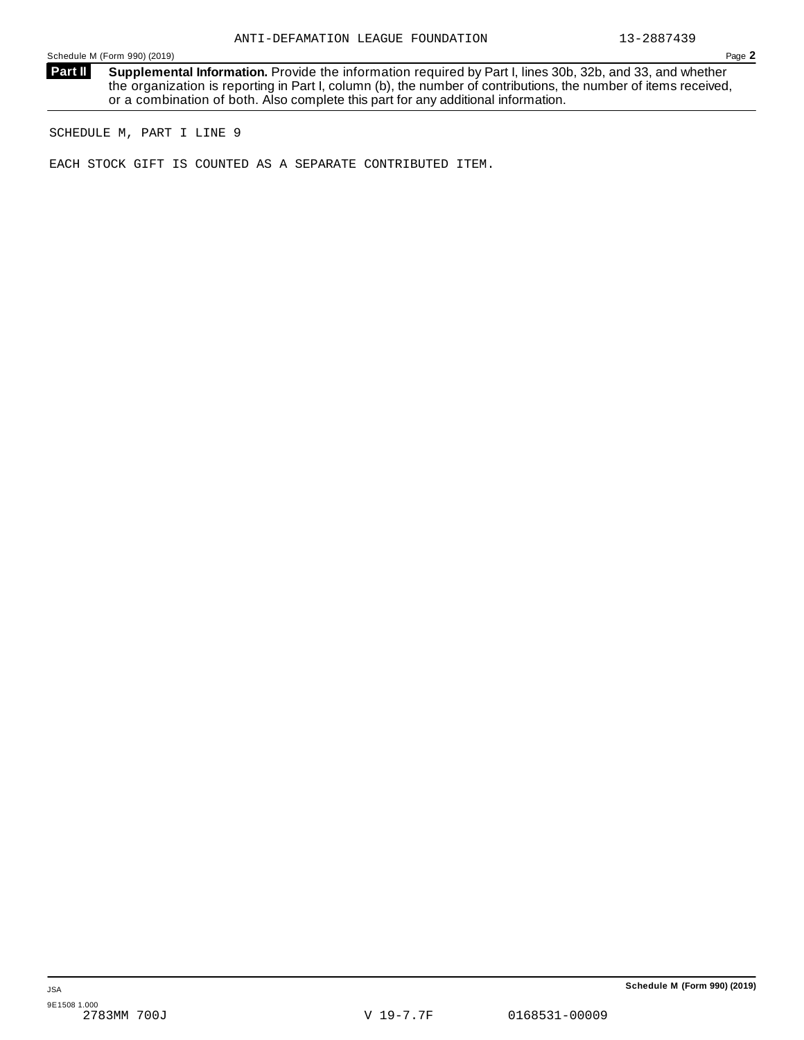**Supplemental Information.** Provide the information required by Part I, lines 30b, 32b, and 33, and whether the organization is reporting in Part I, column (b), the number of contributions, the number of items received, or a combination of both. Also complete this part for any additional information. **Part II**

SCHEDULE M, PART I LINE 9

EACH STOCK GIFT IS COUNTED AS A SEPARATE CONTRIBUTED ITEM.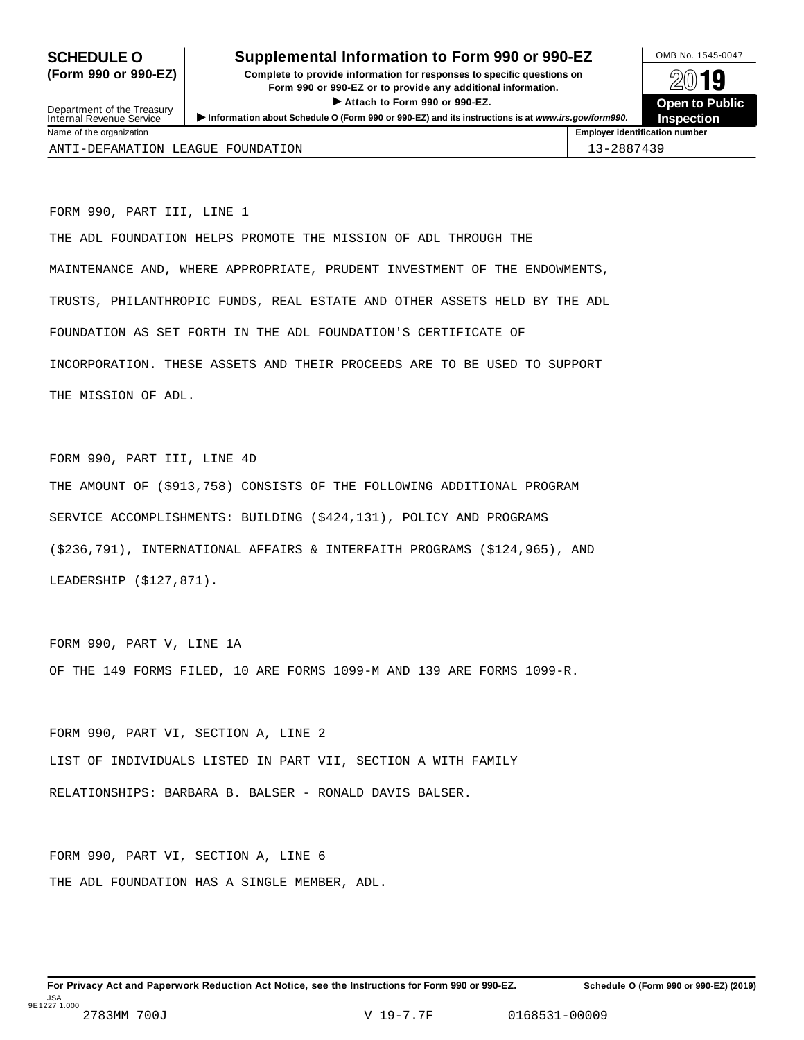Department of the Treasury<br>Internal Revenue Service

### **SCHEDULE O** Supplemental Information to Form 990 or 990-EZ DMB No. 1545-0047

**(Form 990 or 990-EZ) Complete to provide information for responses to specific questions on** plete to provide information for responses to specific questions on  $\mathbb{Z}^{0}$  **19 EV I D**<br>
■ Attach to Form 990 or 990-EZ.<br>
■ Public Public Public Public Public Department of the Treasury <br>Depen to Public<br>Name of the organization<br>Name of the organization<br>Name of the organization<br>Name of the organization<br>Inspection



ANTI-DEFAMATION LEAGUE FOUNDATION 13-2887439

FORM 990, PART III, LINE 1

THE ADL FOUNDATION HELPS PROMOTE THE MISSION OF ADL THROUGH THE MAINTENANCE AND, WHERE APPROPRIATE, PRUDENT INVESTMENT OF THE ENDOWMENTS, TRUSTS, PHILANTHROPIC FUNDS, REAL ESTATE AND OTHER ASSETS HELD BY THE ADL FOUNDATION AS SET FORTH IN THE ADL FOUNDATION'S CERTIFICATE OF INCORPORATION. THESE ASSETS AND THEIR PROCEEDS ARE TO BE USED TO SUPPORT THE MISSION OF ADL.

FORM 990, PART III, LINE 4D THE AMOUNT OF (\$913,758) CONSISTS OF THE FOLLOWING ADDITIONAL PROGRAM SERVICE ACCOMPLISHMENTS: BUILDING (\$424,131), POLICY AND PROGRAMS (\$236,791), INTERNATIONAL AFFAIRS & INTERFAITH PROGRAMS (\$124,965), AND LEADERSHIP (\$127,871).

FORM 990, PART V, LINE 1A OF THE 149 FORMS FILED, 10 ARE FORMS 1099-M AND 139 ARE FORMS 1099-R.

FORM 990, PART VI, SECTION A, LINE 2 LIST OF INDIVIDUALS LISTED IN PART VII, SECTION A WITH FAMILY RELATIONSHIPS: BARBARA B. BALSER - RONALD DAVIS BALSER.

FORM 990, PART VI, SECTION A, LINE 6 THE ADL FOUNDATION HAS A SINGLE MEMBER, ADL.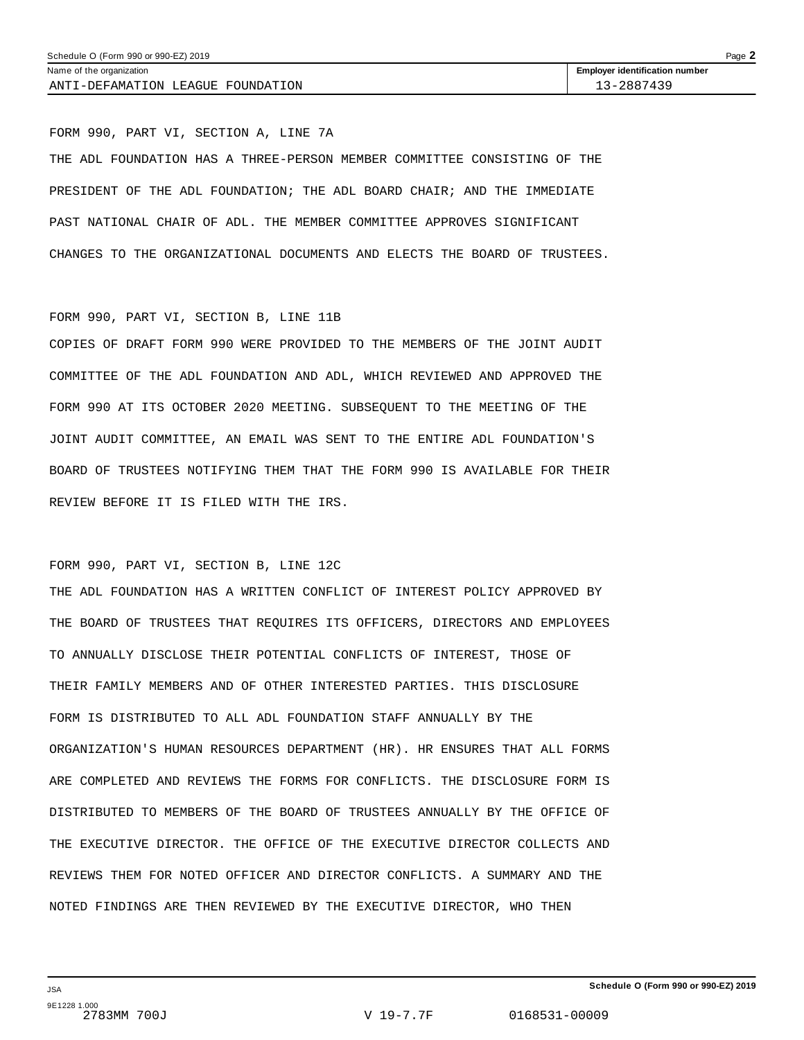FORM 990, PART VI, SECTION A, LINE 7A THE ADL FOUNDATION HAS A THREE-PERSON MEMBER COMMITTEE CONSISTING OF THE PRESIDENT OF THE ADL FOUNDATION; THE ADL BOARD CHAIR; AND THE IMMEDIATE PAST NATIONAL CHAIR OF ADL. THE MEMBER COMMITTEE APPROVES SIGNIFICANT CHANGES TO THE ORGANIZATIONAL DOCUMENTS AND ELECTS THE BOARD OF TRUSTEES.

#### FORM 990, PART VI, SECTION B, LINE 11B

COPIES OF DRAFT FORM 990 WERE PROVIDED TO THE MEMBERS OF THE JOINT AUDIT COMMITTEE OF THE ADL FOUNDATION AND ADL, WHICH REVIEWED AND APPROVED THE FORM 990 AT ITS OCTOBER 2020 MEETING. SUBSEQUENT TO THE MEETING OF THE JOINT AUDIT COMMITTEE, AN EMAIL WAS SENT TO THE ENTIRE ADL FOUNDATION'S BOARD OF TRUSTEES NOTIFYING THEM THAT THE FORM 990 IS AVAILABLE FOR THEIR REVIEW BEFORE IT IS FILED WITH THE IRS.

#### FORM 990, PART VI, SECTION B, LINE 12C

THE ADL FOUNDATION HAS A WRITTEN CONFLICT OF INTEREST POLICY APPROVED BY THE BOARD OF TRUSTEES THAT REQUIRES ITS OFFICERS, DIRECTORS AND EMPLOYEES TO ANNUALLY DISCLOSE THEIR POTENTIAL CONFLICTS OF INTEREST, THOSE OF THEIR FAMILY MEMBERS AND OF OTHER INTERESTED PARTIES. THIS DISCLOSURE FORM IS DISTRIBUTED TO ALL ADL FOUNDATION STAFF ANNUALLY BY THE ORGANIZATION'S HUMAN RESOURCES DEPARTMENT (HR). HR ENSURES THAT ALL FORMS ARE COMPLETED AND REVIEWS THE FORMS FOR CONFLICTS. THE DISCLOSURE FORM IS DISTRIBUTED TO MEMBERS OF THE BOARD OF TRUSTEES ANNUALLY BY THE OFFICE OF THE EXECUTIVE DIRECTOR. THE OFFICE OF THE EXECUTIVE DIRECTOR COLLECTS AND REVIEWS THEM FOR NOTED OFFICER AND DIRECTOR CONFLICTS. A SUMMARY AND THE NOTED FINDINGS ARE THEN REVIEWED BY THE EXECUTIVE DIRECTOR, WHO THEN

JSA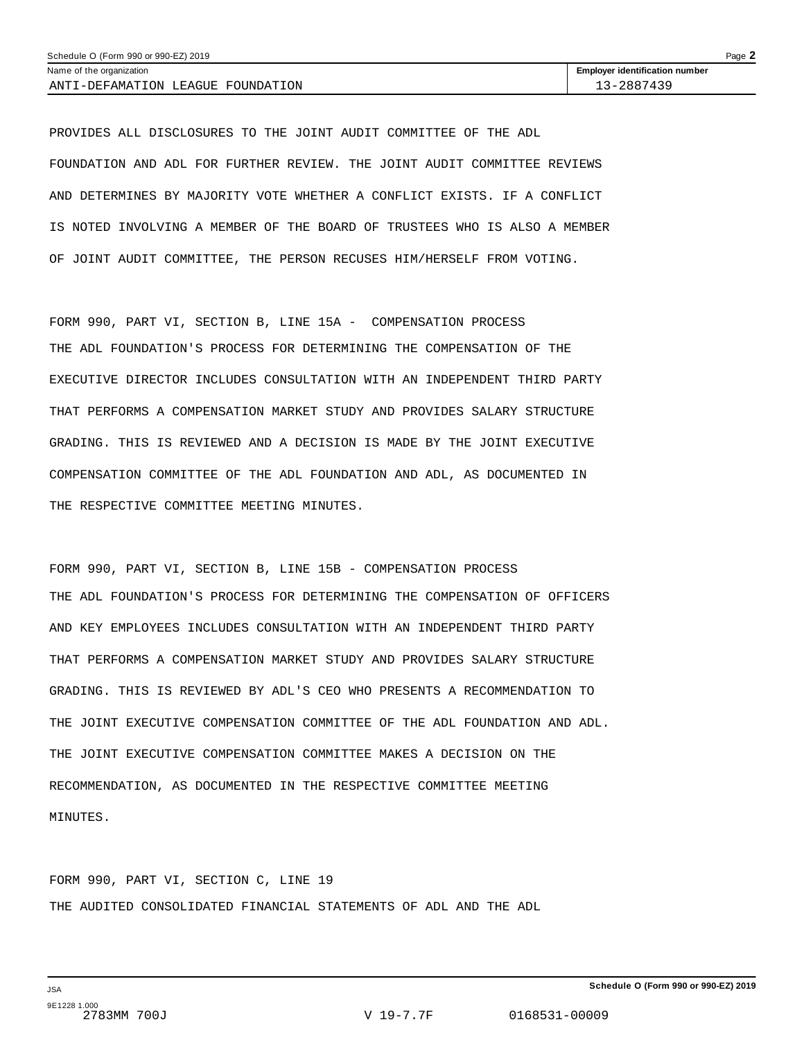| Schedule O (Form 990 or 990-EZ) 2019 |                                       | Page 2 |
|--------------------------------------|---------------------------------------|--------|
| Name of the organization             | <b>Employer identification number</b> |        |
| ANTI-DEFAMATION LEAGUE FOUNDATION    | 13-2887439                            |        |

PROVIDES ALL DISCLOSURES TO THE JOINT AUDIT COMMITTEE OF THE ADL FOUNDATION AND ADL FOR FURTHER REVIEW. THE JOINT AUDIT COMMITTEE REVIEWS AND DETERMINES BY MAJORITY VOTE WHETHER A CONFLICT EXISTS. IF A CONFLICT IS NOTED INVOLVING A MEMBER OF THE BOARD OF TRUSTEES WHO IS ALSO A MEMBER OF JOINT AUDIT COMMITTEE, THE PERSON RECUSES HIM/HERSELF FROM VOTING.

FORM 990, PART VI, SECTION B, LINE 15A - COMPENSATION PROCESS THE ADL FOUNDATION'S PROCESS FOR DETERMINING THE COMPENSATION OF THE EXECUTIVE DIRECTOR INCLUDES CONSULTATION WITH AN INDEPENDENT THIRD PARTY THAT PERFORMS A COMPENSATION MARKET STUDY AND PROVIDES SALARY STRUCTURE GRADING. THIS IS REVIEWED AND A DECISION IS MADE BY THE JOINT EXECUTIVE COMPENSATION COMMITTEE OF THE ADL FOUNDATION AND ADL, AS DOCUMENTED IN THE RESPECTIVE COMMITTEE MEETING MINUTES.

FORM 990, PART VI, SECTION B, LINE 15B - COMPENSATION PROCESS THE ADL FOUNDATION'S PROCESS FOR DETERMINING THE COMPENSATION OF OFFICERS AND KEY EMPLOYEES INCLUDES CONSULTATION WITH AN INDEPENDENT THIRD PARTY THAT PERFORMS A COMPENSATION MARKET STUDY AND PROVIDES SALARY STRUCTURE GRADING. THIS IS REVIEWED BY ADL'S CEO WHO PRESENTS A RECOMMENDATION TO THE JOINT EXECUTIVE COMPENSATION COMMITTEE OF THE ADL FOUNDATION AND ADL. THE JOINT EXECUTIVE COMPENSATION COMMITTEE MAKES A DECISION ON THE RECOMMENDATION, AS DOCUMENTED IN THE RESPECTIVE COMMITTEE MEETING MINUTES.

FORM 990, PART VI, SECTION C, LINE 19 THE AUDITED CONSOLIDATED FINANCIAL STATEMENTS OF ADL AND THE ADL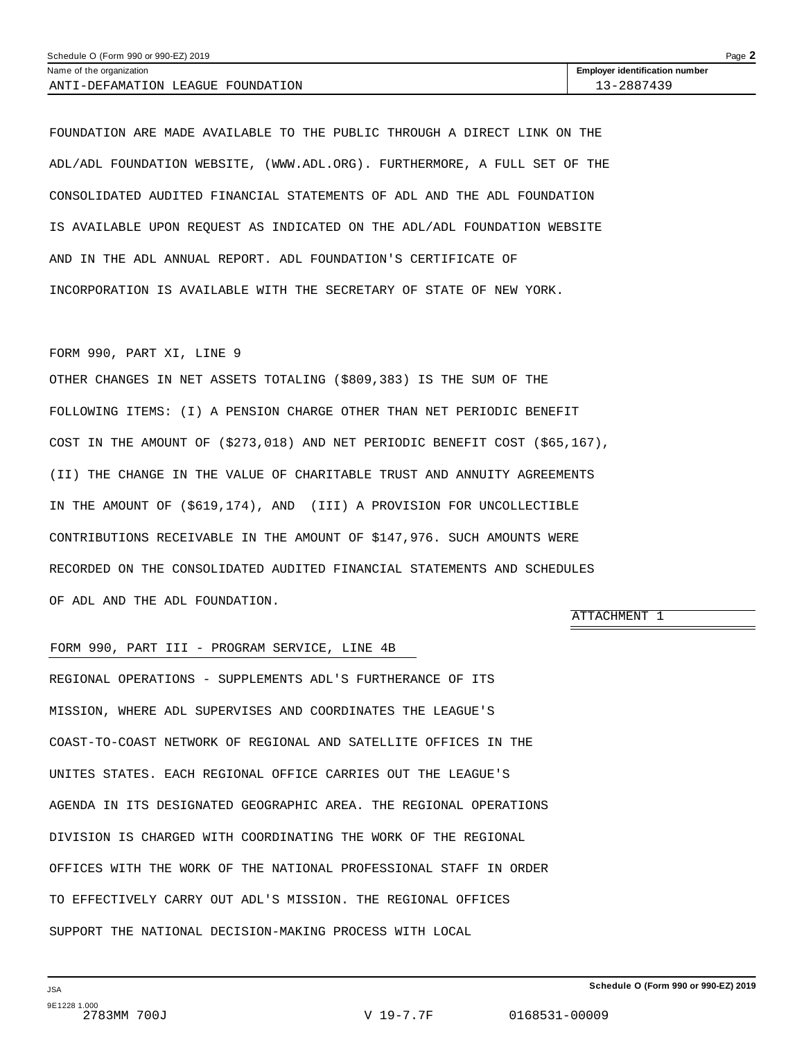<span id="page-49-0"></span>

| Schedule O (Form 990 or 990-EZ) 2019 |                                       | Page $\blacktriangle$ |
|--------------------------------------|---------------------------------------|-----------------------|
| Name of the organization             | <b>Employer identification number</b> |                       |
| ANTI-DEFAMATION LEAGUE FOUNDATION    | 13-2887439                            |                       |

FOUNDATION ARE MADE AVAILABLE TO THE PUBLIC THROUGH A DIRECT LINK ON THE ADL/ADL FOUNDATION WEBSITE, (WWW.ADL.ORG). FURTHERMORE, A FULL SET OF THE CONSOLIDATED AUDITED FINANCIAL STATEMENTS OF ADL AND THE ADL FOUNDATION IS AVAILABLE UPON REQUEST AS INDICATED ON THE ADL/ADL FOUNDATION WEBSITE AND IN THE ADL ANNUAL REPORT. ADL FOUNDATION'S CERTIFICATE OF INCORPORATION IS AVAILABLE WITH THE SECRETARY OF STATE OF NEW YORK.

#### FORM 990, PART XI, LINE 9

OTHER CHANGES IN NET ASSETS TOTALING (\$809,383) IS THE SUM OF THE FOLLOWING ITEMS: (I) A PENSION CHARGE OTHER THAN NET PERIODIC BENEFIT COST IN THE AMOUNT OF (\$273,018) AND NET PERIODIC BENEFIT COST (\$65,167), (II) THE CHANGE IN THE VALUE OF CHARITABLE TRUST AND ANNUITY AGREEMENTS IN THE AMOUNT OF (\$619,174), AND (III) A PROVISION FOR UNCOLLECTIBLE CONTRIBUTIONS RECEIVABLE IN THE AMOUNT OF \$147,976. SUCH AMOUNTS WERE RECORDED ON THE CONSOLIDATED AUDITED FINANCIAL STATEMENTS AND SCHEDULES OF ADL AND THE ADL FOUNDATION.

ATTACHMENT 1

#### FORM 990, PART III - PROGRAM SERVICE, LINE 4B

REGIONAL OPERATIONS - SUPPLEMENTS ADL'S FURTHERANCE OF ITS MISSION, WHERE ADL SUPERVISES AND COORDINATES THE LEAGUE'S COAST-TO-COAST NETWORK OF REGIONAL AND SATELLITE OFFICES IN THE UNITES STATES. EACH REGIONAL OFFICE CARRIES OUT THE LEAGUE'S AGENDA IN ITS DESIGNATED GEOGRAPHIC AREA. THE REGIONAL OPERATIONS DIVISION IS CHARGED WITH COORDINATING THE WORK OF THE REGIONAL OFFICES WITH THE WORK OF THE NATIONAL PROFESSIONAL STAFF IN ORDER TO EFFECTIVELY CARRY OUT ADL'S MISSION. THE REGIONAL OFFICES SUPPORT THE NATIONAL DECISION-MAKING PROCESS WITH LOCAL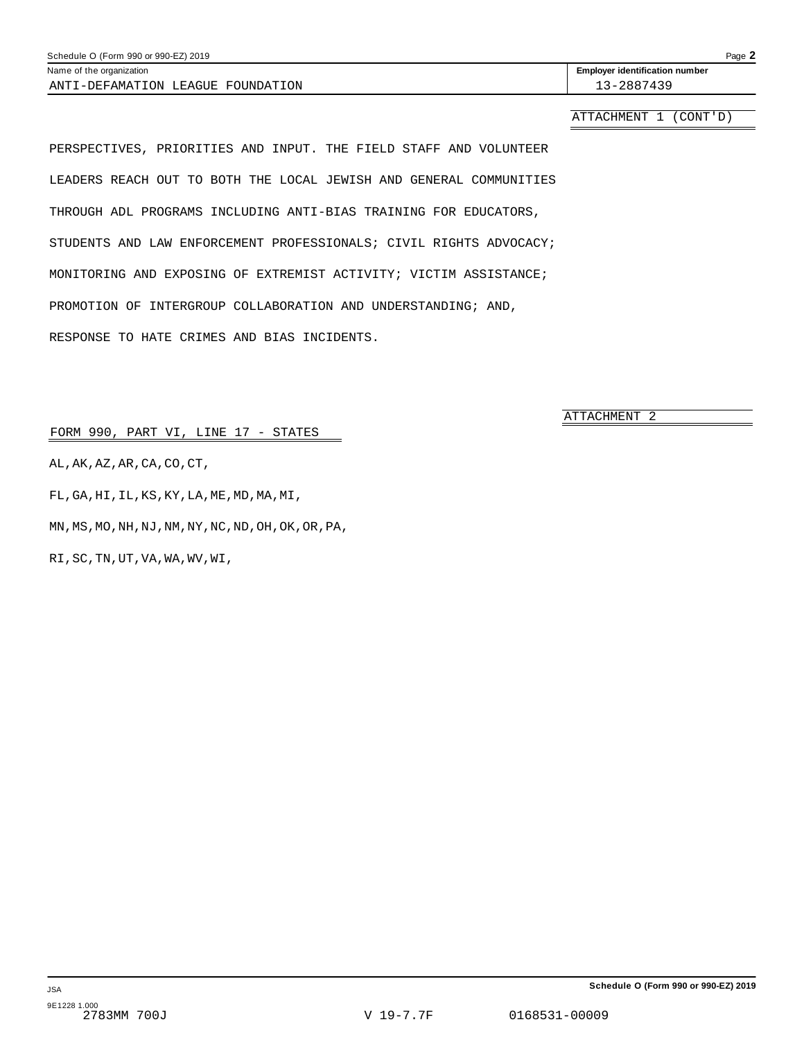<span id="page-50-0"></span>

| Schedule O (Form 990 or 990-EZ) 2019 |                                       | Page $\mathbf{z}$ |
|--------------------------------------|---------------------------------------|-------------------|
| Name of the organization             | <b>Employer identification number</b> |                   |
| ANTI-DEFAMATION LEAGUE FOUNDATION    | 13-2887439                            |                   |
|                                      |                                       |                   |

ATTACHMENT 1 (CONT'D)

PERSPECTIVES, PRIORITIES AND INPUT. THE FIELD STAFF AND VOLUNTEER LEADERS REACH OUT TO BOTH THE LOCAL JEWISH AND GENERAL COMMUNITIES THROUGH ADL PROGRAMS INCLUDING ANTI-BIAS TRAINING FOR EDUCATORS, STUDENTS AND LAW ENFORCEMENT PROFESSIONALS; CIVIL RIGHTS ADVOCACY; MONITORING AND EXPOSING OF EXTREMIST ACTIVITY; VICTIM ASSISTANCE; PROMOTION OF INTERGROUP COLLABORATION AND UNDERSTANDING; AND, RESPONSE TO HATE CRIMES AND BIAS INCIDENTS.

ATTACHMENT 2

#### FORM 990, PART VI, LINE 17 - STATES

AL,AK,AZ,AR,CA,CO,CT,

FL,GA,HI,IL,KS,KY,LA,ME,MD,MA,MI,

MN,MS,MO,NH,NJ,NM,NY,NC,ND,OH,OK,OR,PA,

RI,SC,TN,UT,VA,WA,WV,WI,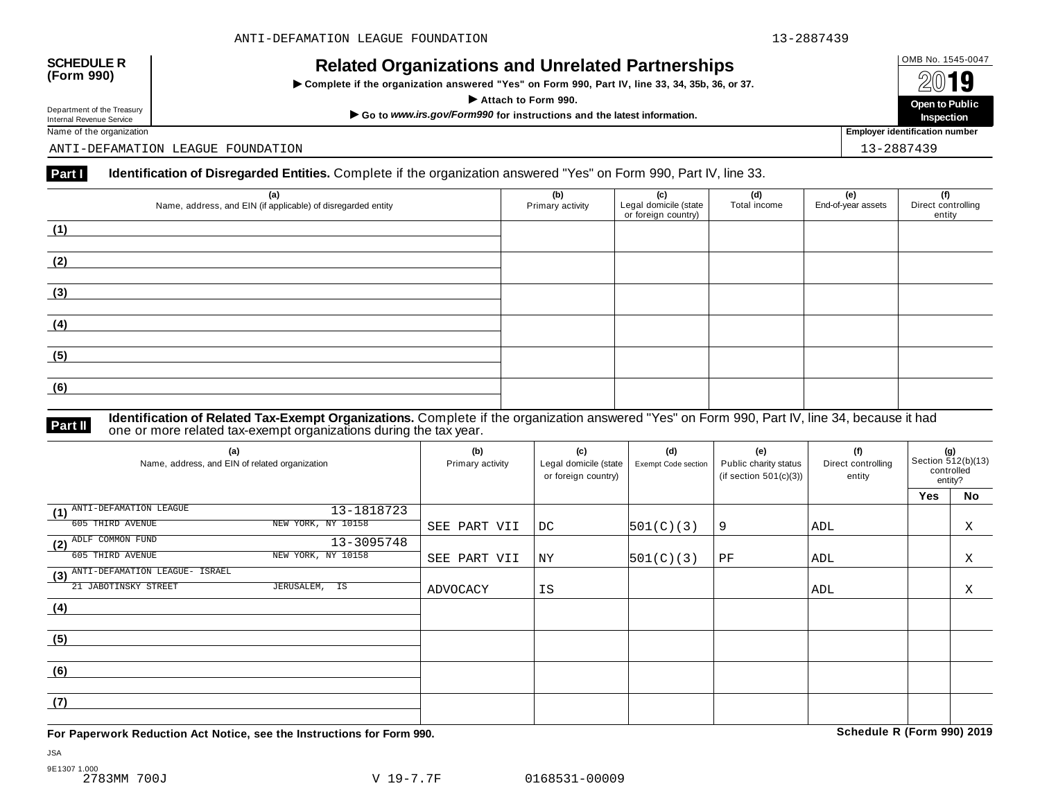## OMB No. 1545-0047 **SCHEDULE R (Form 990) Related Organizations and Unrelated Partnerships**

 $\triangleright$  Complete if the organization answered "Yes" on Form 990, Part IV, line 33, 34, 35b, 36, or 37.  $\angle$  **CO P**<br>  $\angle$  **Attach to Form 990. Open to Public**<br>  $\angle$  **CO Public** 

**Inspection** Department of the Treasury<br>
Internal Revenue Service<br>
Name of the organization<br>
Name of the organization<br>
Name of the organization<br> **Name of the organization** 

Department of the Treasury<br>Internal Revenue Service

ANTI-DEFAMATION LEAGUE FOUNDATION 13-2887439

#### **Part I Identification of Disregarded Entities.** Complete if the organization answered "Yes" on Form 990, Part IV, line 33.

| (a)<br>Name, address, and EIN (if applicable) of disregarded entity | (b)<br>Primary activity | (c)<br>Legal domicile (state<br>or foreign country) | (d)<br>Total income | (e)<br>End-of-year assets | (f)<br>Direct controlling<br>entity |
|---------------------------------------------------------------------|-------------------------|-----------------------------------------------------|---------------------|---------------------------|-------------------------------------|
| (1)                                                                 |                         |                                                     |                     |                           |                                     |
| (2)                                                                 |                         |                                                     |                     |                           |                                     |
| (3)                                                                 |                         |                                                     |                     |                           |                                     |
| (4)                                                                 |                         |                                                     |                     |                           |                                     |
| (5)                                                                 |                         |                                                     |                     |                           |                                     |
| (6)                                                                 |                         |                                                     |                     |                           |                                     |

**Identification of Related Tax-Exempt Organizations.** Complete if the organization answered "Yes" on Form 990, Part IV, line 34, because it had **Part II** one or more related tax-exempt organizations during the tax year.

| (a)<br>Name, address, and EIN of related organization | (b)<br>Primary activity | (c)<br>Legal domicile (state<br>or foreign country) | (d)<br>Exempt Code section | (e)<br>Public charity status<br>(if section $501(c)(3)$ ) | (f)<br>Direct controlling<br>entity | (g)<br>Section 512(b)(13)<br>controlled<br>entity? |    |
|-------------------------------------------------------|-------------------------|-----------------------------------------------------|----------------------------|-----------------------------------------------------------|-------------------------------------|----------------------------------------------------|----|
|                                                       |                         |                                                     |                            |                                                           |                                     | <b>Yes</b>                                         | No |
| (1) ANTI-DEFAMATION LEAGUE<br>13-1818723              |                         |                                                     |                            |                                                           |                                     |                                                    |    |
| NEW YORK, NY 10158<br>605 THIRD AVENUE                | SEE PART VII            | DC                                                  | 501(C)(3)                  | 9                                                         | ADL                                 |                                                    | Χ  |
| (2) ADLF COMMON FUND<br>13-3095748                    |                         |                                                     |                            |                                                           |                                     |                                                    |    |
| NEW YORK, NY 10158<br>605 THIRD AVENUE                | SEE PART VII            | ΝY                                                  | 501(C)(3)                  | PF                                                        | ADL                                 |                                                    | Χ  |
| (3) ANTI-DEFAMATION LEAGUE- ISRAEL                    |                         |                                                     |                            |                                                           |                                     |                                                    |    |
| JERUSALEM,<br>21 JABOTINSKY STREET<br>IS              | ADVOCACY                | IS                                                  |                            |                                                           | ADL                                 |                                                    | X  |
| (4)                                                   |                         |                                                     |                            |                                                           |                                     |                                                    |    |
| (5)                                                   |                         |                                                     |                            |                                                           |                                     |                                                    |    |
| (6)                                                   |                         |                                                     |                            |                                                           |                                     |                                                    |    |
| (7)                                                   |                         |                                                     |                            |                                                           |                                     |                                                    |    |

**For Paperwork Reduction Act Notice, see the Instructions for Form 990. Schedule R (Form 990) 2019**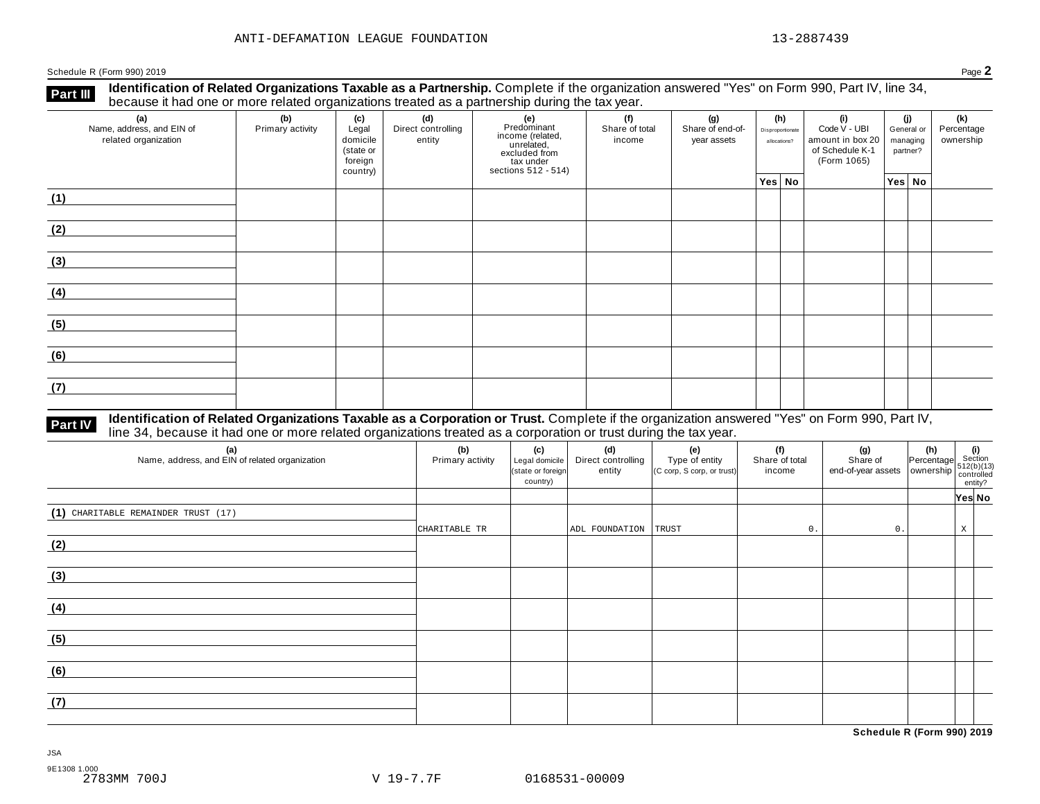Schedule <sup>R</sup> (Form 990) <sup>2019</sup> Page **2**

**Part III** Identification of Related Organizations Taxable as a Partnership. Complete if the organization answered "Yes" on Form 990, Part IV, line 34,<br>because it had one or more related organizations treated as a partners

| (a)<br>Name, address, and EIN of<br>related organization | ັ<br>(b)<br>Primary activity | (c)<br>Legal<br>domicile<br>(state or<br>foreign<br>country) | .<br>(d)<br>Direct controlling<br>entity | ັ<br>(e)<br>Predominant<br>Frecomman<br>income (related,<br>unrelated,<br>sccluded from<br>sections 512 - 514) | (f)<br>Share of total<br>income | (g)<br>Share of end-of-<br>year assets | (h)<br>Disproportionate<br>allocations? | (i)<br>Code V - UBI<br>amount in box 20<br>of Schedule K-1<br>(Form 1065) | (j)<br>General or<br>managing<br>partner? | (k)<br>Percentage<br>ownership |
|----------------------------------------------------------|------------------------------|--------------------------------------------------------------|------------------------------------------|----------------------------------------------------------------------------------------------------------------|---------------------------------|----------------------------------------|-----------------------------------------|---------------------------------------------------------------------------|-------------------------------------------|--------------------------------|
|                                                          |                              |                                                              |                                          |                                                                                                                |                                 |                                        | Yes No                                  |                                                                           | Yes No                                    |                                |
| (1)                                                      |                              |                                                              |                                          |                                                                                                                |                                 |                                        |                                         |                                                                           |                                           |                                |
| (2)                                                      |                              |                                                              |                                          |                                                                                                                |                                 |                                        |                                         |                                                                           |                                           |                                |
| (3)                                                      |                              |                                                              |                                          |                                                                                                                |                                 |                                        |                                         |                                                                           |                                           |                                |
| (4)                                                      |                              |                                                              |                                          |                                                                                                                |                                 |                                        |                                         |                                                                           |                                           |                                |
| (5)                                                      |                              |                                                              |                                          |                                                                                                                |                                 |                                        |                                         |                                                                           |                                           |                                |
| (6)                                                      |                              |                                                              |                                          |                                                                                                                |                                 |                                        |                                         |                                                                           |                                           |                                |
| (7)                                                      |                              |                                                              |                                          |                                                                                                                |                                 |                                        |                                         |                                                                           |                                           |                                |

## **Part IV** Identification of Related Organizations Taxable as a Corporation or Trust. Complete if the organization answered "Yes" on Form 990, Part IV,<br>line 34, because it had one or more related organizations treated as a

| (a)<br>Name, address, and EIN of related organization | (b)<br>Primary activity | (c)<br>Legal domicile<br>(state or foreign<br>country) | (d)<br>Direct controlling<br>entity | (e)<br>Type of entity<br>(C corp, S corp, or trust) | (f)<br>Share of total<br>income | $\begin{tabular}{ c c c } \hline (g) & (h) & (i) & (j) \\ \hline Share of & \multicolumn{3}{ c }{\texttt{B}} & \multicolumn{3}{ c }{\texttt{S}} & \multicolumn{3}{ c }{\texttt{S}} & \multicolumn{3}{ c }{\texttt{S}} & \multicolumn{3}{ c }{\texttt{S}} & \multicolumn{3}{ c }{\texttt{S}} & \multicolumn{3}{ c }{\texttt{S}} & \multicolumn{3}{ c }{\texttt{S}} & \multicolumn{3}{ c }{\texttt{S}} & \multicolumn{3}{ c }{\texttt{S}} &$ |        |
|-------------------------------------------------------|-------------------------|--------------------------------------------------------|-------------------------------------|-----------------------------------------------------|---------------------------------|--------------------------------------------------------------------------------------------------------------------------------------------------------------------------------------------------------------------------------------------------------------------------------------------------------------------------------------------------------------------------------------------------------------------------------------------|--------|
|                                                       |                         |                                                        |                                     |                                                     |                                 |                                                                                                                                                                                                                                                                                                                                                                                                                                            | Yes No |
| (1) CHARITABLE REMAINDER TRUST (17)                   | CHARITABLE TR           |                                                        | ADL FOUNDATION                      | <b>TRUST</b>                                        | $\mathbf 0$ .                   | $\mathbf{0}$ .                                                                                                                                                                                                                                                                                                                                                                                                                             | X      |
| (2)                                                   |                         |                                                        |                                     |                                                     |                                 |                                                                                                                                                                                                                                                                                                                                                                                                                                            |        |
| (3)                                                   |                         |                                                        |                                     |                                                     |                                 |                                                                                                                                                                                                                                                                                                                                                                                                                                            |        |
| (4)                                                   |                         |                                                        |                                     |                                                     |                                 |                                                                                                                                                                                                                                                                                                                                                                                                                                            |        |
| (5)                                                   |                         |                                                        |                                     |                                                     |                                 |                                                                                                                                                                                                                                                                                                                                                                                                                                            |        |
| (6)                                                   |                         |                                                        |                                     |                                                     |                                 |                                                                                                                                                                                                                                                                                                                                                                                                                                            |        |
| (7)                                                   |                         |                                                        |                                     |                                                     |                                 |                                                                                                                                                                                                                                                                                                                                                                                                                                            |        |

**Schedule R (Form 990) 2019**

JSA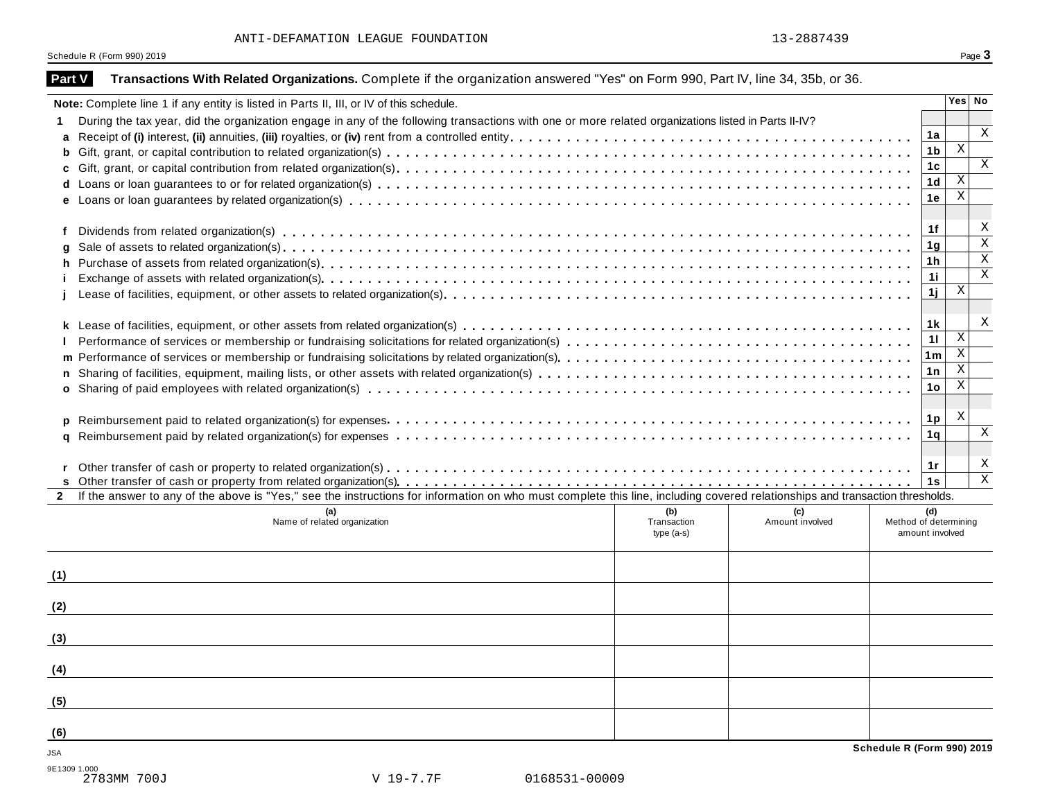Schedule R (Form 990) 2019 **Page 3** 

| <b>Part V</b> | Transactions With Related Organizations. Complete if the organization answered "Yes" on Form 990, Part IV, line 34, 35b, or 36.                                              |                                   |                        |                                                 |                 |                           |
|---------------|------------------------------------------------------------------------------------------------------------------------------------------------------------------------------|-----------------------------------|------------------------|-------------------------------------------------|-----------------|---------------------------|
|               | Note: Complete line 1 if any entity is listed in Parts II, III, or IV of this schedule.                                                                                      |                                   |                        |                                                 |                 | Yes No                    |
|               | During the tax year, did the organization engage in any of the following transactions with one or more related organizations listed in Parts II-IV?                          |                                   |                        |                                                 |                 |                           |
|               |                                                                                                                                                                              |                                   |                        |                                                 | 1a              | $\mathbf{X}$              |
| b             |                                                                                                                                                                              |                                   |                        |                                                 | 1 <sub>b</sub>  | $\mathbf{X}$              |
| C             |                                                                                                                                                                              |                                   |                        |                                                 | 1c              | X                         |
|               |                                                                                                                                                                              |                                   |                        |                                                 | 1d              | $\boldsymbol{\mathrm{X}}$ |
|               |                                                                                                                                                                              |                                   |                        |                                                 | 1e              | $\,$ X                    |
| f             |                                                                                                                                                                              |                                   |                        |                                                 | 1f              | X                         |
| g             |                                                                                                                                                                              |                                   |                        |                                                 | 1g              | $\mathbf{X}$              |
| h.            |                                                                                                                                                                              |                                   |                        |                                                 | 1 <sub>h</sub>  | $\boldsymbol{\mathrm{X}}$ |
|               |                                                                                                                                                                              |                                   |                        |                                                 | 11              | $\mathbf x$               |
|               |                                                                                                                                                                              |                                   |                        |                                                 | 1j              | $\mathbf{X}$              |
|               |                                                                                                                                                                              |                                   |                        |                                                 | 1 k             | X                         |
|               |                                                                                                                                                                              |                                   |                        |                                                 | 11              | $\overline{X}$            |
|               |                                                                                                                                                                              |                                   |                        |                                                 | 1m              | $\overline{X}$            |
| n.            |                                                                                                                                                                              |                                   |                        |                                                 | 1n              | $\mathbf{X}$              |
|               |                                                                                                                                                                              |                                   |                        |                                                 | 10 <sub>1</sub> | $\mathbf{X}$              |
| p             |                                                                                                                                                                              |                                   |                        |                                                 | 1p              | X                         |
| q             |                                                                                                                                                                              |                                   |                        |                                                 | 1q              | $\mathbf{X}$              |
|               |                                                                                                                                                                              |                                   |                        |                                                 | 1r              | X                         |
|               |                                                                                                                                                                              |                                   |                        |                                                 | 1s              | $\mathbf x$               |
|               | If the answer to any of the above is "Yes," see the instructions for information on who must complete this line, including covered relationships and transaction thresholds. |                                   |                        |                                                 |                 |                           |
|               | (a)<br>Name of related organization                                                                                                                                          | (b)<br>Transaction<br>$type(a-s)$ | (c)<br>Amount involved | (d)<br>Method of determining<br>amount involved |                 |                           |
| (1)           |                                                                                                                                                                              |                                   |                        |                                                 |                 |                           |
| (2)           |                                                                                                                                                                              |                                   |                        |                                                 |                 |                           |
| (3)           |                                                                                                                                                                              |                                   |                        |                                                 |                 |                           |
| (4)           |                                                                                                                                                                              |                                   |                        |                                                 |                 |                           |
| (5)           |                                                                                                                                                                              |                                   |                        |                                                 |                 |                           |
| (6)           |                                                                                                                                                                              |                                   |                        |                                                 |                 |                           |
| <b>JSA</b>    |                                                                                                                                                                              |                                   |                        | Schedule R (Form 990) 2019                      |                 |                           |
| 9E1309 1.000  |                                                                                                                                                                              |                                   |                        |                                                 |                 |                           |
|               | 2783MM 700J<br>V 19-7.7F<br>0168531-00009                                                                                                                                    |                                   |                        |                                                 |                 |                           |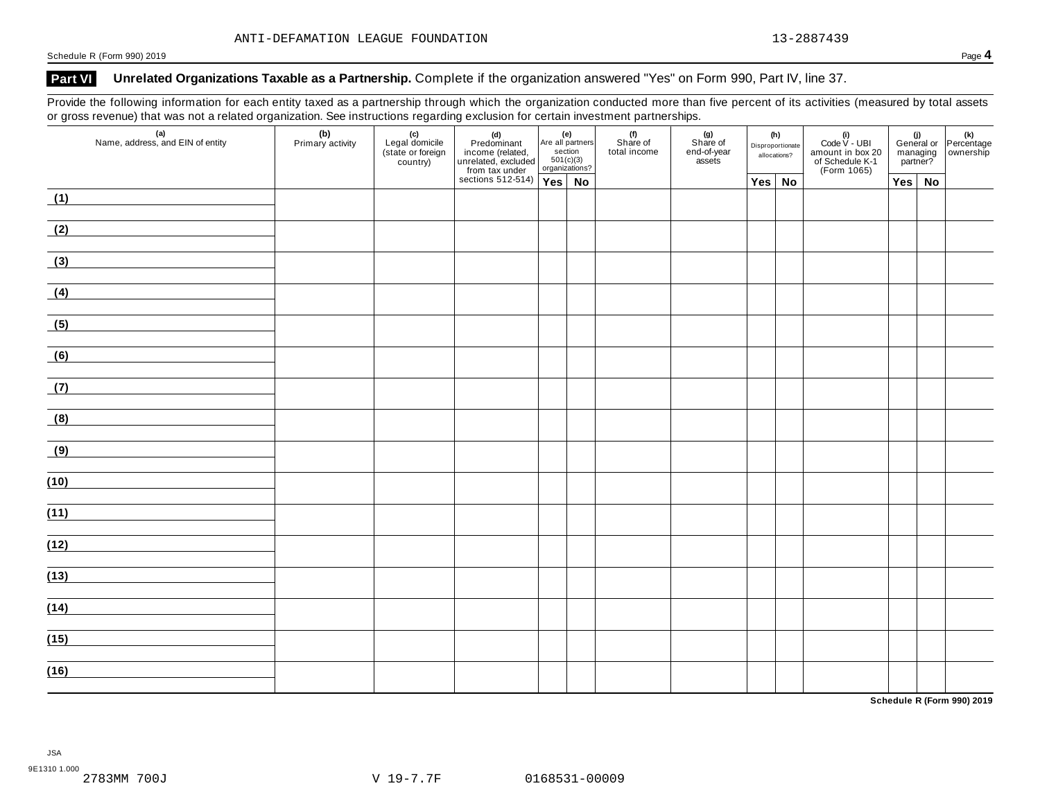Schedule <sup>R</sup> (Form 990) <sup>2019</sup> Page **4**

### **Part VI Unrelated Organizations Taxable as a Partnership.** Complete if the organization answered "Yes" on Form 990, Part IV, line 37.

Provide the following information for each entity taxed as a partnership through which the organization conducted more than five percent of its activities (measured by total assets or gross revenue) that was not a related organization. See instructions regarding exclusion for certain investment partnerships.

| $\sim$<br>(a)<br>Name, address, and EIN of entity                                                                           | (b)<br>Primary activity | (c)<br>Legal domicile<br>(d)<br>Predominant<br>income (related, and all particulared, excluded<br>unrelated, excluded 501(c)<br>from tax under<br>sections 512-514)<br>Yes<br>(state or foreign<br>country) |  | (f)<br>Share of<br>(g)<br>Share of<br>end-of-year<br>assets<br>Are all partners<br>total income<br>section<br>501(c)(3)<br>organizations? |  | (h)<br>Disproportionate<br>allocations? |  | (i)<br>Code $V$ - UBI<br>amount in box 20<br>of Schedule K-1<br>(Form 1065) |  | managing<br>partner? | (i)<br>General or Percentage<br>managing ownership |  |
|-----------------------------------------------------------------------------------------------------------------------------|-------------------------|-------------------------------------------------------------------------------------------------------------------------------------------------------------------------------------------------------------|--|-------------------------------------------------------------------------------------------------------------------------------------------|--|-----------------------------------------|--|-----------------------------------------------------------------------------|--|----------------------|----------------------------------------------------|--|
|                                                                                                                             |                         |                                                                                                                                                                                                             |  | <b>No</b>                                                                                                                                 |  |                                         |  | $Yes \mid No$                                                               |  | $Yes \mid No$        |                                                    |  |
| (1)<br><u> 1989 - Jan Barbara Barbara, prima politik po</u>                                                                 |                         |                                                                                                                                                                                                             |  |                                                                                                                                           |  |                                         |  |                                                                             |  |                      |                                                    |  |
| (2)                                                                                                                         |                         |                                                                                                                                                                                                             |  |                                                                                                                                           |  |                                         |  |                                                                             |  |                      |                                                    |  |
| (3)                                                                                                                         |                         |                                                                                                                                                                                                             |  |                                                                                                                                           |  |                                         |  |                                                                             |  |                      |                                                    |  |
| (4)                                                                                                                         |                         |                                                                                                                                                                                                             |  |                                                                                                                                           |  |                                         |  |                                                                             |  |                      |                                                    |  |
| (5)                                                                                                                         |                         |                                                                                                                                                                                                             |  |                                                                                                                                           |  |                                         |  |                                                                             |  |                      |                                                    |  |
| (6)<br><u>and the community of the community of the community</u>                                                           |                         |                                                                                                                                                                                                             |  |                                                                                                                                           |  |                                         |  |                                                                             |  |                      |                                                    |  |
| (7)<br><u> 1999 - Jan Stein Stein Stein Stein Stein Stein Stein Stein Stein Stein Stein Stein Stein Stein Stein Stein S</u> |                         |                                                                                                                                                                                                             |  |                                                                                                                                           |  |                                         |  |                                                                             |  |                      |                                                    |  |
| (8)                                                                                                                         |                         |                                                                                                                                                                                                             |  |                                                                                                                                           |  |                                         |  |                                                                             |  |                      |                                                    |  |
| (9)<br><u> 1989 - Andrea Stein, Amerikaansk politiker (</u>                                                                 |                         |                                                                                                                                                                                                             |  |                                                                                                                                           |  |                                         |  |                                                                             |  |                      |                                                    |  |
| (10)                                                                                                                        |                         |                                                                                                                                                                                                             |  |                                                                                                                                           |  |                                         |  |                                                                             |  |                      |                                                    |  |
| (11)<br><u> 1990 - Jan Jawa Barat, president politik (</u>                                                                  |                         |                                                                                                                                                                                                             |  |                                                                                                                                           |  |                                         |  |                                                                             |  |                      |                                                    |  |
| (12)                                                                                                                        |                         |                                                                                                                                                                                                             |  |                                                                                                                                           |  |                                         |  |                                                                             |  |                      |                                                    |  |
| (13)                                                                                                                        |                         |                                                                                                                                                                                                             |  |                                                                                                                                           |  |                                         |  |                                                                             |  |                      |                                                    |  |
|                                                                                                                             |                         |                                                                                                                                                                                                             |  |                                                                                                                                           |  |                                         |  |                                                                             |  |                      |                                                    |  |
| (14)                                                                                                                        |                         |                                                                                                                                                                                                             |  |                                                                                                                                           |  |                                         |  |                                                                             |  |                      |                                                    |  |
| (15)                                                                                                                        |                         |                                                                                                                                                                                                             |  |                                                                                                                                           |  |                                         |  |                                                                             |  |                      |                                                    |  |
| (16)                                                                                                                        |                         |                                                                                                                                                                                                             |  |                                                                                                                                           |  |                                         |  |                                                                             |  |                      |                                                    |  |

**Schedule R (Form 990) 2019**